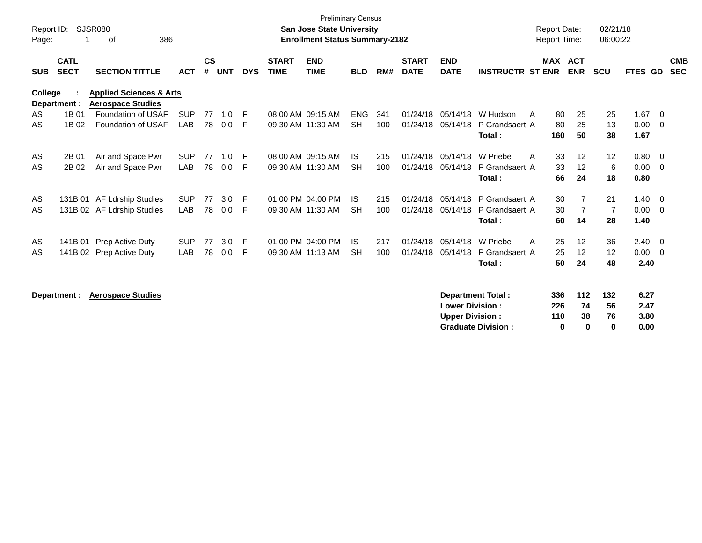| Report ID:<br>Page: |                            | SJSR080<br>386<br>оf                                           |            |                    |            |            |                             | <b>Preliminary Census</b><br><b>San Jose State University</b><br><b>Enrollment Status Summary-2182</b> |            |     |                             |                           |                          | <b>Report Date:</b><br><b>Report Time:</b> |                          | 02/21/18<br>06:00:22 |         |                         |                          |
|---------------------|----------------------------|----------------------------------------------------------------|------------|--------------------|------------|------------|-----------------------------|--------------------------------------------------------------------------------------------------------|------------|-----|-----------------------------|---------------------------|--------------------------|--------------------------------------------|--------------------------|----------------------|---------|-------------------------|--------------------------|
| <b>SUB</b>          | <b>CATL</b><br><b>SECT</b> | <b>SECTION TITTLE</b>                                          | <b>ACT</b> | $\mathsf{cs}$<br># | <b>UNT</b> | <b>DYS</b> | <b>START</b><br><b>TIME</b> | <b>END</b><br><b>TIME</b>                                                                              | <b>BLD</b> | RM# | <b>START</b><br><b>DATE</b> | <b>END</b><br><b>DATE</b> | <b>INSTRUCTR ST ENR</b>  | <b>MAX</b>                                 | <b>ACT</b><br><b>ENR</b> | <b>SCU</b>           | FTES GD |                         | <b>CMB</b><br><b>SEC</b> |
| College             | Department :               | <b>Applied Sciences &amp; Arts</b><br><b>Aerospace Studies</b> |            |                    |            |            |                             |                                                                                                        |            |     |                             |                           |                          |                                            |                          |                      |         |                         |                          |
| AS                  | 1B 01                      | Foundation of USAF                                             | <b>SUP</b> | 77                 | $1.0$ F    |            |                             | 08:00 AM 09:15 AM                                                                                      | <b>ENG</b> | 341 | 01/24/18                    | 05/14/18                  | W Hudson                 | 80<br>A                                    | 25                       | 25                   | 1.67    | - 0                     |                          |
| AS                  | 1B 02                      | Foundation of USAF                                             | LAB        | 78                 | 0.0        | E          |                             | 09:30 AM 11:30 AM                                                                                      | <b>SH</b>  | 100 | 01/24/18                    | 05/14/18                  | P Grandsaert A           | 80                                         | 25                       | 13                   | 0.00    | - 0                     |                          |
|                     |                            |                                                                |            |                    |            |            |                             |                                                                                                        |            |     |                             |                           | Total:                   | 160                                        | 50                       | 38                   | 1.67    |                         |                          |
| AS                  | 2B 01                      | Air and Space Pwr                                              | <b>SUP</b> | 77                 | 1.0        | E          |                             | 08:00 AM 09:15 AM                                                                                      | IS.        | 215 | 01/24/18                    | 05/14/18                  | W Priebe                 | 33<br>A                                    | 12                       | 12                   | 0.80    | - 0                     |                          |
| AS                  | 2B 02                      | Air and Space Pwr                                              | <b>LAB</b> | 78                 | 0.0        | F          |                             | 09:30 AM 11:30 AM                                                                                      | <b>SH</b>  | 100 | 01/24/18                    | 05/14/18                  | P Grandsaert A           | 33                                         | 12                       | 6                    | 0.00    | - 0                     |                          |
|                     |                            |                                                                |            |                    |            |            |                             |                                                                                                        |            |     |                             |                           | Total:                   | 66                                         | 24                       | 18                   | 0.80    |                         |                          |
| AS                  |                            | 131B 01 AF Ldrship Studies                                     | <b>SUP</b> | 77                 | 3.0        | E          |                             | 01:00 PM 04:00 PM                                                                                      | IS.        | 215 | 01/24/18                    | 05/14/18                  | P Grandsaert A           | 30                                         | 7                        | 21                   | 1.40    | - 0                     |                          |
| AS                  |                            | 131B 02 AF Ldrship Studies                                     | <b>LAB</b> | 78                 | 0.0        | F          |                             | 09:30 AM 11:30 AM                                                                                      | <b>SH</b>  | 100 | 01/24/18                    | 05/14/18                  | P Grandsaert A           | 30                                         | $\overline{7}$           | $\overline{7}$       | 0.00    | - 0                     |                          |
|                     |                            |                                                                |            |                    |            |            |                             |                                                                                                        |            |     |                             |                           | Total:                   | 60                                         | 14                       | 28                   | 1.40    |                         |                          |
| AS                  |                            | 141B 01 Prep Active Duty                                       | <b>SUP</b> | 77                 | 3.0        | E          |                             | 01:00 PM 04:00 PM                                                                                      | IS.        | 217 | 01/24/18                    | 05/14/18                  | W Priebe                 | 25<br>A                                    | 12                       | 36                   | 2.40    | $\overline{\mathbf{0}}$ |                          |
| AS                  |                            | 141B 02 Prep Active Duty                                       | <b>LAB</b> | 78                 | 0.0        | F          |                             | 09:30 AM 11:13 AM                                                                                      | <b>SH</b>  | 100 | 01/24/18                    | 05/14/18                  | P Grandsaert A           | 25                                         | 12                       | 12                   | 0.00    | - 0                     |                          |
|                     |                            |                                                                |            |                    |            |            |                             |                                                                                                        |            |     |                             |                           | Total:                   | 50                                         | 24                       | 48                   | 2.40    |                         |                          |
|                     | Department :               | <b>Aerospace Studies</b>                                       |            |                    |            |            |                             |                                                                                                        |            |     |                             |                           | <b>Department Total:</b> | 336                                        | $112$                    | 132                  | 6.27    |                         |                          |

| _________________         |     |    |     |      |
|---------------------------|-----|----|-----|------|
| <b>Lower Division:</b>    | 226 | 74 | 56  | 2.47 |
| <b>Upper Division:</b>    | 110 | 38 | 76. | 3.80 |
| <b>Graduate Division:</b> | n   | n  |     | 0.00 |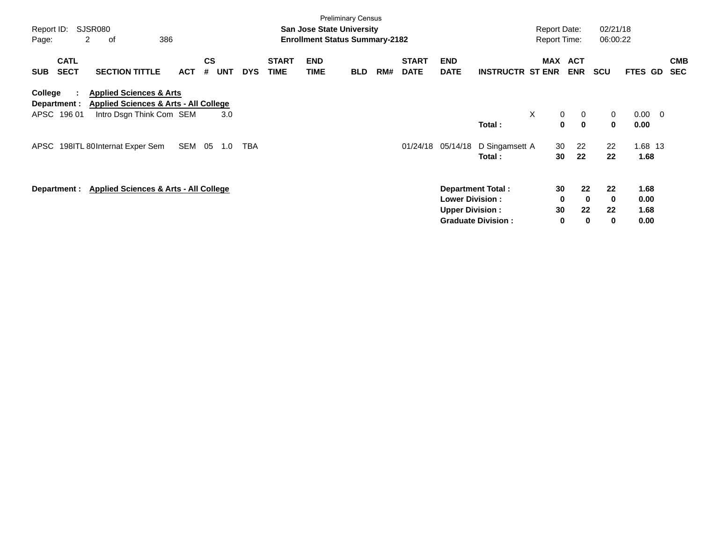| Report ID:<br>Page:                      | SJSR080<br>2<br>οf                                                                                                 | 386        |                              |            |                             | <b>San Jose State University</b><br><b>Enrollment Status Summary-2182</b> | <b>Preliminary Census</b> |     |                             |                                                  |                                                | <b>Report Date:</b><br><b>Report Time:</b> |                                     | 02/21/18<br>06:00:22      |                              |                          |
|------------------------------------------|--------------------------------------------------------------------------------------------------------------------|------------|------------------------------|------------|-----------------------------|---------------------------------------------------------------------------|---------------------------|-----|-----------------------------|--------------------------------------------------|------------------------------------------------|--------------------------------------------|-------------------------------------|---------------------------|------------------------------|--------------------------|
| <b>CATL</b><br><b>SECT</b><br><b>SUB</b> | <b>SECTION TITTLE</b>                                                                                              | <b>ACT</b> | <b>CS</b><br><b>UNT</b><br># | <b>DYS</b> | <b>START</b><br><b>TIME</b> | <b>END</b><br><b>TIME</b>                                                 | <b>BLD</b>                | RM# | <b>START</b><br><b>DATE</b> | <b>END</b><br><b>DATE</b>                        | <b>INSTRUCTR ST ENR</b>                        |                                            | <b>MAX ACT</b><br><b>ENR</b>        | <b>SCU</b>                | FTES GD                      | <b>CMB</b><br><b>SEC</b> |
| College<br>Department :<br>APSC 196 01   | <b>Applied Sciences &amp; Arts</b><br><b>Applied Sciences &amp; Arts - All College</b><br>Intro Dsgn Think Com SEM |            | 3.0                          |            |                             |                                                                           |                           |     |                             |                                                  | Total:                                         | $\times$<br>$\mathbf 0$<br>0               | 0<br>$\mathbf 0$                    | 0<br>0                    | $0.00 \t 0$<br>0.00          |                          |
| APSC                                     | 198ITL 80Internat Exper Sem                                                                                        | SEM        | 05<br>1.0                    | TBA        |                             |                                                                           |                           |     | 01/24/18                    | 05/14/18                                         | D Singamsett A<br>Total:                       | 30<br>30                                   | 22<br>22                            | 22<br>22                  | 1.68 13<br>1.68              |                          |
| Department :                             | <b>Applied Sciences &amp; Arts - All College</b>                                                                   |            |                              |            |                             |                                                                           |                           |     |                             | <b>Lower Division:</b><br><b>Upper Division:</b> | Department Total:<br><b>Graduate Division:</b> | 30<br>0<br>30<br>$\mathbf 0$               | 22<br>$\bf{0}$<br>22<br>$\mathbf 0$ | 22<br>$\bf{0}$<br>22<br>0 | 1.68<br>0.00<br>1.68<br>0.00 |                          |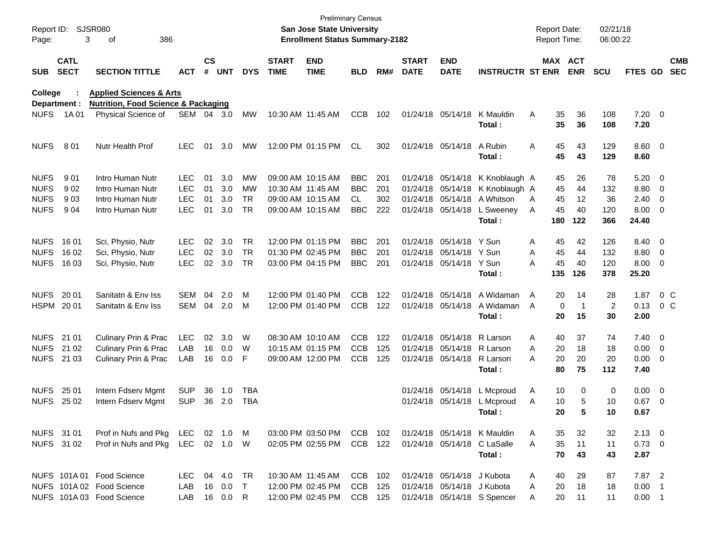| Report ID:<br>Page: | 3                          | <b>SJSR080</b><br>386<br>оf                                           |            |               |            |            |                             | <b>Preliminary Census</b><br><b>San Jose State University</b><br><b>Enrollment Status Summary-2182</b> |            |     |                             |                            |                             | <b>Report Date:</b><br><b>Report Time:</b> |                  | 02/21/18<br>06:00:22 |                |                          |                          |
|---------------------|----------------------------|-----------------------------------------------------------------------|------------|---------------|------------|------------|-----------------------------|--------------------------------------------------------------------------------------------------------|------------|-----|-----------------------------|----------------------------|-----------------------------|--------------------------------------------|------------------|----------------------|----------------|--------------------------|--------------------------|
| <b>SUB</b>          | <b>CATL</b><br><b>SECT</b> | <b>SECTION TITTLE</b>                                                 | <b>ACT</b> | $\mathsf{cs}$ | # UNT      | <b>DYS</b> | <b>START</b><br><b>TIME</b> | <b>END</b><br><b>TIME</b>                                                                              | BLD        | RM# | <b>START</b><br><b>DATE</b> | <b>END</b><br><b>DATE</b>  | <b>INSTRUCTR ST ENR</b>     |                                            | MAX ACT<br>ENR   | <b>SCU</b>           | FTES GD        |                          | <b>CMB</b><br><b>SEC</b> |
| <b>College</b>      |                            | <b>Applied Sciences &amp; Arts</b>                                    |            |               |            |            |                             |                                                                                                        |            |     |                             |                            |                             |                                            |                  |                      |                |                          |                          |
| <b>NUFS</b>         | Department :<br>1A 01      | <b>Nutrition, Food Science &amp; Packaging</b><br>Physical Science of | SEM 04 3.0 |               |            | <b>MW</b>  | 10:30 AM 11:45 AM           |                                                                                                        | <b>CCB</b> | 102 |                             | 01/24/18 05/14/18          | K Mauldin                   | Α                                          | 35<br>36         | 108                  | $7.20 \t 0$    |                          |                          |
|                     |                            |                                                                       |            |               |            |            |                             |                                                                                                        |            |     |                             |                            | Total:                      |                                            | 35<br>36         | 108                  | 7.20           |                          |                          |
| <b>NUFS</b>         | 801                        | Nutr Health Prof                                                      | <b>LEC</b> | 01            | 3.0        | MW         |                             | 12:00 PM 01:15 PM                                                                                      | CL         | 302 |                             | 01/24/18 05/14/18          | A Rubin                     | Α                                          | 45<br>43         | 129                  | $8.60 \quad 0$ |                          |                          |
|                     |                            |                                                                       |            |               |            |            |                             |                                                                                                        |            |     |                             |                            | Total:                      |                                            | 45<br>43         | 129                  | 8.60           |                          |                          |
| <b>NUFS</b>         | 901                        | Intro Human Nutr                                                      | LEC        | 01            | 3.0        | <b>MW</b>  |                             | 09:00 AM 10:15 AM                                                                                      | <b>BBC</b> | 201 |                             | 01/24/18 05/14/18          | K Knoblaugh A               |                                            | 26<br>45         | 78                   | $5.20 \ 0$     |                          |                          |
| <b>NUFS</b>         | 902                        | Intro Human Nutr                                                      | <b>LEC</b> | 01            | 3.0        | МW         | 10:30 AM 11:45 AM           |                                                                                                        | <b>BBC</b> | 201 |                             | 01/24/18 05/14/18          | K Knoblaugh A               |                                            | 45<br>44         | 132                  | 8.80           | $\overline{\phantom{0}}$ |                          |
| <b>NUFS</b>         | 903                        | Intro Human Nutr                                                      | <b>LEC</b> | 01            | 3.0        | TR.        |                             | 09:00 AM 10:15 AM                                                                                      | CL         | 302 |                             | 01/24/18 05/14/18          | A Whitson                   | A                                          | 12<br>45         | 36                   | 2.40           | $\overline{\phantom{0}}$ |                          |
| <b>NUFS</b>         | 9 0 4                      | Intro Human Nutr                                                      | <b>LEC</b> | 01            | 3.0        | <b>TR</b>  |                             | 09:00 AM 10:15 AM                                                                                      | <b>BBC</b> | 222 |                             | 01/24/18 05/14/18          | L Sweeney                   | A                                          | 45<br>40         | 120                  | $8.00 \t 0$    |                          |                          |
|                     |                            |                                                                       |            |               |            |            |                             |                                                                                                        |            |     |                             |                            | Total:                      | 180                                        | 122              | 366                  | 24.40          |                          |                          |
| <b>NUFS</b>         | 1601                       | Sci, Physio, Nutr                                                     | LEC        | 02            | 3.0        | <b>TR</b>  |                             | 12:00 PM 01:15 PM                                                                                      | <b>BBC</b> | 201 |                             | 01/24/18 05/14/18 Y Sun    |                             | A                                          | 42<br>45         | 126                  | 8.40 0         |                          |                          |
| <b>NUFS</b>         | 16 02                      | Sci, Physio, Nutr                                                     | <b>LEC</b> | 02            | 3.0        | <b>TR</b>  | 01:30 PM 02:45 PM           |                                                                                                        | <b>BBC</b> | 201 | 01/24/18                    | 05/14/18 Y Sun             |                             | A                                          | 45<br>44         | 132                  | 8.80           | $\overline{\phantom{0}}$ |                          |
| <b>NUFS</b>         | 16 03                      | Sci, Physio, Nutr                                                     | <b>LEC</b> | 02            | 3.0        | <b>TR</b>  |                             | 03:00 PM 04:15 PM                                                                                      | <b>BBC</b> | 201 |                             | 01/24/18 05/14/18 Y Sun    |                             | A                                          | 45<br>40         | 120                  | $8.00 \t 0$    |                          |                          |
|                     |                            |                                                                       |            |               |            |            |                             |                                                                                                        |            |     |                             |                            | Total:                      | 135                                        | 126              | 378                  | 25.20          |                          |                          |
| <b>NUFS</b>         | 20 01                      | Sanitatn & Env Iss                                                    | SEM        | 04            | 2.0        | м          |                             | 12:00 PM 01:40 PM                                                                                      | <b>CCB</b> | 122 |                             | 01/24/18 05/14/18          | A Widaman                   | A                                          | 20<br>14         | 28                   | 1.87           | $0\,$ C                  |                          |
| <b>HSPM</b>         | 20 01                      | Sanitatn & Env Iss                                                    | <b>SEM</b> | 04            | 2.0        | м          |                             | 12:00 PM 01:40 PM                                                                                      | <b>CCB</b> | 122 |                             | 01/24/18 05/14/18          | A Widaman                   | A                                          | 0<br>$\mathbf 1$ | 2                    | 0.13           | 0 <sup>o</sup>           |                          |
|                     |                            |                                                                       |            |               |            |            |                             |                                                                                                        |            |     |                             |                            | Total:                      |                                            | 20<br>15         | 30                   | 2.00           |                          |                          |
| <b>NUFS</b>         | 21 01                      | Culinary Prin & Prac                                                  | <b>LEC</b> | 02            | 3.0        | W          |                             | 08:30 AM 10:10 AM                                                                                      | <b>CCB</b> | 122 |                             | 01/24/18 05/14/18          | R Larson                    | A                                          | 37<br>40         | 74                   | $7.40 \quad 0$ |                          |                          |
| <b>NUFS</b>         | 21 02                      | Culinary Prin & Prac                                                  | LAB        | 16            | 0.0        | W          |                             | 10:15 AM 01:15 PM                                                                                      | <b>CCB</b> | 125 | 01/24/18                    | 05/14/18                   | R Larson                    | A                                          | 20<br>18         | 18                   | $0.00 \t 0$    |                          |                          |
|                     | NUFS 21 03                 | Culinary Prin & Prac                                                  | LAB        | 16            | 0.0        | F          |                             | 09:00 AM 12:00 PM                                                                                      | <b>CCB</b> | 125 |                             | 01/24/18 05/14/18          | R Larson                    | Α                                          | 20<br>20         | 20                   | $0.00 \t 0$    |                          |                          |
|                     |                            |                                                                       |            |               |            |            |                             |                                                                                                        |            |     |                             |                            | Total:                      | 80                                         | 75               | 112                  | 7.40           |                          |                          |
| <b>NUFS</b>         | 25 01                      | Intern Fdserv Mgmt                                                    | <b>SUP</b> | 36            | 1.0        | TBA        |                             |                                                                                                        |            |     |                             | 01/24/18 05/14/18          | L Mcproud                   | Α                                          | 10<br>0          | 0                    | $0.00 \t 0$    |                          |                          |
| <b>NUFS</b>         | 25 02                      | Intern Fdserv Mgmt                                                    | <b>SUP</b> | 36            | 2.0        | <b>TBA</b> |                             |                                                                                                        |            |     |                             |                            | 01/24/18 05/14/18 L Mcproud | Α                                          | 10<br>5          | 10                   | 0.67           | $\overline{\phantom{0}}$ |                          |
|                     |                            |                                                                       |            |               |            |            |                             |                                                                                                        |            |     |                             |                            | Total:                      |                                            | 20<br>5          | 10                   | 0.67           |                          |                          |
|                     | NUFS 31 01                 | Prof in Nufs and Pkg LEC 02 1.0 M                                     |            |               |            |            |                             | 03:00 PM 03:50 PM                                                                                      | CCB 102    |     |                             |                            | 01/24/18 05/14/18 K Mauldin | A                                          | 32<br>35         | 32                   | $2.13 \quad 0$ |                          |                          |
|                     | NUFS 31 02                 | Prof in Nufs and Pkg LEC 02 1.0 W                                     |            |               |            |            |                             | 02:05 PM 02:55 PM                                                                                      | CCB 122    |     |                             |                            | 01/24/18 05/14/18 C LaSalle | 35<br>A                                    | 11               | 11                   | $0.73 \quad 0$ |                          |                          |
|                     |                            |                                                                       |            |               |            |            |                             |                                                                                                        |            |     |                             |                            | Total:                      |                                            | 70<br>43         | 43                   | 2.87           |                          |                          |
|                     |                            | NUFS 101A 01 Food Science                                             | LEC.       |               | 04 4.0     | TR         |                             | 10:30 AM 11:45 AM                                                                                      | CCB 102    |     |                             | 01/24/18 05/14/18 J Kubota |                             | A                                          | 29<br>40         | 87                   | 7.87 2         |                          |                          |
|                     |                            | NUFS 101A 02 Food Science                                             | LAB        |               | 16 0.0     | $\top$     |                             | 12:00 PM 02:45 PM                                                                                      | CCB 125    |     |                             | 01/24/18 05/14/18 J Kubota |                             | 20<br>A                                    | 18               | 18                   | $0.00$ 1       |                          |                          |
|                     |                            | NUFS 101A 03 Food Science                                             | LAB        |               | 16  0.0  R |            |                             | 12:00 PM 02:45 PM                                                                                      | CCB 125    |     |                             |                            | 01/24/18 05/14/18 S Spencer | A                                          | 20<br>11         | 11                   | $0.00$ 1       |                          |                          |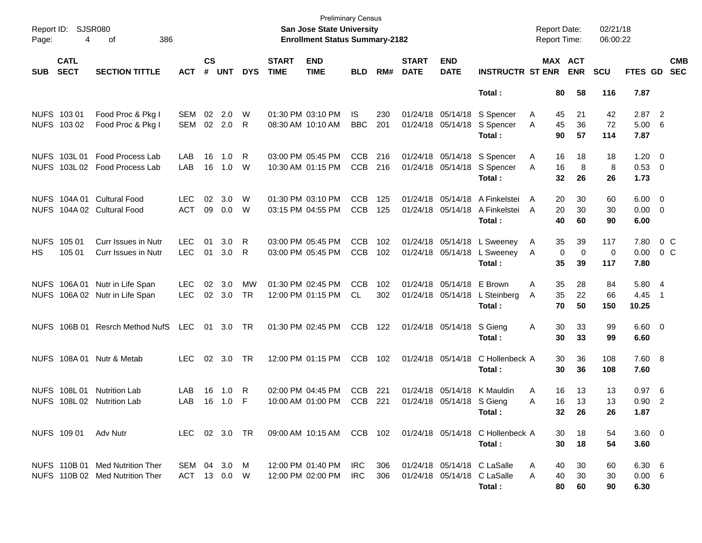| Report ID:<br>Page:        | SJSR080<br>4               | 386<br>οf                                                          |                            |                    |               |            |                             | <b>Preliminary Census</b><br><b>San Jose State University</b><br><b>Enrollment Status Summary-2182</b> |                          |            |                             |                                        |                                                            | <b>Report Date:</b><br>Report Time: |          |                       | 02/21/18<br>06:00:22 |                         |                         |                          |
|----------------------------|----------------------------|--------------------------------------------------------------------|----------------------------|--------------------|---------------|------------|-----------------------------|--------------------------------------------------------------------------------------------------------|--------------------------|------------|-----------------------------|----------------------------------------|------------------------------------------------------------|-------------------------------------|----------|-----------------------|----------------------|-------------------------|-------------------------|--------------------------|
| <b>SUB</b>                 | <b>CATL</b><br><b>SECT</b> | <b>SECTION TITTLE</b>                                              | <b>ACT</b>                 | $\mathsf{cs}$<br># | <b>UNT</b>    | <b>DYS</b> | <b>START</b><br><b>TIME</b> | <b>END</b><br><b>TIME</b>                                                                              | <b>BLD</b>               | RM#        | <b>START</b><br><b>DATE</b> | <b>END</b><br><b>DATE</b>              | <b>INSTRUCTR ST ENR</b>                                    |                                     |          | MAX ACT<br><b>ENR</b> | <b>SCU</b>           | FTES GD                 |                         | <b>CMB</b><br><b>SEC</b> |
|                            |                            |                                                                    |                            |                    |               |            |                             |                                                                                                        |                          |            |                             |                                        | Total:                                                     |                                     | 80       | 58                    | 116                  | 7.87                    |                         |                          |
|                            | NUFS 103 01<br>NUFS 103 02 | Food Proc & Pkg I<br>Food Proc & Pkg I                             | <b>SEM</b><br>SEM          | 02                 | 2.0<br>02 2.0 | W<br>R     | 08:30 AM 10:10 AM           | 01:30 PM 03:10 PM                                                                                      | IS.<br><b>BBC</b>        | 230<br>201 |                             | 01/24/18 05/14/18<br>01/24/18 05/14/18 | S Spencer<br>S Spencer                                     | A<br>A                              | 45<br>45 | 21<br>36              | 42<br>72             | 2.87<br>5.00            | $\overline{2}$<br>-6    |                          |
|                            |                            |                                                                    |                            |                    |               |            |                             |                                                                                                        |                          |            |                             |                                        | Total:                                                     |                                     | 90       | 57                    | 114                  | 7.87                    |                         |                          |
| <b>NUFS</b><br><b>NUFS</b> | 103L01<br>103L 02          | <b>Food Process Lab</b><br><b>Food Process Lab</b>                 | LAB<br>LAB                 | 16<br>16           | 1.0<br>1.0    | R<br>W     |                             | 03:00 PM 05:45 PM<br>10:30 AM 01:15 PM                                                                 | <b>CCB</b><br><b>CCB</b> | 216<br>216 |                             | 01/24/18 05/14/18<br>01/24/18 05/14/18 | S Spencer<br>S Spencer                                     | A<br>A                              | 16<br>16 | 18<br>8               | 18<br>8              | 1.20<br>0.53 0          | $\overline{\mathbf{0}}$ |                          |
|                            |                            |                                                                    |                            |                    |               |            |                             |                                                                                                        |                          |            |                             |                                        | Total:                                                     |                                     | 32       | 26                    | 26                   | 1.73                    |                         |                          |
| <b>NUFS</b><br><b>NUFS</b> | 104A 01<br>104A 02         | <b>Cultural Food</b><br><b>Cultural Food</b>                       | <b>LEC</b><br><b>ACT</b>   | 02<br>09           | 3.0<br>0.0    | W<br>W     | 01:30 PM 03:10 PM           | 03:15 PM 04:55 PM                                                                                      | <b>CCB</b><br><b>CCB</b> | 125<br>125 |                             | 01/24/18 05/14/18<br>01/24/18 05/14/18 | A Finkelstei<br>A Finkelstei                               | A<br>A                              | 20<br>20 | 30<br>30              | 60<br>30             | 6.00<br>0.00            | $\overline{0}$<br>0     |                          |
|                            |                            |                                                                    |                            |                    |               |            |                             |                                                                                                        |                          |            |                             |                                        | Total:                                                     |                                     | 40       | 60                    | 90                   | 6.00                    |                         |                          |
| <b>NUFS</b><br>HS.         | 105 01<br>105 01           | Curr Issues in Nutr<br>Curr Issues in Nutr                         | LEC.<br><b>LEC</b>         | 01<br>01           | 3.0<br>3.0    | R.<br>R.   |                             | 03:00 PM 05:45 PM<br>03:00 PM 05:45 PM                                                                 | <b>CCB</b><br><b>CCB</b> | 102<br>102 |                             | 01/24/18 05/14/18<br>01/24/18 05/14/18 | L Sweeney<br>L Sweeney                                     | A<br>A                              | 35<br>0  | 39<br>0               | 117<br>0             | 7.80<br>0.00            |                         | $0\,$ C<br>$0\,$ C       |
|                            |                            |                                                                    |                            |                    |               |            |                             |                                                                                                        |                          |            |                             |                                        | Total:                                                     |                                     | 35       | 39                    | 117                  | 7.80                    |                         |                          |
| <b>NUFS</b>                | 106A 01                    | Nutr in Life Span                                                  | <b>LEC</b>                 | 02                 | 3.0           | МW         | 01:30 PM 02:45 PM           |                                                                                                        | <b>CCB</b>               | 102        |                             | 01/24/18 05/14/18                      | E Brown                                                    | Α                                   | 35       | 28                    | 84                   | 5.80                    | - 4                     |                          |
| <b>NUFS</b>                |                            | 106A 02 Nutr in Life Span                                          | <b>LEC</b>                 |                    | 02 3.0        | TR.        |                             | 12:00 PM 01:15 PM                                                                                      | CL                       | 302        |                             | 01/24/18 05/14/18                      | L Steinberg<br>Total:                                      | A                                   | 35<br>70 | 22<br>50              | 66<br>150            | 4.45<br>10.25           | $\overline{1}$          |                          |
| <b>NUFS</b>                | 106B 01                    | <b>Resrch Method NufS</b>                                          | LEC                        | 01                 | 3.0           | TR         | 01:30 PM 02:45 PM           |                                                                                                        | <b>CCB</b>               | 122        |                             | 01/24/18 05/14/18                      | S Gieng<br>Total:                                          | A                                   | 30<br>30 | 33<br>33              | 99<br>99             | $6.60 \quad 0$<br>6.60  |                         |                          |
|                            |                            |                                                                    |                            |                    |               |            |                             |                                                                                                        |                          |            |                             |                                        |                                                            |                                     |          |                       |                      |                         |                         |                          |
|                            | NUFS 108A01                | Nutr & Metab                                                       | <b>LEC</b>                 |                    | 02 3.0        | TR         |                             | 12:00 PM 01:15 PM                                                                                      | <b>CCB</b>               | 102        |                             | 01/24/18 05/14/18                      | C Hollenbeck A<br>Total:                                   |                                     | 30<br>30 | 36<br>36              | 108<br>108           | 7.60 8<br>7.60          |                         |                          |
| <b>NUFS</b>                | 108L 01<br>108L 02         | <b>Nutrition Lab</b><br><b>Nutrition Lab</b>                       | LAB<br>LAB                 | 16<br>16           | 1.0<br>1.0    | R<br>F     |                             | 02:00 PM 04:45 PM<br>10:00 AM 01:00 PM                                                                 | <b>CCB</b><br><b>CCB</b> | 221<br>221 |                             | 01/24/18 05/14/18<br>01/24/18 05/14/18 | K Mauldin                                                  | A<br>A                              | 16<br>16 | 13                    | 13<br>13             | 0.97<br>0.90            | - 6                     |                          |
| NUFS.                      |                            |                                                                    |                            |                    |               |            |                             |                                                                                                        |                          |            |                             |                                        | S Gieng<br>Total :                                         |                                     | 32       | 13<br>26              | 26                   | 1.87                    | $\overline{2}$          |                          |
|                            | NUFS 109 01 Adv Nutr       |                                                                    | LEC 02 3.0 TR              |                    |               |            |                             |                                                                                                        |                          |            |                             |                                        | 09:00 AM 10:15 AM CCB 102 01/24/18 05/14/18 C Hollenbeck A |                                     | 30       | 18                    | 54                   | $3.60 \quad 0$          |                         |                          |
|                            |                            |                                                                    |                            |                    |               |            |                             |                                                                                                        |                          |            |                             |                                        | Total:                                                     |                                     | 30       | 18                    | 54                   | 3.60                    |                         |                          |
|                            |                            | NUFS 110B 01 Med Nutrition Ther<br>NUFS 110B 02 Med Nutrition Ther | SEM 04 3.0<br>ACT 13 0.0 W |                    |               | M          | 12:00 PM 02:00 PM           | 12:00 PM 01:40 PM                                                                                      | IRC.<br><b>IRC</b>       | 306<br>306 |                             |                                        | 01/24/18 05/14/18 C LaSalle<br>01/24/18 05/14/18 C LaSalle | A<br>A                              | 40<br>40 | 30<br>30              | 60<br>30             | 6.30 6<br>$0.00\quad 6$ |                         |                          |
|                            |                            |                                                                    |                            |                    |               |            |                             |                                                                                                        |                          |            |                             |                                        | Total:                                                     |                                     | 80       | 60                    | 90                   | 6.30                    |                         |                          |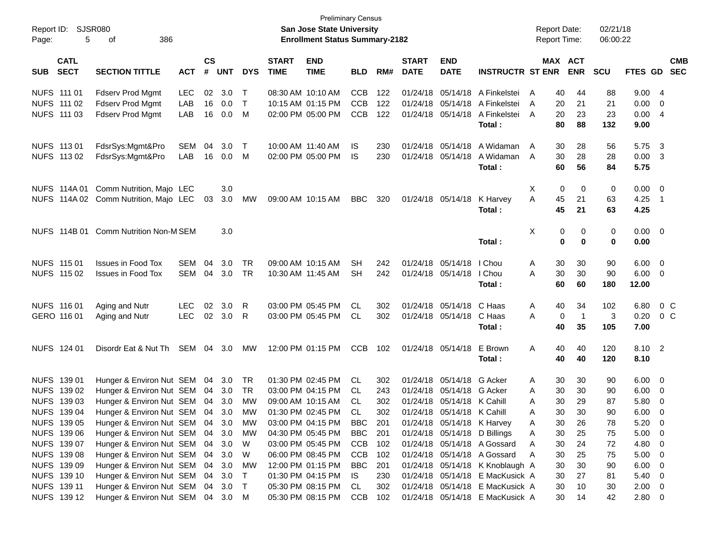| Report ID:<br>Page: | 5                          | SJSR080<br>386<br>οf                  |            |                    |            |            |                             | <b>Preliminary Census</b><br><b>San Jose State University</b><br><b>Enrollment Status Summary-2182</b> |            |     |                             |                            |                                 | <b>Report Date:</b><br><b>Report Time:</b> |          |                       | 02/21/18<br>06:00:22 |             |                          |                          |
|---------------------|----------------------------|---------------------------------------|------------|--------------------|------------|------------|-----------------------------|--------------------------------------------------------------------------------------------------------|------------|-----|-----------------------------|----------------------------|---------------------------------|--------------------------------------------|----------|-----------------------|----------------------|-------------|--------------------------|--------------------------|
| <b>SUB</b>          | <b>CATL</b><br><b>SECT</b> | <b>SECTION TITTLE</b>                 | <b>ACT</b> | $\mathsf{cs}$<br># | <b>UNT</b> | <b>DYS</b> | <b>START</b><br><b>TIME</b> | <b>END</b><br><b>TIME</b>                                                                              | <b>BLD</b> | RM# | <b>START</b><br><b>DATE</b> | <b>END</b><br><b>DATE</b>  | <b>INSTRUCTR ST ENR</b>         |                                            |          | MAX ACT<br><b>ENR</b> | <b>SCU</b>           | FTES GD     |                          | <b>CMB</b><br><b>SEC</b> |
| NUFS 111 01         |                            | <b>Fdserv Prod Mgmt</b>               | <b>LEC</b> | 02                 | 3.0        | Т          |                             | 08:30 AM 10:10 AM                                                                                      | <b>CCB</b> | 122 | 01/24/18                    | 05/14/18                   | A Finkelstei                    | A                                          | 40       | 44                    | 88                   | 9.00        | -4                       |                          |
|                     | NUFS 111 02                | <b>Fdserv Prod Mgmt</b>               | LAB        | 16                 | 0.0        | $\top$     |                             | 10:15 AM 01:15 PM                                                                                      | <b>CCB</b> | 122 | 01/24/18 05/14/18           |                            | A Finkelstei                    | A                                          | 20       | 21                    | 21                   | 0.00        | 0                        |                          |
|                     | NUFS 111 03                | <b>Fdserv Prod Mgmt</b>               | LAB        | 16                 | 0.0        | M          |                             | 02:00 PM 05:00 PM                                                                                      | <b>CCB</b> | 122 | 01/24/18                    | 05/14/18                   | A Finkelstei                    | A                                          | 20       | 23                    | 23                   | 0.00        | $\overline{4}$           |                          |
|                     |                            |                                       |            |                    |            |            |                             |                                                                                                        |            |     |                             |                            | Total:                          |                                            | 80       | 88                    | 132                  | 9.00        |                          |                          |
|                     | NUFS 113 01                | FdsrSys:Mgmt&Pro                      | SEM        | 04                 | 3.0        | Т          |                             | 10:00 AM 11:40 AM                                                                                      | IS         | 230 |                             | 01/24/18 05/14/18          | A Widaman                       | A                                          | 30       | 28                    | 56                   | 5.75        | $\overline{\mathbf{3}}$  |                          |
|                     | NUFS 113 02                | FdsrSys:Mgmt&Pro                      | LAB        | 16                 | 0.0        | M          |                             | 02:00 PM 05:00 PM                                                                                      | IS         | 230 |                             | 01/24/18 05/14/18          | A Widaman                       | A                                          | 30       | 28                    | 28                   | 0.00        | - 3                      |                          |
|                     |                            |                                       |            |                    |            |            |                             |                                                                                                        |            |     |                             |                            | Total:                          |                                            | 60       | 56                    | 84                   | 5.75        |                          |                          |
|                     | NUFS 114A 01               | Comm Nutrition, Majo LEC              |            |                    | 3.0        |            |                             |                                                                                                        |            |     |                             |                            |                                 | Х                                          | 0        | 0                     | 0                    | 0.00        | $\overline{\mathbf{0}}$  |                          |
|                     |                            | NUFS 114A 02 Comm Nutrition, Majo LEC |            | 03                 | 3.0        | MW         |                             | 09:00 AM 10:15 AM                                                                                      | <b>BBC</b> | 320 |                             | 01/24/18 05/14/18          | K Harvey                        | A                                          | 45       | 21                    | 63                   | 4.25        | $\overline{\phantom{1}}$ |                          |
|                     |                            |                                       |            |                    |            |            |                             |                                                                                                        |            |     |                             |                            | Total:                          |                                            | 45       | 21                    | 63                   | 4.25        |                          |                          |
|                     | NUFS 114B 01               | Comm Nutrition Non-M SEM              |            |                    | 3.0        |            |                             |                                                                                                        |            |     |                             |                            |                                 | X                                          | 0        | 0                     | 0                    | $0.00 \t 0$ |                          |                          |
|                     |                            |                                       |            |                    |            |            |                             |                                                                                                        |            |     |                             |                            | Total:                          |                                            | $\bf{0}$ | 0                     | 0                    | 0.00        |                          |                          |
|                     | NUFS 115 01                | <b>Issues in Food Tox</b>             | SEM        | 04                 | 3.0        | <b>TR</b>  |                             | 09:00 AM 10:15 AM                                                                                      | <b>SH</b>  | 242 |                             | 01/24/18 05/14/18          | I Chou                          | A                                          | 30       | 30                    | 90                   | 6.00        | $\overline{\mathbf{0}}$  |                          |
|                     | NUFS 115 02                | <b>Issues in Food Tox</b>             | SEM        | 04                 | 3.0        | TR         |                             | 10:30 AM 11:45 AM                                                                                      | <b>SH</b>  | 242 |                             | 01/24/18 05/14/18          | I Chou                          | A                                          | 30       | 30                    | 90                   | 6.00        | - 0                      |                          |
|                     |                            |                                       |            |                    |            |            |                             |                                                                                                        |            |     |                             |                            | Total:                          |                                            | 60       | 60                    | 180                  | 12.00       |                          |                          |
|                     | NUFS 116 01                | Aging and Nutr                        | <b>LEC</b> | 02                 | 3.0        | R          |                             | 03:00 PM 05:45 PM                                                                                      | <b>CL</b>  | 302 |                             | 01/24/18 05/14/18          | C Haas                          | A                                          | 40       | 34                    | 102                  | 6.80        |                          | $0\,C$                   |
|                     | GERO 116 01                | Aging and Nutr                        | <b>LEC</b> | 02                 | 3.0        | R          |                             | 03:00 PM 05:45 PM                                                                                      | CL.        | 302 |                             | 01/24/18 05/14/18          | C Haas                          | A                                          | 0        | $\overline{1}$        | 3                    | 0.20        | $0\,$ C                  |                          |
|                     |                            |                                       |            |                    |            |            |                             |                                                                                                        |            |     |                             |                            | Total:                          |                                            | 40       | 35                    | 105                  | 7.00        |                          |                          |
|                     | NUFS 124 01                | Disordr Eat & Nut Th                  | SEM 04 3.0 |                    |            | МW         |                             | 12:00 PM 01:15 PM                                                                                      | <b>CCB</b> | 102 |                             | 01/24/18 05/14/18          | E Brown                         | Α                                          | 40       | 40                    | 120                  | 8.10 2      |                          |                          |
|                     |                            |                                       |            |                    |            |            |                             |                                                                                                        |            |     |                             |                            | Total:                          |                                            | 40       | 40                    | 120                  | 8.10        |                          |                          |
|                     | NUFS 139 01                | Hunger & Environ Nut SEM              |            | 04                 | 3.0        | TR         |                             | 01:30 PM 02:45 PM                                                                                      | CL.        | 302 |                             | 01/24/18 05/14/18          | G Acker                         | A                                          | 30       | 30                    | 90                   | 6.00        | $\overline{0}$           |                          |
|                     | NUFS 139 02                | Hunger & Environ Nut SEM              |            | 04                 | 3.0        | <b>TR</b>  |                             | 03:00 PM 04:15 PM                                                                                      | CL.        | 243 |                             | 01/24/18 05/14/18          | G Acker                         | A                                          | 30       | 30                    | 90                   | 6.00        | $\overline{0}$           |                          |
|                     | NUFS 139 03                | Hunger & Environ Nut SEM 04           |            |                    | 3.0        | MW         |                             | 09:00 AM 10:15 AM                                                                                      | CL         | 302 |                             | 01/24/18 05/14/18 K Cahill |                                 | Α                                          | 30       | 29                    | 87                   | 5.80        | 0                        |                          |
|                     | NUFS 139 04                | Hunger & Environ Nut SEM 04 3.0       |            |                    |            | MW         |                             | 01:30 PM 02:45 PM                                                                                      | CL         | 302 |                             | 01/24/18 05/14/18 K Cahill |                                 | Α                                          | 30       | $30\,$                | 90                   | 6.00        | 0                        |                          |
|                     | NUFS 139 05                | Hunger & Environ Nut SEM 04 3.0       |            |                    |            | МW         |                             | 03:00 PM 04:15 PM                                                                                      | BBC        | 201 |                             | 01/24/18 05/14/18 K Harvey |                                 | Α                                          | 30       | 26                    | 78                   | 5.20        | $\overline{\phantom{0}}$ |                          |
|                     | NUFS 139 06                | Hunger & Environ Nut SEM 04           |            |                    | 3.0        | МW         |                             | 04:30 PM 05:45 PM                                                                                      | BBC        | 201 |                             |                            | 01/24/18 05/14/18 D Billings    | A                                          | 30       | 25                    | 75                   | 5.00        | $\overline{\mathbf{0}}$  |                          |
|                     | NUFS 139 07                | Hunger & Environ Nut SEM 04           |            |                    | 3.0        | W          |                             | 03:00 PM 05:45 PM                                                                                      | CCB        | 102 |                             |                            | 01/24/18 05/14/18 A Gossard     | A                                          | 30       | 24                    | 72                   | 4.80        | $\overline{\mathbf{0}}$  |                          |
|                     | NUFS 139 08                | Hunger & Environ Nut SEM 04           |            |                    | 3.0        | W          |                             | 06:00 PM 08:45 PM                                                                                      | <b>CCB</b> | 102 |                             |                            | 01/24/18 05/14/18 A Gossard     | A                                          | 30       | 25                    | 75                   | 5.00        | $\overline{\mathbf{0}}$  |                          |
|                     | NUFS 139 09                | Hunger & Environ Nut SEM              |            | 04                 | 3.0        | МW         |                             | 12:00 PM 01:15 PM                                                                                      | BBC        | 201 |                             |                            | 01/24/18 05/14/18 K Knoblaugh A |                                            | 30       | 30                    | 90                   | 6.00        | $\overline{\mathbf{0}}$  |                          |
|                     | NUFS 139 10                | Hunger & Environ Nut SEM              |            | 04                 | 3.0        | $\top$     |                             | 01:30 PM 04:15 PM                                                                                      | IS         | 230 |                             |                            | 01/24/18 05/14/18 E MacKusick A |                                            | 30       | 27                    | 81                   | $5.40 \ 0$  |                          |                          |
|                     | NUFS 139 11                | Hunger & Environ Nut SEM 04 3.0       |            |                    |            | $\top$     |                             | 05:30 PM 08:15 PM                                                                                      | CL         | 302 |                             |                            | 01/24/18 05/14/18 E MacKusick A |                                            | 30       | 10                    | 30                   | 2.00        | $\overline{\phantom{0}}$ |                          |
|                     | NUFS 139 12                | Hunger & Environ Nut SEM 04 3.0 M     |            |                    |            |            |                             | 05:30 PM 08:15 PM                                                                                      | CCB        | 102 |                             |                            | 01/24/18 05/14/18 E MacKusick A |                                            | 30       | 14                    | 42                   | 2.80 0      |                          |                          |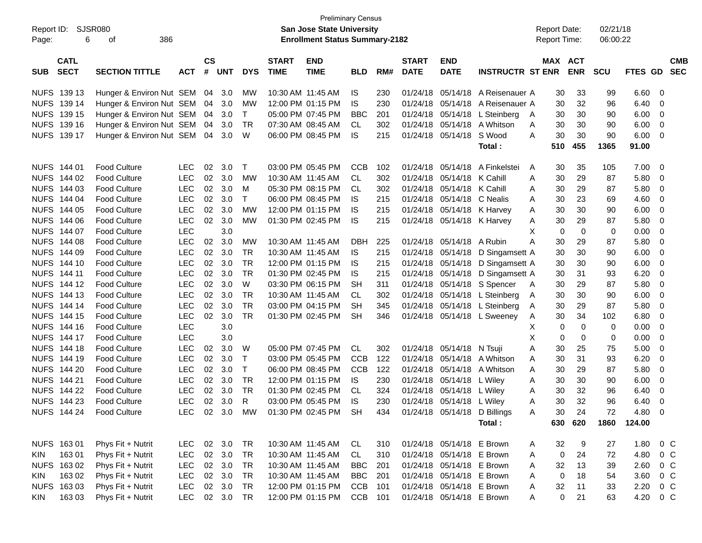| Report ID:                 | <b>SJSR080</b>   |                                            |                          |               |            |              |                   | <b>Preliminary Census</b><br>San Jose State University |            |     |              |                                  |                             |        | <b>Report Date:</b> |                  | 02/21/18   |              |        |            |
|----------------------------|------------------|--------------------------------------------|--------------------------|---------------|------------|--------------|-------------------|--------------------------------------------------------|------------|-----|--------------|----------------------------------|-----------------------------|--------|---------------------|------------------|------------|--------------|--------|------------|
| Page:                      | 6                | 386<br>οf                                  |                          |               |            |              |                   | <b>Enrollment Status Summary-2182</b>                  |            |     |              |                                  |                             |        | <b>Report Time:</b> |                  | 06:00:22   |              |        |            |
|                            | <b>CATL</b>      |                                            |                          | $\mathsf{cs}$ |            |              | <b>START</b>      | <b>END</b>                                             |            |     | <b>START</b> | <b>END</b>                       |                             |        | MAX ACT             |                  |            |              |        | <b>CMB</b> |
| <b>SUB</b>                 | <b>SECT</b>      | <b>SECTION TITTLE</b>                      | <b>ACT</b>               | #             | <b>UNT</b> | <b>DYS</b>   | <b>TIME</b>       | <b>TIME</b>                                            | <b>BLD</b> | RM# | <b>DATE</b>  | <b>DATE</b>                      | <b>INSTRUCTR ST ENR</b>     |        |                     | <b>ENR</b>       | <b>SCU</b> | FTES GD      |        | <b>SEC</b> |
|                            | NUFS 139 13      | Hunger & Environ Nut SEM 04 3.0            |                          |               |            | MW           | 10:30 AM 11:45 AM |                                                        | IS.        | 230 | 01/24/18     | 05/14/18                         | A Reisenauer A              |        | 30                  | 33               | 99         | 6.60         | 0      |            |
|                            | NUFS 139 14      | Hunger & Environ Nut SEM                   |                          | 04            | 3.0        | МW           | 12:00 PM 01:15 PM |                                                        | <b>IS</b>  | 230 | 01/24/18     |                                  | 05/14/18 A Reisenauer A     |        | 30                  | 32               | 96         | 6.40         | 0      |            |
| <b>NUFS</b>                | 139 15           | Hunger & Environ Nut SEM 04 3.0            |                          |               |            | $\mathsf{T}$ | 05:00 PM 07:45 PM |                                                        | <b>BBC</b> | 201 | 01/24/18     |                                  | 05/14/18 L Steinberg        | A      | 30                  | 30               | 90         | 6.00         | 0      |            |
| <b>NUFS</b>                | 139 16           | Hunger & Environ Nut SEM 04                |                          |               | 3.0        | TR.          | 07:30 AM 08:45 AM |                                                        | CL         | 302 | 01/24/18     |                                  | 05/14/18 A Whitson          | A      | 30                  | 30               | 90         | 6.00         | 0      |            |
|                            | NUFS 139 17      | Hunger & Environ Nut SEM 04                |                          |               | 3.0        | W            | 06:00 PM 08:45 PM |                                                        | IS         | 215 | 01/24/18     | 05/14/18                         | S Wood                      | A      | 30                  | 30               | 90         | 6.00         | 0      |            |
|                            |                  |                                            |                          |               |            |              |                   |                                                        |            |     |              |                                  | Total:                      |        | 510                 | 455              | 1365       | 91.00        |        |            |
|                            | NUFS 144 01      | <b>Food Culture</b>                        | <b>LEC</b>               | 02            | 3.0        | $\mathsf{T}$ | 03:00 PM 05:45 PM |                                                        | <b>CCB</b> | 102 | 01/24/18     | 05/14/18                         | A Finkelstei                | A      | 30                  | 35               | 105        | 7.00         | 0      |            |
|                            | NUFS 144 02      | <b>Food Culture</b>                        | <b>LEC</b>               | 02            | 3.0        | МW           | 10:30 AM 11:45 AM |                                                        | CL         | 302 | 01/24/18     | 05/14/18 K Cahill                |                             | A      | 30                  | 29               | 87         | 5.80         | 0      |            |
|                            | NUFS 144 03      | <b>Food Culture</b>                        | <b>LEC</b>               | 02            | 3.0        | м            | 05:30 PM 08:15 PM |                                                        | CL         | 302 | 01/24/18     | 05/14/18 K Cahill                |                             | A      | 30                  | 29               | 87         | 5.80         | 0      |            |
| <b>NUFS</b>                | 144 04           | <b>Food Culture</b>                        | <b>LEC</b>               | 02            | 3.0        | $\mathsf{T}$ | 06:00 PM 08:45 PM |                                                        | IS         | 215 | 01/24/18     | 05/14/18 C Nealis                |                             | A      | 30                  | 23               | 69         | 4.60         | 0      |            |
|                            | NUFS 144 05      | <b>Food Culture</b>                        | <b>LEC</b>               | 02            | 3.0        | <b>MW</b>    | 12:00 PM 01:15 PM |                                                        | <b>IS</b>  | 215 | 01/24/18     | 05/14/18 K Harvey                |                             | A      | 30                  | 30               | 90         | 6.00         | 0      |            |
|                            | NUFS 144 06      | <b>Food Culture</b>                        | <b>LEC</b>               | 02            | 3.0        | MW           | 01:30 PM 02:45 PM |                                                        | IS         | 215 | 01/24/18     | 05/14/18 K Harvey                |                             | A      | 30                  | 29               | 87         | 5.80         | 0      |            |
|                            | NUFS 144 07      | <b>Food Culture</b>                        | <b>LEC</b>               |               | 3.0        |              |                   |                                                        |            |     |              |                                  |                             | X      | $\mathbf 0$         | $\mathbf 0$      | 0          | 0.00         | 0      |            |
|                            | NUFS 144 08      | <b>Food Culture</b>                        | <b>LEC</b>               | 02            | 3.0        | MW           | 10:30 AM 11:45 AM |                                                        | <b>DBH</b> | 225 | 01/24/18     | 05/14/18 A Rubin                 |                             | A      | 30                  | 29               | 87         | 5.80         | 0      |            |
|                            | NUFS 144 09      | <b>Food Culture</b>                        | <b>LEC</b>               | 02            | 3.0        | <b>TR</b>    | 10:30 AM 11:45 AM |                                                        | IS         | 215 | 01/24/18     |                                  | 05/14/18 D Singamsett A     |        | 30                  | 30               | 90         | 6.00         | 0      |            |
|                            | NUFS 144 10      | <b>Food Culture</b>                        | <b>LEC</b>               | 02            | 3.0        | <b>TR</b>    |                   | 12:00 PM 01:15 PM                                      | IS         | 215 | 01/24/18     |                                  | 05/14/18 D Singamsett A     |        | 30                  | 30               | 90         | 6.00         | 0      |            |
|                            | NUFS 144 11      | <b>Food Culture</b>                        | <b>LEC</b>               | 02            | 3.0        | <b>TR</b>    | 01:30 PM 02:45 PM |                                                        | IS         | 215 | 01/24/18     |                                  | 05/14/18 D Singamsett A     |        | 30                  | 31               | 93         | 6.20         | 0      |            |
| <b>NUFS</b>                | 144 12           | <b>Food Culture</b>                        | <b>LEC</b>               | 02            | 3.0        | W            | 03:30 PM 06:15 PM |                                                        | <b>SH</b>  | 311 | 01/24/18     |                                  | 05/14/18 S Spencer          | A      | 30                  | 29               | 87         | 5.80         | 0      |            |
| <b>NUFS</b>                | 144 13           | <b>Food Culture</b>                        | <b>LEC</b>               | 02            | 3.0        | <b>TR</b>    | 10:30 AM 11:45 AM |                                                        | CL         | 302 | 01/24/18     |                                  | 05/14/18 L Steinberg        | A      | 30                  | 30               | 90         | 6.00         | 0      |            |
| <b>NUFS</b>                | 144 14           | <b>Food Culture</b>                        | <b>LEC</b>               | 02            | 3.0        | <b>TR</b>    | 03:00 PM 04:15 PM |                                                        | <b>SH</b>  | 345 | 01/24/18     |                                  | 05/14/18 L Steinberg        | A      | 30                  | 29               | 87         | 5.80         | 0      |            |
| <b>NUFS</b>                | 144 15           | <b>Food Culture</b>                        | <b>LEC</b><br><b>LEC</b> | 02            | 3.0<br>3.0 | <b>TR</b>    | 01:30 PM 02:45 PM |                                                        | <b>SH</b>  | 346 |              |                                  | 01/24/18 05/14/18 L Sweeney | A      | 30                  | 34               | 102        | 6.80         | 0      |            |
| <b>NUFS</b><br><b>NUFS</b> | 144 16<br>144 17 | <b>Food Culture</b><br><b>Food Culture</b> | <b>LEC</b>               |               | 3.0        |              |                   |                                                        |            |     |              |                                  |                             | Х<br>х | 0<br>0              | $\mathbf 0$<br>0 | 0          | 0.00<br>0.00 | 0<br>0 |            |
| <b>NUFS</b>                | 144 18           | <b>Food Culture</b>                        | <b>LEC</b>               | 02            | 3.0        | W            | 05:00 PM 07:45 PM |                                                        | CL         | 302 | 01/24/18     | 05/14/18 N Tsuji                 |                             | Α      | 30                  | 25               | 0          | 5.00         | 0      |            |
| <b>NUFS</b>                | 144 19           | <b>Food Culture</b>                        | <b>LEC</b>               | 02            | 3.0        | $\top$       | 03:00 PM 05:45 PM |                                                        | <b>CCB</b> | 122 | 01/24/18     |                                  | 05/14/18 A Whitson          | A      | 30                  | 31               | 75<br>93   | 6.20         | 0      |            |
|                            | NUFS 144 20      | <b>Food Culture</b>                        | <b>LEC</b>               | 02            | 3.0        | $\mathsf{T}$ | 06:00 PM 08:45 PM |                                                        | <b>CCB</b> | 122 | 01/24/18     | 05/14/18                         | A Whitson                   | A      | 30                  | 29               | 87         | 5.80         | 0      |            |
| <b>NUFS</b>                | 144 21           | <b>Food Culture</b>                        | <b>LEC</b>               | 02            | 3.0        | TR           | 12:00 PM 01:15 PM |                                                        | IS         | 230 | 01/24/18     | 05/14/18 L Wiley                 |                             | A      | 30                  | 30               | 90         | 6.00         | 0      |            |
|                            | NUFS 144 22      | <b>Food Culture</b>                        | <b>LEC</b>               | 02            | 3.0        | <b>TR</b>    | 01:30 PM 02:45 PM |                                                        | CL         | 324 | 01/24/18     | 05/14/18 L Wiley                 |                             | A      | 30                  | 32               | 96         | 6.40         | 0      |            |
|                            | NUFS 144 23      | <b>Food Culture</b>                        | <b>LEC</b>               |               | 02 3.0     | R            | 03:00 PM 05:45 PM |                                                        | IS         | 230 |              | 01/24/18 05/14/18 L Wiley        |                             | Α      | 30                  | 32               | 96         | 6.40         | 0      |            |
|                            | NUFS 144 24      | Food Culture                               | <b>LEC</b>               |               |            |              |                   | 02 3.0 MW 01:30 PM 02:45 PM SH                         |            |     |              | 434 01/24/18 05/14/18 D Billings |                             | A      | $30\,$              | 24               | 72         | 4.80 0       |        |            |
|                            |                  |                                            |                          |               |            |              |                   |                                                        |            |     |              |                                  | Total:                      |        |                     | 630 620          |            | 1860 124.00  |        |            |
|                            | NUFS 163 01      | Phys Fit + Nutrit                          | LEC 02 3.0               |               |            | <b>TR</b>    |                   | 10:30 AM 11:45 AM                                      | CL         | 310 |              | 01/24/18 05/14/18 E Brown        |                             | A      | 32                  | 9                | 27         | 1.80         | $0\,C$ |            |
| KIN                        | 16301            | Phys Fit + Nutrit                          | LEC                      |               | 02 3.0     | TR           | 10:30 AM 11:45 AM |                                                        | CL         | 310 |              | 01/24/18 05/14/18 E Brown        |                             | A      | $\pmb{0}$           | 24               | 72         | 4.80         | $0\,C$ |            |
|                            | NUFS 163 02      | Phys Fit + Nutrit                          | LEC                      |               | 02 3.0     | TR           | 10:30 AM 11:45 AM |                                                        | BBC        | 201 |              | 01/24/18 05/14/18 E Brown        |                             | A      | 32                  | 13               | 39         | 2.60         | $0\,C$ |            |
| KIN                        | 163 02           | Phys Fit + Nutrit                          | LEC                      |               | 02 3.0     | TR           | 10:30 AM 11:45 AM |                                                        | <b>BBC</b> | 201 |              | 01/24/18 05/14/18 E Brown        |                             | A      | $\pmb{0}$           | 18               | 54         | 3.60         | $0\,C$ |            |
|                            | NUFS 163 03      | Phys Fit + Nutrit                          | LEC                      |               | 02 3.0     | <b>TR</b>    |                   | 12:00 PM 01:15 PM                                      | CCB        | 101 |              | 01/24/18 05/14/18 E Brown        |                             | A      | 32                  | 11               | 33         | 2.20         | $0\,C$ |            |
| <b>KIN</b>                 | 16303            | Phys Fit + Nutrit                          | LEC 02 3.0               |               |            | TR           |                   | 12:00 PM 01:15 PM                                      | CCB 101    |     |              | 01/24/18 05/14/18 E Brown        |                             | A      | $\mathbf 0$         | 21               | 63         | 4.20         | $0\,C$ |            |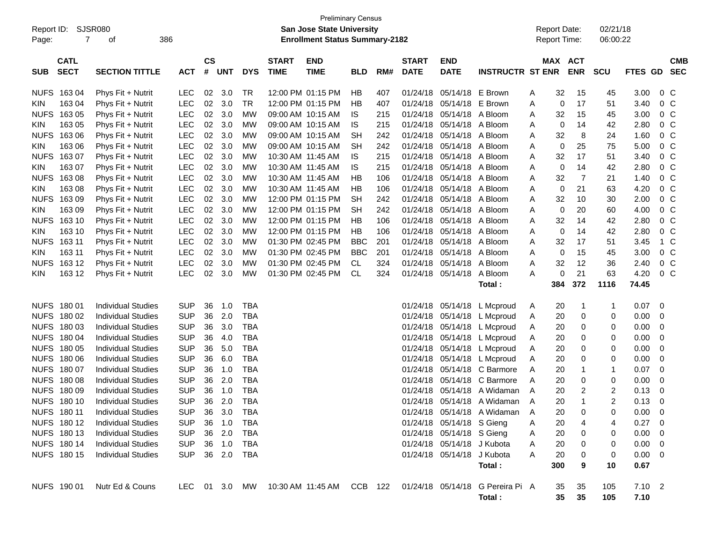| Report ID:<br>Page: | SJSR080<br>7               | 386<br>оf                 |               |                    |            |            |                             | <b>Preliminary Census</b><br>San Jose State University<br><b>Enrollment Status Summary-2182</b> |            |     |                             |                            |                                            |   | <b>Report Date:</b><br>Report Time: |                | 02/21/18<br>06:00:22 |                  |                |
|---------------------|----------------------------|---------------------------|---------------|--------------------|------------|------------|-----------------------------|-------------------------------------------------------------------------------------------------|------------|-----|-----------------------------|----------------------------|--------------------------------------------|---|-------------------------------------|----------------|----------------------|------------------|----------------|
| <b>SUB</b>          | <b>CATL</b><br><b>SECT</b> | <b>SECTION TITTLE</b>     | <b>ACT</b>    | $\mathsf{cs}$<br># | <b>UNT</b> | <b>DYS</b> | <b>START</b><br><b>TIME</b> | <b>END</b><br><b>TIME</b>                                                                       | <b>BLD</b> | RM# | <b>START</b><br><b>DATE</b> | <b>END</b><br><b>DATE</b>  | <b>INSTRUCTR ST ENR</b>                    |   | MAX ACT                             | <b>ENR</b>     | <b>SCU</b>           | FTES GD SEC      | <b>CMB</b>     |
| <b>NUFS</b>         | 16304                      | Phys Fit + Nutrit         | <b>LEC</b>    | 02                 | 3.0        | <b>TR</b>  |                             | 12:00 PM 01:15 PM                                                                               | HB         | 407 | 01/24/18                    | 05/14/18                   | E Brown                                    | A | 32                                  | 15             | 45                   | 3.00             | 0 <sup>C</sup> |
| <b>KIN</b>          | 163 04                     | Phys Fit + Nutrit         | <b>LEC</b>    | 02                 | 3.0        | <b>TR</b>  |                             | 12:00 PM 01:15 PM                                                                               | HB         | 407 | 01/24/18                    | 05/14/18                   | E Brown                                    | Α | 0                                   | 17             | 51                   | 3.40             | 0 <sup>C</sup> |
| <b>NUFS</b>         | 163 05                     | Phys Fit + Nutrit         | <b>LEC</b>    | 02                 | 3.0        | <b>MW</b>  |                             | 09:00 AM 10:15 AM                                                                               | IS         | 215 | 01/24/18                    | 05/14/18                   | A Bloom                                    | A | 32                                  | 15             | 45                   | 3.00             | 0 <sup>C</sup> |
| KIN.                | 163 05                     | Phys Fit + Nutrit         | <b>LEC</b>    | 02                 | 3.0        | <b>MW</b>  |                             | 09:00 AM 10:15 AM                                                                               | IS         | 215 | 01/24/18                    | 05/14/18                   | A Bloom                                    | A | 0                                   | 14             | 42                   | 2.80             | 0 <sup>C</sup> |
| <b>NUFS</b>         | 163 06                     | Phys Fit + Nutrit         | LEC           | 02                 | 3.0        | <b>MW</b>  |                             | 09:00 AM 10:15 AM                                                                               | <b>SH</b>  | 242 | 01/24/18                    | 05/14/18                   | A Bloom                                    | Α | 32                                  | 8              | 24                   | 1.60             | 0 <sup>C</sup> |
| <b>KIN</b>          | 163 06                     | Phys Fit + Nutrit         | LEC           | 02                 | 3.0        | <b>MW</b>  |                             | 09:00 AM 10:15 AM                                                                               | <b>SH</b>  | 242 | 01/24/18                    | 05/14/18                   | A Bloom                                    | A | 0                                   | 25             | 75                   | 5.00             | 0 <sup>C</sup> |
| <b>NUFS</b>         | 16307                      | Phys Fit + Nutrit         | <b>LEC</b>    | 02                 | 3.0        | <b>MW</b>  |                             | 10:30 AM 11:45 AM                                                                               | IS         | 215 | 01/24/18                    | 05/14/18                   | A Bloom                                    | A | 32                                  | 17             | 51                   | 3.40             | 0 <sup>C</sup> |
| <b>KIN</b>          | 163 07                     | Phys Fit + Nutrit         | LEC           | 02                 | 3.0        | <b>MW</b>  |                             | 10:30 AM 11:45 AM                                                                               | IS         | 215 | 01/24/18                    | 05/14/18 A Bloom           |                                            | Α | 0                                   | 14             | 42                   | 2.80             | 0 <sup>C</sup> |
| <b>NUFS</b>         | 16308                      | Phys Fit + Nutrit         | LEC           | 02                 | 3.0        | <b>MW</b>  |                             | 10:30 AM 11:45 AM                                                                               | HB         | 106 | 01/24/18                    | 05/14/18                   | A Bloom                                    | Α | 32                                  | $\overline{7}$ | 21                   | 1.40             | 0 <sup>C</sup> |
| KIN.                | 163 08                     | Phys Fit + Nutrit         | <b>LEC</b>    | 02                 | 3.0        | МW         |                             | 10:30 AM 11:45 AM                                                                               | HB         | 106 | 01/24/18                    | 05/14/18                   | A Bloom                                    | A | 0                                   | 21             | 63                   | 4.20             | 0 <sup>C</sup> |
| <b>NUFS</b>         | 16309                      | Phys Fit + Nutrit         | LEC           | 02                 | 3.0        | <b>MW</b>  |                             | 12:00 PM 01:15 PM                                                                               | <b>SH</b>  | 242 | 01/24/18                    | 05/14/18 A Bloom           |                                            | A | 32                                  | 10             | 30                   | 2.00             | 0 <sup>C</sup> |
| <b>KIN</b>          | 163 09                     | Phys Fit + Nutrit         | LEC           | 02                 | 3.0        | <b>MW</b>  |                             | 12:00 PM 01:15 PM                                                                               | <b>SH</b>  | 242 | 01/24/18                    | 05/14/18                   | A Bloom                                    | Α | 0                                   | 20             | 60                   | 4.00             | 0 <sup>C</sup> |
| <b>NUFS</b>         | 163 10                     | Phys Fit + Nutrit         | <b>LEC</b>    | 02                 | 3.0        | МW         |                             | 12:00 PM 01:15 PM                                                                               | HB         | 106 | 01/24/18                    | 05/14/18                   | A Bloom                                    | A | 32                                  | 14             | 42                   | 2.80             | 0 <sup>C</sup> |
| KIN.                | 163 10                     | Phys Fit + Nutrit         | LEC           | 02                 | 3.0        | MW         |                             | 12:00 PM 01:15 PM                                                                               | HB         | 106 | 01/24/18                    | 05/14/18                   | A Bloom                                    | A | 0                                   | 14             | 42                   | 2.80             | 0 <sup>C</sup> |
| <b>NUFS</b>         | 163 11                     | Phys Fit + Nutrit         | LEC           | 02                 | 3.0        | <b>MW</b>  |                             | 01:30 PM 02:45 PM                                                                               | <b>BBC</b> | 201 | 01/24/18                    | 05/14/18                   | A Bloom                                    | A | 32                                  | 17             | 51                   | 3.45             | 1 C            |
| <b>KIN</b>          | 163 11                     | Phys Fit + Nutrit         | LEC           | 02                 | 3.0        | <b>MW</b>  |                             | 01:30 PM 02:45 PM                                                                               | <b>BBC</b> | 201 | 01/24/18                    | 05/14/18                   | A Bloom                                    | A | 0                                   | 15             | 45                   | 3.00             | 0 <sup>C</sup> |
| <b>NUFS</b>         | 163 12                     | Phys Fit + Nutrit         | <b>LEC</b>    | 02                 | 3.0        | МW         |                             | 01:30 PM 02:45 PM                                                                               | CL         | 324 | 01/24/18                    | 05/14/18                   | A Bloom                                    | Α | 32                                  | 12             | 36                   | 2.40             | 0 <sup>C</sup> |
| <b>KIN</b>          | 163 12                     | Phys Fit + Nutrit         | LEC           | 02                 | 3.0        | <b>MW</b>  |                             | 01:30 PM 02:45 PM                                                                               | <b>CL</b>  | 324 | 01/24/18                    | 05/14/18                   | A Bloom                                    | Α | 0                                   | 21<br>372      | 63                   | 4.20             | 0 <sup>C</sup> |
|                     |                            |                           |               |                    |            |            |                             |                                                                                                 |            |     |                             |                            | Total:                                     |   | 384                                 |                | 1116                 | 74.45            |                |
|                     | NUFS 180 01                | <b>Individual Studies</b> | <b>SUP</b>    | 36                 | 1.0        | <b>TBA</b> |                             |                                                                                                 |            |     | 01/24/18                    | 05/14/18                   | L Mcproud                                  | A | 20                                  | -1             | 1                    | 0.07             | 0              |
|                     | NUFS 180 02                | <b>Individual Studies</b> | <b>SUP</b>    | 36                 | 2.0        | <b>TBA</b> |                             |                                                                                                 |            |     | 01/24/18                    | 05/14/18                   | L Mcproud                                  | A | 20                                  | 0              | 0                    | 0.00             | 0              |
|                     | NUFS 180 03                | <b>Individual Studies</b> | <b>SUP</b>    | 36                 | 3.0        | <b>TBA</b> |                             |                                                                                                 |            |     | 01/24/18                    | 05/14/18                   | L Mcproud                                  | A | 20                                  | 0              | 0                    | 0.00             | 0              |
|                     | NUFS 180 04                | <b>Individual Studies</b> | <b>SUP</b>    | 36                 | 4.0        | <b>TBA</b> |                             |                                                                                                 |            |     | 01/24/18                    | 05/14/18                   | L Mcproud                                  | A | 20                                  | 0              | 0                    | 0.00             | 0              |
| <b>NUFS</b>         | 180 05                     | <b>Individual Studies</b> | <b>SUP</b>    | 36                 | 5.0        | <b>TBA</b> |                             |                                                                                                 |            |     | 01/24/18                    | 05/14/18                   | L Mcproud                                  | Α | 20                                  | 0              | 0                    | 0.00             | 0              |
| <b>NUFS</b>         | 180 06                     | <b>Individual Studies</b> | <b>SUP</b>    | 36                 | 6.0        | <b>TBA</b> |                             |                                                                                                 |            |     | 01/24/18                    | 05/14/18                   | L Mcproud                                  | Α | 20                                  | 0              | 0                    | 0.00             | 0              |
|                     | NUFS 180 07                | <b>Individual Studies</b> | <b>SUP</b>    | 36                 | 1.0        | <b>TBA</b> |                             |                                                                                                 |            |     | 01/24/18                    |                            | 05/14/18 C Barmore                         | A | 20                                  | 1              | $\mathbf{1}$         | 0.07             | 0              |
| <b>NUFS</b>         | 18008                      | <b>Individual Studies</b> | <b>SUP</b>    | 36                 | 2.0        | <b>TBA</b> |                             |                                                                                                 |            |     | 01/24/18                    |                            | 05/14/18 C Barmore                         | A | 20                                  | 0              | 0                    | 0.00             | 0              |
| <b>NUFS</b>         | 18009                      | <b>Individual Studies</b> | <b>SUP</b>    | 36                 | 1.0        | <b>TBA</b> |                             |                                                                                                 |            |     | 01/24/18                    | 05/14/18                   | A Widaman                                  | A | 20                                  | 2              | $\overline{c}$       | 0.13             | 0              |
|                     | NUFS 180 10                | <b>Individual Studies</b> | <b>SUP</b>    | 36                 | 2.0        | <b>TBA</b> |                             |                                                                                                 |            |     | 01/24/18                    |                            | 05/14/18 A Widaman                         | A | 20                                  | 1              | 2                    | 0.13             | $\overline{0}$ |
|                     | NUFS 180 11                | <b>Individual Studies</b> | <b>SUP</b>    |                    | 36 3.0     | TBA        |                             |                                                                                                 |            |     |                             |                            | 01/24/18 05/14/18 A Widaman                | A | 20                                  | 0              | 0                    | $0.00 \quad 0$   |                |
|                     | NUFS 180 12                | <b>Individual Studies</b> | <b>SUP</b>    | 36                 | 1.0        | <b>TBA</b> |                             |                                                                                                 |            |     |                             | 01/24/18 05/14/18 S Gieng  |                                            | A | 20                                  | 4              | 4                    | 0.27 0           |                |
|                     | NUFS 180 13                | <b>Individual Studies</b> | <b>SUP</b>    |                    | 36 2.0     | TBA        |                             |                                                                                                 |            |     |                             | 01/24/18 05/14/18 S Gieng  |                                            | A | 20                                  | 0              | 0                    | $0.00 \t 0$      |                |
|                     | NUFS 180 14                | <b>Individual Studies</b> | <b>SUP</b>    |                    | 36 1.0     | TBA        |                             |                                                                                                 |            |     |                             | 01/24/18 05/14/18 J Kubota |                                            | A | 20                                  | 0              | 0                    | $0.00 \t 0$      |                |
|                     | NUFS 180 15                | <b>Individual Studies</b> | <b>SUP</b>    |                    | 36 2.0     | TBA        |                             |                                                                                                 |            |     |                             | 01/24/18 05/14/18 J Kubota |                                            | Α | 20                                  | 0              | 0                    | $0.00 \t 0$      |                |
|                     |                            |                           |               |                    |            |            |                             |                                                                                                 |            |     |                             |                            | Total:                                     |   | 300                                 | 9              | 10                   | 0.67             |                |
|                     | NUFS 190 01                | Nutr Ed & Couns           | LEC 01 3.0 MW |                    |            |            |                             | 10:30 AM 11:45 AM CCB 122                                                                       |            |     |                             |                            | 01/24/18 05/14/18 G Pereira Pi A<br>Total: |   | 35<br>35                            | 35<br>35       | 105<br>105           | $7.10$ 2<br>7.10 |                |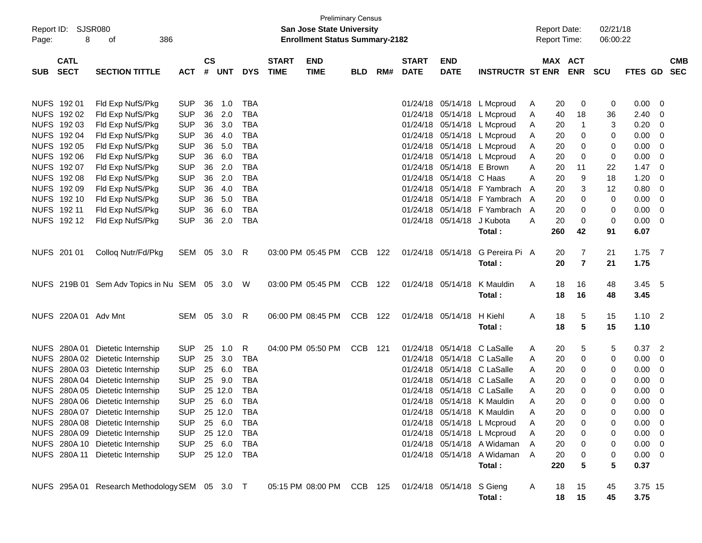| Report ID:<br>Page: | 8                    | SJSR080<br>386<br>οf                           |                          |               |            |            |              | San Jose State University<br><b>Enrollment Status Summary-2182</b> | <b>Preliminary Census</b> |     |              |                                        |                              |        | <b>Report Date:</b><br><b>Report Time:</b> |                  | 02/21/18<br>06:00:22 |                |                         |            |
|---------------------|----------------------|------------------------------------------------|--------------------------|---------------|------------|------------|--------------|--------------------------------------------------------------------|---------------------------|-----|--------------|----------------------------------------|------------------------------|--------|--------------------------------------------|------------------|----------------------|----------------|-------------------------|------------|
|                     | <b>CATL</b>          |                                                |                          | $\mathsf{cs}$ |            |            | <b>START</b> | <b>END</b>                                                         |                           |     | <b>START</b> | <b>END</b>                             |                              |        | MAX ACT                                    |                  |                      |                |                         | <b>CMB</b> |
| <b>SUB</b>          | <b>SECT</b>          | <b>SECTION TITTLE</b>                          | <b>ACT</b>               | #             | <b>UNT</b> | <b>DYS</b> | <b>TIME</b>  | <b>TIME</b>                                                        | <b>BLD</b>                | RM# | <b>DATE</b>  | <b>DATE</b>                            | <b>INSTRUCTR ST ENR</b>      |        |                                            | <b>ENR</b>       | <b>SCU</b>           | <b>FTES GD</b> |                         | <b>SEC</b> |
| NUFS 192 01         |                      | Fld Exp NufS/Pkg                               |                          |               | 1.0        | TBA        |              |                                                                    |                           |     |              |                                        |                              |        |                                            |                  | 0                    | 0.00           |                         |            |
|                     | NUFS 192 02          | Fld Exp NufS/Pkg                               | <b>SUP</b><br><b>SUP</b> | 36<br>36      | 2.0        | <b>TBA</b> |              |                                                                    |                           |     |              | 01/24/18 05/14/18<br>01/24/18 05/14/18 | L Mcproud<br>L Mcproud       | A<br>A | 20<br>40                                   | 0<br>18          | 36                   | 2.40           | - 0<br>0                |            |
|                     | NUFS 192 03          | Fld Exp NufS/Pkg                               | <b>SUP</b>               | 36            | 3.0        | TBA        |              |                                                                    |                           |     |              | 01/24/18 05/14/18                      | L Mcproud                    | A      | 20                                         | -1               | 3                    | 0.20           | 0                       |            |
|                     | NUFS 192 04          | Fld Exp NufS/Pkg                               | <b>SUP</b>               | 36            | 4.0        | <b>TBA</b> |              |                                                                    |                           |     |              | 01/24/18 05/14/18                      | L Mcproud                    | A      | 20                                         | 0                | 0                    | 0.00           | 0                       |            |
|                     | NUFS 192 05          | Fld Exp NufS/Pkg                               | <b>SUP</b>               | 36            | 5.0        | <b>TBA</b> |              |                                                                    |                           |     |              | 01/24/18 05/14/18                      | L Mcproud                    | A      | 20                                         | 0                | 0                    | 0.00           | 0                       |            |
|                     | NUFS 192 06          | Fld Exp NufS/Pkg                               | <b>SUP</b>               | 36            | 6.0        | <b>TBA</b> |              |                                                                    |                           |     |              |                                        | 01/24/18 05/14/18 L Mcproud  | A      | 20                                         | 0                | 0                    | 0.00           | 0                       |            |
|                     | NUFS 192 07          | Fld Exp NufS/Pkg                               | <b>SUP</b>               | 36            | 2.0        | <b>TBA</b> |              |                                                                    |                           |     |              | 01/24/18 05/14/18                      | E Brown                      | A      | 20                                         | 11               | 22                   | 1.47           | 0                       |            |
|                     | NUFS 192 08          | Fld Exp NufS/Pkg                               | <b>SUP</b>               | 36            | 2.0        | <b>TBA</b> |              |                                                                    |                           |     |              | 01/24/18 05/14/18 C Haas               |                              | A      | 20                                         | 9                | 18                   | 1.20           | 0                       |            |
|                     | NUFS 192 09          | Fld Exp NufS/Pkg                               | <b>SUP</b>               | 36            | 4.0        | <b>TBA</b> |              |                                                                    |                           |     |              |                                        | 01/24/18 05/14/18 F Yambrach | A      | 20                                         | 3                | 12                   | 0.80           | 0                       |            |
|                     | NUFS 192 10          | Fld Exp NufS/Pkg                               | <b>SUP</b>               | 36            | 5.0        | TBA        |              |                                                                    |                           |     |              |                                        | 01/24/18 05/14/18 F Yambrach | A      | 20                                         | 0                | 0                    | 0.00           | 0                       |            |
| NUFS 192 11         |                      | Fld Exp NufS/Pkg                               | <b>SUP</b>               | 36            | 6.0        | TBA        |              |                                                                    |                           |     |              |                                        | 01/24/18 05/14/18 F Yambrach | A      | 20                                         | 0                | 0                    | 0.00           | 0                       |            |
|                     | NUFS 192 12          | Fld Exp NufS/Pkg                               | <b>SUP</b>               | 36            | 2.0        | <b>TBA</b> |              |                                                                    |                           |     |              | 01/24/18 05/14/18                      | J Kubota                     | A      | 20                                         | 0                | 0                    | 0.00           | $\overline{\mathbf{0}}$ |            |
|                     |                      |                                                |                          |               |            |            |              |                                                                    |                           |     |              |                                        | Total:                       |        | 260                                        | 42               | 91                   | 6.07           |                         |            |
| NUFS 201 01         |                      | Colloq Nutr/Fd/Pkg                             | SEM 05                   |               | 3.0        | R          |              | 03:00 PM 05:45 PM                                                  | <b>CCB</b>                | 122 |              | 01/24/18 05/14/18                      | G Pereira Pi A               |        | 20                                         | 7                | 21                   | $1.75$ 7       |                         |            |
|                     |                      |                                                |                          |               |            |            |              |                                                                    |                           |     |              |                                        | Total:                       |        | 20                                         | $\overline{7}$   | 21                   | 1.75           |                         |            |
|                     |                      | NUFS 219B 01 Sem Adv Topics in Nu SEM 05 3.0   |                          |               |            | W          |              | 03:00 PM 05:45 PM                                                  | <b>CCB</b>                | 122 |              | 01/24/18 05/14/18                      | K Mauldin                    | Α      | 18                                         | 16               | 48                   | $3.45\quad 5$  |                         |            |
|                     |                      |                                                |                          |               |            |            |              |                                                                    |                           |     |              |                                        | Total:                       |        | 18                                         | 16               | 48                   | 3.45           |                         |            |
|                     | NUFS 220A 01 Adv Mnt |                                                | SEM 05                   |               | 3.0        | R          |              | 06:00 PM 08:45 PM                                                  | <b>CCB</b>                | 122 |              | 01/24/18 05/14/18                      | H Kiehl                      | Α      | 18                                         | 5                | 15                   | $1.10 \quad 2$ |                         |            |
|                     |                      |                                                |                          |               |            |            |              |                                                                    |                           |     |              |                                        | Total:                       |        | 18                                         | 5                | 15                   | 1.10           |                         |            |
|                     | NUFS 280A 01         | Dietetic Internship                            | <b>SUP</b>               | 25            | 1.0        | R          |              | 04:00 PM 05:50 PM                                                  | <b>CCB</b>                | 121 |              | 01/24/18 05/14/18                      | C LaSalle                    | A      | 20                                         | 5                | 5                    | $0.37$ 2       |                         |            |
|                     |                      | NUFS 280A 02 Dietetic Internship               | <b>SUP</b>               | 25            | 3.0        | TBA        |              |                                                                    |                           |     |              | 01/24/18 05/14/18                      | C LaSalle                    | A      | 20                                         | 0                | 0                    | 0.00           | 0                       |            |
|                     |                      | NUFS 280A 03 Dietetic Internship               | <b>SUP</b>               | 25            | 6.0        | <b>TBA</b> |              |                                                                    |                           |     |              |                                        | 01/24/18 05/14/18 C LaSalle  | A      | 20                                         | 0                | 0                    | 0.00           | 0                       |            |
|                     |                      | NUFS 280A 04 Dietetic Internship               | <b>SUP</b>               | 25            | 9.0        | <b>TBA</b> |              |                                                                    |                           |     |              |                                        | 01/24/18 05/14/18 C LaSalle  | A      | 20                                         | 0                | 0                    | 0.00           | 0                       |            |
|                     |                      | NUFS 280A 05 Dietetic Internship               | <b>SUP</b>               |               | 25 12.0    | <b>TBA</b> |              |                                                                    |                           |     |              | 01/24/18 05/14/18                      | C LaSalle                    | A      | 20                                         | 0                | 0                    | 0.00           | 0                       |            |
|                     |                      | NUFS 280A 06 Dietetic Internship               | <b>SUP</b>               | 25            | 6.0        | <b>TBA</b> |              |                                                                    |                           |     |              |                                        | 01/24/18 05/14/18 K Mauldin  | Α      | 20                                         | 0                | 0                    | 0.00           | 0                       |            |
|                     |                      | NUFS 280A 07 Dietetic Internship               | <b>SUP</b>               |               | 25 12.0    | <b>TBA</b> |              |                                                                    |                           |     |              |                                        | 01/24/18 05/14/18 K Mauldin  | A      | 20                                         | 0                | $\Omega$             | 0.00           | $\Omega$                |            |
|                     |                      | NUFS 280A 08 Dietetic Internship               | <b>SUP</b>               |               | 25 6.0     | TBA        |              |                                                                    |                           |     |              |                                        | 01/24/18 05/14/18 L Mcproud  | A      | 20                                         | 0                | 0                    | $0.00 \quad 0$ |                         |            |
|                     |                      | NUFS 280A 09 Dietetic Internship               | <b>SUP</b>               |               | 25 12.0    | TBA        |              |                                                                    |                           |     |              |                                        | 01/24/18 05/14/18 L Mcproud  | A      | 20                                         | $\boldsymbol{0}$ | 0                    | $0.00 \t 0$    |                         |            |
|                     |                      | NUFS 280A 10 Dietetic Internship               | SUP                      |               | 25 6.0     | TBA        |              |                                                                    |                           |     |              |                                        | 01/24/18 05/14/18 A Widaman  | A      | 20                                         | 0                | 0                    | $0.00 \quad 0$ |                         |            |
|                     |                      | NUFS 280A 11 Dietetic Internship               | SUP 25 12.0              |               |            | TBA        |              |                                                                    |                           |     |              |                                        | 01/24/18 05/14/18 A Widaman  | A      | 20                                         | 0                | 0<br>5               | $0.00 \t 0$    |                         |            |
|                     |                      |                                                |                          |               |            |            |              |                                                                    |                           |     |              |                                        | Total:                       |        | 220                                        | 5                |                      | 0.37           |                         |            |
|                     |                      | NUFS 295A 01 Research Methodology SEM 05 3.0 T |                          |               |            |            |              | 05:15 PM 08:00 PM CCB 125 01/24/18 05/14/18 S Gieng                |                           |     |              |                                        |                              | A      | 18                                         | 15               | 45                   | 3.75 15        |                         |            |
|                     |                      |                                                |                          |               |            |            |              |                                                                    |                           |     |              |                                        | Total:                       |        | 18                                         | 15               | 45                   | 3.75           |                         |            |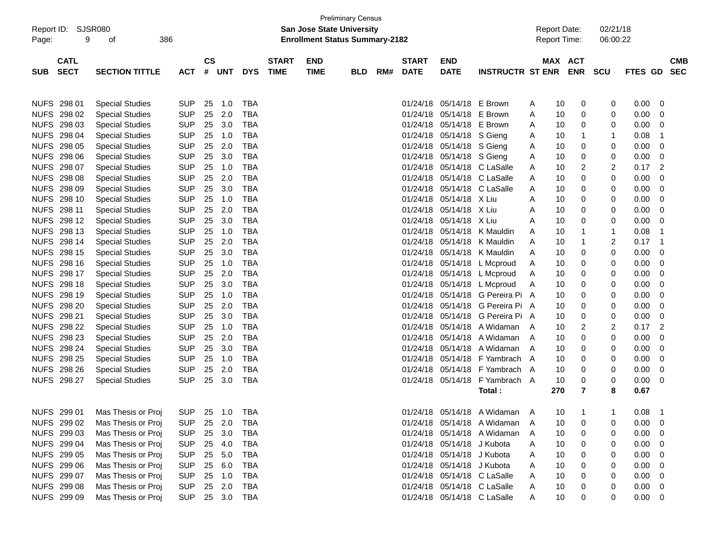| Report ID:  | SJSR080                    |                        |                |                    |            |            |                             | <b>San Jose State University</b>      | <b>Preliminary Census</b> |     |                             |                            |                               |   | <b>Report Date:</b> |                | 02/21/18    |                |                          |  |
|-------------|----------------------------|------------------------|----------------|--------------------|------------|------------|-----------------------------|---------------------------------------|---------------------------|-----|-----------------------------|----------------------------|-------------------------------|---|---------------------|----------------|-------------|----------------|--------------------------|--|
| Page:       | 9                          | 386<br>οf              |                |                    |            |            |                             | <b>Enrollment Status Summary-2182</b> |                           |     |                             |                            |                               |   | <b>Report Time:</b> |                | 06:00:22    |                |                          |  |
|             |                            |                        |                |                    |            |            |                             |                                       |                           |     |                             |                            |                               |   |                     |                |             |                |                          |  |
| <b>SUB</b>  | <b>CATL</b><br><b>SECT</b> | <b>SECTION TITTLE</b>  | <b>ACT</b>     | $\mathsf{cs}$<br># | <b>UNT</b> | <b>DYS</b> | <b>START</b><br><b>TIME</b> | <b>END</b><br><b>TIME</b>             | BLD                       | RM# | <b>START</b><br><b>DATE</b> | <b>END</b><br><b>DATE</b>  | <b>INSTRUCTR ST ENR</b>       |   | MAX ACT             | <b>ENR</b>     | <b>SCU</b>  | FTES GD        | <b>CMB</b><br><b>SEC</b> |  |
|             |                            |                        |                |                    |            |            |                             |                                       |                           |     |                             |                            |                               |   |                     |                |             |                |                          |  |
|             |                            |                        |                |                    |            |            |                             |                                       |                           |     |                             |                            |                               |   |                     |                |             |                |                          |  |
|             | NUFS 298 01                | <b>Special Studies</b> | <b>SUP</b>     | 25                 | 1.0        | <b>TBA</b> |                             |                                       |                           |     | 01/24/18                    | 05/14/18                   | E Brown                       | A | 10                  | 0              | 0           | 0.00           | 0                        |  |
|             | NUFS 298 02                | <b>Special Studies</b> | <b>SUP</b>     | 25                 | 2.0        | <b>TBA</b> |                             |                                       |                           |     | 01/24/18                    | 05/14/18                   | E Brown                       | Α | 10                  | 0              | 0           | 0.00           | 0                        |  |
| <b>NUFS</b> | 298 03                     | <b>Special Studies</b> | <b>SUP</b>     | 25                 | 3.0        | <b>TBA</b> |                             |                                       |                           |     | 01/24/18                    | 05/14/18                   | E Brown                       | A | 10                  | 0              | 0           | 0.00           | 0                        |  |
| <b>NUFS</b> | 298 04                     | <b>Special Studies</b> | <b>SUP</b>     | 25                 | 1.0        | <b>TBA</b> |                             |                                       |                           |     | 01/24/18                    | 05/14/18 S Gieng           |                               | A | 10                  | 1              | 1           | 0.08           | 1                        |  |
| <b>NUFS</b> | 298 05                     | <b>Special Studies</b> | <b>SUP</b>     | 25                 | 2.0        | <b>TBA</b> |                             |                                       |                           |     | 01/24/18                    | 05/14/18 S Gieng           |                               | A | 10                  | 0              | 0           | 0.00           | 0                        |  |
| <b>NUFS</b> | 298 06                     | <b>Special Studies</b> | <b>SUP</b>     | 25                 | 3.0        | <b>TBA</b> |                             |                                       |                           |     | 01/24/18                    | 05/14/18 S Gieng           |                               | A | 10                  | 0              | 0           | 0.00           | 0                        |  |
| <b>NUFS</b> | 298 07                     | <b>Special Studies</b> | <b>SUP</b>     | 25                 | 1.0        | <b>TBA</b> |                             |                                       |                           |     | 01/24/18                    |                            | 05/14/18 C LaSalle            | Α | 10                  | 2              | 2           | 0.17           | $\overline{2}$           |  |
| <b>NUFS</b> | 298 08                     | <b>Special Studies</b> | <b>SUP</b>     | 25                 | 2.0        | <b>TBA</b> |                             |                                       |                           |     | 01/24/18                    |                            | 05/14/18 C LaSalle            | A | 10                  | 0              | 0           | 0.00           | 0                        |  |
| <b>NUFS</b> | 298 09                     | <b>Special Studies</b> | <b>SUP</b>     | 25                 | 3.0        | <b>TBA</b> |                             |                                       |                           |     | 01/24/18                    |                            | 05/14/18 C LaSalle            | A | 10                  | 0              | 0           | 0.00           | 0                        |  |
| <b>NUFS</b> | 298 10                     | <b>Special Studies</b> | <b>SUP</b>     | 25                 | 1.0        | <b>TBA</b> |                             |                                       |                           |     | 01/24/18                    | 05/14/18 X Liu             |                               | A | 10                  | 0              | 0           | 0.00           | 0                        |  |
| <b>NUFS</b> | 298 11                     | <b>Special Studies</b> | <b>SUP</b>     | 25                 | 2.0        | <b>TBA</b> |                             |                                       |                           |     | 01/24/18                    | 05/14/18                   | X Liu                         | A | 10                  | 0              | 0           | 0.00           | 0                        |  |
| <b>NUFS</b> | 298 12                     | <b>Special Studies</b> | <b>SUP</b>     | 25                 | 3.0        | <b>TBA</b> |                             |                                       |                           |     | 01/24/18                    | 05/14/18                   | X Liu                         | A | 10                  | 0              | 0           | 0.00           | 0                        |  |
| <b>NUFS</b> | 298 13                     | <b>Special Studies</b> | <b>SUP</b>     | 25                 | 1.0        | <b>TBA</b> |                             |                                       |                           |     | 01/24/18                    | 05/14/18                   | K Mauldin                     | A | 10                  | 1              | 1           | 0.08           | -1                       |  |
| <b>NUFS</b> | 298 14                     | <b>Special Studies</b> | <b>SUP</b>     | 25                 | 2.0        | <b>TBA</b> |                             |                                       |                           |     | 01/24/18                    | 05/14/18                   | K Mauldin                     | A | 10                  | 1              | 2           | 0.17           | 1                        |  |
| <b>NUFS</b> | 298 15                     | <b>Special Studies</b> | <b>SUP</b>     | 25                 | 3.0        | <b>TBA</b> |                             |                                       |                           |     | 01/24/18                    | 05/14/18                   | K Mauldin                     | A | 10                  | 0              | 0           | 0.00           | 0                        |  |
| <b>NUFS</b> | 298 16                     | <b>Special Studies</b> | <b>SUP</b>     | 25                 | 1.0        | <b>TBA</b> |                             |                                       |                           |     | 01/24/18                    | 05/14/18                   | L Mcproud                     | A | 10                  | 0              | 0           | 0.00           | 0                        |  |
| <b>NUFS</b> | 298 17                     | <b>Special Studies</b> | <b>SUP</b>     | 25                 | 2.0        | <b>TBA</b> |                             |                                       |                           |     | 01/24/18                    |                            | 05/14/18 L Mcproud            | A | 10                  | 0              | 0           | 0.00           | 0                        |  |
| <b>NUFS</b> | 298 18                     | <b>Special Studies</b> | <b>SUP</b>     | 25                 | 3.0        | <b>TBA</b> |                             |                                       |                           |     | 01/24/18                    |                            | 05/14/18 L Mcproud            | A | 10                  | 0              | 0           | 0.00           | 0                        |  |
| <b>NUFS</b> | 298 19                     | <b>Special Studies</b> | <b>SUP</b>     | 25                 | 1.0        | <b>TBA</b> |                             |                                       |                           |     | 01/24/18                    |                            | 05/14/18 G Pereira Pi A       |   | 10                  | 0              | 0           | 0.00           | 0                        |  |
|             | NUFS 298 20                | <b>Special Studies</b> | <b>SUP</b>     | 25                 | 2.0        | <b>TBA</b> |                             |                                       |                           |     | 01/24/18                    |                            | 05/14/18 G Pereira Pi A       |   | 10                  | 0              | 0           | 0.00           | 0                        |  |
|             | NUFS 298 21                | <b>Special Studies</b> | <b>SUP</b>     | 25                 | 3.0        | <b>TBA</b> |                             |                                       |                           |     | 01/24/18                    |                            | 05/14/18 G Pereira Pi A       |   | 10                  | 0              | 0           | 0.00           | 0                        |  |
|             | NUFS 298 22                | <b>Special Studies</b> | <b>SUP</b>     | 25                 | 1.0        | <b>TBA</b> |                             |                                       |                           |     | 01/24/18                    | 05/14/18                   | A Widaman                     | A | 10                  | 2              | 2           | 0.17           | $\overline{2}$           |  |
|             | NUFS 298 23                | <b>Special Studies</b> | <b>SUP</b>     | 25                 | 2.0        | <b>TBA</b> |                             |                                       |                           |     | 01/24/18                    | 05/14/18                   | A Widaman                     | A | 10                  | 0              | 0           | 0.00           | 0                        |  |
|             | NUFS 298 24                | <b>Special Studies</b> | <b>SUP</b>     | 25                 | 3.0        | <b>TBA</b> |                             |                                       |                           |     | 01/24/18                    | 05/14/18                   | A Widaman                     | A | 10                  | 0              | 0           | 0.00           | 0                        |  |
|             | NUFS 298 25                | <b>Special Studies</b> | <b>SUP</b>     | 25                 | 1.0        | <b>TBA</b> |                             |                                       |                           |     | 01/24/18                    | 05/14/18                   | F Yambrach A                  |   | 10                  | 0              | 0           | 0.00           | 0                        |  |
| <b>NUFS</b> | 298 26                     | <b>Special Studies</b> | <b>SUP</b>     | 25                 | 2.0        | <b>TBA</b> |                             |                                       |                           |     | 01/24/18                    | 05/14/18                   | F Yambrach A                  |   | 10                  | 0              | 0           | 0.00           | 0                        |  |
|             | NUFS 298 27                | <b>Special Studies</b> | <b>SUP</b>     | 25                 | 3.0        | <b>TBA</b> |                             |                                       |                           |     |                             | 01/24/18 05/14/18          | F Yambrach A                  |   | 10                  | 0              | 0           | 0.00           | 0                        |  |
|             |                            |                        |                |                    |            |            |                             |                                       |                           |     |                             |                            | Total:                        |   | 270                 | 7              | 8           | 0.67           |                          |  |
|             |                            |                        |                |                    |            |            |                             |                                       |                           |     |                             |                            |                               |   |                     |                |             |                |                          |  |
|             | NUFS 299 01                | Mas Thesis or Proj     | <b>SUP</b>     |                    | 25 1.0     | TBA        |                             |                                       |                           |     |                             |                            | 01/24/18 05/14/18 A Widaman A |   | 10                  | $\overline{1}$ | $\mathbf 1$ | $0.08$ 1       |                          |  |
|             | NUFS 299 02                | Mas Thesis or Proj     | <b>SUP</b>     |                    | 25 2.0     | TBA        |                             |                                       |                           |     |                             |                            | 01/24/18 05/14/18 A Widaman   | A | 10                  | 0              |             | $0.00 \quad 0$ |                          |  |
|             | NUFS 299 03                | Mas Thesis or Proj     | <b>SUP</b>     |                    | 25 3.0     | TBA        |                             |                                       |                           |     |                             |                            | 01/24/18 05/14/18 A Widaman   | A | 10                  | 0              |             | 0.00           | $\overline{\mathbf{0}}$  |  |
|             | NUFS 299 04                | Mas Thesis or Proj     | <b>SUP</b>     |                    | 25 4.0     | TBA        |                             |                                       |                           |     |                             | 01/24/18 05/14/18 J Kubota |                               | A | 10                  | 0              |             | 0.00           | $\overline{\mathbf{0}}$  |  |
|             | NUFS 299 05                | Mas Thesis or Proj     | <b>SUP</b>     |                    | 25 5.0     | TBA        |                             |                                       |                           |     |                             | 01/24/18 05/14/18 J Kubota |                               | Α | 10                  | 0              |             | 0.00           | - 0                      |  |
|             | NUFS 299 06                | Mas Thesis or Proj     | <b>SUP</b>     |                    | 25 6.0     | TBA        |                             |                                       |                           |     |                             | 01/24/18 05/14/18 J Kubota |                               | Α | 10                  | 0              |             | 0.00           | - 0                      |  |
|             | NUFS 299 07                | Mas Thesis or Proj     | <b>SUP</b>     |                    | 25 1.0     | TBA        |                             |                                       |                           |     |                             |                            | 01/24/18 05/14/18 C LaSalle   | Α | 10                  | 0              |             | 0.00           | $\overline{\mathbf{0}}$  |  |
|             | NUFS 299 08                | Mas Thesis or Proj     | <b>SUP</b>     |                    | 25 2.0     | TBA        |                             |                                       |                           |     |                             |                            | 01/24/18 05/14/18 C LaSalle   | A | 10                  | 0              |             | 0.00           | $\overline{\phantom{0}}$ |  |
|             | NUFS 299 09                | Mas Thesis or Proj     | SUP 25 3.0 TBA |                    |            |            |                             |                                       |                           |     |                             |                            | 01/24/18 05/14/18 C LaSalle   | A | 10                  | 0              | 0           | $0.00 \t 0$    |                          |  |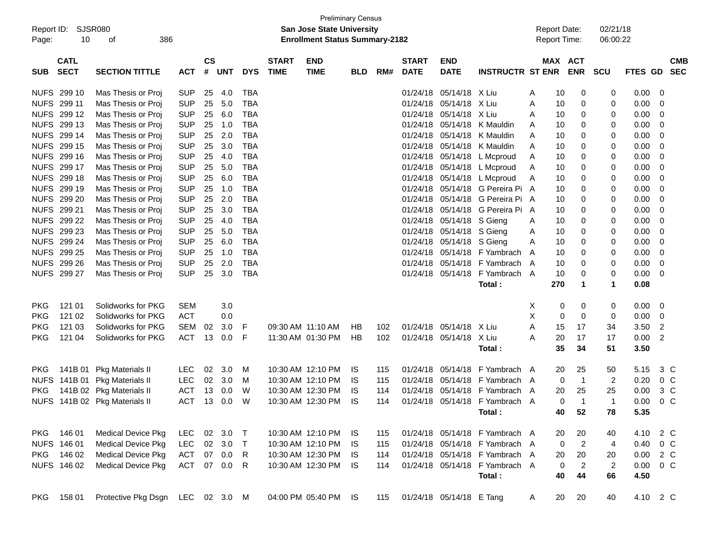| Report ID:<br>Page: | 10                         | <b>SJSR080</b><br>386<br>οf              |                          |                |            |                          |                             | <b>Preliminary Census</b><br><b>San Jose State University</b><br><b>Enrollment Status Summary-2182</b> |            |     |                             |                           |                                |        |          | <b>Report Date:</b><br>Report Time: | 02/21/18<br>06:00:22    |              |                         |                          |
|---------------------|----------------------------|------------------------------------------|--------------------------|----------------|------------|--------------------------|-----------------------------|--------------------------------------------------------------------------------------------------------|------------|-----|-----------------------------|---------------------------|--------------------------------|--------|----------|-------------------------------------|-------------------------|--------------|-------------------------|--------------------------|
| <b>SUB</b>          | <b>CATL</b><br><b>SECT</b> | <b>SECTION TITTLE</b>                    | <b>ACT</b>               | <b>CS</b><br># | UNT        | <b>DYS</b>               | <b>START</b><br><b>TIME</b> | <b>END</b><br><b>TIME</b>                                                                              | <b>BLD</b> | RM# | <b>START</b><br><b>DATE</b> | <b>END</b><br><b>DATE</b> | <b>INSTRUCTR ST ENR</b>        |        |          | MAX ACT<br><b>ENR</b>               | <b>SCU</b>              | FTES GD      |                         | <b>CMB</b><br><b>SEC</b> |
|                     | <b>NUFS 299 10</b>         | Mas Thesis or Proj                       | <b>SUP</b>               | 25             | 4.0        | TBA                      |                             |                                                                                                        |            |     | 01/24/18                    | 05/14/18 X Liu            |                                | A      | 10       | 0                                   | 0                       | 0.00         | 0                       |                          |
|                     | NUFS 299 11                | Mas Thesis or Proj                       | <b>SUP</b>               | 25             | 5.0        | <b>TBA</b>               |                             |                                                                                                        |            |     | 01/24/18                    | 05/14/18 X Liu            |                                | Α      | 10       | 0                                   | 0                       | 0.00         | 0                       |                          |
|                     | NUFS 299 12                | Mas Thesis or Proj                       | <b>SUP</b>               | 25             | 6.0        | <b>TBA</b>               |                             |                                                                                                        |            |     | 01/24/18                    | 05/14/18 X Liu            |                                | A      | 10       | 0                                   | 0                       | 0.00         | 0                       |                          |
|                     | NUFS 299 13                | Mas Thesis or Proj                       | <b>SUP</b>               | 25             | 1.0        | <b>TBA</b>               |                             |                                                                                                        |            |     | 01/24/18                    |                           | 05/14/18 K Mauldin             | A      | 10       | 0                                   | 0                       | 0.00         | 0                       |                          |
|                     | NUFS 299 14                | Mas Thesis or Proj                       | <b>SUP</b>               | 25             | 2.0        | <b>TBA</b>               |                             |                                                                                                        |            |     | 01/24/18                    |                           | 05/14/18 K Mauldin             | A      | 10       | 0                                   | 0                       | 0.00         | 0                       |                          |
|                     | NUFS 299 15                | Mas Thesis or Proj                       | <b>SUP</b>               | 25             | 3.0        | <b>TBA</b>               |                             |                                                                                                        |            |     | 01/24/18                    |                           | 05/14/18 K Mauldin             | A      | 10       | 0                                   | 0                       | 0.00         | 0                       |                          |
|                     | NUFS 299 16                | Mas Thesis or Proj                       | <b>SUP</b>               | 25             | 4.0        | <b>TBA</b>               |                             |                                                                                                        |            |     | 01/24/18                    |                           | 05/14/18 L Mcproud             | A      | 10       | 0                                   | 0                       | 0.00         | 0                       |                          |
|                     | NUFS 299 17                | Mas Thesis or Proj                       | <b>SUP</b>               | 25             | 5.0        | <b>TBA</b>               |                             |                                                                                                        |            |     | 01/24/18                    |                           | 05/14/18 L Mcproud             | Α      | 10       | 0                                   | 0                       | 0.00         | 0                       |                          |
|                     | NUFS 299 18                | Mas Thesis or Proj                       | <b>SUP</b>               | 25             | 6.0        | <b>TBA</b>               |                             |                                                                                                        |            |     | 01/24/18                    |                           | 05/14/18 L Mcproud             | Α      | 10       | 0                                   | 0                       | 0.00         | 0                       |                          |
|                     | NUFS 299 19                | Mas Thesis or Proj                       | <b>SUP</b>               | 25             | 1.0        | <b>TBA</b>               |                             |                                                                                                        |            |     | 01/24/18                    |                           | 05/14/18 G Pereira Pi A        |        | 10       | 0                                   | 0                       | 0.00         | 0                       |                          |
|                     | NUFS 299 20                | Mas Thesis or Proj                       | <b>SUP</b>               | 25             | 2.0        | <b>TBA</b>               |                             |                                                                                                        |            |     | 01/24/18                    |                           | 05/14/18 G Pereira Pi A        |        | 10       | 0                                   | 0                       | 0.00         | 0                       |                          |
|                     | NUFS 299 21                | Mas Thesis or Proj                       | <b>SUP</b>               | 25             | 3.0        | <b>TBA</b>               |                             |                                                                                                        |            |     | 01/24/18<br>01/24/18        |                           | 05/14/18 G Pereira Pi A        |        | 10       | 0                                   | 0                       | 0.00         | 0                       |                          |
|                     | NUFS 299 22<br>NUFS 299 23 | Mas Thesis or Proj                       | <b>SUP</b>               | 25             | 4.0        | <b>TBA</b>               |                             |                                                                                                        |            |     |                             | 05/14/18 S Gieng          |                                | A      | 10       | 0                                   | 0                       | 0.00         | 0                       |                          |
|                     | NUFS 299 24                | Mas Thesis or Proj                       | <b>SUP</b><br><b>SUP</b> | 25             | 5.0<br>6.0 | <b>TBA</b><br><b>TBA</b> |                             |                                                                                                        |            |     | 01/24/18<br>01/24/18        | 05/14/18 S Gieng          |                                | A      | 10       | 0                                   | 0<br>0                  | 0.00         | 0<br>0                  |                          |
|                     | NUFS 299 25                | Mas Thesis or Proj<br>Mas Thesis or Proj | <b>SUP</b>               | 25<br>25       | 1.0        | <b>TBA</b>               |                             |                                                                                                        |            |     | 01/24/18                    | 05/14/18 S Gieng          | $05/14/18$ F Yambrach          | A<br>A | 10<br>10 | 0<br>0                              | 0                       | 0.00<br>0.00 | 0                       |                          |
|                     | NUFS 299 26                | Mas Thesis or Proj                       | <b>SUP</b>               | 25             | 2.0        | <b>TBA</b>               |                             |                                                                                                        |            |     | 01/24/18                    |                           | 05/14/18 F Yambrach A          |        | 10       | 0                                   | 0                       | 0.00         | 0                       |                          |
|                     | NUFS 299 27                | Mas Thesis or Proj                       | <b>SUP</b>               | 25             | 3.0        | <b>TBA</b>               |                             |                                                                                                        |            |     | 01/24/18                    |                           | 05/14/18 F Yambrach A          |        | 10       | 0                                   | 0                       | 0.00         | 0                       |                          |
|                     |                            |                                          |                          |                |            |                          |                             |                                                                                                        |            |     |                             |                           | Total:                         |        | 270      | 1                                   | 1                       | 0.08         |                         |                          |
|                     |                            |                                          |                          |                |            |                          |                             |                                                                                                        |            |     |                             |                           |                                |        |          |                                     |                         |              |                         |                          |
| <b>PKG</b>          | 121 01                     | Solidworks for PKG                       | <b>SEM</b>               |                | 3.0        |                          |                             |                                                                                                        |            |     |                             |                           |                                | X      | 0        | 0                                   | 0                       | 0.00         | 0                       |                          |
| <b>PKG</b>          | 121 02                     | Solidworks for PKG                       | <b>ACT</b>               |                | 0.0        |                          |                             |                                                                                                        |            |     |                             |                           |                                | Χ      | 0        | 0                                   | 0                       | 0.00         | 0                       |                          |
| <b>PKG</b>          | 121 03                     | Solidworks for PKG                       | <b>SEM</b>               | 02             | 3.0        | F                        | 09:30 AM 11:10 AM           |                                                                                                        | НB         | 102 |                             | 01/24/18 05/14/18 X Liu   |                                | A      | 15       | 17                                  | 34                      | 3.50         | $\overline{\mathbf{c}}$ |                          |
| <b>PKG</b>          | 121 04                     | Solidworks for PKG                       | ACT                      | 13             | 0.0        | F                        |                             | 11:30 AM 01:30 PM                                                                                      | HB         | 102 |                             | 01/24/18 05/14/18 X Liu   |                                | A      | 20       | 17                                  | 17                      | 0.00         | $\overline{2}$          |                          |
|                     |                            |                                          |                          |                |            |                          |                             |                                                                                                        |            |     |                             |                           | Total:                         |        | 35       | 34                                  | 51                      | 3.50         |                         |                          |
|                     |                            |                                          |                          |                |            |                          |                             |                                                                                                        |            |     |                             |                           |                                |        |          |                                     |                         |              |                         |                          |
| <b>PKG</b>          | 141B 01                    | <b>Pkg Materials II</b>                  | <b>LEC</b>               | 02             | 3.0        | M                        |                             | 10:30 AM 12:10 PM                                                                                      | IS         | 115 | 01/24/18                    |                           | 05/14/18 F Yambrach A          |        | 20       | 25                                  | 50                      | 5.15         | 3 C                     |                          |
| <b>NUFS</b>         | 141B 01                    | <b>Pkg Materials II</b>                  | LEC                      | 02             | 3.0        | M                        |                             | 10:30 AM 12:10 PM                                                                                      | IS         | 115 | 01/24/18                    |                           | 05/14/18 F Yambrach A          |        | 0        | $\overline{1}$                      | $\overline{\mathbf{c}}$ | 0.20         | $0\,C$                  |                          |
| <b>PKG</b>          |                            | 141B 02 Pkg Materials II                 | <b>ACT</b>               | 13             | 0.0        | W                        |                             | 10:30 AM 12:30 PM                                                                                      | IS         | 114 | 01/24/18                    |                           | 05/14/18 F Yambrach A          |        | 20       | 25                                  | 25                      | 0.00         | 3 <sup>C</sup>          |                          |
|                     |                            | NUFS 141B 02 Pkg Materials II            | <b>ACT</b>               | 13             | 0.0        | W                        |                             | 10:30 AM 12:30 PM                                                                                      | IS         | 114 |                             |                           | 01/24/18 05/14/18 F Yambrach A |        | 0        | -1                                  | 1                       | 0.00         | 0 <sup>o</sup>          |                          |
|                     |                            |                                          |                          |                |            |                          |                             |                                                                                                        |            |     |                             |                           | Total:                         |        | 40       | 52                                  | 78                      | 5.35         |                         |                          |
|                     | PKG 146 01                 | <b>Medical Device Pkg</b>                | LEC                      |                | 02 3.0 T   |                          |                             | 10:30 AM 12:10 PM                                                                                      | IS.        | 115 |                             |                           | 01/24/18 05/14/18 F Yambrach A |        | 20       | 20                                  | 40                      | 4.10         | 2 C                     |                          |
|                     | NUFS 146 01                | <b>Medical Device Pkg</b>                | LEC                      |                | 02 3.0 T   |                          |                             | 10:30 AM 12:10 PM                                                                                      | IS         | 115 |                             |                           | 01/24/18 05/14/18 F Yambrach A |        | 0        | $\overline{2}$                      | 4                       | 0.40         | $0\,C$                  |                          |
| PKG                 | 146 02                     | <b>Medical Device Pkg</b>                | ACT                      |                | 07 0.0     | R                        |                             | 10:30 AM 12:30 PM                                                                                      | IS.        | 114 |                             |                           | 01/24/18 05/14/18 F Yambrach A |        | 20       | 20                                  | 20                      | 0.00         | 2 C                     |                          |
|                     | NUFS 146 02                | <b>Medical Device Pkg</b>                | ACT 07 0.0               |                |            | R                        |                             | 10:30 AM 12:30 PM                                                                                      | IS         | 114 |                             |                           | 01/24/18 05/14/18 F Yambrach A |        | 0        | $\overline{2}$                      | $\overline{c}$          | 0.00         | $0\,C$                  |                          |
|                     |                            |                                          |                          |                |            |                          |                             |                                                                                                        |            |     |                             |                           | Total:                         |        | 40       | 44                                  | 66                      | 4.50         |                         |                          |
| PKG                 | 158 01                     | Protective Pkg Dsgn LEC 02 3.0 M         |                          |                |            |                          |                             | 04:00 PM 05:40 PM                                                                                      | IS         | 115 |                             | 01/24/18 05/14/18 E Tang  |                                | A      | 20       | 20                                  | 40                      | 4.10 2 C     |                         |                          |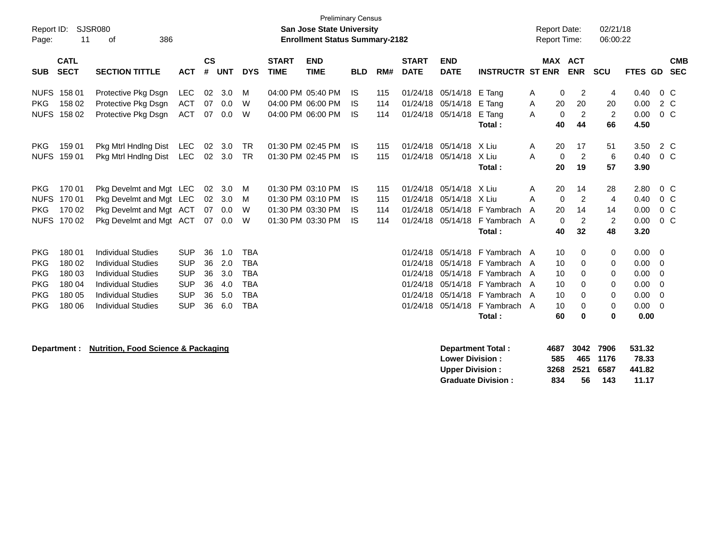| Report ID:<br>Page:                                                              | 11                                                       | <b>SJSR080</b><br>386<br>οf                                                                                                                                                |                                                                                  |                                  |                                        |                                                                                  |                             | <b>Preliminary Census</b><br><b>San Jose State University</b><br><b>Enrollment Status Summary-2182</b> |                              |                          |                             |                                                                         |                                                                                                                                 |             | <b>Report Date:</b><br><b>Report Time:</b>                                                     | 02/21/18<br>06:00:22                             |                                                      |                                                                                   |
|----------------------------------------------------------------------------------|----------------------------------------------------------|----------------------------------------------------------------------------------------------------------------------------------------------------------------------------|----------------------------------------------------------------------------------|----------------------------------|----------------------------------------|----------------------------------------------------------------------------------|-----------------------------|--------------------------------------------------------------------------------------------------------|------------------------------|--------------------------|-----------------------------|-------------------------------------------------------------------------|---------------------------------------------------------------------------------------------------------------------------------|-------------|------------------------------------------------------------------------------------------------|--------------------------------------------------|------------------------------------------------------|-----------------------------------------------------------------------------------|
| <b>SUB</b>                                                                       | <b>CATL</b><br><b>SECT</b>                               | <b>SECTION TITTLE</b>                                                                                                                                                      | <b>ACT</b>                                                                       | $\mathsf{cs}$<br>#               | <b>UNT</b>                             | <b>DYS</b>                                                                       | <b>START</b><br><b>TIME</b> | <b>END</b><br><b>TIME</b>                                                                              | <b>BLD</b>                   | RM#                      | <b>START</b><br><b>DATE</b> | <b>END</b><br><b>DATE</b>                                               | <b>INSTRUCTR ST ENR</b>                                                                                                         |             | MAX ACT<br><b>ENR</b>                                                                          | SCU                                              | FTES GD                                              | <b>CMB</b><br><b>SEC</b>                                                          |
| <b>PKG</b>                                                                       | NUFS 158 01<br>158 02<br>NUFS 158 02                     | Protective Pkg Dsgn<br>Protective Pkg Dsgn<br>Protective Pkg Dsgn                                                                                                          | <b>LEC</b><br><b>ACT</b><br><b>ACT</b>                                           | 02<br>07<br>07                   | 3.0<br>0.0<br>0.0                      | м<br>W<br>W                                                                      |                             | 04:00 PM 05:40 PM<br>04:00 PM 06:00 PM<br>04:00 PM 06:00 PM                                            | IS<br>IS<br>IS               | 115<br>114<br>114        |                             | 01/24/18 05/14/18<br>01/24/18 05/14/18<br>01/24/18 05/14/18             | E Tang<br>E Tang<br>E Tang<br>Total:                                                                                            | Α<br>Α<br>A | 0<br>2<br>20<br>20<br>$\overline{c}$<br>$\mathbf 0$<br>44<br>40                                | 4<br>20<br>2<br>66                               | 0.40<br>0.00<br>0.00<br>4.50                         | $0\,$ C<br>2 C<br>0 <sup>o</sup>                                                  |
| <b>PKG</b>                                                                       | 159 01<br>NUFS 159 01                                    | Pkg Mtrl Hndlng Dist<br>Pkg Mtrl Hndlng Dist                                                                                                                               | LEC<br>LEC                                                                       | 02<br>02                         | 3.0<br>3.0                             | <b>TR</b><br>TR                                                                  |                             | 01:30 PM 02:45 PM<br>01:30 PM 02:45 PM                                                                 | 1S<br>IS                     | 115<br>115               | 01/24/18                    | 05/14/18<br>01/24/18 05/14/18                                           | X Liu<br>X Liu<br>Total:                                                                                                        | A<br>A      | 17<br>20<br>$\overline{2}$<br>$\mathbf 0$<br>20<br>19                                          | 51<br>6<br>57                                    | 3.50<br>0.40<br>3.90                                 | 2 C<br>$0\,C$                                                                     |
| <b>PKG</b><br><b>NUFS</b><br><b>PKG</b>                                          | 170 01<br>170 01<br>170 02<br>NUFS 170 02                | Pkg Develmt and Mgt LEC<br>Pkg Develmt and Mgt LEC<br>Pkg Develmt and Mgt ACT<br>Pkg Develmt and Mgt ACT                                                                   |                                                                                  | 02<br>02<br>07                   | 3.0<br>3.0<br>0.0<br>07 0.0            | М<br>м<br>W<br>W                                                                 |                             | 01:30 PM 03:10 PM<br>01:30 PM 03:10 PM<br>01:30 PM 03:30 PM<br>01:30 PM 03:30 PM                       | -IS<br>IS<br><b>IS</b><br>IS | 115<br>115<br>114<br>114 | 01/24/18<br>01/24/18        | 01/24/18 05/14/18<br>05/14/18<br>01/24/18 05/14/18                      | X Liu<br>X Liu<br>05/14/18 F Yambrach<br>F Yambrach A<br>Total:                                                                 | A<br>Α<br>A | 20<br>14<br>$\overline{c}$<br>0<br>20<br>14<br>$\overline{2}$<br>$\mathbf{0}$<br>40<br>32      | 28<br>4<br>14<br>$\overline{2}$<br>48            | 2.80<br>0.40<br>0.00<br>0.00<br>3.20                 | $0\,C$<br>0 <sup>o</sup><br>$0\,C$<br>$0\,C$                                      |
| <b>PKG</b><br><b>PKG</b><br><b>PKG</b><br><b>PKG</b><br><b>PKG</b><br><b>PKG</b> | 180 01<br>180 02<br>180 03<br>180 04<br>180 05<br>180 06 | <b>Individual Studies</b><br><b>Individual Studies</b><br><b>Individual Studies</b><br><b>Individual Studies</b><br><b>Individual Studies</b><br><b>Individual Studies</b> | <b>SUP</b><br><b>SUP</b><br><b>SUP</b><br><b>SUP</b><br><b>SUP</b><br><b>SUP</b> | 36<br>36<br>36<br>36<br>36<br>36 | 1.0<br>2.0<br>3.0<br>4.0<br>5.0<br>6.0 | <b>TBA</b><br><b>TBA</b><br><b>TBA</b><br><b>TBA</b><br><b>TBA</b><br><b>TBA</b> |                             |                                                                                                        |                              |                          | 01/24/18<br>01/24/18        | 01/24/18 05/14/18<br>01/24/18 05/14/18<br>05/14/18<br>01/24/18 05/14/18 | 01/24/18 05/14/18 F Yambrach A<br>F Yambrach A<br>F Yambrach A<br>F Yambrach<br>05/14/18 F Yambrach A<br>F Yambrach A<br>Total: | A           | 10<br>0<br>10<br>0<br>10<br>0<br>10<br>0<br>10<br>$\Omega$<br>10<br>$\Omega$<br>60<br>$\bf{0}$ | 0<br>0<br>0<br>0<br>0<br>$\mathbf 0$<br>$\bf{0}$ | 0.00<br>0.00<br>0.00<br>0.00<br>0.00<br>0.00<br>0.00 | $\overline{\mathbf{0}}$<br>0<br>$\mathbf 0$<br>0<br>$\mathbf 0$<br>$\overline{0}$ |
|                                                                                  | Department :                                             | <b>Nutrition, Food Science &amp; Packaging</b>                                                                                                                             |                                                                                  |                                  |                                        |                                                                                  |                             |                                                                                                        |                              |                          |                             | <b>Lower Division:</b>                                                  | <b>Department Total:</b>                                                                                                        | 4687<br>585 | 3042<br>465                                                                                    | 7906<br>1176                                     | 531.32<br>78.33                                      |                                                                                   |

**Upper Division : 3268 2521 6587 441.82 Graduate Division : 834 56 143 11.17**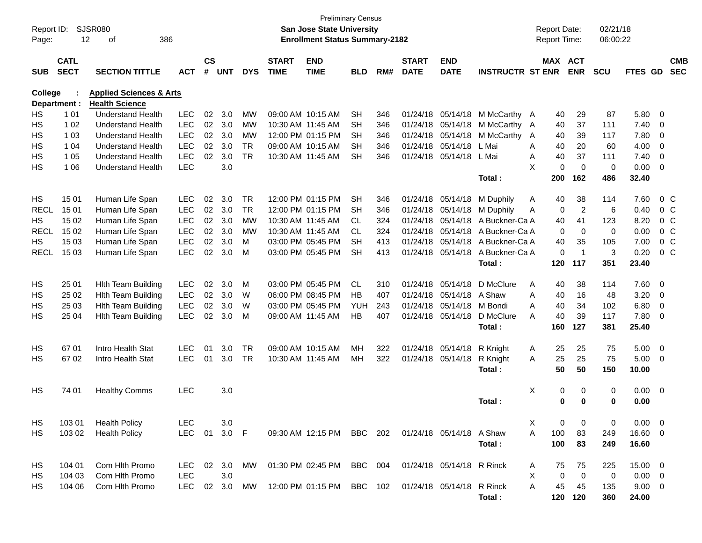| Report ID:<br>Page: |                            | <b>SJSR080</b><br>12<br>386<br>οf  |            |                    |            |            |                             | <b>San Jose State University</b><br><b>Enrollment Status Summary-2182</b> | <b>Preliminary Census</b> |     |                             |                           |                         |   | <b>Report Date:</b><br>Report Time: |                         | 02/21/18<br>06:00:22 |               |                |                          |
|---------------------|----------------------------|------------------------------------|------------|--------------------|------------|------------|-----------------------------|---------------------------------------------------------------------------|---------------------------|-----|-----------------------------|---------------------------|-------------------------|---|-------------------------------------|-------------------------|----------------------|---------------|----------------|--------------------------|
| <b>SUB</b>          | <b>CATL</b><br><b>SECT</b> | <b>SECTION TITTLE</b>              | <b>ACT</b> | $\mathsf{cs}$<br># | <b>UNT</b> | <b>DYS</b> | <b>START</b><br><b>TIME</b> | <b>END</b><br><b>TIME</b>                                                 | <b>BLD</b>                | RM# | <b>START</b><br><b>DATE</b> | <b>END</b><br><b>DATE</b> | <b>INSTRUCTR ST ENR</b> |   | MAX ACT                             | <b>ENR</b>              | SCU                  | FTES GD       |                | <b>CMB</b><br><b>SEC</b> |
| <b>College</b>      |                            | <b>Applied Sciences &amp; Arts</b> |            |                    |            |            |                             |                                                                           |                           |     |                             |                           |                         |   |                                     |                         |                      |               |                |                          |
|                     | Department :               | <b>Health Science</b>              |            |                    |            |            |                             |                                                                           |                           |     |                             |                           |                         |   |                                     |                         |                      |               |                |                          |
| HS                  | 1 0 1                      | <b>Understand Health</b>           | <b>LEC</b> | 02                 | 3.0        | <b>MW</b>  |                             | 09:00 AM 10:15 AM                                                         | <b>SH</b>                 | 346 | 01/24/18                    |                           | 05/14/18 M McCarthy A   |   | 40                                  | 29                      | 87                   | 5.80          | - 0            |                          |
| HS                  | 1 0 2                      | <b>Understand Health</b>           | <b>LEC</b> | 02                 | 3.0        | <b>MW</b>  |                             | 10:30 AM 11:45 AM                                                         | <b>SH</b>                 | 346 | 01/24/18                    | 05/14/18                  | M McCarthy A            |   | 40                                  | 37                      | 111                  | 7.40          | $\mathbf 0$    |                          |
| HS                  | 1 0 3                      | <b>Understand Health</b>           | <b>LEC</b> | 02                 | 3.0        | <b>MW</b>  |                             | 12:00 PM 01:15 PM                                                         | SH                        | 346 | 01/24/18                    | 05/14/18                  | M McCarthy              | A | 40                                  | 39                      | 117                  | 7.80          | $\mathbf 0$    |                          |
| НS                  | 1 0 4                      | <b>Understand Health</b>           | <b>LEC</b> | 02                 | 3.0        | <b>TR</b>  |                             | 09:00 AM 10:15 AM                                                         | <b>SH</b>                 | 346 | 01/24/18                    | 05/14/18                  | L Mai                   | A | 40                                  | 20                      | 60                   | 4.00          | $\mathbf 0$    |                          |
| HS                  | 1 0 5                      | <b>Understand Health</b>           | <b>LEC</b> | 02                 | 3.0        | <b>TR</b>  |                             | 10:30 AM 11:45 AM                                                         | <b>SH</b>                 | 346 | 01/24/18                    | 05/14/18                  | L Mai                   | A | 40                                  | 37                      | 111                  | 7.40          | $\overline{0}$ |                          |
| НS                  | 1 0 6                      | <b>Understand Health</b>           | <b>LEC</b> |                    | 3.0        |            |                             |                                                                           |                           |     |                             |                           | Total:                  | X | $\Omega$<br>200                     | $\mathbf 0$<br>162      | 0<br>486             | 0.00<br>32.40 | $\overline{0}$ |                          |
| HS                  | 15 01                      | Human Life Span                    | <b>LEC</b> | 02                 | 3.0        | <b>TR</b>  |                             | 12:00 PM 01:15 PM                                                         | <b>SH</b>                 | 346 | 01/24/18                    | 05/14/18                  | M Duphily               | A | 40                                  | 38                      | 114                  | 7.60          |                | 0 <sup>C</sup>           |
| <b>RECL</b>         | 15 01                      | Human Life Span                    | <b>LEC</b> | 02                 | 3.0        | <b>TR</b>  |                             | 12:00 PM 01:15 PM                                                         | <b>SH</b>                 | 346 | 01/24/18                    | 05/14/18                  | M Duphily               | A | 0                                   | $\overline{2}$          | 6                    | 0.40          |                | 0 <sup>C</sup>           |
| HS                  | 15 02                      | Human Life Span                    | <b>LEC</b> | 02                 | 3.0        | <b>MW</b>  |                             | 10:30 AM 11:45 AM                                                         | <b>CL</b>                 | 324 | 01/24/18                    | 05/14/18                  | A Buckner-Ca A          |   | 40                                  | 41                      | 123                  | 8.20          |                | 0 <sup>C</sup>           |
| <b>RECL</b>         | 15 02                      | Human Life Span                    | <b>LEC</b> | 02                 | 3.0        | МW         |                             | 10:30 AM 11:45 AM                                                         | <b>CL</b>                 | 324 | 01/24/18                    | 05/14/18                  | A Buckner-Ca A          |   | $\mathbf 0$                         | $\mathbf 0$             | $\mathbf 0$          | 0.00          |                | 0 <sup>C</sup>           |
| HS.                 | 15 03                      | Human Life Span                    | <b>LEC</b> | 02                 | 3.0        | м          |                             | 03:00 PM 05:45 PM                                                         | <b>SH</b>                 | 413 | 01/24/18                    | 05/14/18                  | A Buckner-Ca A          |   | 40                                  | 35                      | 105                  | 7.00          |                | 0 <sup>C</sup>           |
| <b>RECL</b>         | 15 03                      | Human Life Span                    | <b>LEC</b> | 02                 | 3.0        | м          |                             | 03:00 PM 05:45 PM                                                         | <b>SH</b>                 | 413 | 01/24/18                    | 05/14/18                  | A Buckner-Ca A          |   | $\Omega$                            | $\overline{\mathbf{1}}$ | 3                    | 0.20          |                | $0\,C$                   |
|                     |                            |                                    |            |                    |            |            |                             |                                                                           |                           |     |                             |                           | Total:                  |   | 120                                 | 117                     | 351                  | 23.40         |                |                          |
| HS.                 | 25 01                      | <b>Hlth Team Building</b>          | <b>LEC</b> | 02                 | 3.0        | м          |                             | 03:00 PM 05:45 PM                                                         | <b>CL</b>                 | 310 | 01/24/18                    | 05/14/18                  | D McClure               | A | 40                                  | 38                      | 114                  | 7.60          | 0              |                          |
| НS                  | 25 02                      | Hith Team Building                 | <b>LEC</b> | 02                 | 3.0        | W          |                             | 06:00 PM 08:45 PM                                                         | <b>HB</b>                 | 407 | 01/24/18                    | 05/14/18                  | A Shaw                  | A | 40                                  | 16                      | 48                   | 3.20          | $\overline{0}$ |                          |
| НS                  | 25 03                      | <b>Hith Team Building</b>          | <b>LEC</b> | 02                 | 3.0        | W          |                             | 03:00 PM 05:45 PM                                                         | <b>YUH</b>                | 243 | 01/24/18                    | 05/14/18                  | M Bondi                 | A | 40                                  | 34                      | 102                  | 6.80          | $\overline{0}$ |                          |
| НS                  | 25 04                      | <b>Hith Team Building</b>          | <b>LEC</b> | 02                 | 3.0        | м          |                             | 09:00 AM 11:45 AM                                                         | <b>HB</b>                 | 407 | 01/24/18                    | 05/14/18                  | D McClure               | A | 40                                  | 39                      | 117                  | 7.80          | $\overline{0}$ |                          |
|                     |                            |                                    |            |                    |            |            |                             |                                                                           |                           |     |                             |                           | Total:                  |   | 160                                 | 127                     | 381                  | 25.40         |                |                          |
| HS.                 | 67 01                      | Intro Health Stat                  | <b>LEC</b> | 01                 | 3.0        | <b>TR</b>  |                             | 09:00 AM 10:15 AM                                                         | MН                        | 322 | 01/24/18                    | 05/14/18                  | R Knight                | Α | 25                                  | 25                      | 75                   | 5.00          | $\overline{0}$ |                          |
| HS.                 | 6702                       | Intro Health Stat                  | <b>LEC</b> | 01                 | 3.0        | <b>TR</b>  |                             | 10:30 AM 11:45 AM                                                         | MН                        | 322 | 01/24/18                    | 05/14/18                  | R Knight                | A | 25                                  | 25                      | 75                   | 5.00          | - 0            |                          |
|                     |                            |                                    |            |                    |            |            |                             |                                                                           |                           |     |                             |                           | Total:                  |   | 50                                  | 50                      | 150                  | 10.00         |                |                          |
| HS                  | 74 01                      | <b>Healthy Comms</b>               | <b>LEC</b> |                    | 3.0        |            |                             |                                                                           |                           |     |                             |                           |                         | X | 0                                   | 0                       | $\mathbf 0$          | $0.00 \t 0$   |                |                          |
|                     |                            |                                    |            |                    |            |            |                             |                                                                           |                           |     |                             |                           | Total :                 |   | 0                                   | 0                       | 0                    | 0.00          |                |                          |
| HS                  | 103 01                     | <b>Health Policy</b>               | LEC        |                    | 3.0        |            |                             |                                                                           |                           |     |                             |                           |                         | X | 0                                   | 0                       | 0                    | $0.00 \t 0$   |                |                          |
| HS                  | 103 02                     | <b>Health Policy</b>               | LEC 01     |                    | 3.0 F      |            |                             | 09:30 AM 12:15 PM BBC 202                                                 |                           |     | 01/24/18 05/14/18 A Shaw    |                           |                         | Α | 100                                 | 83                      | 249                  | 16.60 0       |                |                          |
|                     |                            |                                    |            |                    |            |            |                             |                                                                           |                           |     |                             |                           | Total:                  |   | 100                                 | 83                      | 249                  | 16.60         |                |                          |
| HS                  | 104 01                     | Com Hlth Promo                     | LEC 02 3.0 |                    |            | MW         |                             | 01:30 PM 02:45 PM                                                         | BBC 004                   |     |                             | 01/24/18 05/14/18 R Rinck |                         | A | 75                                  | 75                      | 225                  | 15.00 0       |                |                          |
| HS                  | 104 03                     | Com Hlth Promo                     | <b>LEC</b> |                    | 3.0        |            |                             |                                                                           |                           |     |                             |                           |                         | Χ | 0                                   | $\mathbf 0$             | 0                    | $0.00 \t 0$   |                |                          |
| HS.                 | 104 06                     | Com Hlth Promo                     | <b>LEC</b> |                    | 02 3.0     | MW         |                             | 12:00 PM 01:15 PM                                                         | BBC 102                   |     |                             | 01/24/18 05/14/18 R Rinck |                         | A | 45                                  | 45                      | 135                  | $9.00 \t 0$   |                |                          |
|                     |                            |                                    |            |                    |            |            |                             |                                                                           |                           |     |                             |                           | Total:                  |   |                                     | 120 120                 | 360                  | 24.00         |                |                          |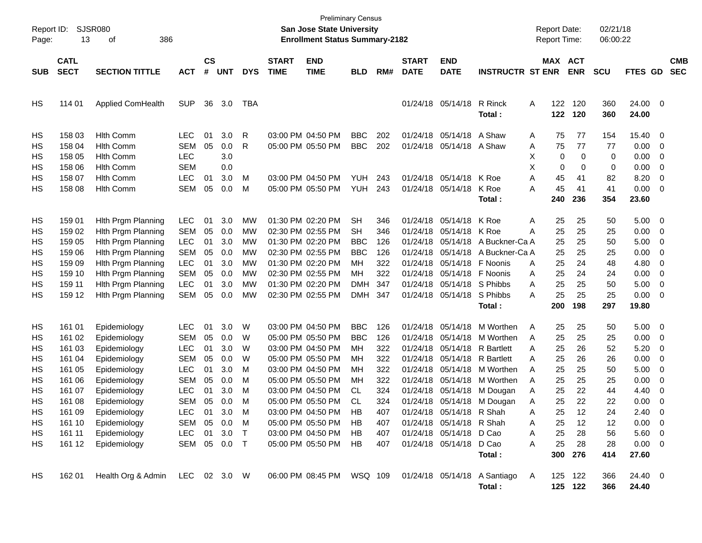| Page:                                                                | SJSR080<br>Report ID:<br>13<br>386<br>οf                                                                             |                                                                                                                                                                                              |                                                                                                                                                                     |                                                    |                                                             |                                              |                             | San Jose State University<br><b>Enrollment Status Summary-2182</b>                                                                                                                                                                                          | <b>Preliminary Census</b>                                                                      |                                                                                  |                             |                                                                                                                                                                                                                      |                                                                                                                                                            | <b>Report Date:</b><br><b>Report Time:</b>                                                                                       |                                                                                 | 02/21/18<br>06:00:22                                                        |                                                                                                                       |                                                                                              |                          |
|----------------------------------------------------------------------|----------------------------------------------------------------------------------------------------------------------|----------------------------------------------------------------------------------------------------------------------------------------------------------------------------------------------|---------------------------------------------------------------------------------------------------------------------------------------------------------------------|----------------------------------------------------|-------------------------------------------------------------|----------------------------------------------|-----------------------------|-------------------------------------------------------------------------------------------------------------------------------------------------------------------------------------------------------------------------------------------------------------|------------------------------------------------------------------------------------------------|----------------------------------------------------------------------------------|-----------------------------|----------------------------------------------------------------------------------------------------------------------------------------------------------------------------------------------------------------------|------------------------------------------------------------------------------------------------------------------------------------------------------------|----------------------------------------------------------------------------------------------------------------------------------|---------------------------------------------------------------------------------|-----------------------------------------------------------------------------|-----------------------------------------------------------------------------------------------------------------------|----------------------------------------------------------------------------------------------|--------------------------|
| <b>SUB</b>                                                           | <b>CATL</b><br><b>SECT</b>                                                                                           | <b>SECTION TITTLE</b>                                                                                                                                                                        | <b>ACT</b>                                                                                                                                                          | $\mathsf{cs}$<br>#                                 | <b>UNT</b>                                                  | <b>DYS</b>                                   | <b>START</b><br><b>TIME</b> | <b>END</b><br><b>TIME</b>                                                                                                                                                                                                                                   | <b>BLD</b>                                                                                     | RM#                                                                              | <b>START</b><br><b>DATE</b> | <b>END</b><br><b>DATE</b>                                                                                                                                                                                            | <b>INSTRUCTR ST ENR</b>                                                                                                                                    | MAX ACT                                                                                                                          | <b>ENR</b>                                                                      | <b>SCU</b>                                                                  | <b>FTES GD</b>                                                                                                        |                                                                                              | <b>CMB</b><br><b>SEC</b> |
| HS                                                                   | 114 01                                                                                                               | Applied ComHealth                                                                                                                                                                            | <b>SUP</b>                                                                                                                                                          | 36                                                 | 3.0                                                         | TBA                                          |                             |                                                                                                                                                                                                                                                             |                                                                                                |                                                                                  |                             | 01/24/18 05/14/18                                                                                                                                                                                                    | R Rinck<br>Total :                                                                                                                                         | 122<br>A<br>122                                                                                                                  | 120<br>120                                                                      | 360<br>360                                                                  | 24.00<br>24.00                                                                                                        | $\overline{\phantom{0}}$                                                                     |                          |
| HS<br>HS<br>НS<br>HS<br>HS                                           | 158 03<br>158 04<br>158 05<br>158 06<br>158 07                                                                       | <b>Hith Comm</b><br><b>Hlth Comm</b><br><b>Hlth Comm</b><br><b>Hlth Comm</b><br><b>Hlth Comm</b>                                                                                             | LEC.<br><b>SEM</b><br><b>LEC</b><br><b>SEM</b><br><b>LEC</b>                                                                                                        | 01<br>05<br>01                                     | 3.0<br>0.0<br>3.0<br>0.0<br>3.0                             | R<br>R<br>M                                  |                             | 03:00 PM 04:50 PM<br>05:00 PM 05:50 PM<br>03:00 PM 04:50 PM                                                                                                                                                                                                 | <b>BBC</b><br><b>BBC</b><br><b>YUH</b>                                                         | 202<br>202<br>243                                                                |                             | 01/24/18 05/14/18 A Shaw<br>01/24/18 05/14/18 A Shaw<br>01/24/18 05/14/18 K Roe                                                                                                                                      |                                                                                                                                                            | 75<br>Α<br>75<br>Α<br>X<br>0<br>Χ<br>0<br>45<br>Α                                                                                | 77<br>77<br>0<br>0<br>41                                                        | 154<br>77<br>0<br>0<br>82                                                   | 15.40<br>0.00<br>0.00<br>0.00<br>8.20                                                                                 | 0<br>0<br>0<br>0<br>0                                                                        |                          |
| HS                                                                   | 158 08                                                                                                               | <b>Hlth Comm</b>                                                                                                                                                                             | <b>SEM</b>                                                                                                                                                          | 05                                                 | 0.0                                                         | M                                            |                             | 05:00 PM 05:50 PM                                                                                                                                                                                                                                           | <b>YUH</b>                                                                                     | 243                                                                              |                             | 01/24/18 05/14/18                                                                                                                                                                                                    | K Roe<br>Total :                                                                                                                                           | 45<br>Α<br>240                                                                                                                   | 41<br>236                                                                       | 41<br>354                                                                   | 0.00<br>23.60                                                                                                         | $\mathbf 0$                                                                                  |                          |
| HS<br>HS<br>HS<br>HS<br>HS<br>HS<br>HS<br>HS                         | 159 01<br>159 02<br>159 05<br>159 06<br>159 09<br>159 10<br>159 11<br>159 12                                         | Hith Prgm Planning<br>Hith Prgm Planning<br>Hith Prgm Planning<br>Hith Prgm Planning<br>Hith Prgm Planning<br>Hith Prgm Planning<br>Hith Prgm Planning<br>Hith Prgm Planning                 | <b>LEC</b><br><b>SEM</b><br><b>LEC</b><br><b>SEM</b><br><b>LEC</b><br><b>SEM</b><br><b>LEC</b><br><b>SEM</b>                                                        | 01<br>05<br>01<br>05<br>01<br>05<br>01<br>05       | 3.0<br>0.0<br>3.0<br>0.0<br>3.0<br>0.0<br>3.0<br>0.0        | MW<br>MW<br>MW<br>MW<br>МW<br>МW<br>MW<br>MW |                             | 01:30 PM 02:20 PM<br>02:30 PM 02:55 PM<br>01:30 PM 02:20 PM<br>02:30 PM 02:55 PM<br>01:30 PM 02:20 PM<br>02:30 PM 02:55 PM<br>01:30 PM 02:20 PM<br>02:30 PM 02:55 PM                                                                                        | <b>SH</b><br><b>SH</b><br><b>BBC</b><br><b>BBC</b><br>MН<br><b>MH</b><br><b>DMH</b><br>DMH 347 | 346<br>346<br>126<br>126<br>322<br>322<br>347                                    |                             | 01/24/18 05/14/18 K Roe<br>01/24/18 05/14/18 K Roe<br>01/24/18 05/14/18 F Noonis<br>01/24/18 05/14/18 F Noonis<br>01/24/18 05/14/18 S Phibbs<br>01/24/18 05/14/18 S Phibbs                                           | 01/24/18 05/14/18 A Buckner-Ca A<br>01/24/18 05/14/18 A Buckner-Ca A<br>Total :                                                                            | 25<br>Α<br>25<br>Α<br>25<br>25<br>25<br>Α<br>25<br>Α<br>25<br>Α<br>25<br>Α<br>200                                                | 25<br>25<br>25<br>25<br>24<br>24<br>25<br>25<br>198                             | 50<br>25<br>50<br>25<br>48<br>24<br>50<br>25<br>297                         | 5.00<br>0.00<br>5.00<br>0.00<br>4.80<br>0.00<br>5.00<br>0.00<br>19.80                                                 | $\overline{\mathbf{0}}$<br>$\mathbf 0$<br>0<br>0<br>0<br>0<br>0<br>0                         |                          |
| HS<br>HS<br>HS<br>HS<br>HS<br>HS<br>HS<br>HS<br>HS<br>HS<br>HS<br>HS | 161 01<br>161 02<br>161 03<br>161 04<br>161 05<br>161 06<br>161 07<br>161 08<br>161 09<br>161 10<br>161 11<br>161 12 | Epidemiology<br>Epidemiology<br>Epidemiology<br>Epidemiology<br>Epidemiology<br>Epidemiology<br>Epidemiology<br>Epidemiology<br>Epidemiology<br>Epidemiology<br>Epidemiology<br>Epidemiology | <b>LEC</b><br><b>SEM</b><br><b>LEC</b><br><b>SEM</b><br><b>LEC</b><br><b>SEM</b><br><b>LEC</b><br><b>SEM</b><br>LEC<br>SEM 05 0.0 M<br>LEC 01 3.0 T<br>SEM 05 0.0 T | 01<br>05<br>01<br>05<br>01<br>05<br>01<br>05<br>01 | 3.0<br>0.0<br>3.0<br>0.0<br>3.0<br>0.0<br>3.0<br>0.0<br>3.0 | W<br>W<br>W<br>W<br>M<br>M<br>м<br>М<br>M    |                             | 03:00 PM 04:50 PM<br>05:00 PM 05:50 PM<br>03:00 PM 04:50 PM<br>05:00 PM 05:50 PM<br>03:00 PM 04:50 PM<br>05:00 PM 05:50 PM<br>03:00 PM 04:50 PM<br>05:00 PM 05:50 PM<br>03:00 PM 04:50 PM<br>05:00 PM 05:50 PM<br>03:00 PM 04:50 PM<br>05:00 PM 05:50 PM HB | <b>BBC</b><br><b>BBC</b><br>MН<br>MН<br>MН<br>MН<br>CL<br><b>CL</b><br><b>HB</b><br>HB.<br>HB. | 126<br>126<br>322<br>322<br>322<br>322<br>324<br>324<br>407<br>407<br>407<br>407 |                             | 01/24/18 05/14/18<br>01/24/18 05/14/18 R Bartlett<br>01/24/18 05/14/18 R Bartlett<br>01/24/18 05/14/18<br>01/24/18 05/14/18 R Shah<br>01/24/18 05/14/18 R Shah<br>01/24/18 05/14/18 D Cao<br>01/24/18 05/14/18 D Cao | M Worthen<br>01/24/18 05/14/18 M Worthen<br>01/24/18 05/14/18 M Worthen<br>01/24/18 05/14/18 M Worthen<br>M Dougan<br>01/24/18 05/14/18 M Dougan<br>Total: | 25<br>A<br>25<br>A<br>25<br>Α<br>25<br>Α<br>25<br>A<br>25<br>A<br>25<br>Α<br>25<br>Α<br>25<br>А<br>A<br>25<br>25<br>A<br>25<br>A | 25<br>25<br>26<br>26<br>25<br>25<br>22<br>22<br>12<br>12<br>28<br>28<br>300 276 | 50<br>25<br>52<br>26<br>50<br>25<br>44<br>22<br>24<br>12<br>56<br>28<br>414 | 5.00<br>0.00<br>5.20<br>0.00<br>5.00<br>0.00<br>4.40<br>0.00<br>2.40<br>$0.00 \t 0$<br>5.60 0<br>$0.00 \t 0$<br>27.60 | $\overline{\mathbf{0}}$<br>$\overline{\mathbf{0}}$<br>0<br>0<br>0<br>0<br>0<br>0<br>$\Omega$ |                          |
| HS                                                                   | 162 01                                                                                                               | Health Org & Admin LEC 02 3.0 W                                                                                                                                                              |                                                                                                                                                                     |                                                    |                                                             |                                              |                             |                                                                                                                                                                                                                                                             |                                                                                                |                                                                                  |                             |                                                                                                                                                                                                                      | 06:00 PM 08:45 PM  WSQ 109  01/24/18  05/14/18  A Santiago<br>Total:                                                                                       | A                                                                                                                                | 125 122<br>125 122                                                              | 366<br>366                                                                  | 24.40 0<br>24.40                                                                                                      |                                                                                              |                          |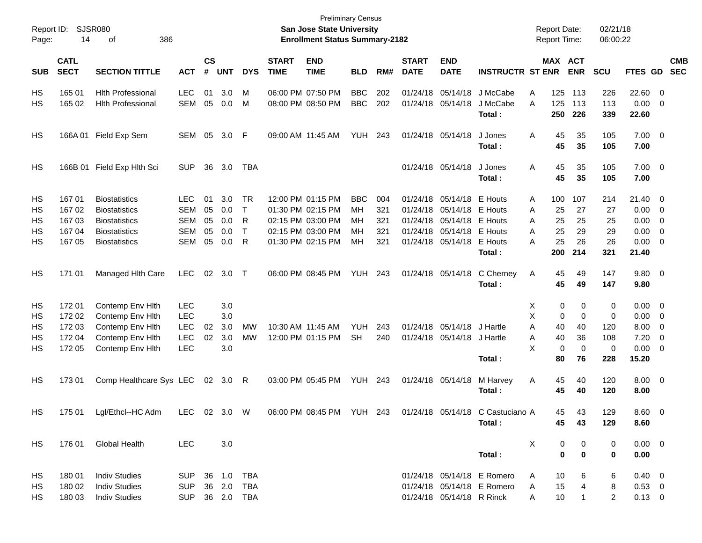| Report ID:<br>Page: | 14                         | <b>SJSR080</b><br>386<br>οf |                |                    |            |            |                             | <b>Preliminary Census</b><br><b>San Jose State University</b><br><b>Enrollment Status Summary-2182</b> |                |     |                             |                           |                            |   |             | Report Date:<br><b>Report Time:</b> | 02/21/18<br>06:00:22 |                     |                          |                          |
|---------------------|----------------------------|-----------------------------|----------------|--------------------|------------|------------|-----------------------------|--------------------------------------------------------------------------------------------------------|----------------|-----|-----------------------------|---------------------------|----------------------------|---|-------------|-------------------------------------|----------------------|---------------------|--------------------------|--------------------------|
| <b>SUB</b>          | <b>CATL</b><br><b>SECT</b> | <b>SECTION TITTLE</b>       | <b>ACT</b>     | $\mathsf{cs}$<br># | <b>UNT</b> | <b>DYS</b> | <b>START</b><br><b>TIME</b> | <b>END</b><br><b>TIME</b>                                                                              | <b>BLD</b>     | RM# | <b>START</b><br><b>DATE</b> | <b>END</b><br><b>DATE</b> | <b>INSTRUCTR ST ENR</b>    |   |             | MAX ACT<br><b>ENR</b>               | <b>SCU</b>           | FTES GD             |                          | <b>CMB</b><br><b>SEC</b> |
| HS                  | 165 01                     | <b>Hlth Professional</b>    | <b>LEC</b>     | 01                 | 3.0        | M          |                             | 06:00 PM 07:50 PM                                                                                      | <b>BBC</b>     | 202 |                             | 01/24/18 05/14/18         | J McCabe                   | Α | 125         | 113                                 | 226                  | 22.60               | 0                        |                          |
| HS                  | 165 02                     | <b>Hith Professional</b>    | <b>SEM</b>     | 05                 | 0.0        | M          |                             | 08:00 PM 08:50 PM                                                                                      | <b>BBC</b>     | 202 | 01/24/18                    | 05/14/18                  | J McCabe<br>Total :        | A | 125<br>250  | 113<br>226                          | 113<br>339           | 0.00<br>22.60       | 0                        |                          |
| HS                  | 166A 01                    | Field Exp Sem               | SEM            | 05                 | 3.0        | F          |                             | 09:00 AM 11:45 AM                                                                                      | <b>YUH 243</b> |     |                             | 01/24/18 05/14/18         | J Jones<br>Total :         | Α | 45<br>45    | 35<br>35                            | 105<br>105           | $7.00 \t 0$<br>7.00 |                          |                          |
| HS                  | 166B 01                    | Field Exp Hlth Sci          | <b>SUP</b>     | 36                 | 3.0        | <b>TBA</b> |                             |                                                                                                        |                |     |                             | 01/24/18 05/14/18         | J Jones<br>Total :         | Α | 45<br>45    | 35<br>35                            | 105<br>105           | $7.00 \t 0$<br>7.00 |                          |                          |
| HS                  | 167 01                     | <b>Biostatistics</b>        | <b>LEC</b>     | 01                 | 3.0        | TR         |                             | 12:00 PM 01:15 PM                                                                                      | <b>BBC</b>     | 004 |                             | 01/24/18 05/14/18         | E Houts                    | Α | 100         | 107                                 | 214                  | 21.40               | 0                        |                          |
| HS                  | 167 02                     | <b>Biostatistics</b>        | <b>SEM</b>     | 05                 | 0.0        | $\top$     |                             | 01:30 PM 02:15 PM                                                                                      | MН             | 321 |                             | 01/24/18 05/14/18         | E Houts                    | A | 25          | 27                                  | 27                   | 0.00                | 0                        |                          |
| НS                  | 167 03                     | <b>Biostatistics</b>        | <b>SEM</b>     | 05                 | 0.0        | R          |                             | 02:15 PM 03:00 PM                                                                                      | <b>MH</b>      | 321 |                             | 01/24/18 05/14/18         | E Houts                    | A | 25          | 25                                  | 25                   | 0.00                | 0                        |                          |
| НS                  | 167 04                     | <b>Biostatistics</b>        | <b>SEM</b>     | 05                 | 0.0        | $\top$     |                             | 02:15 PM 03:00 PM                                                                                      | MН             | 321 |                             | 01/24/18 05/14/18         | E Houts                    | A | 25          | 29                                  | 29                   | 0.00                | 0                        |                          |
| HS                  | 167 05                     | <b>Biostatistics</b>        | <b>SEM</b>     | 05                 | 0.0        | R          |                             | 01:30 PM 02:15 PM                                                                                      | <b>MH</b>      | 321 |                             | 01/24/18 05/14/18         | E Houts                    | Α | 25          | 26                                  | 26                   | 0.00                | 0                        |                          |
|                     |                            |                             |                |                    |            |            |                             |                                                                                                        |                |     |                             |                           | Total :                    |   | 200         | 214                                 | 321                  | 21.40               |                          |                          |
| HS                  | 171 01                     | Managed Hith Care           | <b>LEC</b>     | 02                 | 3.0        | $\top$     |                             | 06:00 PM 08:45 PM                                                                                      | YUH            | 243 |                             | 01/24/18 05/14/18         | C Cherney<br>Total:        | A | 45<br>45    | 49<br>49                            | 147<br>147           | 9.80<br>9.80        | $\overline{\phantom{0}}$ |                          |
| HS                  | 17201                      | Contemp Env Hith            | <b>LEC</b>     |                    | 3.0        |            |                             |                                                                                                        |                |     |                             |                           |                            | х | 0           | 0                                   | 0                    | 0.00                | $\overline{\mathbf{0}}$  |                          |
| HS                  | 172 02                     | Contemp Env Hith            | <b>LEC</b>     |                    | 3.0        |            |                             |                                                                                                        |                |     |                             |                           |                            | X | 0           | $\mathbf 0$                         | 0                    | 0.00                | $\mathbf 0$              |                          |
| HS                  | 172 03                     | Contemp Env Hith            | <b>LEC</b>     | 02                 | 3.0        | MW         |                             | 10:30 AM 11:45 AM                                                                                      | <b>YUH</b>     | 243 |                             | 01/24/18 05/14/18         | J Hartle                   | A | 40          | 40                                  | 120                  | 8.00                | 0                        |                          |
| НS                  | 172 04                     | Contemp Env Hith            | LEC            | 02                 | 3.0        | MW         |                             | 12:00 PM 01:15 PM                                                                                      | <b>SH</b>      | 240 |                             | 01/24/18 05/14/18         | J Hartle                   | Α | 40          | 36                                  | 108                  | 7.20                | 0                        |                          |
| HS                  | 172 05                     | Contemp Env Hith            | <b>LEC</b>     |                    | 3.0        |            |                             |                                                                                                        |                |     |                             |                           |                            | X | 0           | 0                                   | 0                    | 0.00                | 0                        |                          |
|                     |                            |                             |                |                    |            |            |                             |                                                                                                        |                |     |                             |                           | Total:                     |   | 80          | 76                                  | 228                  | 15.20               |                          |                          |
| HS                  | 17301                      | Comp Healthcare Sys LEC     |                | 02                 | 3.0        | R          |                             | 03:00 PM 05:45 PM                                                                                      | <b>YUH 243</b> |     |                             | 01/24/18 05/14/18         | M Harvey                   | A | 45          | 40                                  | 120                  | 8.00                | $\overline{\phantom{0}}$ |                          |
|                     |                            |                             |                |                    |            |            |                             |                                                                                                        |                |     |                             |                           | Total :                    |   | 45          | 40                                  | 120                  | 8.00                |                          |                          |
| HS                  | 175 01                     | Lgl/Ethcl--HC Adm           | LEC.           |                    | 02 3.0     | W          |                             | 06:00 PM 08:45 PM                                                                                      | YUH 243        |     |                             | 01/24/18 05/14/18         | C Castuciano A             |   | 45          | 43                                  | 129                  | 8.60                | - 0                      |                          |
|                     |                            |                             |                |                    |            |            |                             |                                                                                                        |                |     |                             |                           | Total:                     |   | 45          | 43                                  | 129                  | 8.60                |                          |                          |
| HS.                 | 176 01                     | <b>Global Health</b>        | LEC            |                    | 3.0        |            |                             |                                                                                                        |                |     |                             |                           |                            | X | 0           | 0                                   | 0                    | $0.00 \quad 0$      |                          |                          |
|                     |                            |                             |                |                    |            |            |                             |                                                                                                        |                |     |                             |                           | Total:                     |   | $\mathbf 0$ | 0                                   | 0                    | 0.00                |                          |                          |
| HS                  | 180 01                     | <b>Indiv Studies</b>        | <b>SUP</b>     |                    |            | 36 1.0 TBA |                             |                                                                                                        |                |     |                             |                           | 01/24/18 05/14/18 E Romero | A | 10          | 6                                   | 6                    | $0.40 \quad 0$      |                          |                          |
| HS.                 | 180 02                     | <b>Indiv Studies</b>        | <b>SUP</b>     |                    | 36 2.0     | TBA        |                             |                                                                                                        |                |     |                             |                           | 01/24/18 05/14/18 E Romero | A | 15          | 4                                   | 8                    | $0.53 \quad 0$      |                          |                          |
| HS                  | 180 03                     | <b>Indiv Studies</b>        | SUP 36 2.0 TBA |                    |            |            |                             |                                                                                                        |                |     |                             | 01/24/18 05/14/18 R Rinck |                            | A | 10          | 1                                   | $\overline{2}$       | $0.13 \ 0$          |                          |                          |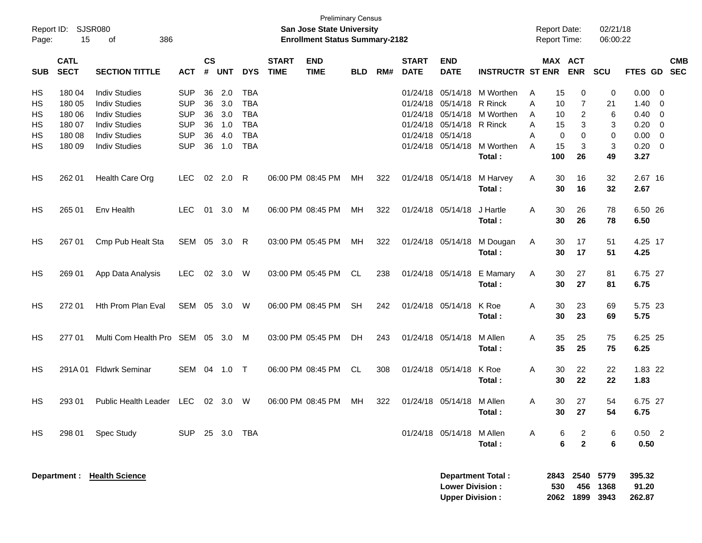| Report ID:<br>Page: | 15                         | SJSR080<br>386<br>оf                                                 |                                        |                    |                   |                                        |                             | <b>Preliminary Census</b><br>San Jose State University<br><b>Enrollment Status Summary-2182</b> |            |     |                                  |                                                  |                               | <b>Report Date:</b><br>Report Time: |                       |                                  | 02/21/18<br>06:00:22      |                           |                                       |                          |
|---------------------|----------------------------|----------------------------------------------------------------------|----------------------------------------|--------------------|-------------------|----------------------------------------|-----------------------------|-------------------------------------------------------------------------------------------------|------------|-----|----------------------------------|--------------------------------------------------|-------------------------------|-------------------------------------|-----------------------|----------------------------------|---------------------------|---------------------------|---------------------------------------|--------------------------|
| <b>SUB</b>          | <b>CATL</b><br><b>SECT</b> | <b>SECTION TITTLE</b>                                                | <b>ACT</b>                             | $\mathsf{cs}$<br># | <b>UNT</b>        | <b>DYS</b>                             | <b>START</b><br><b>TIME</b> | <b>END</b><br><b>TIME</b>                                                                       | <b>BLD</b> | RM# | <b>START</b><br><b>DATE</b>      | <b>END</b><br><b>DATE</b>                        | <b>INSTRUCTR ST ENR</b>       |                                     |                       | MAX ACT<br><b>ENR</b>            | <b>SCU</b>                | <b>FTES GD</b>            |                                       | <b>CMB</b><br><b>SEC</b> |
| HS<br>HS            | 180 04<br>180 05           | <b>Indiv Studies</b><br><b>Indiv Studies</b>                         | <b>SUP</b><br><b>SUP</b>               | 36<br>36           | 2.0<br>3.0        | <b>TBA</b><br><b>TBA</b>               |                             |                                                                                                 |            |     | 01/24/18<br>01/24/18             | 05/14/18                                         | 05/14/18 M Worthen<br>R Rinck | A<br>A                              | 15<br>10              | 0<br>7                           | 0<br>21                   | 0.00<br>1.40              | - 0<br>- 0                            |                          |
| HS<br>HS<br>HS      | 180 06<br>180 07<br>180 08 | <b>Indiv Studies</b><br><b>Indiv Studies</b><br><b>Indiv Studies</b> | <b>SUP</b><br><b>SUP</b><br><b>SUP</b> | 36<br>36<br>36     | 3.0<br>1.0<br>4.0 | <b>TBA</b><br><b>TBA</b><br><b>TBA</b> |                             |                                                                                                 |            |     | 01/24/18<br>01/24/18<br>01/24/18 | 05/14/18<br>05/14/18<br>05/14/18                 | M Worthen<br>R Rinck          | A<br>A<br>A                         | 10<br>15<br>0         | $\overline{c}$<br>3<br>0         | 6<br>3<br>0               | 0.40<br>0.20<br>0.00      | 0<br>$\overline{0}$<br>$\overline{0}$ |                          |
| HS                  | 180 09                     | <b>Indiv Studies</b>                                                 | <b>SUP</b>                             | 36                 | 1.0               | <b>TBA</b>                             |                             |                                                                                                 |            |     | 01/24/18                         |                                                  | 05/14/18 M Worthen<br>Total:  | A                                   | 15<br>100             | 3<br>26                          | 3<br>49                   | 0.20<br>3.27              | $\overline{0}$                        |                          |
| HS                  | 262 01                     | Health Care Org                                                      | <b>LEC</b>                             |                    | 02 2.0            | R                                      |                             | 06:00 PM 08:45 PM                                                                               | МH         | 322 | 01/24/18 05/14/18                |                                                  | M Harvey<br>Total:            | Α                                   | 30<br>30              | 16<br>16                         | 32<br>32                  | 2.67 16<br>2.67           |                                       |                          |
| HS                  | 265 01                     | Env Health                                                           | <b>LEC</b>                             | 01                 | 3.0               | M                                      |                             | 06:00 PM 08:45 PM                                                                               | MН         | 322 | 01/24/18 05/14/18                |                                                  | J Hartle<br>Total:            | A                                   | 30<br>30              | 26<br>26                         | 78<br>78                  | 6.50 26<br>6.50           |                                       |                          |
| HS                  | 267 01                     | Cmp Pub Healt Sta                                                    | SEM                                    |                    | 05 3.0            | R                                      |                             | 03:00 PM 05:45 PM                                                                               | МH         | 322 | 01/24/18 05/14/18                |                                                  | M Dougan<br>Total:            | Α                                   | 30<br>30              | 17<br>17                         | 51<br>51                  | 4.25 17<br>4.25           |                                       |                          |
| HS                  | 269 01                     | App Data Analysis                                                    | <b>LEC</b>                             |                    | 02 3.0            | W                                      |                             | 03:00 PM 05:45 PM                                                                               | CL         | 238 | 01/24/18 05/14/18                |                                                  | E Mamary<br>Total:            | Α                                   | 30<br>30              | 27<br>27                         | 81<br>81                  | 6.75 27<br>6.75           |                                       |                          |
| HS                  | 272 01                     | Hth Prom Plan Eval                                                   | SEM                                    |                    | 05 3.0            | W                                      |                             | 06:00 PM 08:45 PM                                                                               | <b>SH</b>  | 242 | 01/24/18 05/14/18                |                                                  | K Roe<br>Total:               | A                                   | 30<br>30              | 23<br>23                         | 69<br>69                  | 5.75 23<br>5.75           |                                       |                          |
| HS                  | 277 01                     | Multi Com Health Pro SEM                                             |                                        |                    | 05 3.0            | M                                      |                             | 03:00 PM 05:45 PM                                                                               | DH.        | 243 | 01/24/18 05/14/18                |                                                  | M Allen<br>Total:             | A                                   | 35<br>35              | 25<br>25                         | 75<br>75                  | 6.25 25<br>6.25           |                                       |                          |
| HS                  |                            | 291A 01 Fldwrk Seminar                                               | SEM                                    |                    | 04 1.0            | $\top$                                 |                             | 06:00 PM 08:45 PM                                                                               | CL         | 308 | 01/24/18 05/14/18                |                                                  | K Roe<br>Total:               | A                                   | 30<br>30              | 22<br>22                         | 22<br>22                  | 1.83 22<br>1.83           |                                       |                          |
| HS                  | 293 01                     | Public Health Leader LEC                                             |                                        |                    | $02 \quad 3.0$    | W                                      |                             | 06:00 PM 08:45 PM                                                                               | МH         | 322 |                                  | 01/24/18 05/14/18 M Allen                        | Total:                        | Α                                   | 30<br>30 <sub>o</sub> | 27<br>27                         | 54<br>54                  | 6.75 27<br>6.75           |                                       |                          |
| HS                  | 298 01                     | Spec Study                                                           | <b>SUP</b>                             |                    |                   | 25 3.0 TBA                             |                             |                                                                                                 |            |     |                                  | 01/24/18 05/14/18 M Allen                        | Total:                        | A                                   | 6<br>6                | $\overline{2}$<br>$\overline{2}$ | 6<br>$6\phantom{1}$       | $0.50$ 2<br>0.50          |                                       |                          |
|                     |                            | Department : Health Science                                          |                                        |                    |                   |                                        |                             |                                                                                                 |            |     |                                  | <b>Lower Division:</b><br><b>Upper Division:</b> | Department Total :            |                                     | 2843<br>530<br>2062   | 2540<br>456                      | 5779<br>1368<br>1899 3943 | 395.32<br>91.20<br>262.87 |                                       |                          |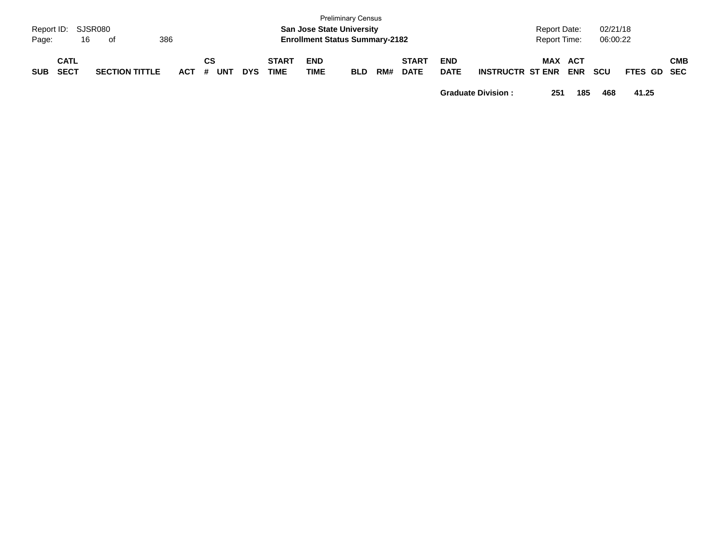| Page:      | Report ID: SJSR080<br>16   | of                    | 386     |           |            |                             | <b>San Jose State University</b><br><b>Enrollment Status Summary-2182</b> | <b>Preliminary Census</b> |     |                             |                           |                         | <b>Report Date:</b><br><b>Report Time:</b> |            | 02/21/18<br>06:00:22 |                    |            |
|------------|----------------------------|-----------------------|---------|-----------|------------|-----------------------------|---------------------------------------------------------------------------|---------------------------|-----|-----------------------------|---------------------------|-------------------------|--------------------------------------------|------------|----------------------|--------------------|------------|
| <b>SUB</b> | <b>CATL</b><br><b>SECT</b> | <b>SECTION TITTLE</b> | $ACT$ # | СS<br>UNT | <b>DYS</b> | <b>START</b><br><b>TIME</b> | <b>END</b><br><b>TIME</b>                                                 | <b>BLD</b>                | RM# | <b>START</b><br><b>DATE</b> | <b>END</b><br><b>DATE</b> | <b>INSTRUCTR ST ENR</b> | MAX ACT                                    | <b>ENR</b> | <b>SCU</b>           | <b>FTES GD SEC</b> | <b>CMB</b> |

**Graduate Division : 251 185 468 41.25**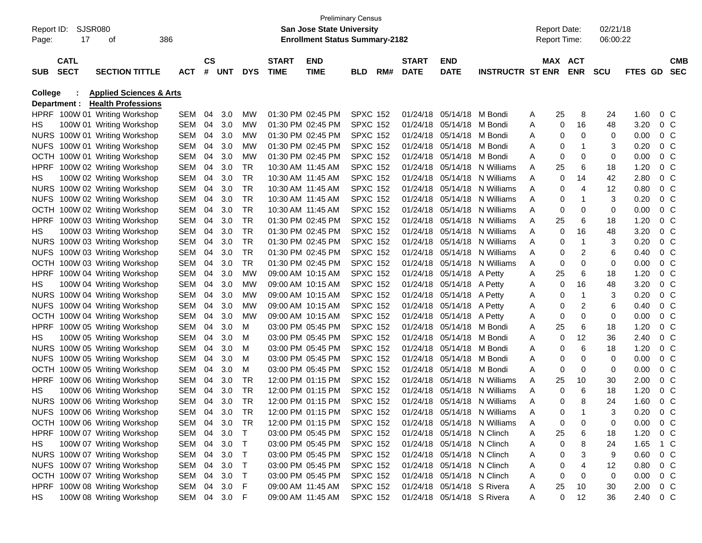|                |                            |                                    |              |                |     |            |                             |                                       | <b>Preliminary Census</b> |     |                             |                            |                              |   |                     |                |            |                |                |                          |
|----------------|----------------------------|------------------------------------|--------------|----------------|-----|------------|-----------------------------|---------------------------------------|---------------------------|-----|-----------------------------|----------------------------|------------------------------|---|---------------------|----------------|------------|----------------|----------------|--------------------------|
|                | Report ID: SJSR080         |                                    |              |                |     |            |                             | San Jose State University             |                           |     |                             |                            |                              |   | <b>Report Date:</b> |                | 02/21/18   |                |                |                          |
| Page:          | 17                         | οf                                 | 386          |                |     |            |                             | <b>Enrollment Status Summary-2182</b> |                           |     |                             |                            |                              |   | <b>Report Time:</b> |                | 06:00:22   |                |                |                          |
|                |                            |                                    |              |                |     |            |                             |                                       |                           |     |                             |                            |                              |   |                     |                |            |                |                |                          |
| <b>SUB</b>     | <b>CATL</b><br><b>SECT</b> | <b>SECTION TITTLE</b>              | <b>ACT</b>   | <b>CS</b><br># | UNT | <b>DYS</b> | <b>START</b><br><b>TIME</b> | <b>END</b><br><b>TIME</b>             | BLD                       | RM# | <b>START</b><br><b>DATE</b> | <b>END</b><br><b>DATE</b>  | <b>INSTRUCTR ST ENR</b>      |   | MAX ACT             | <b>ENR</b>     | <b>SCU</b> | <b>FTES GD</b> |                | <b>CMB</b><br><b>SEC</b> |
|                |                            |                                    |              |                |     |            |                             |                                       |                           |     |                             |                            |                              |   |                     |                |            |                |                |                          |
| <b>College</b> |                            | <b>Applied Sciences &amp; Arts</b> |              |                |     |            |                             |                                       |                           |     |                             |                            |                              |   |                     |                |            |                |                |                          |
|                | Department :               | <b>Health Professions</b>          |              |                |     |            |                             |                                       |                           |     |                             |                            |                              |   |                     |                |            |                |                |                          |
|                |                            | HPRF 100W 01 Writing Workshop      | SEM          | 04             | 3.0 | MW         |                             | 01:30 PM 02:45 PM                     | <b>SPXC 152</b>           |     | 01/24/18                    | 05/14/18 M Bondi           |                              | A | 25                  | 8              | 24         | 1.60           | $0\,$ C        |                          |
| HS.            |                            | 100W 01 Writing Workshop           | SEM          | 04             | 3.0 | MW         |                             | 01:30 PM 02:45 PM                     | <b>SPXC 152</b>           |     | 01/24/18                    | 05/14/18 M Bondi           |                              | A | 0                   | 16             | 48         | 3.20           | $0\,$ C        |                          |
|                |                            | NURS 100W 01 Writing Workshop      | SEM          | 04             | 3.0 | MW         |                             | 01:30 PM 02:45 PM                     | <b>SPXC 152</b>           |     | 01/24/18                    | 05/14/18 M Bondi           |                              | A | 0                   | 0              | 0          | 0.00           | $0\,$ C        |                          |
|                |                            | NUFS 100W 01 Writing Workshop      | SEM          | 04             | 3.0 | MW         |                             | 01:30 PM 02:45 PM                     | <b>SPXC 152</b>           |     | 01/24/18                    | 05/14/18 M Bondi           |                              | Α | 0                   | 1              | 3          | 0.20           | 0 <sup>o</sup> |                          |
|                |                            | OCTH 100W 01 Writing Workshop      | SEM          | 04             | 3.0 | MW         |                             | 01:30 PM 02:45 PM                     | <b>SPXC 152</b>           |     | 01/24/18                    | 05/14/18 M Bondi           |                              | Α | 0                   | 0              | 0          | 0.00           | 0 <sup>o</sup> |                          |
| HPRF           |                            | 100W 02 Writing Workshop           | SEM          | 04             | 3.0 | TR         |                             | 10:30 AM 11:45 AM                     | <b>SPXC 152</b>           |     | 01/24/18                    |                            | 05/14/18 N Williams          | Α | 25                  | 6              | 18         | 1.20           | 0 <sup>o</sup> |                          |
| HS.            |                            | 100W 02 Writing Workshop           | SEM          | 04             | 3.0 | TR         |                             | 10:30 AM 11:45 AM                     | <b>SPXC 152</b>           |     | 01/24/18                    | 05/14/18                   | N Williams                   | Α | 0                   | 14             | 42         | 2.80           | 0 <sup>o</sup> |                          |
|                |                            | NURS 100W 02 Writing Workshop      | SEM          | 04             | 3.0 | <b>TR</b>  |                             | 10:30 AM 11:45 AM                     | <b>SPXC 152</b>           |     | 01/24/18                    | 05/14/18                   | N Williams                   | A | 0                   | 4              | 12         | 0.80           | $0\,$ C        |                          |
|                |                            | NUFS 100W 02 Writing Workshop      | SEM          | 04             | 3.0 | TR         |                             | 10:30 AM 11:45 AM                     | <b>SPXC 152</b>           |     | 01/24/18                    | 05/14/18                   | N Williams                   | A | 0                   | 1              | 3          | 0.20           | 0 <sup>o</sup> |                          |
|                |                            | OCTH 100W 02 Writing Workshop      | SEM          | 04             | 3.0 | TR         |                             | 10:30 AM 11:45 AM                     | <b>SPXC 152</b>           |     | 01/24/18                    | 05/14/18                   | N Williams                   | A | 0                   | 0              | 0          | 0.00           | 0 <sup>o</sup> |                          |
| HPRF           |                            | 100W 03 Writing Workshop           | SEM          | 04             | 3.0 | <b>TR</b>  |                             | 01:30 PM 02:45 PM                     | <b>SPXC 152</b>           |     | 01/24/18                    | 05/14/18                   | N Williams                   | A | 25                  | 6              | 18         | 1.20           | 0 <sup>o</sup> |                          |
| HS.            |                            | 100W 03 Writing Workshop           | SEM          | 04             | 3.0 | <b>TR</b>  |                             | 01:30 PM 02:45 PM                     | <b>SPXC 152</b>           |     | 01/24/18                    |                            | 05/14/18 N Williams          | A | 0                   | 16             | 48         | 3.20           | 0 <sup>o</sup> |                          |
|                |                            | NURS 100W 03 Writing Workshop      | SEM          | 04             | 3.0 | TR         |                             | 01:30 PM 02:45 PM                     | <b>SPXC 152</b>           |     | 01/24/18                    |                            | 05/14/18 N Williams          | A | 0                   | 1              | 3          | 0.20           | 0 <sup>o</sup> |                          |
|                |                            | NUFS 100W 03 Writing Workshop      | SEM          | 04             | 3.0 | <b>TR</b>  |                             | 01:30 PM 02:45 PM                     | <b>SPXC 152</b>           |     | 01/24/18                    | 05/14/18                   | N Williams                   | Α | 0                   | $\overline{c}$ | 6          | 0.40           | 0 <sup>o</sup> |                          |
|                |                            | OCTH 100W 03 Writing Workshop      | SEM          | 04             | 3.0 | TR         |                             | 01:30 PM 02:45 PM                     | <b>SPXC 152</b>           |     | 01/24/18                    |                            | 05/14/18 N Williams          | A | 0                   | 0              | 0          | 0.00           | 0 <sup>o</sup> |                          |
| HPRF           |                            | 100W 04 Writing Workshop           | SEM          | 04             | 3.0 | MW         |                             | 09:00 AM 10:15 AM                     | <b>SPXC 152</b>           |     | 01/24/18                    | 05/14/18 A Petty           |                              | A | 25                  | 6              | 18         | 1.20           | 0 <sup>o</sup> |                          |
| HS.            |                            | 100W 04 Writing Workshop           | SEM          | 04             | 3.0 | MW         |                             | 09:00 AM 10:15 AM                     | <b>SPXC 152</b>           |     | 01/24/18                    | 05/14/18 A Petty           |                              | Α | 0                   | 16             | 48         | 3.20           | 0 <sup>o</sup> |                          |
|                |                            | NURS 100W 04 Writing Workshop      | SEM          | 04             | 3.0 | MW         |                             | 09:00 AM 10:15 AM                     | <b>SPXC 152</b>           |     | 01/24/18                    | 05/14/18 A Petty           |                              | Α | 0                   | 1              | 3          | 0.20           | 0 <sup>o</sup> |                          |
|                |                            | NUFS 100W 04 Writing Workshop      | SEM          | 04             | 3.0 | MW         |                             | 09:00 AM 10:15 AM                     | <b>SPXC 152</b>           |     | 01/24/18                    | 05/14/18 A Petty           |                              | Α | 0                   | $\overline{c}$ | 6          | 0.40           | 0 <sup>o</sup> |                          |
|                |                            | OCTH 100W 04 Writing Workshop      | SEM          | 04             | 3.0 | MW         |                             | 09:00 AM 10:15 AM                     | <b>SPXC 152</b>           |     | 01/24/18                    | 05/14/18 A Petty           |                              | Α | 0                   | 0              | 0          | 0.00           | 0 <sup>o</sup> |                          |
| <b>HPRF</b>    |                            | 100W 05 Writing Workshop           | SEM          | 04             | 3.0 | м          |                             | 03:00 PM 05:45 PM                     | <b>SPXC 152</b>           |     | 01/24/18                    | 05/14/18 M Bondi           |                              | Α | 25                  | 6              | 18         | 1.20           | 0 <sup>o</sup> |                          |
| HS.            |                            | 100W 05 Writing Workshop           | SEM          | 04             | 3.0 | м          |                             | 03:00 PM 05:45 PM                     | <b>SPXC 152</b>           |     | 01/24/18                    | 05/14/18 M Bondi           |                              | A | 0                   | 12             | 36         | 2.40           | 0 <sup>o</sup> |                          |
|                |                            | NURS 100W 05 Writing Workshop      | SEM          | 04             | 3.0 | м          |                             | 03:00 PM 05:45 PM                     | <b>SPXC 152</b>           |     | 01/24/18                    | 05/14/18 M Bondi           |                              | Α | 0                   | 6              | 18         | 1.20           | 0 <sup>o</sup> |                          |
| <b>NUFS</b>    |                            | 100W 05 Writing Workshop           | SEM          | 04             | 3.0 | м          |                             | 03:00 PM 05:45 PM                     | <b>SPXC 152</b>           |     | 01/24/18                    | 05/14/18                   | M Bondi                      | Α | 0                   | 0              | 0          | 0.00           | 0 <sup>o</sup> |                          |
| OCTH           |                            | 100W 05 Writing Workshop           | SEM          | 04             | 3.0 | м          |                             | 03:00 PM 05:45 PM                     | <b>SPXC 152</b>           |     | 01/24/18                    | 05/14/18                   | M Bondi                      | Α | 0                   | 0              | 0          | 0.00           | 0 <sup>o</sup> |                          |
| <b>HPRF</b>    |                            | 100W 06 Writing Workshop           | SEM          | 04             | 3.0 | TR         |                             | 12:00 PM 01:15 PM                     | <b>SPXC 152</b>           |     | 01/24/18                    | 05/14/18                   | N Williams                   | Α | 25                  | 10             | 30         | 2.00           | 0 <sup>o</sup> |                          |
| HS.            |                            | 100W 06 Writing Workshop           | SEM          | 04             | 3.0 | TR         |                             | 12:00 PM 01:15 PM                     | <b>SPXC 152</b>           |     | 01/24/18                    | 05/14/18                   | N Williams                   | Α | 0                   | 6              | 18         | 1.20           | 0 <sup>o</sup> |                          |
|                |                            | NURS 100W 06 Writing Workshop      | SEM          | 04             | 3.0 | TR         |                             | 12:00 PM 01:15 PM                     | <b>SPXC 152</b>           |     | 01/24/18                    | 05/14/18                   | N Williams                   | Α | 0                   | 8              | 24         | 1.60           | $0\,$ C        |                          |
|                |                            | NUFS 100W 06 Writing Workshop      | SEM 04 3.0   |                |     | TR         |                             | 12:00 PM 01:15 PM                     | <b>SPXC 152</b>           |     |                             |                            | 01/24/18 05/14/18 N Williams |   | 0                   |                |            | 0.20           |                | $0\,C$                   |
|                |                            | OCTH 100W 06 Writing Workshop      | SEM 04 3.0   |                |     | TR.        |                             | 12:00 PM 01:15 PM                     | <b>SPXC 152</b>           |     |                             |                            | 01/24/18 05/14/18 N Williams | A | 0                   | 0              | 0          | $0.00 \t 0 C$  |                |                          |
|                |                            | HPRF 100W 07 Writing Workshop      | SEM 04 3.0   |                |     | T          |                             | 03:00 PM 05:45 PM                     | <b>SPXC 152</b>           |     |                             | 01/24/18 05/14/18 N Clinch |                              | A | 25                  | 6              | 18         | 1.20           | 0 C            |                          |
| HS.            |                            | 100W 07 Writing Workshop           | SEM 04 3.0   |                |     | T.         |                             | 03:00 PM 05:45 PM                     | <b>SPXC 152</b>           |     |                             | 01/24/18 05/14/18 N Clinch |                              | A | 0                   | 8              | 24         | 1.65           | 1 C            |                          |
|                |                            | NURS 100W 07 Writing Workshop      | SEM 04 3.0   |                |     | T.         |                             | 03:00 PM 05:45 PM                     | <b>SPXC 152</b>           |     |                             | 01/24/18 05/14/18 N Clinch |                              | A | 0                   | 3              | 9          | 0.60           | $0\,$ C        |                          |
|                |                            | NUFS 100W 07 Writing Workshop      | SEM 04 3.0   |                |     | T          |                             | 03:00 PM 05:45 PM                     | <b>SPXC 152</b>           |     |                             | 01/24/18 05/14/18 N Clinch |                              | A | 0                   | 4              | 12         | 0.80           | 0 C            |                          |
|                |                            | OCTH 100W 07 Writing Workshop      | SEM 04 3.0   |                |     | T.         |                             | 03:00 PM 05:45 PM                     | <b>SPXC 152</b>           |     |                             | 01/24/18 05/14/18 N Clinch |                              | Α | 0                   | 0              | 0          | 0.00           | $0\,$ C        |                          |
|                |                            | HPRF 100W 08 Writing Workshop      | SEM 04 3.0   |                |     | F          |                             | 09:00 AM 11:45 AM                     | <b>SPXC 152</b>           |     |                             | 01/24/18 05/14/18 S Rivera |                              | A | 25                  | 10             | 30         | 2.00           | 0 C            |                          |
| HS.            |                            | 100W 08 Writing Workshop           | SEM 04 3.0 F |                |     |            |                             | 09:00 AM 11:45 AM                     | <b>SPXC 152</b>           |     |                             | 01/24/18 05/14/18 S Rivera |                              | A | 0                   | 12             | 36         | 2.40 0 C       |                |                          |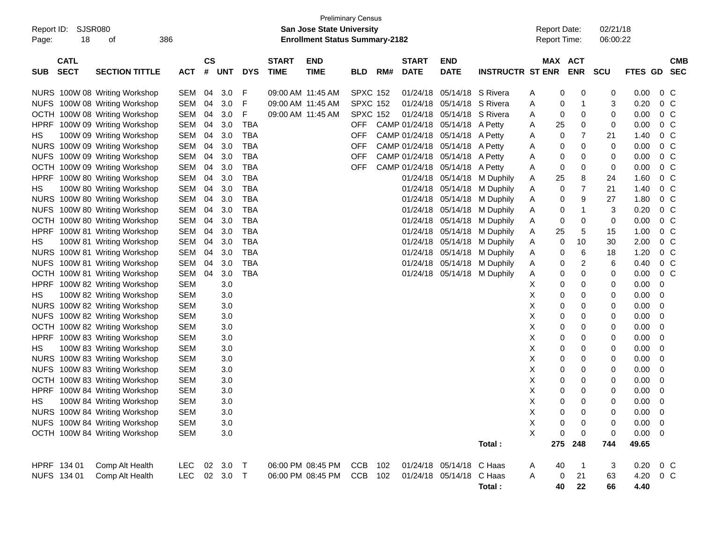| Report ID:<br>Page: | 18                         | <b>SJSR080</b><br>386<br>οf   |            |                |            |            |                             | <b>San Jose State University</b><br><b>Enrollment Status Summary-2182</b> | <b>Preliminary Census</b> |     |                             |                                |                             | <b>Report Date:</b><br>Report Time: |                       | 02/21/18<br>06:00:22 |             |                          |            |
|---------------------|----------------------------|-------------------------------|------------|----------------|------------|------------|-----------------------------|---------------------------------------------------------------------------|---------------------------|-----|-----------------------------|--------------------------------|-----------------------------|-------------------------------------|-----------------------|----------------------|-------------|--------------------------|------------|
| <b>SUB</b>          | <b>CATL</b><br><b>SECT</b> | <b>SECTION TITTLE</b>         | <b>ACT</b> | <b>CS</b><br># | <b>UNT</b> | <b>DYS</b> | <b>START</b><br><b>TIME</b> | <b>END</b><br><b>TIME</b>                                                 | <b>BLD</b>                | RM# | <b>START</b><br><b>DATE</b> | <b>END</b><br><b>DATE</b>      | <b>INSTRUCTR ST ENR</b>     |                                     | MAX ACT<br><b>ENR</b> | <b>SCU</b>           | FTES GD     | <b>SEC</b>               | <b>CMB</b> |
|                     |                            | NURS 100W 08 Writing Workshop | SEM        | 04             | 3.0        | F          | 09:00 AM 11:45 AM           |                                                                           | <b>SPXC 152</b>           |     |                             | 01/24/18 05/14/18 S Rivera     |                             | A                                   | 0<br>0                | 0                    | 0.00        | 0 C                      |            |
|                     |                            | NUFS 100W 08 Writing Workshop | SEM        | 04             | 3.0        | F          | 09:00 AM 11:45 AM           |                                                                           | <b>SPXC 152</b>           |     | 01/24/18                    | 05/14/18 S Rivera              |                             | 0<br>Α                              | -1                    | 3                    | 0.20        | $0\,$ C                  |            |
|                     |                            | OCTH 100W 08 Writing Workshop | SEM        | 04             | 3.0        | F          | 09:00 AM 11:45 AM           |                                                                           | <b>SPXC 152</b>           |     |                             | 01/24/18 05/14/18 S Rivera     |                             | 0<br>A                              | 0                     | 0                    | 0.00        | $0\,$ C                  |            |
| <b>HPRF</b>         |                            | 100W 09 Writing Workshop      | SEM        | 04             | 3.0        | TBA        |                             |                                                                           | OFF                       |     |                             | CAMP 01/24/18 05/14/18 A Petty |                             | A<br>25                             | 0                     | 0                    | 0.00        | 0 <sup>o</sup>           |            |
| HS.                 |                            | 100W 09 Writing Workshop      | SEM        | 04             | 3.0        | TBA        |                             |                                                                           | <b>OFF</b>                |     |                             | CAMP 01/24/18 05/14/18 A Petty |                             | Α                                   | 0<br>7                | 21                   | 1.40        | $0\,$ C                  |            |
|                     |                            | NURS 100W 09 Writing Workshop | SEM        | 04             | 3.0        | TBA        |                             |                                                                           | <b>OFF</b>                |     |                             | CAMP 01/24/18 05/14/18 A Petty |                             | 0<br>Α                              | 0                     | 0                    | 0.00        | 0 <sup>o</sup>           |            |
|                     |                            | NUFS 100W 09 Writing Workshop | SEM        | 04             | 3.0        | TBA        |                             |                                                                           | <b>OFF</b>                |     |                             | CAMP 01/24/18 05/14/18 A Petty |                             | 0<br>Α                              | 0                     | 0                    | 0.00        | 0 <sup>o</sup>           |            |
|                     |                            | OCTH 100W 09 Writing Workshop | SEM        | 04             | 3.0        | TBA        |                             |                                                                           | OFF                       |     |                             | CAMP 01/24/18 05/14/18 A Petty |                             | 0<br>A                              | 0                     | 0                    | 0.00        | 0 <sup>o</sup>           |            |
| <b>HPRF</b>         |                            | 100W 80 Writing Workshop      | SEM        | 04             | 3.0        | TBA        |                             |                                                                           |                           |     |                             |                                | 01/24/18 05/14/18 M Duphily | A<br>25                             | 8                     | 24                   | 1.60        | 0 <sup>o</sup>           |            |
| HS.                 |                            | 100W 80 Writing Workshop      | SEM        | 04             | 3.0        | TBA        |                             |                                                                           |                           |     |                             |                                | 01/24/18 05/14/18 M Duphily | A                                   | 7<br>0                | 21                   | 1.40        | 0 <sup>o</sup>           |            |
|                     |                            | NURS 100W 80 Writing Workshop | SEM        | 04             | 3.0        | TBA        |                             |                                                                           |                           |     |                             |                                | 01/24/18 05/14/18 M Duphily | 0<br>A                              | 9                     | 27                   | 1.80        | 0 <sup>o</sup>           |            |
|                     |                            | NUFS 100W 80 Writing Workshop | SEM        | 04             | 3.0        | TBA        |                             |                                                                           |                           |     |                             |                                | 01/24/18 05/14/18 M Duphily | 0<br>A                              | 1                     | 3                    | 0.20        | 0 C                      |            |
|                     |                            | OCTH 100W 80 Writing Workshop | SEM        | 04             | 3.0        | TBA        |                             |                                                                           |                           |     |                             |                                | 01/24/18 05/14/18 M Duphily | 0<br>A                              | 0                     | 0                    | 0.00        | 0 <sup>o</sup>           |            |
| <b>HPRF</b>         |                            | 100W 81 Writing Workshop      | SEM        | 04             | 3.0        | TBA        |                             |                                                                           |                           |     |                             |                                | 01/24/18 05/14/18 M Duphily | 25<br>A                             | 5                     | 15                   | 1.00        | 0 <sup>o</sup>           |            |
| HS.                 |                            | 100W 81 Writing Workshop      | SEM        | 04             | 3.0        | TBA        |                             |                                                                           |                           |     |                             |                                | 01/24/18 05/14/18 M Duphily | 0<br>A                              | 10                    | 30                   | 2.00        | 0 <sup>o</sup>           |            |
|                     |                            | NURS 100W 81 Writing Workshop | SEM        | 04             | 3.0        | TBA        |                             |                                                                           |                           |     |                             |                                | 01/24/18 05/14/18 M Duphily | 0<br>A                              | 6                     | 18                   | 1.20        | 0 C                      |            |
|                     |                            | NUFS 100W 81 Writing Workshop | SEM        | 04             | 3.0        | TBA        |                             |                                                                           |                           |     |                             |                                | 01/24/18 05/14/18 M Duphily | 0<br>A                              | 2                     | 6                    | 0.40        | 0 C                      |            |
|                     |                            | OCTH 100W 81 Writing Workshop | <b>SEM</b> | 04             | 3.0        | TBA        |                             |                                                                           |                           |     |                             |                                | 01/24/18 05/14/18 M Duphily | 0<br>A                              | 0                     | 0                    | 0.00        | $0\,$ C                  |            |
| <b>HPRF</b>         |                            | 100W 82 Writing Workshop      | SEM        |                | 3.0        |            |                             |                                                                           |                           |     |                             |                                |                             | х<br>0                              | 0                     | 0                    | 0.00        | 0                        |            |
| HS.                 |                            | 100W 82 Writing Workshop      | SEM        |                | 3.0        |            |                             |                                                                           |                           |     |                             |                                |                             | Χ<br>0                              | 0                     | 0                    | 0.00        | -0                       |            |
|                     |                            | NURS 100W 82 Writing Workshop | SEM        |                | 3.0        |            |                             |                                                                           |                           |     |                             |                                |                             | Χ<br>0                              | 0                     | 0                    | 0.00        | -0                       |            |
|                     |                            | NUFS 100W 82 Writing Workshop | SEM        |                | 3.0        |            |                             |                                                                           |                           |     |                             |                                |                             | Χ<br>0                              | 0                     | 0                    | 0.00        | - 0                      |            |
|                     |                            | OCTH 100W 82 Writing Workshop | SEM        |                | 3.0        |            |                             |                                                                           |                           |     |                             |                                |                             | Χ<br>0                              | 0                     | 0                    | 0.00        | -0                       |            |
| <b>HPRF</b>         |                            | 100W 83 Writing Workshop      | SEM        |                | 3.0        |            |                             |                                                                           |                           |     |                             |                                |                             | Χ<br>0                              | 0                     | 0                    | 0.00        | -0                       |            |
| HS.                 |                            | 100W 83 Writing Workshop      | SEM        |                | 3.0        |            |                             |                                                                           |                           |     |                             |                                |                             | Χ<br>0                              | 0                     | 0                    | 0.00        | -0                       |            |
|                     |                            | NURS 100W 83 Writing Workshop | SEM        |                | 3.0        |            |                             |                                                                           |                           |     |                             |                                |                             | Χ<br>0                              | 0                     | 0                    | 0.00        | -0                       |            |
|                     |                            | NUFS 100W 83 Writing Workshop | SEM        |                | 3.0        |            |                             |                                                                           |                           |     |                             |                                |                             | Χ<br>0                              | 0                     | 0                    | 0.00        | -0                       |            |
|                     |                            | OCTH 100W 83 Writing Workshop | SEM        |                | 3.0        |            |                             |                                                                           |                           |     |                             |                                |                             | Χ                                   | 0<br>0                | 0                    | 0.00        | -0                       |            |
| <b>HPRF</b>         |                            | 100W 84 Writing Workshop      | SEM        |                | 3.0        |            |                             |                                                                           |                           |     |                             |                                |                             | Χ<br>0                              | 0                     | 0                    | 0.00        | 0                        |            |
| <b>HS</b>           |                            | 100W 84 Writing Workshop      | SEM        |                | 3.0        |            |                             |                                                                           |                           |     |                             |                                |                             | X<br>$\overline{0}$                 | 0                     | 0                    | 0.00        | - 0                      |            |
|                     |                            | NURS 100W 84 Writing Workshop | <b>SEM</b> |                | 3.0        |            |                             |                                                                           |                           |     |                             |                                |                             | х                                   | 0<br>0                | 0                    | 0.00        | $\overline{\phantom{0}}$ |            |
|                     |                            | NUFS 100W 84 Writing Workshop | <b>SEM</b> |                | 3.0        |            |                             |                                                                           |                           |     |                             |                                |                             | Χ                                   | 0<br>0                | 0                    | $0.00 \t 0$ |                          |            |
|                     |                            | OCTH 100W 84 Writing Workshop | <b>SEM</b> |                | 3.0        |            |                             |                                                                           |                           |     |                             |                                |                             | X                                   | 0<br>0                | 0                    | $0.00 \t 0$ |                          |            |
|                     |                            |                               |            |                |            |            |                             |                                                                           |                           |     |                             |                                | Total:                      | 275                                 | 248                   | 744                  | 49.65       |                          |            |
| HPRF 134 01         |                            | Comp Alt Health               | <b>LEC</b> |                | 02 3.0 T   |            |                             | 06:00 PM 08:45 PM                                                         | <b>CCB</b>                | 102 |                             | 01/24/18 05/14/18 C Haas       |                             | 40<br>A                             | $\mathbf 1$           | 3                    | 0.20        | $0\,$ C                  |            |
|                     | NUFS 134 01                | Comp Alt Health               | <b>LEC</b> |                | 02 3.0 T   |            |                             | 06:00 PM 08:45 PM                                                         | <b>CCB</b>                | 102 |                             | 01/24/18 05/14/18 C Haas       |                             | 0<br>Α                              | 21                    | 63                   | 4.20        | $0\,C$                   |            |
|                     |                            |                               |            |                |            |            |                             |                                                                           |                           |     |                             |                                | Total:                      | 40                                  | 22                    | 66                   | 4.40        |                          |            |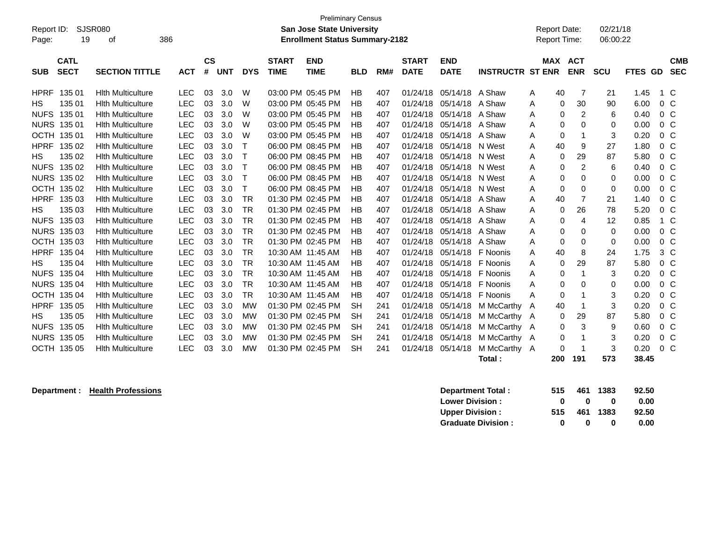| Report ID:<br>Page: | <b>SJSR080</b><br>19       | 386<br>οf                |            |                             |            |            |                             | <b>Preliminary Census</b><br><b>San Jose State University</b><br><b>Enrollment Status Summary-2182</b> |            |     |                             |                           |                         | <b>Report Date:</b><br><b>Report Time:</b> |             |                          | 02/21/18<br>06:00:22 |         |                |                          |
|---------------------|----------------------------|--------------------------|------------|-----------------------------|------------|------------|-----------------------------|--------------------------------------------------------------------------------------------------------|------------|-----|-----------------------------|---------------------------|-------------------------|--------------------------------------------|-------------|--------------------------|----------------------|---------|----------------|--------------------------|
| <b>SUB</b>          | <b>CATL</b><br><b>SECT</b> | <b>SECTION TITTLE</b>    | <b>ACT</b> | $\mathbf{c}\mathbf{s}$<br># | <b>UNT</b> | <b>DYS</b> | <b>START</b><br><b>TIME</b> | <b>END</b><br><b>TIME</b>                                                                              | <b>BLD</b> | RM# | <b>START</b><br><b>DATE</b> | <b>END</b><br><b>DATE</b> | <b>INSTRUCTR ST ENR</b> | <b>MAX</b>                                 |             | <b>ACT</b><br><b>ENR</b> | <b>SCU</b>           | FTES GD |                | <b>CMB</b><br><b>SEC</b> |
| <b>HPRF</b>         | 135 01                     | <b>Hith Multiculture</b> | <b>LEC</b> | 03                          | 3.0        | W          |                             | 03:00 PM 05:45 PM                                                                                      | HB         | 407 | 01/24/18                    | 05/14/18                  | A Shaw                  | Α                                          | 40          | 7                        | 21                   | 1.45    | 1 C            |                          |
| НS                  | 135 01                     | <b>Hith Multiculture</b> | <b>LEC</b> | 03                          | 3.0        | W          |                             | 03:00 PM 05:45 PM                                                                                      | <b>HB</b>  | 407 | 01/24/18                    | 05/14/18                  | A Shaw                  | Α                                          | 0           | 30                       | 90                   | 6.00    | 0 <sup>o</sup> |                          |
| <b>NUFS</b>         | 135 01                     | <b>Hith Multiculture</b> | <b>LEC</b> | 03                          | 3.0        | W          |                             | 03:00 PM 05:45 PM                                                                                      | HB         | 407 | 01/24/18                    | 05/14/18                  | A Shaw                  | Α                                          | 0           | $\overline{c}$           | 6                    | 0.40    | 0 <sup>C</sup> |                          |
| <b>NURS</b>         | 135 01                     | <b>Hlth Multiculture</b> | <b>LEC</b> | 03                          | 3.0        | W          |                             | 03:00 PM 05:45 PM                                                                                      | <b>HB</b>  | 407 | 01/24/18                    | 05/14/18                  | A Shaw                  | A                                          | 0           | 0                        | 0                    | 0.00    | 0 <sup>o</sup> |                          |
| <b>OCTH</b>         | 135 01                     | <b>Hith Multiculture</b> | <b>LEC</b> | 03                          | 3.0        | W          |                             | 03:00 PM 05:45 PM                                                                                      | <b>HB</b>  | 407 | 01/24/18                    | 05/14/18                  | A Shaw                  | A                                          | 0           | 1                        | 3                    | 0.20    | 0 <sup>o</sup> |                          |
| <b>HPRF</b>         | 135 02                     | <b>Hith Multiculture</b> | <b>LEC</b> | 03                          | 3.0        | т          |                             | 06:00 PM 08:45 PM                                                                                      | <b>HB</b>  | 407 | 01/24/18                    | 05/14/18                  | N West                  | A                                          | 40          | 9                        | 27                   | 1.80    | 0 <sup>o</sup> |                          |
| HS                  | 135 02                     | <b>Hith Multiculture</b> | <b>LEC</b> | 03                          | 3.0        | т          |                             | 06:00 PM 08:45 PM                                                                                      | <b>HB</b>  | 407 | 01/24/18                    | 05/14/18                  | N West                  | A                                          | $\mathbf 0$ | 29                       | 87                   | 5.80    | 0 <sup>o</sup> |                          |
| <b>NUFS</b>         | 135 02                     | <b>Hith Multiculture</b> | <b>LEC</b> | 03                          | 3.0        | T          |                             | 06:00 PM 08:45 PM                                                                                      | <b>HB</b>  | 407 | 01/24/18                    | 05/14/18                  | N West                  | A                                          | 0           | $\overline{2}$           | 6                    | 0.40    | 0 <sup>o</sup> |                          |
| <b>NURS</b>         | 135 02                     | <b>Hith Multiculture</b> | <b>LEC</b> | 03                          | 3.0        | Т          |                             | 06:00 PM 08:45 PM                                                                                      | <b>HB</b>  | 407 | 01/24/18                    | 05/14/18                  | N West                  | Α                                          | $\mathbf 0$ | $\mathbf 0$              | 0                    | 0.00    | 0 <sup>o</sup> |                          |
| <b>OCTH</b>         | 135 02                     | <b>Hith Multiculture</b> | <b>LEC</b> | 03                          | 3.0        | Т          |                             | 06:00 PM 08:45 PM                                                                                      | HB         | 407 | 01/24/18                    | 05/14/18                  | N West                  | A                                          | $\mathbf 0$ | 0                        | 0                    | 0.00    | 0 <sup>o</sup> |                          |
| <b>HPRF</b>         | 135 03                     | <b>Hith Multiculture</b> | <b>LEC</b> | 03                          | 3.0        | <b>TR</b>  |                             | 01:30 PM 02:45 PM                                                                                      | <b>HB</b>  | 407 | 01/24/18                    | 05/14/18                  | A Shaw                  | Α                                          | 40          | $\overline{7}$           | 21                   | 1.40    | 0 <sup>o</sup> |                          |
| HS                  | 135 03                     | <b>Hith Multiculture</b> | <b>LEC</b> | 03                          | 3.0        | <b>TR</b>  |                             | 01:30 PM 02:45 PM                                                                                      | <b>HB</b>  | 407 | 01/24/18                    | 05/14/18                  | A Shaw                  | Α                                          | 0           | 26                       | 78                   | 5.20    | $0\,C$         |                          |
| <b>NUFS</b>         | 135 03                     | <b>Hlth Multiculture</b> | <b>LEC</b> | 03                          | 3.0        | <b>TR</b>  |                             | 01:30 PM 02:45 PM                                                                                      | <b>HB</b>  | 407 | 01/24/18                    | 05/14/18                  | A Shaw                  | A                                          | 0           | 4                        | 12                   | 0.85    | $1\,C$         |                          |
| <b>NURS</b>         | 135 03                     | <b>Hith Multiculture</b> | <b>LEC</b> | 03                          | 3.0        | <b>TR</b>  |                             | 01:30 PM 02:45 PM                                                                                      | <b>HB</b>  | 407 | 01/24/18                    | 05/14/18                  | A Shaw                  | Α                                          | $\mathbf 0$ | $\mathbf 0$              | 0                    | 0.00    | 0 <sup>o</sup> |                          |
| <b>OCTH</b>         | 135 03                     | <b>Hith Multiculture</b> | <b>LEC</b> | 03                          | 3.0        | <b>TR</b>  |                             | 01:30 PM 02:45 PM                                                                                      | <b>HB</b>  | 407 | 01/24/18                    | 05/14/18                  | A Shaw                  | A                                          | $\mathbf 0$ | 0                        | 0                    | 0.00    | 0 <sup>o</sup> |                          |
| <b>HPRF</b>         | 135 04                     | <b>Hith Multiculture</b> | <b>LEC</b> | 03                          | 3.0        | <b>TR</b>  |                             | 10:30 AM 11:45 AM                                                                                      | <b>HB</b>  | 407 | 01/24/18                    | 05/14/18                  | F Noonis                | A                                          | 40          | 8                        | 24                   | 1.75    | 3 <sup>C</sup> |                          |
| <b>HS</b>           | 135 04                     | <b>Hith Multiculture</b> | <b>LEC</b> | 03                          | 3.0        | <b>TR</b>  |                             | 10:30 AM 11:45 AM                                                                                      | <b>HB</b>  | 407 | 01/24/18                    | 05/14/18                  | F Noonis                | A                                          | 0           | 29                       | 87                   | 5.80    | 0 <sup>o</sup> |                          |
| <b>NUFS</b>         | 135 04                     | <b>Hith Multiculture</b> | <b>LEC</b> | 03                          | 3.0        | <b>TR</b>  |                             | 10:30 AM 11:45 AM                                                                                      | <b>HB</b>  | 407 | 01/24/18                    | 05/14/18                  | F Noonis                | Α                                          | $\Omega$    | 1                        | 3                    | 0.20    | 0 <sup>o</sup> |                          |
| <b>NURS</b>         | 135 04                     | <b>Hith Multiculture</b> | <b>LEC</b> | 03                          | 3.0        | <b>TR</b>  |                             | 10:30 AM 11:45 AM                                                                                      | HB         | 407 | 01/24/18                    | 05/14/18                  | F Noonis                | Α                                          | 0           | 0                        | 0                    | 0.00    | 0 <sup>o</sup> |                          |
| <b>OCTH</b>         | 135 04                     | <b>Hith Multiculture</b> | <b>LEC</b> | 03                          | 3.0        | <b>TR</b>  |                             | 10:30 AM 11:45 AM                                                                                      | <b>HB</b>  | 407 | 01/24/18                    | 05/14/18                  | F Noonis                | Α                                          | 0           | -1                       | 3                    | 0.20    | 0 <sup>o</sup> |                          |
| <b>HPRF</b>         | 135 05                     | <b>Hith Multiculture</b> | <b>LEC</b> | 03                          | 3.0        | <b>MW</b>  |                             | 01:30 PM 02:45 PM                                                                                      | <b>SH</b>  | 241 | 01/24/18                    | 05/14/18                  | M McCarthy              | A                                          | 40          | 1                        | 3                    | 0.20    | $0\,C$         |                          |
| <b>HS</b>           | 135 05                     | <b>Hlth Multiculture</b> | <b>LEC</b> | 03                          | 3.0        | MW         |                             | 01:30 PM 02:45 PM                                                                                      | <b>SH</b>  | 241 | 01/24/18                    | 05/14/18                  | M McCarthy A            |                                            | 0           | 29                       | 87                   | 5.80    | 0 <sup>o</sup> |                          |
| <b>NUFS</b>         | 135 05                     | <b>Hith Multiculture</b> | <b>LEC</b> | 03                          | 3.0        | MW         |                             | 01:30 PM 02:45 PM                                                                                      | <b>SH</b>  | 241 | 01/24/18                    | 05/14/18                  | M McCarthy A            |                                            | 0           | 3                        | 9                    | 0.60    | 0 <sup>o</sup> |                          |
| <b>NURS</b>         | 135 05                     | <b>Hlth Multiculture</b> | <b>LEC</b> | 03                          | 3.0        | MW         |                             | 01:30 PM 02:45 PM                                                                                      | <b>SH</b>  | 241 | 01/24/18                    | 05/14/18                  | M McCarthy A            |                                            | 0           | 1                        | 3                    | 0.20    | $0\,C$         |                          |
|                     | OCTH 135 05                | <b>Hith Multiculture</b> | <b>LEC</b> | 03                          | 3.0        | MW         |                             | 01:30 PM 02:45 PM                                                                                      | <b>SH</b>  | 241 | 01/24/18                    | 05/14/18                  | M McCarthy A            |                                            | 0           | 1                        | 3                    | 0.20    | 0 <sup>o</sup> |                          |
|                     |                            |                          |            |                             |            |            |                             |                                                                                                        |            |     |                             |                           | Total:                  |                                            | 200         | 191                      | 573                  | 38.45   |                |                          |

**Department : Health Professions 32.50**<br> **Department Total : 515 461 1383 92.50 Lower Division :**  $\begin{array}{cccc} 0 & 0 & 0 & 0.00 \\ \text{Upper Division:} & 515 & 461 & 1383 & 92.50 \end{array}$ **Upper Division : 515 461 1383 92.50 Graduate Division : 0 0 0 0.00**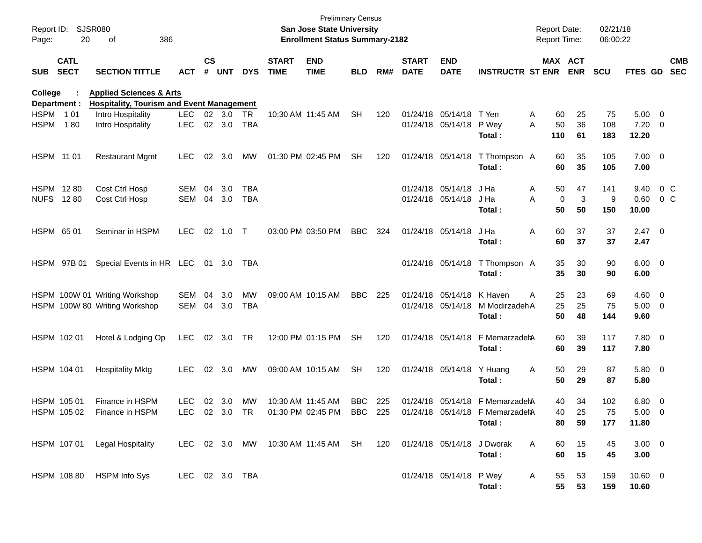| Page:                    | Report ID: SJSR080<br>20   | 386<br>οf                                                             |                |                    |            |            |                             | <b>Preliminary Census</b><br>San Jose State University<br><b>Enrollment Status Summary-2182</b> |            |     |                             |                           |                                            |   | <b>Report Date:</b><br><b>Report Time:</b> |                       | 02/21/18<br>06:00:22 |                        |        |                          |
|--------------------------|----------------------------|-----------------------------------------------------------------------|----------------|--------------------|------------|------------|-----------------------------|-------------------------------------------------------------------------------------------------|------------|-----|-----------------------------|---------------------------|--------------------------------------------|---|--------------------------------------------|-----------------------|----------------------|------------------------|--------|--------------------------|
| <b>SUB</b>               | <b>CATL</b><br><b>SECT</b> | <b>SECTION TITTLE</b>                                                 | <b>ACT</b>     | $\mathsf{cs}$<br># | <b>UNT</b> | <b>DYS</b> | <b>START</b><br><b>TIME</b> | <b>END</b><br><b>TIME</b>                                                                       | <b>BLD</b> | RM# | <b>START</b><br><b>DATE</b> | <b>END</b><br><b>DATE</b> | <b>INSTRUCTR ST ENR</b>                    |   |                                            | MAX ACT<br><b>ENR</b> | <b>SCU</b>           | FTES GD                |        | <b>CMB</b><br><b>SEC</b> |
| College                  |                            | <b>Applied Sciences &amp; Arts</b>                                    |                |                    |            |            |                             |                                                                                                 |            |     |                             |                           |                                            |   |                                            |                       |                      |                        |        |                          |
| Department :<br>HSPM 101 |                            | <b>Hospitality, Tourism and Event Management</b><br>Intro Hospitality | <b>LEC</b>     |                    | 02 3.0     | TR         | 10:30 AM 11:45 AM           |                                                                                                 | <b>SH</b>  | 120 |                             | 01/24/18 05/14/18         | T Yen                                      | A | 60                                         | 25                    | 75                   | $5.00 \t 0$            |        |                          |
| <b>HSPM</b>              | 180                        | Intro Hospitality                                                     | <b>LEC</b>     |                    | 02 3.0     | <b>TBA</b> |                             |                                                                                                 |            |     |                             | 01/24/18 05/14/18 P Wey   | Total :                                    | A | 50<br>110                                  | 36<br>61              | 108<br>183           | $7.20 \ 0$<br>12.20    |        |                          |
| HSPM 11 01               |                            | <b>Restaurant Mgmt</b>                                                | <b>LEC</b>     | 02                 | 3.0        | МW         | 01:30 PM 02:45 PM           |                                                                                                 | <b>SH</b>  | 120 |                             |                           | 01/24/18 05/14/18 T Thompson A<br>Total :  |   | 60<br>60                                   | 35<br>35              | 105<br>105           | $7.00 \t 0$<br>7.00    |        |                          |
| HSPM 1280                |                            | Cost Ctrl Hosp                                                        | <b>SEM</b>     | 04                 | 3.0        | TBA        |                             |                                                                                                 |            |     |                             | 01/24/18 05/14/18         | J Ha                                       | A | 50                                         | 47                    | 141                  | 9.40                   | $0\,C$ |                          |
| <b>NUFS 1280</b>         |                            | Cost Ctrl Hosp                                                        | SEM            | 04                 | 3.0        | <b>TBA</b> |                             |                                                                                                 |            |     |                             | 01/24/18 05/14/18         | J Ha<br>Total :                            | A | $\mathbf 0$<br>50                          | 3<br>50               | 9<br>150             | 0.60<br>10.00          | $0\,C$ |                          |
| HSPM 65 01               |                            | Seminar in HSPM                                                       | <b>LEC</b>     | 02                 | 1.0 T      |            | 03:00 PM 03:50 PM           |                                                                                                 | <b>BBC</b> | 324 |                             | 01/24/18 05/14/18         | J Ha<br>Total :                            | Α | 60<br>60                                   | 37<br>37              | 37<br>37             | $2.47 \quad 0$<br>2.47 |        |                          |
|                          | HSPM 97B 01                | Special Events in HR LEC 01 3.0                                       |                |                    |            | TBA        |                             |                                                                                                 |            |     |                             |                           | 01/24/18 05/14/18 T Thompson A<br>Total:   |   | 35<br>35                                   | 30<br>30              | 90<br>90             | $6.00 \quad 0$<br>6.00 |        |                          |
|                          |                            | HSPM 100W 01 Writing Workshop                                         | SEM            | 04                 | 3.0        | <b>MW</b>  |                             | 09:00 AM 10:15 AM                                                                               | <b>BBC</b> | 225 |                             | 01/24/18 05/14/18         | K Haven                                    | A | 25                                         | 23                    | 69                   | $4.60$ 0               |        |                          |
|                          |                            | HSPM 100W 80 Writing Workshop                                         | SEM 04         |                    | 3.0        | <b>TBA</b> |                             |                                                                                                 |            |     |                             |                           | 01/24/18 05/14/18 M ModirzadehA            |   | 25                                         | 25                    | 75                   | $5.00 \t 0$            |        |                          |
|                          |                            |                                                                       |                |                    |            |            |                             |                                                                                                 |            |     |                             |                           | Total:                                     |   | 50                                         | 48                    | 144                  | 9.60                   |        |                          |
| HSPM 102 01              |                            | Hotel & Lodging Op                                                    | <b>LEC</b>     |                    | 02 3.0     | TR         |                             | 12:00 PM 01:15 PM                                                                               | <b>SH</b>  | 120 |                             |                           | 01/24/18 05/14/18 F MemarzadehA<br>Total : |   | 60<br>60                                   | 39<br>39              | 117<br>117           | 7.80 0<br>7.80         |        |                          |
| HSPM 104 01              |                            | <b>Hospitality Mktg</b>                                               | <b>LEC</b>     |                    | 02 3.0     | МW         |                             | 09:00 AM 10:15 AM                                                                               | <b>SH</b>  | 120 |                             | 01/24/18 05/14/18 Y Huang | Total:                                     | Α | 50<br>50                                   | 29<br>29              | 87<br>87             | 5.80 0<br>5.80         |        |                          |
| HSPM 105 01              |                            | Finance in HSPM                                                       | <b>LEC</b>     |                    | 02 3.0     | <b>MW</b>  | 10:30 AM 11:45 AM           |                                                                                                 | <b>BBC</b> | 225 |                             |                           | 01/24/18 05/14/18 F MemarzadehA            |   | 40                                         | 34                    | 102                  | 6.80 0                 |        |                          |
|                          | HSPM 105 02                | Finance in HSPM                                                       | LEC            |                    | 02 3.0 TR  |            |                             | 01:30 PM 02:45 PM                                                                               | BBC 225    |     |                             |                           | 01/24/18 05/14/18 F MemarzadetA            |   | 40                                         | 25                    | 75                   | $5.00 \t 0$            |        |                          |
|                          |                            |                                                                       |                |                    |            |            |                             |                                                                                                 |            |     |                             |                           | Total:                                     |   | 80                                         | 59                    | 177                  | 11.80                  |        |                          |
|                          |                            | HSPM 107 01 Legal Hospitality                                         |                |                    |            |            |                             | LEC 02 3.0 MW 10:30 AM 11:45 AM SH 120 01/24/18 05/14/18 J Dworak                               |            |     |                             |                           | Total:                                     | A | 60<br>60                                   | 15<br>15              | 45<br>45             | $3.00 \ 0$<br>3.00     |        |                          |
|                          |                            | HSPM 108 80 HSPM Info Sys                                             | LEC 02 3.0 TBA |                    |            |            |                             |                                                                                                 |            |     |                             | 01/24/18 05/14/18 P Wey   | Total:                                     | A | 55<br>55                                   | 53<br>53              | 159<br>159           | 10.60 0<br>10.60       |        |                          |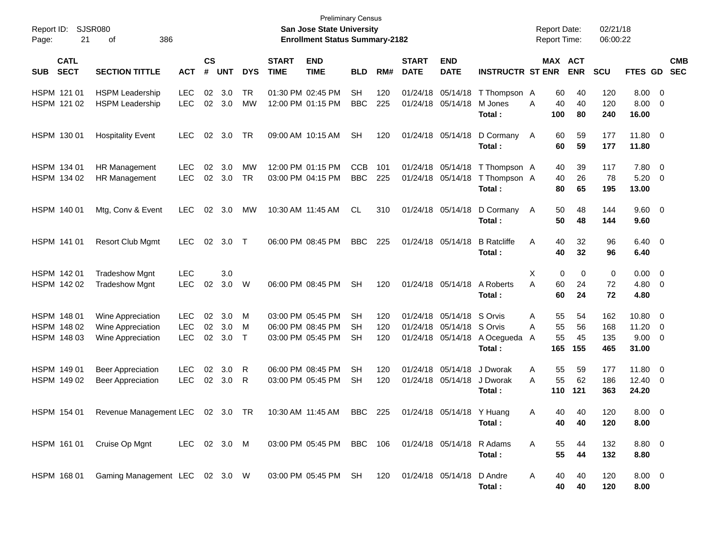| <b>SJSR080</b><br>Report ID:<br>21<br>Page: |                                                             |                                        |                    |                   |                  | <b>Preliminary Census</b><br>San Jose State University<br><b>Enrollment Status Summary-2182</b> |                                                             |                          |                   |                             |                                                                     |                                        | <b>Report Date:</b><br>Report Time: |                       | 02/21/18<br>06:00:22  |                          |                                 |                                              |                          |
|---------------------------------------------|-------------------------------------------------------------|----------------------------------------|--------------------|-------------------|------------------|-------------------------------------------------------------------------------------------------|-------------------------------------------------------------|--------------------------|-------------------|-----------------------------|---------------------------------------------------------------------|----------------------------------------|-------------------------------------|-----------------------|-----------------------|--------------------------|---------------------------------|----------------------------------------------|--------------------------|
| <b>CATL</b><br><b>SECT</b><br><b>SUB</b>    | <b>SECTION TITTLE</b>                                       | <b>ACT</b>                             | $\mathsf{cs}$<br># | <b>UNT</b>        | <b>DYS</b>       | <b>START</b><br><b>TIME</b>                                                                     | <b>END</b><br><b>TIME</b>                                   | <b>BLD</b>               | RM#               | <b>START</b><br><b>DATE</b> | <b>END</b><br><b>DATE</b>                                           | <b>INSTRUCTR ST ENR</b>                |                                     |                       | MAX ACT<br><b>ENR</b> | SCU                      | <b>FTES GD</b>                  |                                              | <b>CMB</b><br><b>SEC</b> |
| HSPM 121 01<br>HSPM 121 02                  | <b>HSPM Leadership</b><br><b>HSPM Leadership</b>            | <b>LEC</b><br><b>LEC</b>               | 02                 | 3.0<br>02 3.0     | TR<br>МW         |                                                                                                 | 01:30 PM 02:45 PM<br>12:00 PM 01:15 PM                      | <b>SH</b><br><b>BBC</b>  | 120<br>225        |                             | 01/24/18 05/14/18<br>01/24/18 05/14/18                              | T Thompson A<br>M Jones<br>Total:      | A                                   | 60<br>40<br>100       | 40<br>40<br>80        | 120<br>120<br>240        | 8.00<br>8.00<br>16.00           | $\overline{\mathbf{0}}$<br>$\overline{0}$    |                          |
| HSPM 130 01                                 | <b>Hospitality Event</b>                                    | <b>LEC</b>                             | 02                 | 3.0               | TR               |                                                                                                 | 09:00 AM 10:15 AM                                           | <b>SH</b>                | 120               |                             | 01/24/18 05/14/18                                                   | D Cormany<br>Total:                    | A                                   | 60<br>60              | 59<br>59              | 177<br>177               | 11.80 0<br>11.80                |                                              |                          |
| HSPM 134 01<br>HSPM 134 02                  | HR Management<br>HR Management                              | <b>LEC</b><br><b>LEC</b>               | 02                 | 3.0<br>02 3.0     | МW<br><b>TR</b>  |                                                                                                 | 12:00 PM 01:15 PM<br>03:00 PM 04:15 PM                      | <b>CCB</b><br><b>BBC</b> | 101<br>225        |                             | 01/24/18 05/14/18<br>01/24/18 05/14/18                              | T Thompson A<br>T Thompson A<br>Total: |                                     | 40<br>40<br>80        | 39<br>26<br>65        | 117<br>78<br>195         | 7.80<br>5.20<br>13.00           | $\overline{0}$<br>$\mathbf 0$                |                          |
| HSPM 140 01                                 | Mtg, Conv & Event                                           | <b>LEC</b>                             | 02                 | 3.0               | MW               |                                                                                                 | 10:30 AM 11:45 AM                                           | CL.                      | 310               |                             | 01/24/18 05/14/18                                                   | D Cormany<br>Total:                    | A                                   | 50<br>50              | 48<br>48              | 144<br>144               | $9.60 \quad 0$<br>9.60          |                                              |                          |
| HSPM 141 01                                 | <b>Resort Club Mgmt</b>                                     | <b>LEC</b>                             | 02                 | 3.0               | $\top$           |                                                                                                 | 06:00 PM 08:45 PM                                           | <b>BBC</b>               | 225               |                             | 01/24/18 05/14/18                                                   | <b>B</b> Ratcliffe<br>Total:           | Α                                   | 40<br>40              | 32<br>32              | 96<br>96                 | 6.40 0<br>6.40                  |                                              |                          |
| HSPM 142 01<br>HSPM 142 02                  | <b>Tradeshow Mgnt</b><br><b>Tradeshow Mgnt</b>              | <b>LEC</b><br><b>LEC</b>               | 02                 | 3.0<br>3.0        | W                |                                                                                                 | 06:00 PM 08:45 PM                                           | <b>SH</b>                | 120               |                             | 01/24/18 05/14/18                                                   | A Roberts<br>Total:                    | X<br>A                              | 0<br>60<br>60         | 0<br>24<br>24         | 0<br>72<br>72            | 0.00<br>4.80<br>4.80            | $\overline{0}$<br>$\overline{0}$             |                          |
| HSPM 148 01<br>HSPM 148 02<br>HSPM 148 03   | Wine Appreciation<br>Wine Appreciation<br>Wine Appreciation | <b>LEC</b><br><b>LEC</b><br><b>LEC</b> | 02<br>02<br>02     | 3.0<br>3.0<br>3.0 | M<br>M<br>$\top$ |                                                                                                 | 03:00 PM 05:45 PM<br>06:00 PM 08:45 PM<br>03:00 PM 05:45 PM | SН<br>SН<br>SН           | 120<br>120<br>120 |                             | 01/24/18 05/14/18<br>01/24/18 05/14/18 S Orvis<br>01/24/18 05/14/18 | S Orvis<br>A Ocegueda<br>Total:        | Α<br>A<br>A                         | 55<br>55<br>55<br>165 | 54<br>56<br>45<br>155 | 162<br>168<br>135<br>465 | 10.80<br>11.20<br>9.00<br>31.00 | $\mathbf 0$<br>$\mathbf 0$<br>$\overline{0}$ |                          |
| HSPM 149 01<br>HSPM 149 02                  | <b>Beer Appreciation</b><br><b>Beer Appreciation</b>        | <b>LEC</b><br><b>LEC</b>               | 02                 | 3.0<br>02 3.0     | R<br>R           |                                                                                                 | 06:00 PM 08:45 PM<br>03:00 PM 05:45 PM                      | SН<br><b>SH</b>          | 120<br>120        |                             | 01/24/18 05/14/18<br>01/24/18 05/14/18                              | J Dworak<br>J Dworak<br>Total:         | Α<br>A                              | 55<br>55<br>110       | 59<br>62<br>121       | 177<br>186<br>363        | 11.80<br>12.40<br>24.20         | $\overline{0}$<br>$\overline{\mathbf{0}}$    |                          |
| HSPM 154 01                                 | Revenue Management LEC 02 3.0 TR                            |                                        |                    |                   |                  |                                                                                                 | 10:30 AM 11:45 AM BBC 225                                   |                          |                   |                             | 01/24/18 05/14/18 Y Huang                                           | Total:                                 | A                                   | 40.<br>40             | 40.<br>40             | 120<br>120               | $8.00 \t 0$<br>8.00             |                                              |                          |
| HSPM 161 01                                 | Cruise Op Mgnt                                              | LEC 02 3.0 M                           |                    |                   |                  |                                                                                                 | 03:00 PM 05:45 PM BBC 106 01/24/18 05/14/18                 |                          |                   |                             |                                                                     | R Adams<br>Total:                      | Α                                   | 55<br>55              | 44<br>44              | 132<br>132               | 8.80 0<br>8.80                  |                                              |                          |
| HSPM 168 01                                 | Gaming Management LEC 02 3.0 W 03:00 PM 05:45 PM SH         |                                        |                    |                   |                  |                                                                                                 |                                                             |                          |                   | 120 01/24/18 05/14/18       |                                                                     | D Andre<br>Total:                      | A                                   | 40<br>40              | 40<br>40              | 120<br>120               | $8.00 \t 0$<br>8.00             |                                              |                          |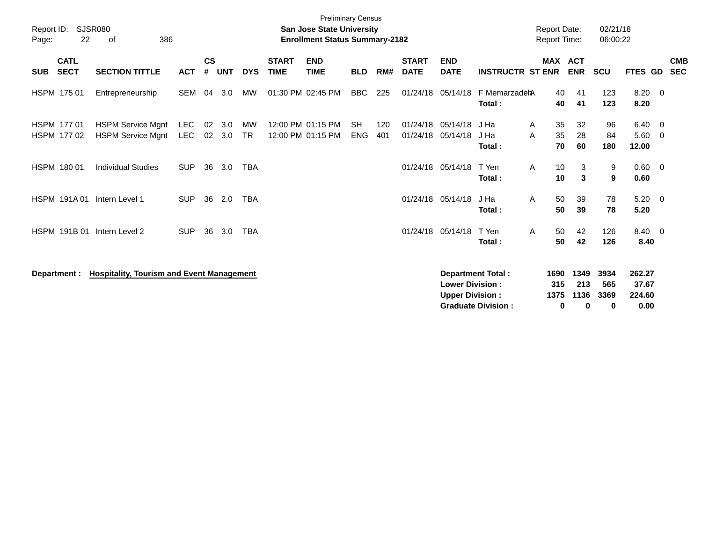| Report ID:<br>Page: | 22                         | <b>SJSR080</b><br>386<br>οf                          |                   |                    |            |                 |                             | <b>Preliminary Census</b><br><b>San Jose State University</b><br><b>Enrollment Status Summary-2182</b> |                         |            |                             |                                                  |                                                       | <b>Report Date:</b><br><b>Report Time:</b> |                          | 02/21/18<br>06:00:22     |                                   |     |                          |
|---------------------|----------------------------|------------------------------------------------------|-------------------|--------------------|------------|-----------------|-----------------------------|--------------------------------------------------------------------------------------------------------|-------------------------|------------|-----------------------------|--------------------------------------------------|-------------------------------------------------------|--------------------------------------------|--------------------------|--------------------------|-----------------------------------|-----|--------------------------|
| <b>SUB</b>          | <b>CATL</b><br><b>SECT</b> | <b>SECTION TITTLE</b>                                | <b>ACT</b>        | $\mathsf{cs}$<br># | <b>UNT</b> | <b>DYS</b>      | <b>START</b><br><b>TIME</b> | <b>END</b><br><b>TIME</b>                                                                              | <b>BLD</b>              | RM#        | <b>START</b><br><b>DATE</b> | <b>END</b><br><b>DATE</b>                        | <b>INSTRUCTR ST ENR</b>                               | <b>MAX</b>                                 | <b>ACT</b><br><b>ENR</b> | <b>SCU</b>               | FTES GD                           |     | <b>CMB</b><br><b>SEC</b> |
|                     | HSPM 175 01                | Entrepreneurship                                     | <b>SEM</b>        | 04                 | 3.0        | <b>MW</b>       |                             | 01:30 PM 02:45 PM                                                                                      | <b>BBC</b>              | 225        | 01/24/18                    | 05/14/18                                         | F MemarzadehA<br>Total:                               | 40<br>40                                   | 41<br>41                 | 123<br>123               | $8.20 \ 0$<br>8.20                |     |                          |
|                     | HSPM 177 01<br>HSPM 177 02 | <b>HSPM Service Mgnt</b><br><b>HSPM Service Mgnt</b> | LEC<br><b>LEC</b> | 02<br>02           | 3.0<br>3.0 | MW<br><b>TR</b> |                             | 12:00 PM 01:15 PM<br>12:00 PM 01:15 PM                                                                 | <b>SH</b><br><b>ENG</b> | 120<br>401 | 01/24/18<br>01/24/18        | 05/14/18<br>05/14/18                             | J Ha<br>A<br>A<br>J Ha<br>Total:                      | 35<br>35<br>70                             | 32<br>28<br>60           | 96<br>84<br>180          | 6.40 0<br>5.60<br>12.00           | - 0 |                          |
|                     | HSPM 180 01                | <b>Individual Studies</b>                            | <b>SUP</b>        | 36                 | 3.0        | <b>TBA</b>      |                             |                                                                                                        |                         |            | 01/24/18                    | 05/14/18                                         | T Yen<br>A<br>Total:                                  | 10<br>10                                   | 3<br>3                   | 9<br>9                   | $0.60 \quad 0$<br>0.60            |     |                          |
|                     | <b>HSPM 191A01</b>         | Intern Level 1                                       | <b>SUP</b>        | 36                 | 2.0        | <b>TBA</b>      |                             |                                                                                                        |                         |            | 01/24/18                    | 05/14/18                                         | J Ha<br>A<br>Total:                                   | 50<br>50                                   | 39<br>39                 | 78<br>78                 | $5.20 \ 0$<br>5.20                |     |                          |
|                     | HSPM 191B 01               | Intern Level 2                                       | <b>SUP</b>        | 36                 | 3.0        | <b>TBA</b>      |                             |                                                                                                        |                         |            | 01/24/18                    | 05/14/18                                         | T Yen<br>A<br>Total:                                  | 50<br>50                                   | 42<br>42                 | 126<br>126               | 8.40 0<br>8.40                    |     |                          |
|                     | Department :               | <b>Hospitality, Tourism and Event Management</b>     |                   |                    |            |                 |                             |                                                                                                        |                         |            |                             | <b>Lower Division:</b><br><b>Upper Division:</b> | <b>Department Total:</b><br><b>Graduate Division:</b> | 1690<br>315<br>1375<br>0                   | 1349<br>213<br>1136<br>0 | 3934<br>565<br>3369<br>0 | 262.27<br>37.67<br>224.60<br>0.00 |     |                          |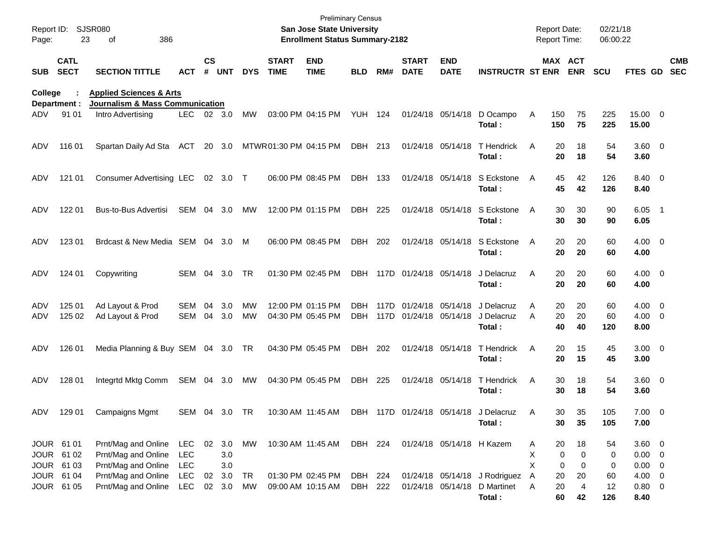| Report ID:<br>Page:                    | 23                         | <b>SJSR080</b><br>386<br>οf                                       |                                        |               |                      |                        |                             | <b>Preliminary Census</b><br>San Jose State University<br><b>Enrollment Status Summary-2182</b> |                    |              |                                        |                           |                                                                   |             | <b>Report Date:</b><br><b>Report Time:</b> |                               | 02/21/18<br>06:00:22 |                                      |                          |                          |
|----------------------------------------|----------------------------|-------------------------------------------------------------------|----------------------------------------|---------------|----------------------|------------------------|-----------------------------|-------------------------------------------------------------------------------------------------|--------------------|--------------|----------------------------------------|---------------------------|-------------------------------------------------------------------|-------------|--------------------------------------------|-------------------------------|----------------------|--------------------------------------|--------------------------|--------------------------|
| <b>SUB</b>                             | <b>CATL</b><br><b>SECT</b> | <b>SECTION TITTLE</b>                                             | ACT                                    | $\mathsf{cs}$ | # UNT                | <b>DYS</b>             | <b>START</b><br><b>TIME</b> | <b>END</b><br><b>TIME</b>                                                                       | <b>BLD</b>         | RM#          | <b>START</b><br><b>DATE</b>            | <b>END</b><br><b>DATE</b> | <b>INSTRUCTR ST ENR ENR</b>                                       |             | MAX ACT                                    |                               | <b>SCU</b>           | FTES GD                              |                          | <b>CMB</b><br><b>SEC</b> |
| College                                |                            | <b>Applied Sciences &amp; Arts</b>                                |                                        |               |                      |                        |                             |                                                                                                 |                    |              |                                        |                           |                                                                   |             |                                            |                               |                      |                                      |                          |                          |
| Department :<br>ADV                    | 91 01                      | <b>Journalism &amp; Mass Communication</b><br>Intro Advertising   | LEC.                                   |               | 02 3.0               | MW                     |                             | 03:00 PM 04:15 PM                                                                               | YUH 124            |              |                                        | 01/24/18 05/14/18         | D Ocampo<br>Total:                                                | Α           | 150<br>150                                 | 75<br>75                      | 225<br>225           | 15.00 0<br>15.00                     |                          |                          |
| ADV                                    | 116 01                     | Spartan Daily Ad Sta                                              | ACT                                    |               | 20 3.0               |                        | MTWR01:30 PM 04:15 PM       |                                                                                                 | DBH 213            |              |                                        | 01/24/18 05/14/18         | <b>T</b> Hendrick<br>Total:                                       | A           | 20<br>20                                   | 18<br>18                      | 54<br>54             | $3.60 \ 0$<br>3.60                   |                          |                          |
| ADV                                    | 121 01                     | <b>Consumer Advertising LEC</b>                                   |                                        |               | 02 3.0 T             |                        |                             | 06:00 PM 08:45 PM                                                                               | DBH 133            |              |                                        | 01/24/18 05/14/18         | S Eckstone<br>Total:                                              | A           | 45<br>45                                   | 42<br>42                      | 126<br>126           | 8.40 0<br>8.40                       |                          |                          |
| ADV.                                   | 122 01                     | <b>Bus-to-Bus Advertisi</b>                                       | SEM                                    | 04            | 3.0                  | MW                     |                             | 12:00 PM 01:15 PM                                                                               | DBH 225            |              |                                        | 01/24/18 05/14/18         | S Eckstone<br>Total:                                              | A           | 30<br>30                                   | 30<br>30                      | 90<br>90             | 6.05<br>6.05                         | - 1                      |                          |
| ADV                                    | 123 01                     | Brdcast & New Media SEM 04                                        |                                        |               | 3.0                  | M                      |                             | 06:00 PM 08:45 PM                                                                               | DBH                | 202          |                                        | 01/24/18 05/14/18         | S Eckstone<br>Total:                                              | A           | 20<br>20                                   | 20<br>20                      | 60<br>60             | $4.00 \ 0$<br>4.00                   |                          |                          |
| ADV                                    | 124 01                     | Copywriting                                                       | SEM 04                                 |               | 3.0                  | <b>TR</b>              |                             | 01:30 PM 02:45 PM                                                                               |                    |              | DBH 117D 01/24/18 05/14/18             |                           | J Delacruz<br>Total:                                              | A           | 20<br>20                                   | 20<br>20                      | 60<br>60             | $4.00 \ 0$<br>4.00                   |                          |                          |
| ADV<br>ADV                             | 125 01<br>125 02           | Ad Layout & Prod<br>Ad Layout & Prod                              | SEM<br>SEM                             | 04<br>04      | 3.0<br>3.0           | <b>MW</b><br><b>MW</b> |                             | 12:00 PM 01:15 PM<br>04:30 PM 05:45 PM                                                          | DBH.<br>DBH        | 117D<br>117D | 01/24/18 05/14/18<br>01/24/18 05/14/18 |                           | J Delacruz<br>J Delacruz<br>Total:                                | A<br>A      | 20<br>20<br>40                             | 20<br>20<br>40                | 60<br>60<br>120      | 4.00<br>$4.00 \ 0$<br>8.00           | $\overline{\phantom{0}}$ |                          |
| ADV                                    | 126 01                     | Media Planning & Buy SEM 04 3.0 TR                                |                                        |               |                      |                        |                             | 04:30 PM 05:45 PM                                                                               | DBH                | 202          |                                        | 01/24/18 05/14/18         | T Hendrick<br>Total:                                              | A           | 20<br>20                                   | 15<br>15                      | 45<br>45             | $3.00 \ 0$<br>3.00                   |                          |                          |
| ADV                                    | 128 01                     | Integrtd Mktg Comm                                                | SEM                                    | 04            | 3.0                  | MW                     |                             | 04:30 PM 05:45 PM                                                                               | DBH                | 225          |                                        | 01/24/18 05/14/18         | T Hendrick<br>Total:                                              | A           | 30<br>30                                   | 18<br>18                      | 54<br>54             | $3.60 \ 0$<br>3.60                   |                          |                          |
| ADV                                    | 129 01                     | <b>Campaigns Mgmt</b>                                             | SEM 04 3.0 TR                          |               |                      |                        |                             |                                                                                                 |                    |              |                                        |                           | 10:30 AM 11:45 AM DBH 117D 01/24/18 05/14/18 J Delacruz<br>Total: | Α           | 30<br>30                                   | 35<br>35                      | 105<br>105           | $7.00 \t 0$<br>7.00                  |                          |                          |
| JOUR 61 01<br>JOUR 61 02<br>JOUR 61 03 |                            | Prnt/Mag and Online<br>Prnt/Mag and Online<br>Prnt/Mag and Online | <b>LEC</b><br><b>LEC</b><br><b>LEC</b> |               | 02 3.0<br>3.0<br>3.0 | MW                     |                             | 10:30 AM 11:45 AM                                                                               | DBH 224            |              |                                        | 01/24/18 05/14/18 H Kazem |                                                                   | A<br>X<br>X | 20<br>0<br>0                               | 18<br>$\Omega$<br>$\mathbf 0$ | 54<br>0<br>0         | 3.60 0<br>$0.00 \t 0$<br>$0.00 \t 0$ |                          |                          |
| JOUR 61 04<br>JOUR 61 05               |                            | Prnt/Mag and Online<br>Prnt/Mag and Online                        | <b>LEC</b><br>LEC                      |               | 02 3.0<br>02 3.0     | TR<br>MW               |                             | 01:30 PM 02:45 PM<br>09:00 AM 10:15 AM                                                          | DBH 224<br>DBH 222 |              |                                        | 01/24/18 05/14/18         | 01/24/18 05/14/18 J Rodriguez<br>D Martinet<br>Total:             | A<br>A      | 20<br>20<br>60                             | 20<br>$\overline{4}$<br>42    | 60<br>12<br>126      | $4.00 \ 0$<br>$0.80 \ 0$<br>8.40     |                          |                          |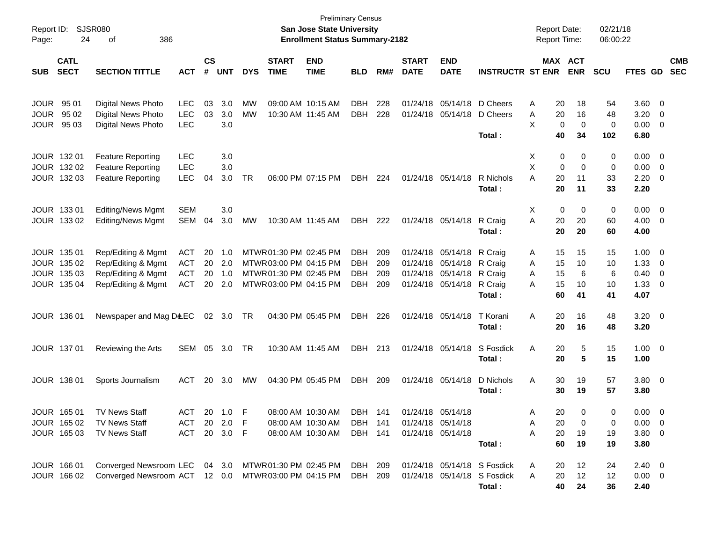| Report ID:<br>Page: | 24                         | <b>SJSR080</b><br>386<br>оf                         |              |                    |            |            |                             | <b>San Jose State University</b><br><b>Enrollment Status Summary-2182</b> | <b>Preliminary Census</b> |     |                             |                           |                             | <b>Report Date:</b><br><b>Report Time:</b> |                       | 02/21/18<br>06:00:22 |                |                         |                          |
|---------------------|----------------------------|-----------------------------------------------------|--------------|--------------------|------------|------------|-----------------------------|---------------------------------------------------------------------------|---------------------------|-----|-----------------------------|---------------------------|-----------------------------|--------------------------------------------|-----------------------|----------------------|----------------|-------------------------|--------------------------|
| <b>SUB</b>          | <b>CATL</b><br><b>SECT</b> | <b>SECTION TITTLE</b>                               | <b>ACT</b>   | $\mathsf{cs}$<br># | <b>UNT</b> | <b>DYS</b> | <b>START</b><br><b>TIME</b> | <b>END</b><br><b>TIME</b>                                                 | <b>BLD</b>                | RM# | <b>START</b><br><b>DATE</b> | <b>END</b><br><b>DATE</b> | <b>INSTRUCTR ST ENR</b>     |                                            | MAX ACT<br><b>ENR</b> | <b>SCU</b>           | FTES GD        |                         | <b>CMB</b><br><b>SEC</b> |
| <b>JOUR</b>         | 95 01                      | Digital News Photo                                  | <b>LEC</b>   | 03                 | 3.0        | MW         | 09:00 AM 10:15 AM           |                                                                           | <b>DBH</b>                | 228 | 01/24/18                    | 05/14/18                  | D Cheers                    | 20<br>A                                    | 18                    | 54                   | 3.60           | 0                       |                          |
| <b>JOUR</b>         | 95 02                      | <b>Digital News Photo</b>                           | <b>LEC</b>   | 03                 | 3.0        | <b>MW</b>  | 10:30 AM 11:45 AM           |                                                                           | DBH                       | 228 |                             | 01/24/18 05/14/18         | D Cheers                    | 20<br>Α                                    | 16                    | 48                   | 3.20           | 0                       |                          |
| <b>JOUR</b>         | 95 03                      | Digital News Photo                                  | <b>LEC</b>   |                    | 3.0        |            |                             |                                                                           |                           |     |                             |                           | Total:                      | X<br>0<br>40                               | $\mathbf 0$<br>34     | 0<br>102             | 0.00<br>6.80   | 0                       |                          |
|                     | JOUR 132 01                | <b>Feature Reporting</b>                            | <b>LEC</b>   |                    | 3.0        |            |                             |                                                                           |                           |     |                             |                           |                             | х<br>0                                     | 0                     | 0                    | 0.00           | $\overline{0}$          |                          |
|                     | JOUR 132 02                | <b>Feature Reporting</b>                            | <b>LEC</b>   |                    | 3.0        |            |                             |                                                                           |                           |     |                             |                           |                             | X<br>0                                     | $\mathbf 0$           | 0                    | 0.00           | 0                       |                          |
|                     | JOUR 132 03                | <b>Feature Reporting</b>                            | <b>LEC</b>   | 04                 | 3.0        | <b>TR</b>  | 06:00 PM 07:15 PM           |                                                                           | DBH                       | 224 |                             | 01/24/18 05/14/18         | R Nichols<br>Total:         | A<br>20<br>20                              | 11<br>11              | 33<br>33             | 2.20<br>2.20   | 0                       |                          |
|                     | JOUR 133 01                | Editing/News Mgmt                                   | <b>SEM</b>   |                    | 3.0        |            |                             |                                                                           |                           |     |                             |                           |                             | Χ<br>0                                     | 0                     | 0                    | 0.00           | 0                       |                          |
|                     | JOUR 133 02                | <b>Editing/News Mgmt</b>                            | <b>SEM</b>   | 04                 | 3.0        | <b>MW</b>  | 10:30 AM 11:45 AM           |                                                                           | DBH                       | 222 |                             | 01/24/18 05/14/18         | R Craig                     | Α<br>20                                    | 20                    | 60                   | 4.00           | 0                       |                          |
|                     |                            |                                                     |              |                    |            |            |                             |                                                                           |                           |     |                             |                           | Total:                      | 20                                         | 20                    | 60                   | 4.00           |                         |                          |
|                     | JOUR 135 01                | Rep/Editing & Mgmt                                  | <b>ACT</b>   | 20                 | 1.0        |            | MTWR 01:30 PM 02:45 PM      |                                                                           | DBH                       | 209 |                             | 01/24/18 05/14/18         | R Craig                     | 15<br>A                                    | 15                    | 15                   | 1.00           | 0                       |                          |
| JOUR                | 135 02                     | Rep/Editing & Mgmt                                  | <b>ACT</b>   | 20                 | 2.0        |            | MTWR03:00 PM 04:15 PM       |                                                                           | DBH                       | 209 |                             | 01/24/18 05/14/18         | R Craig                     | 15<br>Α                                    | 10                    | 10                   | 1.33           | 0                       |                          |
| <b>JOUR</b>         | 135 03                     | Rep/Editing & Mgmt                                  | <b>ACT</b>   | 20                 | 1.0        |            | MTWR01:30 PM 02:45 PM       |                                                                           | <b>DBH</b>                | 209 |                             | 01/24/18 05/14/18         | R Craig                     | 15<br>Α                                    | 6                     | 6                    | 0.40           | 0                       |                          |
|                     | JOUR 135 04                | Rep/Editing & Mgmt                                  | <b>ACT</b>   | 20                 | 2.0        |            | MTWR03:00 PM 04:15 PM       |                                                                           | DBH                       | 209 |                             | 01/24/18 05/14/18         | R Craig<br>Total:           | 15<br>A<br>60                              | 10<br>41              | 10<br>41             | 1.33<br>4.07   | 0                       |                          |
|                     | JOUR 136 01                | Newspaper and Mag D&EC                              |              |                    | 02 3.0     | TR         |                             | 04:30 PM 05:45 PM                                                         | DBH                       | 226 |                             | 01/24/18 05/14/18         | T Korani<br>Total:          | 20<br>Α<br>20                              | 16<br>16              | 48<br>48             | 3.20<br>3.20   | $\overline{\mathbf{0}}$ |                          |
|                     | JOUR 137 01                | Reviewing the Arts                                  | SEM          | 05                 | 3.0        | TR         | 10:30 AM 11:45 AM           |                                                                           | DBH 213                   |     |                             | 01/24/18 05/14/18         | S Fosdick<br>Total:         | Α<br>20<br>20                              | 5<br>5                | 15<br>15             | 1.00<br>1.00   | $\overline{\mathbf{0}}$ |                          |
|                     | JOUR 138 01                | Sports Journalism                                   | <b>ACT</b>   | 20                 | 3.0        | МW         |                             | 04:30 PM 05:45 PM                                                         | DBH                       | 209 |                             | 01/24/18 05/14/18         | D Nichols                   | 30<br>A                                    | 19                    | 57                   | 3.80           | $\overline{0}$          |                          |
|                     |                            |                                                     |              |                    |            |            |                             |                                                                           |                           |     |                             |                           | Total:                      | 30                                         | 19                    | 57                   | 3.80           |                         |                          |
|                     | JOUR 165 01                | <b>TV News Staff</b>                                | ACT          |                    | 20 1.0     | - F        |                             | 08:00 AM 10:30 AM                                                         | DBH                       | 141 |                             | 01/24/18 05/14/18         |                             | 20<br>Α                                    | 0                     | 0                    | $0.00 \t 0$    |                         |                          |
|                     | JOUR 165 02                | <b>TV News Staff</b>                                | ACT 20 2.0 F |                    |            |            | 08:00 AM 10:30 AM           |                                                                           | <b>DBH 141</b>            |     |                             | 01/24/18 05/14/18         |                             | 20<br>Α                                    | 0                     | 0                    | $0.00 \quad 0$ |                         |                          |
|                     | JOUR 165 03                | <b>TV News Staff</b>                                | ACT 20 3.0 F |                    |            |            | 08:00 AM 10:30 AM           |                                                                           | DBH 141                   |     |                             | 01/24/18 05/14/18         | Total:                      | 20<br>Α<br>60                              | 19<br>19              | 19<br>19             | 3.80 0<br>3.80 |                         |                          |
|                     | JOUR 166 01                | Converged Newsroom LEC 04 3.0 MTWR01:30 PM 02:45 PM |              |                    |            |            |                             |                                                                           | DBH 209                   |     |                             |                           | 01/24/18 05/14/18 S Fosdick |                                            |                       | 24                   | $2.40 \quad 0$ |                         |                          |
|                     | JOUR 166 02                | Converged Newsroom ACT 12 0.0 MTWR03:00 PM 04:15 PM |              |                    |            |            |                             |                                                                           | DBH 209                   |     |                             |                           | 01/24/18 05/14/18 S Fosdick | A<br>20<br>20<br>A                         | 12<br>12              | 12                   | $0.00 \t 0$    |                         |                          |
|                     |                            |                                                     |              |                    |            |            |                             |                                                                           |                           |     |                             |                           | Total:                      | 40                                         | 24                    | 36                   | 2.40           |                         |                          |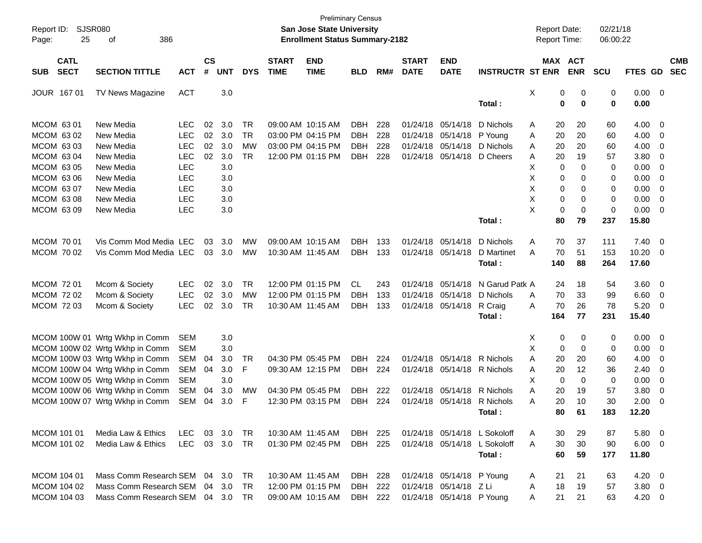| Report ID:<br>25<br>Page:                                                                                                  | SJSR080<br>386<br>of                                                                                                                                                                                                                       |                                                                                                                     |                      |                                                             |                                                  |                             | <b>Preliminary Census</b><br>San Jose State University<br><b>Enrollment Status Summary-2182</b> |                                               |                          |                             |                                                                                                      |                                                                        | <b>Report Date:</b><br>Report Time:                               |                                                                                  | 02/21/18<br>06:00:22                          |                                                                        |                                                                                       |
|----------------------------------------------------------------------------------------------------------------------------|--------------------------------------------------------------------------------------------------------------------------------------------------------------------------------------------------------------------------------------------|---------------------------------------------------------------------------------------------------------------------|----------------------|-------------------------------------------------------------|--------------------------------------------------|-----------------------------|-------------------------------------------------------------------------------------------------|-----------------------------------------------|--------------------------|-----------------------------|------------------------------------------------------------------------------------------------------|------------------------------------------------------------------------|-------------------------------------------------------------------|----------------------------------------------------------------------------------|-----------------------------------------------|------------------------------------------------------------------------|---------------------------------------------------------------------------------------|
| <b>CATL</b><br><b>SECT</b><br><b>SUB</b>                                                                                   | <b>SECTION TITTLE</b>                                                                                                                                                                                                                      | <b>ACT</b>                                                                                                          | $\mathsf{cs}$<br>#   | <b>UNT</b>                                                  | <b>DYS</b>                                       | <b>START</b><br><b>TIME</b> | <b>END</b><br><b>TIME</b>                                                                       | <b>BLD</b>                                    | RM#                      | <b>START</b><br><b>DATE</b> | <b>END</b><br><b>DATE</b>                                                                            | <b>INSTRUCTR ST ENR</b>                                                |                                                                   | <b>MAX ACT</b><br><b>ENR</b>                                                     | <b>SCU</b>                                    | FTES GD                                                                | <b>CMB</b><br><b>SEC</b>                                                              |
| JOUR 167 01                                                                                                                | TV News Magazine                                                                                                                                                                                                                           | <b>ACT</b>                                                                                                          |                      | 3.0                                                         |                                                  |                             |                                                                                                 |                                               |                          |                             |                                                                                                      | Total:                                                                 | х                                                                 | 0<br>0<br>0<br>0                                                                 | 0<br>0                                        | $0.00 \t 0$<br>0.00                                                    |                                                                                       |
| MCOM 63 01<br>MCOM 63 02<br>MCOM 63 03<br>MCOM 63 04<br>MCOM 63 05<br>MCOM 63 06<br>MCOM 63 07<br>MCOM 63 08<br>MCOM 63 09 | New Media<br>New Media<br>New Media<br>New Media<br>New Media<br>New Media<br>New Media<br>New Media<br>New Media                                                                                                                          | <b>LEC</b><br><b>LEC</b><br><b>LEC</b><br><b>LEC</b><br>LEC<br><b>LEC</b><br><b>LEC</b><br><b>LEC</b><br><b>LEC</b> | 02<br>02<br>02<br>02 | 3.0<br>3.0<br>3.0<br>3.0<br>3.0<br>3.0<br>3.0<br>3.0<br>3.0 | <b>TR</b><br><b>TR</b><br><b>MW</b><br><b>TR</b> |                             | 09:00 AM 10:15 AM<br>03:00 PM 04:15 PM<br>03:00 PM 04:15 PM<br>12:00 PM 01:15 PM                | <b>DBH</b><br><b>DBH</b><br><b>DBH</b><br>DBH | 228<br>228<br>228<br>228 | 01/24/18                    | 01/24/18 05/14/18<br>01/24/18 05/14/18<br>05/14/18<br>01/24/18 05/14/18 D Cheers                     | D Nichols<br>P Young<br>D Nichols                                      | 20<br>Α<br>20<br>Α<br>20<br>Α<br>20<br>Α<br>Χ<br>X<br>X<br>Χ<br>X | 20<br>20<br>20<br>19<br>0<br>0<br>0<br>0<br>0<br>0<br>0<br>0<br>0<br>$\mathbf 0$ | 60<br>60<br>60<br>57<br>0<br>0<br>0<br>0<br>0 | 4.00 0<br>4.00<br>4.00<br>3.80<br>0.00<br>0.00<br>0.00<br>0.00<br>0.00 | $\overline{\phantom{0}}$<br>0<br>- 0<br>0<br>0<br>- 0<br>0<br>$\overline{\mathbf{0}}$ |
| MCOM 70 01<br>MCOM 70 02                                                                                                   | Vis Comm Mod Media LEC<br>Vis Comm Mod Media LEC                                                                                                                                                                                           |                                                                                                                     | 03<br>03             | 3.0<br>3.0                                                  | MW<br><b>MW</b>                                  |                             | 09:00 AM 10:15 AM<br>10:30 AM 11:45 AM                                                          | DBH<br>DBH 133                                | 133                      |                             | 01/24/18 05/14/18<br>01/24/18 05/14/18                                                               | Total:<br>D Nichols<br>D Martinet<br>Total:                            | 80<br>Α<br>70<br>A<br>140                                         | 79<br>70<br>37<br>51<br>88                                                       | 237<br>111<br>153<br>264                      | 15.80<br>$7.40 \ 0$<br>10.20 0<br>17.60                                |                                                                                       |
| MCOM 72 01<br>MCOM 72 02<br>MCOM 72 03                                                                                     | Mcom & Society<br>Mcom & Society<br>Mcom & Society                                                                                                                                                                                         | <b>LEC</b><br><b>LEC</b><br><b>LEC</b>                                                                              | 02<br>02<br>02       | 3.0<br>3.0<br>3.0                                           | <b>TR</b><br><b>MW</b><br><b>TR</b>              |                             | 12:00 PM 01:15 PM<br>12:00 PM 01:15 PM<br>10:30 AM 11:45 AM                                     | CL<br><b>DBH</b><br>DBH                       | 243<br>133<br>133        | 01/24/18                    | 01/24/18 05/14/18<br>05/14/18<br>01/24/18 05/14/18                                                   | N Garud Patk A<br>D Nichols<br>R Craig<br>Total:                       | 24<br>70<br>A<br>70<br>Α<br>164                                   | 18<br>33<br>26<br>77                                                             | 54<br>99<br>78<br>231                         | 3.60 0<br>6.60<br>5.20<br>15.40                                        | $\overline{\phantom{0}}$<br>- 0                                                       |
|                                                                                                                            | MCOM 100W 01 Wrtg Wkhp in Comm<br>MCOM 100W 02 Wrtg Wkhp in Comm<br>MCOM 100W 03 Wrtg Wkhp in Comm<br>MCOM 100W 04 Wrtg Wkhp in Comm<br>MCOM 100W 05 Wrtg Wkhp in Comm<br>MCOM 100W 06 Wrtg Wkhp in Comm<br>MCOM 100W 07 Wrtg Wkhp in Comm | <b>SEM</b><br><b>SEM</b><br><b>SEM</b><br><b>SEM</b><br><b>SEM</b><br><b>SEM</b><br><b>SEM</b>                      | 04<br>04<br>04<br>04 | 3.0<br>3.0<br>3.0<br>3.0<br>3.0<br>3.0<br>3.0               | TR<br>F<br><b>MW</b><br>F                        |                             | 04:30 PM 05:45 PM<br>09:30 AM 12:15 PM<br>04:30 PM 05:45 PM<br>12:30 PM 03:15 PM                | <b>DBH</b><br>DBH<br>DBH<br>DBH               | 224<br>224<br>222<br>224 |                             | 01/24/18 05/14/18<br>01/24/18 05/14/18 R Nichols<br>01/24/18 05/14/18<br>01/24/18 05/14/18 R Nichols | R Nichols<br>R Nichols<br>Total :                                      | X<br>X<br>20<br>Α<br>20<br>Α<br>X<br>20<br>Α<br>20<br>Α           | 0<br>0<br>0<br>$\mathbf 0$<br>20<br>12<br>0<br>0<br>19<br>10<br>80<br>61         | 0<br>0<br>60<br>36<br>0<br>57<br>30<br>183    | $0.00 \t 0$<br>0.00<br>4.00<br>2.40<br>0.00<br>3.80<br>2.00<br>12.20   | $\overline{\mathbf{0}}$<br>- 0<br>- 0<br>0<br>- 0<br>- 0                              |
| MCOM 101 01<br>MCOM 101 02                                                                                                 | Media Law & Ethics<br>Media Law & Ethics                                                                                                                                                                                                   | <b>LEC</b><br><b>LEC</b>                                                                                            |                      | 03 3.0<br>03 3.0                                            | TR<br>TR                                         |                             | 10:30 AM 11:45 AM<br>01:30 PM 02:45 PM                                                          | DBH<br>DBH 225                                | 225                      |                             |                                                                                                      | 01/24/18 05/14/18 L Sokoloff<br>01/24/18 05/14/18 L Sokoloff<br>Total: | 30<br>A<br>30<br>A<br>60                                          | 29<br>30<br>59                                                                   | 87<br>90<br>177                               | 5.80 0<br>$6.00 \t 0$<br>11.80                                         |                                                                                       |
| MCOM 104 01<br>MCOM 104 02<br>MCOM 104 03                                                                                  | Mass Comm Research SEM<br>Mass Comm Research SEM<br>Mass Comm Research SEM                                                                                                                                                                 |                                                                                                                     |                      | 04 3.0<br>04 3.0<br>04 3.0 TR                               | TR<br>TR                                         |                             | 10:30 AM 11:45 AM<br>12:00 PM 01:15 PM<br>09:00 AM 10:15 AM                                     | DBH 228<br>DBH<br>DBH 222                     | 222                      |                             | 01/24/18 05/14/18 P Young<br>01/24/18 05/14/18 Z Li<br>01/24/18 05/14/18 P Young                     |                                                                        | 21<br>A<br>18<br>A<br>21<br>Α                                     | 21<br>19<br>21                                                                   | 63<br>57<br>63                                | $4.20 \ 0$<br>$3.80\ 0$<br>$4.20 \ 0$                                  |                                                                                       |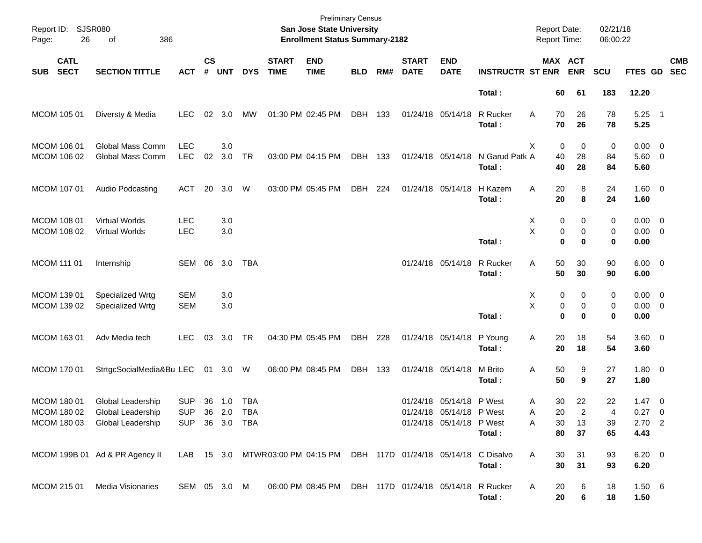| Report ID: SJSR080<br>Page:              | 26<br>386<br>of                |                |                    |            |            |                             | <b>Preliminary Census</b><br>San Jose State University<br><b>Enrollment Status Summary-2182</b> |            |     |                             |                           |                         | <b>Report Date:</b><br>Report Time: |                              | 02/21/18<br>06:00:22 |                        |                          |
|------------------------------------------|--------------------------------|----------------|--------------------|------------|------------|-----------------------------|-------------------------------------------------------------------------------------------------|------------|-----|-----------------------------|---------------------------|-------------------------|-------------------------------------|------------------------------|----------------------|------------------------|--------------------------|
| <b>CATL</b><br><b>SECT</b><br><b>SUB</b> | <b>SECTION TITTLE</b>          | <b>ACT</b>     | $\mathsf{cs}$<br># | <b>UNT</b> | <b>DYS</b> | <b>START</b><br><b>TIME</b> | <b>END</b><br><b>TIME</b>                                                                       | <b>BLD</b> | RM# | <b>START</b><br><b>DATE</b> | <b>END</b><br><b>DATE</b> | <b>INSTRUCTR ST ENR</b> |                                     | <b>MAX ACT</b><br><b>ENR</b> | <b>SCU</b>           | FTES GD                | <b>CMB</b><br><b>SEC</b> |
|                                          |                                |                |                    |            |            |                             |                                                                                                 |            |     |                             |                           | Total:                  | 60                                  | 61                           | 183                  | 12.20                  |                          |
| MCOM 105 01                              | Diversty & Media               | <b>LEC</b>     | 02                 | 3.0        | MW         |                             | 01:30 PM 02:45 PM                                                                               | DBH        | 133 |                             | 01/24/18 05/14/18         | R Rucker<br>Total:      | 70<br>A<br>70                       | 26<br>26                     | 78<br>78             | $5.25$ 1<br>5.25       |                          |
| MCOM 106 01                              | Global Mass Comm               | <b>LEC</b>     |                    | 3.0        |            |                             |                                                                                                 |            |     |                             |                           |                         | X<br>0                              | 0                            | 0                    | $0.00 \t 0$            |                          |
| MCOM 106 02                              | Global Mass Comm               | <b>LEC</b>     | 02                 | 3.0        | <b>TR</b>  |                             | 03:00 PM 04:15 PM                                                                               | DBH        | 133 |                             | 01/24/18 05/14/18         | N Garud Patk A          | 40                                  | 28                           | 84                   | 5.60 0                 |                          |
|                                          |                                |                |                    |            |            |                             |                                                                                                 |            |     |                             |                           | Total:                  | 40                                  | 28                           | 84                   | 5.60                   |                          |
| MCOM 107 01                              | Audio Podcasting               | ACT            | 20                 | 3.0        | W          |                             | 03:00 PM 05:45 PM                                                                               | DBH        | 224 |                             | 01/24/18 05/14/18         | H Kazem                 | 20<br>Α                             | 8                            | 24                   | $1.60 \t 0$            |                          |
|                                          |                                |                |                    |            |            |                             |                                                                                                 |            |     |                             |                           | Total:                  | 20                                  | 8                            | 24                   | 1.60                   |                          |
| MCOM 108 01                              | <b>Virtual Worlds</b>          | <b>LEC</b>     |                    | 3.0        |            |                             |                                                                                                 |            |     |                             |                           |                         | Х                                   | 0<br>0                       | 0                    | $0.00 \t 0$            |                          |
| MCOM 108 02                              | <b>Virtual Worlds</b>          | <b>LEC</b>     |                    | 3.0        |            |                             |                                                                                                 |            |     |                             |                           |                         | X                                   | 0<br>0                       | 0                    | $0.00 \t 0$            |                          |
|                                          |                                |                |                    |            |            |                             |                                                                                                 |            |     |                             |                           | Total:                  | $\mathbf 0$                         | $\bf{0}$                     | 0                    | 0.00                   |                          |
| MCOM 111 01                              | Internship                     | SEM 06         |                    | 3.0        | <b>TBA</b> |                             |                                                                                                 |            |     |                             | 01/24/18 05/14/18         | R Rucker<br>Total:      | 50<br>A<br>50                       | 30<br>30                     | 90<br>90             | $6.00 \quad 0$<br>6.00 |                          |
| MCOM 139 01                              | Specialized Wrtg               | <b>SEM</b>     |                    | 3.0        |            |                             |                                                                                                 |            |     |                             |                           |                         | Х                                   | 0<br>0                       | 0                    | $0.00 \t 0$            |                          |
| MCOM 139 02                              | Specialized Wrtg               | <b>SEM</b>     |                    | 3.0        |            |                             |                                                                                                 |            |     |                             |                           |                         | X                                   | 0<br>0                       | 0                    | $0.00 \t 0$            |                          |
|                                          |                                |                |                    |            |            |                             |                                                                                                 |            |     |                             |                           | Total:                  | $\mathbf 0$                         | $\bf{0}$                     | 0                    | 0.00                   |                          |
| MCOM 163 01                              | Adv Media tech                 | <b>LEC</b>     | 03                 | 3.0        | <b>TR</b>  |                             | 04:30 PM 05:45 PM                                                                               | DBH        | 228 |                             | 01/24/18 05/14/18         | P Young<br>Total:       | 20<br>Α<br>20                       | 18<br>18                     | 54<br>54             | 3.60 0<br>3.60         |                          |
| MCOM 170 01                              | StrtgcSocialMedia&Bu LEC       |                | 01                 | 3.0        | W          |                             | 06:00 PM 08:45 PM                                                                               | <b>DBH</b> | 133 |                             | 01/24/18 05/14/18         | M Brito<br>Total:       | 50<br>Α<br>50                       | 9<br>9                       | 27<br>27             | $1.80 \ 0$<br>1.80     |                          |
| MCOM 180 01                              | <b>Global Leadership</b>       | <b>SUP</b>     |                    | 36 1.0     | TBA        |                             |                                                                                                 |            |     |                             | 01/24/18 05/14/18 P West  |                         | 30<br>Α                             | 22                           | 22                   | $1.47 \ 0$             |                          |
| MCOM 180 02                              | Global Leadership              | <b>SUP</b>     |                    | 36 2.0 TBA |            |                             |                                                                                                 |            |     |                             | 01/24/18 05/14/18 P West  |                         | 20<br>A                             | 2                            | 4                    | $0.27$ 0               |                          |
| MCOM 180 03                              | Global Leadership              | SUP 36 3.0 TBA |                    |            |            |                             |                                                                                                 |            |     |                             | 01/24/18 05/14/18 P West  |                         | Α<br>30                             | 13                           | 39                   | $2.70$ 2               |                          |
|                                          |                                |                |                    |            |            |                             |                                                                                                 |            |     |                             |                           | Total:                  | 80                                  | 37                           | 65                   | 4.43                   |                          |
|                                          | MCOM 199B 01 Ad & PR Agency II |                |                    |            |            |                             | LAB 15 3.0 MTWR03:00 PM 04:15 PM DBH 117D 01/24/18 05/14/18                                     |            |     |                             |                           | C Disalvo               | 30<br>A                             | 31                           | 93                   | $6.20\ 0$              |                          |
|                                          |                                |                |                    |            |            |                             |                                                                                                 |            |     |                             |                           | Total:                  | 30                                  | 31                           | 93                   | 6.20                   |                          |
| MCOM 215 01                              | Media Visionaries              | SEM 05 3.0 M   |                    |            |            |                             | 06:00 PM 08:45 PM DBH 117D 01/24/18 05/14/18                                                    |            |     |                             |                           | R Rucker<br>Total:      | A<br>20<br>20                       | 6<br>6                       | 18<br>18             | 1.50 6<br>1.50         |                          |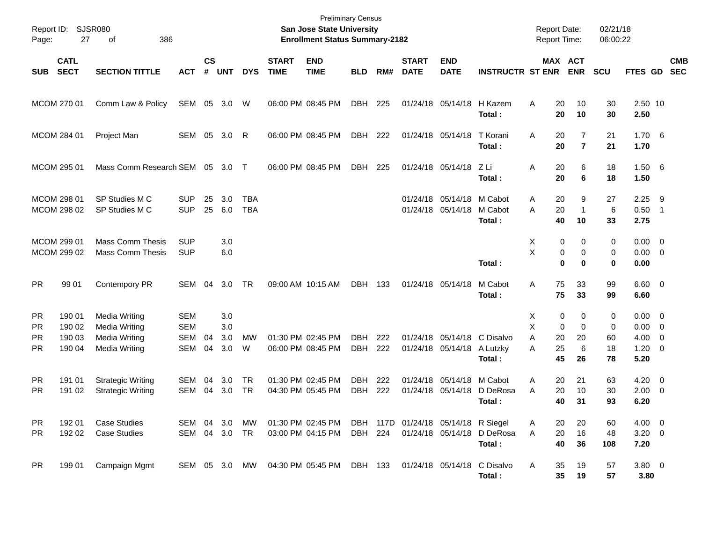| Report ID:<br>Page:                        | 27                                   | <b>SJSR080</b><br>386<br>οf                                                                  |                                               |                |                          |                          |                             | <b>Preliminary Census</b><br><b>San Jose State University</b><br><b>Enrollment Status Summary-2182</b> |                          |            |                             |                                                |                                      |                  | <b>Report Date:</b><br>Report Time:                                         | 02/21/18<br>06:00:22     |                                      |                                                                                |
|--------------------------------------------|--------------------------------------|----------------------------------------------------------------------------------------------|-----------------------------------------------|----------------|--------------------------|--------------------------|-----------------------------|--------------------------------------------------------------------------------------------------------|--------------------------|------------|-----------------------------|------------------------------------------------|--------------------------------------|------------------|-----------------------------------------------------------------------------|--------------------------|--------------------------------------|--------------------------------------------------------------------------------|
| <b>SUB</b>                                 | <b>CATL</b><br><b>SECT</b>           | <b>SECTION TITTLE</b>                                                                        | АСТ                                           | <b>CS</b><br># | <b>UNT</b>               | <b>DYS</b>               | <b>START</b><br><b>TIME</b> | <b>END</b><br><b>TIME</b>                                                                              | <b>BLD</b>               | RM#        | <b>START</b><br><b>DATE</b> | <b>END</b><br><b>DATE</b>                      | <b>INSTRUCTR ST ENR</b>              |                  | MAX ACT<br><b>ENR</b>                                                       | <b>SCU</b>               | FTES GD SEC                          | <b>CMB</b>                                                                     |
|                                            | MCOM 270 01                          | Comm Law & Policy                                                                            | SEM                                           |                | 05 3.0                   | W                        |                             | 06:00 PM 08:45 PM                                                                                      | DBH                      | 225        |                             |                                                | 01/24/18 05/14/18 H Kazem<br>Total:  | A                | 10<br>20<br>20<br>10                                                        | 30<br>30                 | 2.50 10<br>2.50                      |                                                                                |
|                                            | MCOM 284 01                          | Project Man                                                                                  | SEM 05 3.0 R                                  |                |                          |                          |                             | 06:00 PM 08:45 PM                                                                                      | DBH                      | 222        |                             | 01/24/18 05/14/18                              | T Korani<br>Total:                   | Α                | $\overline{7}$<br>20<br>$\overline{7}$<br>20                                | 21<br>21                 | 1.70<br>1.70                         | $-6$                                                                           |
|                                            | MCOM 295 01                          | Mass Comm Research SEM                                                                       |                                               | 05             | - 3.0                    | $\top$                   |                             | 06:00 PM 08:45 PM                                                                                      | DBH                      | 225        |                             | 01/24/18 05/14/18                              | – Z Li<br>Total:                     | A                | 6<br>20<br>20<br>6                                                          | 18<br>18                 | $1.50\quad 6$<br>1.50                |                                                                                |
|                                            | MCOM 298 01<br>MCOM 298 02           | SP Studies M C<br>SP Studies M C                                                             | <b>SUP</b><br><b>SUP</b>                      | 25<br>25       | 3.0<br>6.0               | <b>TBA</b><br><b>TBA</b> |                             |                                                                                                        |                          |            |                             | 01/24/18 05/14/18<br>01/24/18 05/14/18 M Cabot | M Cabot<br>Total:                    | Α<br>A           | 20<br>9<br>20<br>$\mathbf{1}$<br>40<br>10                                   | 27<br>6<br>33            | 2.25<br>0.50<br>2.75                 | - 9<br>$\overline{1}$                                                          |
|                                            | MCOM 299 01<br>MCOM 299 02           | <b>Mass Comm Thesis</b><br><b>Mass Comm Thesis</b>                                           | <b>SUP</b><br><b>SUP</b>                      |                | 3.0<br>6.0               |                          |                             |                                                                                                        |                          |            |                             |                                                | Total:                               | X<br>X           | 0<br>0<br>0<br>$\mathbf 0$<br>0<br>0                                        | $\mathbf 0$<br>0<br>0    | 0.00<br>$0.00 \t 0$<br>0.00          | $\overline{\mathbf{0}}$                                                        |
| <b>PR</b>                                  | 99 01                                | Contempory PR                                                                                | SEM                                           | 04             | 3.0                      | TR                       |                             | 09:00 AM 10:15 AM                                                                                      | DBH 133                  |            |                             | 01/24/18 05/14/18                              | M Cabot<br>Total:                    | Α                | 75<br>33<br>75<br>33                                                        | 99<br>99                 | $6.60 \quad 0$<br>6.60               |                                                                                |
| <b>PR</b><br><b>PR</b><br>PR.<br><b>PR</b> | 190 01<br>190 02<br>190 03<br>190 04 | <b>Media Writing</b><br><b>Media Writing</b><br><b>Media Writing</b><br><b>Media Writing</b> | <b>SEM</b><br><b>SEM</b><br><b>SEM</b><br>SEM | 04<br>04       | 3.0<br>3.0<br>3.0<br>3.0 | MW<br>W                  |                             | 01:30 PM 02:45 PM<br>06:00 PM 08:45 PM                                                                 | <b>DBH</b><br><b>DBH</b> | 222<br>222 |                             | 01/24/18 05/14/18<br>01/24/18 05/14/18         | C Disalvo<br>A Lutzky<br>Total:      | Х<br>X<br>A<br>A | 0<br>0<br>0<br>$\mathbf 0$<br>20<br>20<br>$6\phantom{1}6$<br>25<br>45<br>26 | 0<br>0<br>60<br>18<br>78 | 0.00<br>0.00<br>4.00<br>1.20<br>5.20 | $\overline{\phantom{0}}$<br>$\overline{0}$<br>$\overline{0}$<br>$\overline{0}$ |
| <b>PR</b><br><b>PR</b>                     | 191 01<br>191 02                     | <b>Strategic Writing</b><br><b>Strategic Writing</b>                                         | SEM<br>SEM 04 3.0                             | 04             | 3.0                      | <b>TR</b><br><b>TR</b>   |                             | 01:30 PM 02:45 PM<br>04:30 PM 05:45 PM                                                                 | <b>DBH</b><br>DBH        | 222<br>222 | 01/24/18                    | 05/14/18<br>01/24/18 05/14/18                  | M Cabot<br>D DeRosa<br>Total:        | Α<br>A           | 20<br>21<br>20<br>10<br>40<br>31                                            | 63<br>30<br>93           | 4.20<br>$2.00 \t 0$<br>6.20          | $\overline{0}$                                                                 |
| <b>PR</b><br>PR.                           | 192 01<br>192 02                     | <b>Case Studies</b><br><b>Case Studies</b>                                                   | <b>SEM</b><br>SEM                             | 04<br>04       | 3.0<br>3.0               | MW<br>TR                 |                             | 01:30 PM 02:45 PM<br>03:00 PM 04:15 PM                                                                 | <b>DBH</b><br>DBH        | 224        |                             | 117D 01/24/18 05/14/18 R Siegel                | 01/24/18 05/14/18 D DeRosa<br>Total: | Α<br>A           | 20<br>20<br>16<br>20<br>40<br>36                                            | 60<br>48<br>108          | 4.00<br>3.20<br>7.20                 | $\overline{\mathbf{0}}$<br>$\overline{0}$                                      |
| <b>PR</b>                                  | 199 01                               | Campaign Mgmt                                                                                | SEM 05 3.0                                    |                |                          | MW                       |                             | 04:30 PM 05:45 PM                                                                                      | DBH 133                  |            |                             | 01/24/18 05/14/18                              | C Disalvo<br>Total:                  | A                | 35<br>19<br>35<br>19                                                        | 57<br>57                 | $3.80 \ 0$<br>3.80                   |                                                                                |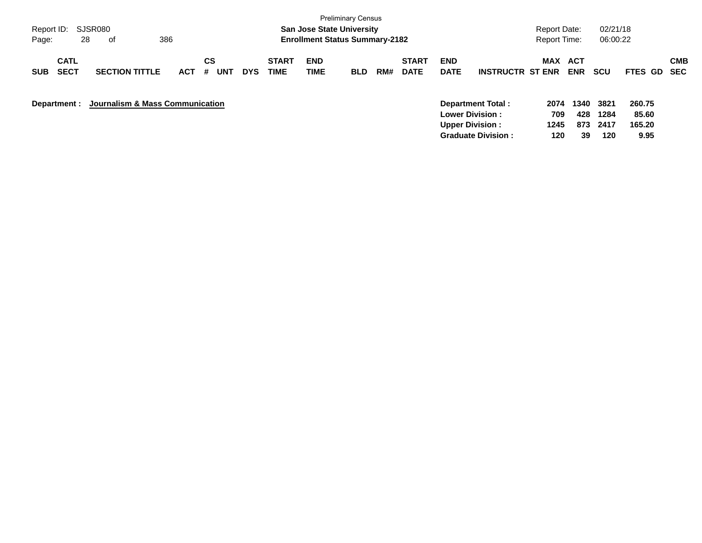| Report ID:<br>28<br>Page:                | SJSR080<br>386<br>of            |            |                |            |                             | <b>San Jose State University</b><br><b>Enrollment Status Summary-2182</b> | <b>Preliminary Census</b> |     |                             |                           |                                                                        | <b>Report Date:</b><br><b>Report Time:</b> |                    | 02/21/18<br>06:00:22 |                           |            |
|------------------------------------------|---------------------------------|------------|----------------|------------|-----------------------------|---------------------------------------------------------------------------|---------------------------|-----|-----------------------------|---------------------------|------------------------------------------------------------------------|--------------------------------------------|--------------------|----------------------|---------------------------|------------|
| <b>CATL</b><br><b>SECT</b><br><b>SUB</b> | <b>SECTION TITTLE</b>           | <b>ACT</b> | CS<br>#<br>UNT | <b>DYS</b> | <b>START</b><br><b>TIME</b> | <b>END</b><br>TIME                                                        | <b>BLD</b>                | RM# | <b>START</b><br><b>DATE</b> | <b>END</b><br><b>DATE</b> | <b>INSTRUCTR ST ENR</b>                                                | <b>MAX</b>                                 | ACT<br><b>ENR</b>  | <b>SCU</b>           | FTES GD SEC               | <b>CMB</b> |
| Department :                             | Journalism & Mass Communication |            |                |            |                             |                                                                           |                           |     |                             |                           | Department Total:<br><b>Lower Division :</b><br><b>Upper Division:</b> | 2074<br>709<br>1245                        | 1340<br>428<br>873 | 3821<br>1284<br>2417 | 260.75<br>85.60<br>165.20 |            |

**Graduate Division : 120 39 120 9.95**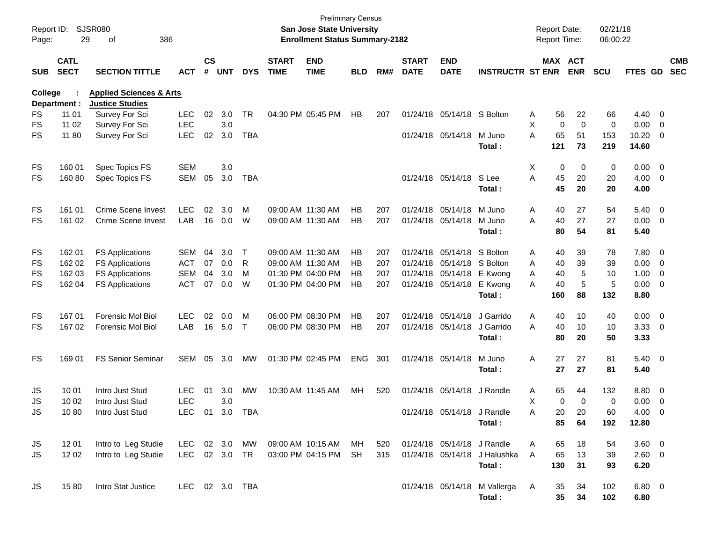| Report ID:<br>Page: | 29                         | <b>SJSR080</b><br>386<br>οf                                  |                |                    |            |            |                             | San Jose State University<br><b>Enrollment Status Summary-2182</b> | <b>Preliminary Census</b> |     |                             |                            |                              |   | <b>Report Date:</b><br>Report Time: |             | 02/21/18<br>06:00:22 |                |                          |                          |
|---------------------|----------------------------|--------------------------------------------------------------|----------------|--------------------|------------|------------|-----------------------------|--------------------------------------------------------------------|---------------------------|-----|-----------------------------|----------------------------|------------------------------|---|-------------------------------------|-------------|----------------------|----------------|--------------------------|--------------------------|
| <b>SUB</b>          | <b>CATL</b><br><b>SECT</b> | <b>SECTION TITTLE</b>                                        | <b>ACT</b>     | $\mathsf{cs}$<br># | <b>UNT</b> | <b>DYS</b> | <b>START</b><br><b>TIME</b> | <b>END</b><br><b>TIME</b>                                          | <b>BLD</b>                | RM# | <b>START</b><br><b>DATE</b> | <b>END</b><br><b>DATE</b>  | <b>INSTRUCTR ST ENR</b>      |   | MAX ACT                             | <b>ENR</b>  | <b>SCU</b>           | FTES GD        |                          | <b>CMB</b><br><b>SEC</b> |
| College             | Department :               | <b>Applied Sciences &amp; Arts</b><br><b>Justice Studies</b> |                |                    |            |            |                             |                                                                    |                           |     |                             |                            |                              |   |                                     |             |                      |                |                          |                          |
| FS                  | 11 01                      | Survey For Sci                                               | <b>LEC</b>     | 02                 | 3.0        | <b>TR</b>  |                             | 04:30 PM 05:45 PM                                                  | НB                        | 207 |                             | 01/24/18 05/14/18 S Bolton |                              | A | 56                                  | 22          | 66                   | $4.40 \ 0$     |                          |                          |
| <b>FS</b>           | 11 02                      | Survey For Sci                                               | <b>LEC</b>     |                    | 3.0        |            |                             |                                                                    |                           |     |                             |                            |                              | X | $\mathbf 0$                         | $\mathbf 0$ | 0                    | 0.00           | $\overline{\phantom{0}}$ |                          |
| <b>FS</b>           | 11 80                      | Survey For Sci                                               | <b>LEC</b>     | 02                 | 3.0        | <b>TBA</b> |                             |                                                                    |                           |     |                             | 01/24/18 05/14/18          | M Juno<br>Total :            | A | 65<br>121                           | 51<br>73    | 153<br>219           | 10.20<br>14.60 | $\overline{\phantom{0}}$ |                          |
| FS                  | 160 01                     | Spec Topics FS                                               | <b>SEM</b>     |                    | 3.0        |            |                             |                                                                    |                           |     |                             |                            |                              | Χ | 0                                   | 0           | 0                    | $0.00 \t 0$    |                          |                          |
| <b>FS</b>           | 160 80                     | Spec Topics FS                                               | <b>SEM</b>     | 05                 | 3.0        | <b>TBA</b> |                             |                                                                    |                           |     |                             | 01/24/18 05/14/18          | S Lee                        | A | 45                                  | 20          | 20                   | 4.00 0         |                          |                          |
|                     |                            |                                                              |                |                    |            |            |                             |                                                                    |                           |     |                             |                            | Total :                      |   | 45                                  | 20          | 20                   | 4.00           |                          |                          |
| FS                  | 161 01                     | Crime Scene Invest                                           | <b>LEC</b>     | 02                 | 3.0        | M          | 09:00 AM 11:30 AM           |                                                                    | HВ                        | 207 |                             | 01/24/18 05/14/18          | M Juno                       | A | 40                                  | 27          | 54                   | $5.40\ 0$      |                          |                          |
| <b>FS</b>           | 161 02                     | Crime Scene Invest                                           | LAB            |                    | 16 0.0     | W          | 09:00 AM 11:30 AM           |                                                                    | НB                        | 207 |                             | 01/24/18 05/14/18          | M Juno                       | A | 40                                  | 27          | 27                   | $0.00 \t 0$    |                          |                          |
|                     |                            |                                                              |                |                    |            |            |                             |                                                                    |                           |     |                             |                            | Total :                      |   | 80                                  | 54          | 81                   | 5.40           |                          |                          |
| FS                  | 162 01                     | <b>FS Applications</b>                                       | <b>SEM</b>     | 04                 | 3.0        | Τ          | 09:00 AM 11:30 AM           |                                                                    | HВ                        | 207 |                             | 01/24/18 05/14/18 S Bolton |                              | A | 40                                  | 39          | 78                   | 7.80 0         |                          |                          |
| FS                  | 162 02                     | <b>FS Applications</b>                                       | <b>ACT</b>     | 07                 | 0.0        | R          | 09:00 AM 11:30 AM           |                                                                    | HВ                        | 207 |                             | 01/24/18 05/14/18 S Bolton |                              | A | 40                                  | 39          | 39                   | $0.00 \t 0$    |                          |                          |
| FS                  | 162 03                     | <b>FS Applications</b>                                       | <b>SEM</b>     | 04                 | 3.0        | M          |                             | 01:30 PM 04:00 PM                                                  | HВ                        | 207 |                             | 01/24/18 05/14/18 E Kwong  |                              | Α | 40                                  | 5           | 10                   | 1.00           | $\overline{\phantom{0}}$ |                          |
| <b>FS</b>           | 162 04                     | <b>FS Applications</b>                                       | <b>ACT</b>     | 07                 | 0.0        | W          |                             | 01:30 PM 04:00 PM                                                  | HВ                        | 207 |                             | 01/24/18 05/14/18 E Kwong  |                              | Α | 40                                  | 5           | 5                    | 0.00 0         |                          |                          |
|                     |                            |                                                              |                |                    |            |            |                             |                                                                    |                           |     |                             |                            | Total :                      |   | 160                                 | 88          | 132                  | 8.80           |                          |                          |
| FS                  | 167 01                     | <b>Forensic Mol Biol</b>                                     | <b>LEC</b>     | 02                 | 0.0        | M          |                             | 06:00 PM 08:30 PM                                                  | НB                        | 207 |                             | 01/24/18 05/14/18          | J Garrido                    | Α | 40                                  | 10          | 40                   | $0.00 \t 0$    |                          |                          |
| <b>FS</b>           | 167 02                     | <b>Forensic Mol Biol</b>                                     | LAB            |                    | 16 5.0     | $\top$     |                             | 06:00 PM 08:30 PM                                                  | HВ                        | 207 |                             | 01/24/18 05/14/18          | J Garrido                    | A | 40                                  | 10          | 10                   | 3.3300         |                          |                          |
|                     |                            |                                                              |                |                    |            |            |                             |                                                                    |                           |     |                             |                            | Total:                       |   | 80                                  | 20          | 50                   | 3.33           |                          |                          |
| <b>FS</b>           | 169 01                     | <b>FS Senior Seminar</b>                                     | <b>SEM</b>     | 05                 | 3.0        | МW         |                             | 01:30 PM 02:45 PM                                                  | <b>ENG</b>                | 301 |                             | 01/24/18 05/14/18          | M Juno                       | Α | 27                                  | 27          | 81                   | $5.40\ 0$      |                          |                          |
|                     |                            |                                                              |                |                    |            |            |                             |                                                                    |                           |     |                             |                            | Total :                      |   | 27                                  | 27          | 81                   | 5.40           |                          |                          |
| JS                  | 10 01                      | Intro Just Stud                                              | <b>LEC</b>     | 01                 | 3.0        | <b>MW</b>  | 10:30 AM 11:45 AM           |                                                                    | MН                        | 520 |                             | 01/24/18 05/14/18          | J Randle                     | A | 65                                  | 44          | 132                  | 8.80 0         |                          |                          |
| JS                  | 10 02                      | Intro Just Stud                                              | <b>LEC</b>     |                    | 3.0        |            |                             |                                                                    |                           |     |                             |                            |                              | X | $\mathbf 0$                         | $\mathbf 0$ | 0                    | 0.00           | $\overline{\phantom{0}}$ |                          |
| JS                  | 1080                       | Intro Just Stud                                              | LEC 01 3.0     |                    |            | TBA        |                             |                                                                    |                           |     |                             | 01/24/18 05/14/18 J Randle |                              | Α | 20                                  | 20          | 60                   | $4.00 \t 0$    |                          |                          |
|                     |                            |                                                              |                |                    |            |            |                             |                                                                    |                           |     |                             |                            | Total:                       |   | 85                                  | 64          | 192                  | 12.80          |                          |                          |
| JS                  | 12 01                      | Intro to Leg Studie                                          | LEC 02 3.0 MW  |                    |            |            |                             | 09:00 AM 10:15 AM                                                  | MH                        | 520 |                             | 01/24/18 05/14/18 J Randle |                              | A | 65                                  | 18          | 54                   | 3.60 0         |                          |                          |
| JS                  | 12 02                      | Intro to Leg Studie                                          | LEC 02 3.0 TR  |                    |            |            |                             | 03:00 PM 04:15 PM                                                  | <b>SH</b>                 | 315 |                             |                            | 01/24/18 05/14/18 J Halushka | A | 65                                  | 13          | 39                   | 2.60 0         |                          |                          |
|                     |                            |                                                              |                |                    |            |            |                             |                                                                    |                           |     |                             |                            | Total:                       |   | 130                                 | 31          | 93                   | 6.20           |                          |                          |
| JS                  | 1580                       | Intro Stat Justice                                           | LEC 02 3.0 TBA |                    |            |            |                             |                                                                    |                           |     |                             |                            | 01/24/18 05/14/18 M Vallerga | A | 35                                  | 34          | 102                  | $6.80$ 0       |                          |                          |
|                     |                            |                                                              |                |                    |            |            |                             |                                                                    |                           |     |                             |                            | Total:                       |   | 35                                  | 34          | 102                  | 6.80           |                          |                          |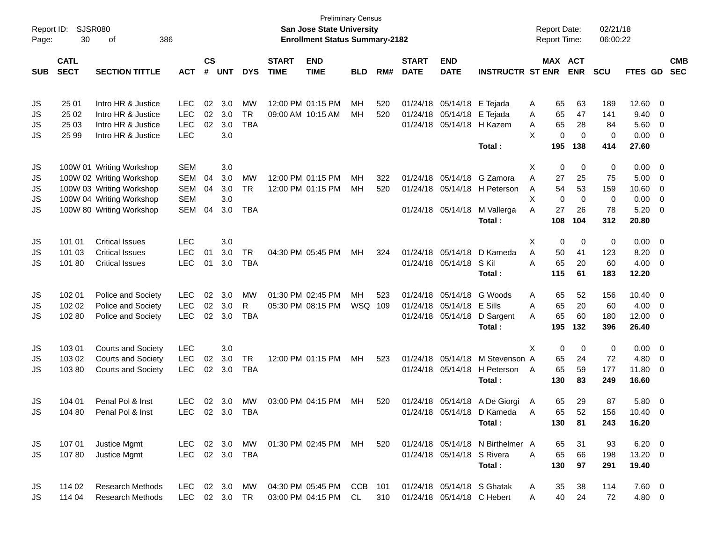| Report ID: | <b>SJSR080</b> |                           |                          |               |                |            |                   | <b>San Jose State University</b>       | <b>Preliminary Census</b> |     |              |                            |                                  |        | <b>Report Date:</b> |                    | 02/21/18           |                |                |            |
|------------|----------------|---------------------------|--------------------------|---------------|----------------|------------|-------------------|----------------------------------------|---------------------------|-----|--------------|----------------------------|----------------------------------|--------|---------------------|--------------------|--------------------|----------------|----------------|------------|
| Page:      | 30             | 386<br>οf                 |                          |               |                |            |                   | <b>Enrollment Status Summary-2182</b>  |                           |     |              |                            |                                  |        | <b>Report Time:</b> |                    | 06:00:22           |                |                |            |
|            | <b>CATL</b>    |                           |                          | $\mathsf{cs}$ |                |            | <b>START</b>      | <b>END</b>                             |                           |     | <b>START</b> | <b>END</b>                 |                                  |        |                     | MAX ACT            |                    |                |                | <b>CMB</b> |
| <b>SUB</b> | <b>SECT</b>    | <b>SECTION TITTLE</b>     | <b>ACT</b>               | #             | <b>UNT</b>     | <b>DYS</b> | <b>TIME</b>       | <b>TIME</b>                            | <b>BLD</b>                | RM# | <b>DATE</b>  | <b>DATE</b>                | <b>INSTRUCTR ST ENR</b>          |        |                     | <b>ENR</b>         | <b>SCU</b>         | FTES GD        |                | <b>SEC</b> |
|            |                |                           |                          |               |                |            |                   |                                        |                           |     |              |                            |                                  |        |                     |                    |                    |                |                |            |
| JS         | 25 01          | Intro HR & Justice        | <b>LEC</b>               | 02            | 3.0            | МW         | 12:00 PM 01:15 PM |                                        | MН                        | 520 | 01/24/18     | 05/14/18                   | E Tejada                         | A      | 65                  | 63                 | 189                | 12.60          | 0              |            |
| JS         | 25 02          | Intro HR & Justice        | <b>LEC</b>               | 02            | 3.0            | <b>TR</b>  |                   | 09:00 AM 10:15 AM                      | MН                        | 520 | 01/24/18     | 05/14/18                   | E Tejada                         | A      | 65                  | 47                 | 141                | 9.40           | 0              |            |
| JS         | 25 03          | Intro HR & Justice        | <b>LEC</b>               | 02            | 3.0            | <b>TBA</b> |                   |                                        |                           |     | 01/24/18     | 05/14/18                   | H Kazem                          | A      | 65                  | 28                 | 84                 | 5.60           | 0              |            |
| JS         | 25 99          | Intro HR & Justice        | <b>LEC</b>               |               | 3.0            |            |                   |                                        |                           |     |              |                            | Total:                           | X      | 0<br>195            | $\mathbf 0$<br>138 | $\mathbf 0$<br>414 | 0.00<br>27.60  | 0              |            |
|            |                |                           |                          |               |                |            |                   |                                        |                           |     |              |                            |                                  |        |                     |                    |                    |                |                |            |
| JS         |                | 100W 01 Writing Workshop  | <b>SEM</b>               |               | 3.0            | <b>MW</b>  |                   |                                        |                           |     |              |                            | G Zamora                         | Х      | 0                   | 0                  | 0                  | 0.00           | 0              |            |
| JS         |                | 100W 02 Writing Workshop  | <b>SEM</b>               | 04            | 3.0            |            |                   | 12:00 PM 01:15 PM<br>12:00 PM 01:15 PM | MН                        | 322 | 01/24/18     | 05/14/18                   |                                  | A      | 27                  | 25                 | 75                 | 5.00           | $\mathbf 0$    |            |
| JS         |                | 100W 03 Writing Workshop  | <b>SEM</b>               | 04            | 3.0<br>3.0     | <b>TR</b>  |                   |                                        | MН                        | 520 | 01/24/18     |                            | 05/14/18 H Peterson              | A      | 54                  | 53<br>$\mathbf 0$  | 159                | 10.60          | 0              |            |
| JS         |                | 100W 04 Writing Workshop  | <b>SEM</b><br><b>SEM</b> | 04            | 3.0            | <b>TBA</b> |                   |                                        |                           |     |              | 01/24/18 05/14/18          | M Vallerga                       | X<br>A | 0<br>27             | 26                 | 0<br>78            | 0.00<br>5.20   | 0              |            |
| JS         |                | 100W 80 Writing Workshop  |                          |               |                |            |                   |                                        |                           |     |              |                            | Total:                           |        | 108                 | 104                | 312                | 20.80          | 0              |            |
|            |                |                           |                          |               |                |            |                   |                                        |                           |     |              |                            |                                  |        |                     |                    |                    |                |                |            |
| JS         | 101 01         | <b>Critical Issues</b>    | <b>LEC</b>               |               | 3.0            |            |                   |                                        |                           |     |              |                            |                                  | Х      | 0                   | 0                  | 0                  | 0.00           | $\overline{0}$ |            |
| JS         | 101 03         | <b>Critical Issues</b>    | <b>LEC</b>               | 01            | 3.0            | <b>TR</b>  |                   | 04:30 PM 05:45 PM                      | МH                        | 324 | 01/24/18     | 05/14/18                   | D Kameda                         | Α      | 50                  | 41                 | 123                | 8.20           | $\overline{0}$ |            |
| JS         | 10180          | <b>Critical Issues</b>    | <b>LEC</b>               | 01            | 3.0            | <b>TBA</b> |                   |                                        |                           |     |              | 01/24/18 05/14/18          | S Kil                            | A      | 65                  | 20                 | 60                 | 4.00           | 0              |            |
|            |                |                           |                          |               |                |            |                   |                                        |                           |     |              |                            | Total:                           |        | 115                 | 61                 | 183                | 12.20          |                |            |
| JS         | 102 01         | Police and Society        | LEC                      | 02            | 3.0            | <b>MW</b>  | 01:30 PM 02:45 PM |                                        | MH                        | 523 | 01/24/18     | 05/14/18                   | G Woods                          | Α      | 65                  | 52                 | 156                | 10.40          | $\overline{0}$ |            |
| JS         | 102 02         | Police and Society        | <b>LEC</b>               | 02            | 3.0            | R          |                   | 05:30 PM 08:15 PM                      | WSQ 109                   |     | 01/24/18     | 05/14/18                   | E Sills                          | A      | 65                  | 20                 | 60                 | 4.00           | $\mathbf 0$    |            |
| JS         | 102 80         | Police and Society        | <b>LEC</b>               | 02            | 3.0            | <b>TBA</b> |                   |                                        |                           |     | 01/24/18     | 05/14/18                   | D Sargent                        | A      | 65                  | 60                 | 180                | 12.00          | 0              |            |
|            |                |                           |                          |               |                |            |                   |                                        |                           |     |              |                            | Total:                           |        | 195                 | 132                | 396                | 26.40          |                |            |
| JS         | 103 01         | <b>Courts and Society</b> | <b>LEC</b>               |               | 3.0            |            |                   |                                        |                           |     |              |                            |                                  | X      | 0                   | 0                  | 0                  | 0.00           | $\overline{0}$ |            |
| JS         | 103 02         | <b>Courts and Society</b> | <b>LEC</b>               | 02            | 3.0            | <b>TR</b>  |                   | 12:00 PM 01:15 PM                      | МH                        | 523 | 01/24/18     | 05/14/18                   | M Stevenson A                    |        | 65                  | 24                 | 72                 | 4.80           | $\mathbf 0$    |            |
| JS         | 10380          | <b>Courts and Society</b> | <b>LEC</b>               | 02            | 3.0            | <b>TBA</b> |                   |                                        |                           |     |              | 01/24/18 05/14/18          | H Peterson                       | A      | 65                  | 59                 | 177                | 11.80          | 0              |            |
|            |                |                           |                          |               |                |            |                   |                                        |                           |     |              |                            | Total:                           |        | 130                 | 83                 | 249                | 16.60          |                |            |
| JS         | 104 01         | Penal Pol & Inst          | <b>LEC</b>               | 02            | 3.0            | <b>MW</b>  |                   | 03:00 PM 04:15 PM                      | MН                        | 520 |              |                            | 01/24/18 05/14/18 A De Giorgi    | A      | 65                  | 29                 | 87                 | 5.80           | 0              |            |
| <b>JS</b>  | 104 80         | Penal Pol & Inst          | <b>LEC</b>               |               | 02 3.0         | TBA        |                   |                                        |                           |     |              |                            | 01/24/18 05/14/18 D Kameda       | A      | 65                  | 52                 | 156                | $10.40 \t 0$   |                |            |
|            |                |                           |                          |               |                |            |                   |                                        |                           |     |              |                            | Total:                           |        | 130                 | 81                 | 243                | 16.20          |                |            |
| JS         | 107 01         | Justice Mgmt              | LEC 02 3.0               |               |                | MW         |                   | 01:30 PM 02:45 PM MH                   |                           | 520 |              |                            | 01/24/18 05/14/18 N Birthelmer A |        | 65                  | 31                 | 93                 | $6.20 \quad 0$ |                |            |
| JS         | 10780          | Justice Mgmt              | LEC                      |               | 02 3.0         | TBA        |                   |                                        |                           |     |              | 01/24/18 05/14/18 S Rivera |                                  | A      | 65                  | 66                 | 198                | 13.20 0        |                |            |
|            |                |                           |                          |               |                |            |                   |                                        |                           |     |              |                            | Total:                           |        | 130                 | 97                 | 291                | 19.40          |                |            |
| JS         | 114 02         | <b>Research Methods</b>   | LEC                      |               | $02 \quad 3.0$ | MW         |                   | 04:30 PM 05:45 PM CCB 101              |                           |     |              |                            | 01/24/18 05/14/18 S Ghatak       | A      | 35                  | 38                 | 114                | $7.60 \t 0$    |                |            |
| JS         | 114 04         | <b>Research Methods</b>   | <b>LEC</b>               |               | 02 3.0         | <b>TR</b>  |                   | 03:00 PM 04:15 PM                      | CL.                       | 310 |              | 01/24/18 05/14/18 C Hebert |                                  | Α      | 40                  | 24                 | 72                 | 4.80 0         |                |            |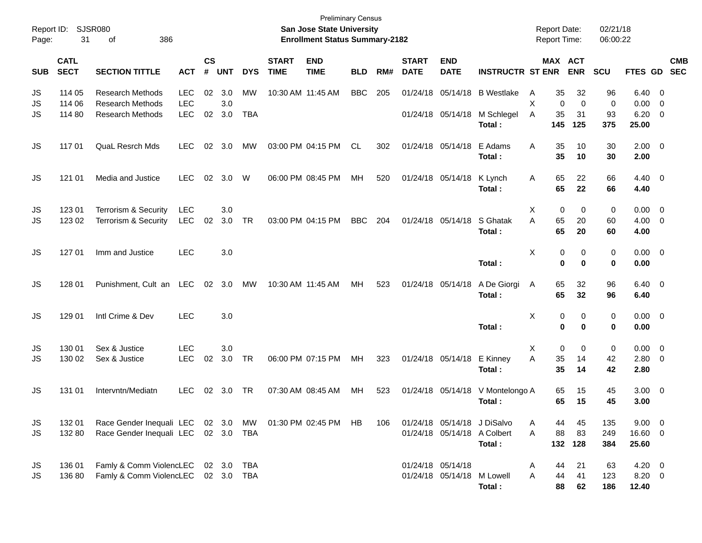| Report ID:<br>Page: | 31                         | <b>SJSR080</b><br>386<br>οf                                 |                          |                    |                  |            |                             | <b>Preliminary Census</b><br>San Jose State University<br><b>Enrollment Status Summary-2182</b> |            |     |                             |                                                 |                                                                      | <b>Report Date:</b><br>Report Time: |                                     | 02/21/18<br>06:00:22 |                               |                                                    |                          |
|---------------------|----------------------------|-------------------------------------------------------------|--------------------------|--------------------|------------------|------------|-----------------------------|-------------------------------------------------------------------------------------------------|------------|-----|-----------------------------|-------------------------------------------------|----------------------------------------------------------------------|-------------------------------------|-------------------------------------|----------------------|-------------------------------|----------------------------------------------------|--------------------------|
| <b>SUB</b>          | <b>CATL</b><br><b>SECT</b> | <b>SECTION TITTLE</b>                                       | <b>ACT</b>               | $\mathsf{cs}$<br># | <b>UNT</b>       | <b>DYS</b> | <b>START</b><br><b>TIME</b> | <b>END</b><br><b>TIME</b>                                                                       | <b>BLD</b> | RM# | <b>START</b><br><b>DATE</b> | <b>END</b><br><b>DATE</b>                       | <b>INSTRUCTR ST ENR</b>                                              |                                     | MAX ACT<br><b>ENR</b>               | SCU                  | FTES GD                       |                                                    | <b>CMB</b><br><b>SEC</b> |
| JS<br>JS            | 114 05<br>114 06           | <b>Research Methods</b><br><b>Research Methods</b>          | <b>LEC</b><br><b>LEC</b> | 02                 | 3.0<br>3.0       | <b>MW</b>  | 10:30 AM 11:45 AM           |                                                                                                 | <b>BBC</b> | 205 |                             | 01/24/18 05/14/18                               | <b>B</b> Westlake                                                    | A<br>X                              | 35<br>32<br>$\mathbf 0$<br>$\Omega$ | 96<br>$\mathbf 0$    | 6.40<br>0.00                  | $\overline{\mathbf{0}}$<br>$\overline{0}$          |                          |
| JS                  | 114 80                     | <b>Research Methods</b>                                     | <b>LEC</b>               | $02\,$             | 3.0              | <b>TBA</b> |                             |                                                                                                 |            |     |                             | 01/24/18 05/14/18                               | M Schlegel<br>Total:                                                 | A<br>145                            | 35<br>31<br>125                     | 93<br>375            | 6.20<br>25.00                 | 0                                                  |                          |
| JS                  | 117 01                     | QuaL Resrch Mds                                             | <b>LEC</b>               | 02                 | 3.0              | MW         |                             | 03:00 PM 04:15 PM                                                                               | CL.        | 302 |                             | 01/24/18 05/14/18                               | E Adams<br>Total:                                                    | Α                                   | 35<br>10<br>35<br>10                | 30<br>30             | $2.00 \t 0$<br>2.00           |                                                    |                          |
| JS                  | 121 01                     | Media and Justice                                           | <b>LEC</b>               | 02                 | 3.0              | W          |                             | 06:00 PM 08:45 PM                                                                               | MH         | 520 |                             | 01/24/18 05/14/18                               | K Lynch<br>Total:                                                    | Α                                   | 65<br>22<br>65<br>22                | 66<br>66             | $4.40 \quad 0$<br>4.40        |                                                    |                          |
| JS<br>JS            | 123 01<br>123 02           | Terrorism & Security<br>Terrorism & Security                | <b>LEC</b><br><b>LEC</b> | 02                 | 3.0<br>3.0       | <b>TR</b>  |                             | 03:00 PM 04:15 PM                                                                               | <b>BBC</b> | 204 |                             | 01/24/18 05/14/18                               | S Ghatak<br>Total:                                                   | х<br>A                              | 0<br>0<br>65<br>20<br>65<br>20      | 0<br>60<br>60        | 0.00<br>4.00<br>4.00          | $\overline{\mathbf{0}}$<br>$\overline{\mathbf{0}}$ |                          |
| JS                  | 127 01                     | Imm and Justice                                             | <b>LEC</b>               |                    | 3.0              |            |                             |                                                                                                 |            |     |                             |                                                 | Total:                                                               | X                                   | 0<br>0<br>$\bf{0}$<br>$\bf{0}$      | 0<br>0               | $0.00 \t 0$<br>0.00           |                                                    |                          |
| JS                  | 128 01                     | Punishment, Cult an LEC                                     |                          | 02                 | 3.0              | MW         |                             | 10:30 AM 11:45 AM                                                                               | MH         | 523 |                             | 01/24/18 05/14/18                               | A De Giorgi<br>Total:                                                | A                                   | 32<br>65<br>65<br>32                | 96<br>96             | $6.40 \quad 0$<br>6.40        |                                                    |                          |
| JS                  | 129 01                     | Intl Crime & Dev                                            | <b>LEC</b>               |                    | 3.0              |            |                             |                                                                                                 |            |     |                             |                                                 | Total:                                                               | X                                   | 0<br>0<br>$\bf{0}$<br>$\bf{0}$      | 0<br>0               | $0.00 \t 0$<br>0.00           |                                                    |                          |
| JS<br>JS            | 130 01<br>130 02           | Sex & Justice<br>Sex & Justice                              | <b>LEC</b><br><b>LEC</b> | 02                 | 3.0<br>3.0       | TR         |                             | 06:00 PM 07:15 PM                                                                               | MH         | 323 |                             | 01/24/18 05/14/18                               | E Kinney<br>Total:                                                   | X<br>Α                              | 0<br>0<br>35<br>14<br>35<br>14      | 0<br>42<br>42        | 0.00<br>2.80<br>2.80          | $\overline{\mathbf{0}}$<br>$\overline{\mathbf{0}}$ |                          |
| JS                  | 131 01                     | Intervntn/Mediatn                                           | <b>LEC</b>               | 02                 | 3.0              | TR         |                             | 07:30 AM 08:45 AM                                                                               | <b>MH</b>  | 523 |                             | 01/24/18 05/14/18                               | V Montelongo A<br>Total:                                             |                                     | 65<br>15<br>65<br>15                | 45<br>45             | $3.00 \ 0$<br>3.00            |                                                    |                          |
| JS<br>JS            | 132 01<br>132 80           | Race Gender Inequali LEC 02 3.0<br>Race Gender Inequali LEC |                          |                    | 02 3.0           | MW<br>TBA  |                             | 01:30 PM 02:45 PM                                                                               | HB.        | 106 |                             |                                                 | 01/24/18 05/14/18 J DiSalvo<br>01/24/18 05/14/18 A Colbert<br>Total: | A<br>Α<br>132                       | 44<br>45<br>88<br>83<br>128         | 135<br>249<br>384    | 9.00<br>16.60 0<br>25.60      | $\overline{\phantom{0}}$                           |                          |
| JS<br>JS            | 136 01<br>136 80           | Famly & Comm ViolencLEC<br>Famly & Comm ViolencLEC          |                          |                    | 02 3.0<br>02 3.0 | TBA<br>TBA |                             |                                                                                                 |            |     |                             | 01/24/18 05/14/18<br>01/24/18 05/14/18 M Lowell | Total:                                                               | A<br>Α                              | 21<br>44<br>41<br>44<br>62<br>88    | 63<br>123<br>186     | $4.20 \ 0$<br>8.20 0<br>12.40 |                                                    |                          |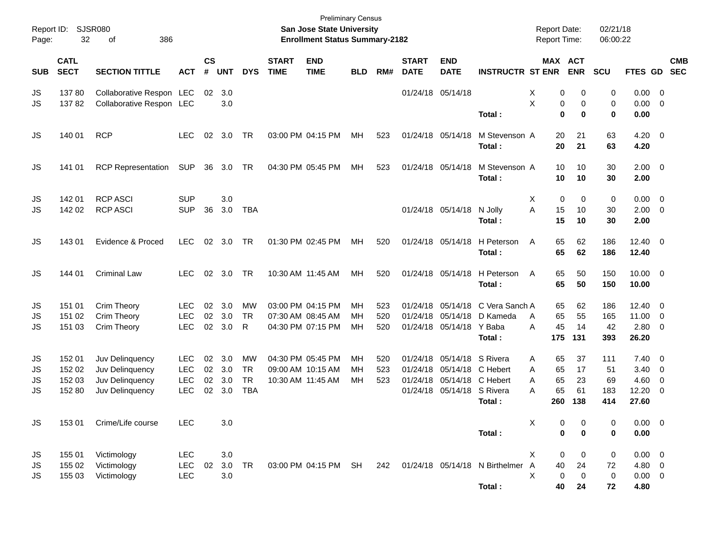| Report ID:<br>Page: | 32                         | <b>SJSR080</b><br>386<br>οf        |                          |                |            |                           |                             | <b>Preliminary Census</b><br>San Jose State University<br><b>Enrollment Status Summary-2182</b> |                 |            |                             |                                               |                                | <b>Report Date:</b><br>Report Time: |                              | 02/21/18<br>06:00:22 |               |                     |            |
|---------------------|----------------------------|------------------------------------|--------------------------|----------------|------------|---------------------------|-----------------------------|-------------------------------------------------------------------------------------------------|-----------------|------------|-----------------------------|-----------------------------------------------|--------------------------------|-------------------------------------|------------------------------|----------------------|---------------|---------------------|------------|
| <b>SUB</b>          | <b>CATL</b><br><b>SECT</b> | <b>SECTION TITTLE</b>              | <b>ACT</b>               | <b>CS</b><br># | <b>UNT</b> | <b>DYS</b>                | <b>START</b><br><b>TIME</b> | <b>END</b><br><b>TIME</b>                                                                       | <b>BLD</b>      | RM#        | <b>START</b><br><b>DATE</b> | <b>END</b><br><b>DATE</b>                     | <b>INSTRUCTR ST ENR</b>        |                                     | <b>MAX ACT</b><br><b>ENR</b> | SCU                  | FTES GD SEC   |                     | <b>CMB</b> |
| JS                  | 13780                      | Collaborative Respon LEC           |                          | 02             | 3.0        |                           |                             |                                                                                                 |                 |            |                             | 01/24/18 05/14/18                             |                                | х<br>0                              | 0                            | 0                    | 0.00          | $\overline{0}$      |            |
| JS                  | 13782                      | Collaborative Respon LEC           |                          |                | 3.0        |                           |                             |                                                                                                 |                 |            |                             |                                               |                                | X<br>0                              | 0                            | 0                    | 0.00          | $\overline{0}$      |            |
|                     |                            |                                    |                          |                |            |                           |                             |                                                                                                 |                 |            |                             |                                               | Total:                         | $\bf{0}$                            | 0                            | $\mathbf 0$          | 0.00          |                     |            |
| JS                  | 140 01                     | <b>RCP</b>                         | LEC.                     | 02             | 3.0        | <b>TR</b>                 |                             | 03:00 PM 04:15 PM                                                                               | МH              | 523        |                             | 01/24/18 05/14/18                             | M Stevenson A                  | 20                                  | 21                           | 63                   | 4.20          | $\overline{0}$      |            |
|                     |                            |                                    |                          |                |            |                           |                             |                                                                                                 |                 |            |                             |                                               | Total:                         | 20                                  | 21                           | 63                   | 4.20          |                     |            |
| JS                  | 141 01                     | <b>RCP Representation</b>          | <b>SUP</b>               | 36             | 3.0        | <b>TR</b>                 |                             | 04:30 PM 05:45 PM                                                                               | МH              | 523        |                             | 01/24/18 05/14/18                             | M Stevenson A                  | 10                                  | 10                           | 30                   | $2.00 \t 0$   |                     |            |
|                     |                            |                                    |                          |                |            |                           |                             |                                                                                                 |                 |            |                             |                                               | Total:                         | 10                                  | 10                           | 30                   | 2.00          |                     |            |
|                     |                            |                                    |                          |                |            |                           |                             |                                                                                                 |                 |            |                             |                                               |                                |                                     |                              |                      |               |                     |            |
| JS                  | 142 01<br>142 02           | <b>RCP ASCI</b><br><b>RCP ASCI</b> | <b>SUP</b><br><b>SUP</b> | 36             | 3.0<br>3.0 | <b>TBA</b>                |                             |                                                                                                 |                 |            |                             | 01/24/18 05/14/18 N Jolly                     |                                | 0<br>Χ<br>A<br>15                   | 0<br>10                      | 0<br>30              | 0.00<br>2.00  | 0<br>- 0            |            |
| JS                  |                            |                                    |                          |                |            |                           |                             |                                                                                                 |                 |            |                             |                                               | Total:                         | 15                                  | 10                           | 30                   | 2.00          |                     |            |
|                     |                            |                                    |                          |                |            |                           |                             |                                                                                                 |                 |            |                             |                                               |                                |                                     |                              |                      |               |                     |            |
| JS                  | 143 01                     | Evidence & Proced                  | <b>LEC</b>               | 02             | 3.0        | <b>TR</b>                 |                             | 01:30 PM 02:45 PM                                                                               | MН              | 520        |                             |                                               | 01/24/18 05/14/18 H Peterson   | 65<br>A                             | 62                           | 186                  | $12.40 \t 0$  |                     |            |
|                     |                            |                                    |                          |                |            |                           |                             |                                                                                                 |                 |            |                             |                                               | Total:                         | 65                                  | 62                           | 186                  | 12.40         |                     |            |
| JS                  | 144 01                     | <b>Criminal Law</b>                | LEC.                     | 02             | 3.0        | <b>TR</b>                 |                             | 10:30 AM 11:45 AM                                                                               | MН              | 520        |                             |                                               | 01/24/18 05/14/18 H Peterson   | 65<br>A                             | 50                           | 150                  | $10.00 \t 0$  |                     |            |
|                     |                            |                                    |                          |                |            |                           |                             |                                                                                                 |                 |            |                             |                                               | Total:                         | 65                                  | 50                           | 150                  | 10.00         |                     |            |
|                     |                            |                                    |                          |                |            |                           |                             |                                                                                                 |                 |            |                             |                                               |                                |                                     |                              |                      |               |                     |            |
| JS                  | 151 01                     | Crim Theory                        | <b>LEC</b>               | 02             | 3.0        | MW                        |                             | 03:00 PM 04:15 PM                                                                               | MН              | 523        |                             | 01/24/18 05/14/18                             | C Vera Sanch A                 | 65                                  | 62                           | 186                  | 12.40         | $\overline{0}$      |            |
| JS<br><b>JS</b>     | 151 02<br>151 03           | Crim Theory                        | <b>LEC</b><br><b>LEC</b> | 02<br>02       | 3.0<br>3.0 | <b>TR</b><br>$\mathsf{R}$ |                             | 07:30 AM 08:45 AM<br>04:30 PM 07:15 PM                                                          | <b>MH</b><br>МH | 520<br>520 |                             | 01/24/18 05/14/18<br>01/24/18 05/14/18 Y Baba | D Kameda                       | 65<br>A<br>45<br>A                  | 55<br>14                     | 165<br>42            | 11.00<br>2.80 | 0<br>$\overline{0}$ |            |
|                     |                            | Crim Theory                        |                          |                |            |                           |                             |                                                                                                 |                 |            |                             |                                               | Total:                         | 175                                 | 131                          | 393                  | 26.20         |                     |            |
|                     |                            |                                    |                          |                |            |                           |                             |                                                                                                 |                 |            |                             |                                               |                                |                                     |                              |                      |               |                     |            |
| JS                  | 152 01                     | Juv Delinquency                    | <b>LEC</b>               | 02             | 3.0        | <b>MW</b>                 |                             | 04:30 PM 05:45 PM                                                                               | MН              | 520        |                             | 01/24/18 05/14/18 S Rivera                    |                                | 65<br>A                             | 37                           | 111                  | 7.40          | $\overline{0}$      |            |
| JS                  | 152 02                     | Juv Delinquency                    | <b>LEC</b>               | 02             | 3.0        | <b>TR</b>                 |                             | 09:00 AM 10:15 AM                                                                               | MН              | 523        |                             | 01/24/18 05/14/18 C Hebert                    |                                | 65<br>A                             | 17                           | 51                   | 3.40          | 0                   |            |
| JS                  | 152 03                     | Juv Delinquency                    | <b>LEC</b>               | 02             | 3.0        | <b>TR</b>                 |                             | 10:30 AM 11:45 AM                                                                               | MH              | 523        |                             | 01/24/18 05/14/18 C Hebert                    |                                | 65<br>A                             | 23                           | 69                   | 4.60          | 0                   |            |
| <b>JS</b>           | 152 80                     | Juv Delinquency                    | <b>LEC</b>               | 02             | 3.0        | <b>TBA</b>                |                             |                                                                                                 |                 |            |                             | 01/24/18 05/14/18 S Rivera                    |                                | 65<br>A                             | 61                           | 183                  | 12.20         | $\overline{0}$      |            |
|                     |                            |                                    |                          |                |            |                           |                             |                                                                                                 |                 |            |                             |                                               | Total :                        | 260                                 | 138                          | 414                  | 27.60         |                     |            |
| <b>JS</b>           | 15301                      | Crime/Life course                  | <b>LEC</b>               |                | 3.0        |                           |                             |                                                                                                 |                 |            |                             |                                               |                                | X<br>0                              | 0                            | 0                    | $0.00 \t 0$   |                     |            |
|                     |                            |                                    |                          |                |            |                           |                             |                                                                                                 |                 |            |                             |                                               | Total:                         | 0                                   | $\bf{0}$                     | 0                    | 0.00          |                     |            |
| JS                  | 155 01                     | Victimology                        | <b>LEC</b>               |                | $3.0\,$    |                           |                             |                                                                                                 |                 |            |                             |                                               |                                | X.<br>0                             | 0                            | 0                    | $0.00 \t 0$   |                     |            |
| JS                  | 155 02                     | Victimology                        | LEC                      | 02             | 3.0        | TR                        |                             | 03:00 PM 04:15 PM SH                                                                            |                 | 242        |                             |                                               | 01/24/18 05/14/18 N Birthelmer | $\overline{A}$<br>40                | 24                           | 72                   | 4.80 0        |                     |            |
| <b>JS</b>           | 155 03                     | Victimology                        | LEC                      |                | 3.0        |                           |                             |                                                                                                 |                 |            |                             |                                               |                                | X<br>0                              | $\pmb{0}$                    | $\mathbf 0$          | $0.00 \t 0$   |                     |            |
|                     |                            |                                    |                          |                |            |                           |                             |                                                                                                 |                 |            |                             |                                               | Total:                         | 40                                  | 24                           | 72                   | 4.80          |                     |            |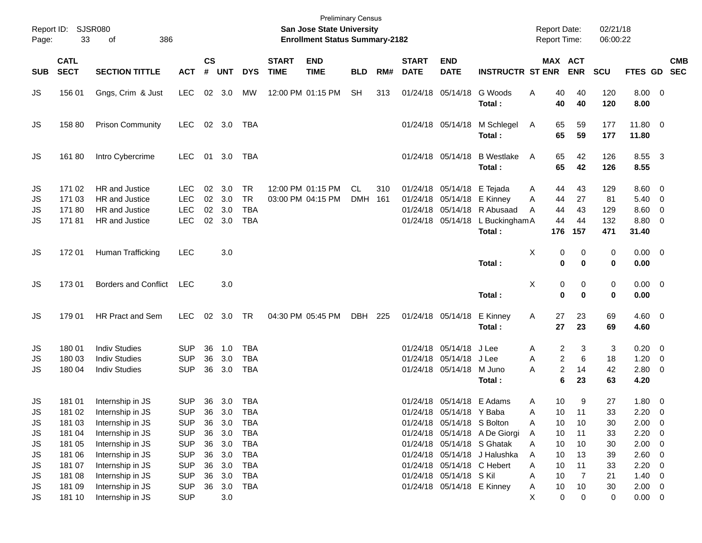| Page:                | Report ID: SJSR080<br>33             | 386<br>of                                                                    |                                                      |                      |                             |                                                      |                             | San Jose State University<br><b>Enrollment Status Summary-2182</b> | <b>Preliminary Census</b> |              |                             |                                                                                     |                                                                                             | <b>Report Date:</b><br><b>Report Time:</b> |                                            |                             | 02/21/18<br>06:00:22           |                                       |                                                                                                          |            |
|----------------------|--------------------------------------|------------------------------------------------------------------------------|------------------------------------------------------|----------------------|-----------------------------|------------------------------------------------------|-----------------------------|--------------------------------------------------------------------|---------------------------|--------------|-----------------------------|-------------------------------------------------------------------------------------|---------------------------------------------------------------------------------------------|--------------------------------------------|--------------------------------------------|-----------------------------|--------------------------------|---------------------------------------|----------------------------------------------------------------------------------------------------------|------------|
| <b>SUB</b>           | <b>CATL</b><br><b>SECT</b>           | <b>SECTION TITTLE</b>                                                        | <b>ACT</b>                                           | $\mathsf{cs}$<br>#   | <b>UNT</b>                  | <b>DYS</b>                                           | <b>START</b><br><b>TIME</b> | <b>END</b><br><b>TIME</b>                                          | <b>BLD</b>                | RM#          | <b>START</b><br><b>DATE</b> | <b>END</b><br><b>DATE</b>                                                           | <b>INSTRUCTR ST ENR</b>                                                                     | MAX ACT                                    |                                            | <b>ENR</b>                  | <b>SCU</b>                     | FTES GD SEC                           |                                                                                                          | <b>CMB</b> |
| JS                   | 156 01                               | Gngs, Crim & Just                                                            | <b>LEC</b>                                           | 02                   | 3.0                         | МW                                                   |                             | 12:00 PM 01:15 PM                                                  | <b>SH</b>                 | 313          |                             | 01/24/18 05/14/18                                                                   | G Woods<br>Total:                                                                           | Α                                          | 40<br>40                                   | 40<br>40                    | 120<br>120                     | 8.00<br>8.00                          | $\overline{\mathbf{0}}$                                                                                  |            |
| JS                   | 158 80                               | <b>Prison Community</b>                                                      | <b>LEC</b>                                           |                      | 02 3.0                      | TBA                                                  |                             |                                                                    |                           |              |                             | 01/24/18 05/14/18                                                                   | M Schlegel<br>Total:                                                                        | A                                          | 65<br>65                                   | 59<br>59                    | 177<br>177                     | 11.80 0<br>11.80                      |                                                                                                          |            |
| JS                   | 16180                                | Intro Cybercrime                                                             | <b>LEC</b>                                           | 01                   | 3.0                         | TBA                                                  |                             |                                                                    |                           |              |                             | 01/24/18 05/14/18                                                                   | <b>B</b> Westlake<br>Total:                                                                 | A                                          | 65<br>65                                   | 42<br>42                    | 126<br>126                     | 8.55 3<br>8.55                        |                                                                                                          |            |
| JS<br>JS<br>JS<br>JS | 171 02<br>171 03<br>17180<br>17181   | <b>HR</b> and Justice<br>HR and Justice<br>HR and Justice<br>HR and Justice  | <b>LEC</b><br><b>LEC</b><br><b>LEC</b><br><b>LEC</b> | 02<br>02<br>02       | 3.0<br>3.0<br>3.0<br>02 3.0 | <b>TR</b><br><b>TR</b><br><b>TBA</b><br><b>TBA</b>   |                             | 12:00 PM 01:15 PM<br>03:00 PM 04:15 PM                             | CL.<br><b>DMH</b>         | 310<br>- 161 |                             | 01/24/18 05/14/18<br>01/24/18 05/14/18<br>01/24/18 05/14/18<br>01/24/18 05/14/18    | E Tejada<br>E Kinney<br>R Abusaad<br>L Buckingham A<br>Total:                               | A<br>Α<br>A                                | 44<br>44<br>44<br>44<br>176                | 43<br>27<br>43<br>44<br>157 | 129<br>81<br>129<br>132<br>471 | 8.60<br>5.40<br>8.60<br>8.80<br>31.40 | - 0<br>$\overline{0}$<br>$\overline{0}$<br>$\overline{\mathbf{0}}$                                       |            |
| JS                   | 172 01                               | Human Trafficking                                                            | <b>LEC</b>                                           |                      | 3.0                         |                                                      |                             |                                                                    |                           |              |                             |                                                                                     | Total:                                                                                      | Χ                                          | 0<br>0                                     | 0<br>$\bf{0}$               | 0<br>$\mathbf 0$               | $0.00 \t 0$<br>0.00                   |                                                                                                          |            |
| JS                   | 173 01                               | <b>Borders and Conflict</b>                                                  | <b>LEC</b>                                           |                      | 3.0                         |                                                      |                             |                                                                    |                           |              |                             |                                                                                     | Total:                                                                                      | X                                          | 0<br>0                                     | 0<br>0                      | 0<br>$\mathbf 0$               | $0.00 \t 0$<br>0.00                   |                                                                                                          |            |
| JS                   | 179 01                               | HR Pract and Sem                                                             | <b>LEC</b>                                           | 02                   | 3.0                         | TR                                                   |                             | 04:30 PM 05:45 PM                                                  | DBH                       | 225          |                             | 01/24/18 05/14/18                                                                   | E Kinney<br>Total:                                                                          | Α                                          | 27<br>27                                   | 23<br>23                    | 69<br>69                       | $4.60 \ 0$<br>4.60                    |                                                                                                          |            |
| JS<br>JS<br>JS       | 180 01<br>180 03<br>180 04           | <b>Indiv Studies</b><br><b>Indiv Studies</b><br><b>Indiv Studies</b>         | <b>SUP</b><br><b>SUP</b><br><b>SUP</b>               | 36<br>36<br>36       | 1.0<br>3.0<br>3.0           | <b>TBA</b><br><b>TBA</b><br><b>TBA</b>               |                             |                                                                    |                           |              |                             | 01/24/18 05/14/18<br>01/24/18 05/14/18<br>01/24/18 05/14/18                         | J Lee<br>J Lee<br>M Juno<br>Total:                                                          | Α<br>A<br>A                                | 2<br>$\overline{2}$<br>$\overline{c}$<br>6 | 3<br>6<br>14<br>23          | 3<br>18<br>42<br>63            | 0.20<br>1.20<br>2.80<br>4.20          | $\overline{\mathbf{0}}$<br>$\overline{\mathbf{0}}$<br>$\overline{\mathbf{0}}$                            |            |
| JS<br>JS<br>JS       | 181 01<br>181 02<br>181 03           | Internship in JS<br>Internship in JS<br>Internship in JS                     | <b>SUP</b><br><b>SUP</b><br><b>SUP</b>               | 36<br>36             | 36 3.0<br>3.0<br>3.0        | TBA<br><b>TBA</b><br><b>TBA</b>                      |                             |                                                                    |                           |              |                             | 01/24/18 05/14/18 E Adams<br>01/24/18 05/14/18 Y Baba<br>01/24/18 05/14/18 S Bolton |                                                                                             | Α<br>Α<br>A                                | 10<br>10<br>10                             | 9<br>11<br>10               | 27<br>33<br>30                 | 1.80<br>2.20<br>2.00                  | $\overline{\mathbf{0}}$<br>0<br>- 0                                                                      |            |
| JS<br>JS<br>JS<br>JS | 181 04<br>181 05<br>181 06<br>181 07 | Internship in JS<br>Internship in JS<br>Internship in JS<br>Internship in JS | <b>SUP</b><br><b>SUP</b><br><b>SUP</b><br><b>SUP</b> | 36<br>36<br>36<br>36 | 3.0<br>3.0<br>3.0<br>3.0    | <b>TBA</b><br><b>TBA</b><br><b>TBA</b><br><b>TBA</b> |                             |                                                                    |                           |              |                             | 01/24/18 05/14/18 C Hebert                                                          | 01/24/18 05/14/18 A De Giorgi<br>01/24/18 05/14/18 S Ghatak<br>01/24/18 05/14/18 J Halushka | A<br>Α<br>A<br>Α                           | 10<br>10<br>10<br>10                       | 11<br>10<br>13<br>11        | 33<br>30<br>39<br>33           | 2.20<br>2.00<br>2.60<br>2.20          | $\overline{\mathbf{0}}$<br>$\overline{\mathbf{0}}$<br>$\overline{\mathbf{0}}$<br>$\overline{\mathbf{0}}$ |            |
| JS<br>JS<br>JS       | 181 08<br>181 09<br>181 10           | Internship in JS<br>Internship in JS<br>Internship in JS                     | <b>SUP</b><br><b>SUP</b><br><b>SUP</b>               | 36<br>36             | 3.0<br>3.0<br>3.0           | <b>TBA</b><br><b>TBA</b>                             |                             |                                                                    |                           |              |                             | 01/24/18 05/14/18 S Kil<br>01/24/18 05/14/18 E Kinney                               |                                                                                             | Α<br>A<br>X                                | 10<br>10<br>0                              | $\overline{7}$<br>10<br>0   | 21<br>30<br>0                  | 1.40<br>$2.00 \t 0$<br>$0.00 \t 0$    | $\overline{\mathbf{0}}$                                                                                  |            |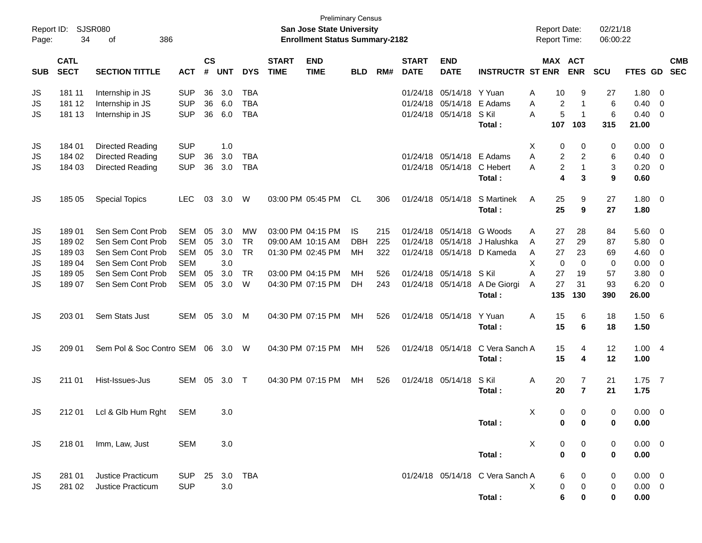| Report ID:<br>Page: | 34                         | SJSR080<br>386<br>оf          |            |                    |            |            |                             | <b>Preliminary Census</b><br><b>San Jose State University</b><br><b>Enrollment Status Summary-2182</b> |            |     |                             |                           |                                  |              | <b>Report Date:</b><br><b>Report Time:</b> |                | 02/21/18<br>06:00:22 |                |                         |                          |
|---------------------|----------------------------|-------------------------------|------------|--------------------|------------|------------|-----------------------------|--------------------------------------------------------------------------------------------------------|------------|-----|-----------------------------|---------------------------|----------------------------------|--------------|--------------------------------------------|----------------|----------------------|----------------|-------------------------|--------------------------|
| <b>SUB</b>          | <b>CATL</b><br><b>SECT</b> | <b>SECTION TITTLE</b>         | <b>ACT</b> | $\mathsf{cs}$<br># | <b>UNT</b> | <b>DYS</b> | <b>START</b><br><b>TIME</b> | <b>END</b><br><b>TIME</b>                                                                              | <b>BLD</b> | RM# | <b>START</b><br><b>DATE</b> | <b>END</b><br><b>DATE</b> | <b>INSTRUCTR ST ENR</b>          |              | MAX ACT                                    | <b>ENR</b>     | <b>SCU</b>           | FTES GD        |                         | <b>CMB</b><br><b>SEC</b> |
| JS                  | 181 11                     | Internship in JS              | <b>SUP</b> | 36                 | 3.0        | <b>TBA</b> |                             |                                                                                                        |            |     | 01/24/18                    | 05/14/18                  | Y Yuan                           | Α            | 10                                         | 9              | 27                   | 1.80           | 0                       |                          |
| JS                  | 181 12                     | Internship in JS              | <b>SUP</b> | 36                 | 6.0        | <b>TBA</b> |                             |                                                                                                        |            |     | 01/24/18                    | 05/14/18                  | E Adams                          | A            | $\overline{c}$                             | $\mathbf 1$    | 6                    | 0.40           | - 0                     |                          |
| JS                  | 181 13                     | Internship in JS              | <b>SUP</b> | 36                 | 6.0        | <b>TBA</b> |                             |                                                                                                        |            |     | 01/24/18                    | 05/14/18                  | S Kil                            | A            | 5                                          | $\overline{1}$ | 6                    | 0.40           | - 0                     |                          |
|                     |                            |                               |            |                    |            |            |                             |                                                                                                        |            |     |                             |                           | Total:                           |              | 107                                        | 103            | 315                  | 21.00          |                         |                          |
| JS                  | 184 01                     | Directed Reading              | <b>SUP</b> |                    | 1.0        |            |                             |                                                                                                        |            |     |                             |                           |                                  | Χ            | 0                                          | 0              | 0                    | 0.00           | 0                       |                          |
| JS                  | 184 02                     | Directed Reading              | <b>SUP</b> | 36                 | 3.0        | <b>TBA</b> |                             |                                                                                                        |            |     | 01/24/18                    | 05/14/18                  | E Adams                          | A            | 2                                          | 2              | 6                    | 0.40           | - 0                     |                          |
| JS                  | 184 03                     | <b>Directed Reading</b>       | <b>SUP</b> | 36                 | 3.0        | <b>TBA</b> |                             |                                                                                                        |            |     |                             | 01/24/18 05/14/18         | C Hebert                         | A            | 2                                          | $\mathbf{1}$   | 3                    | 0.20           | 0                       |                          |
|                     |                            |                               |            |                    |            |            |                             |                                                                                                        |            |     |                             |                           | Total:                           |              | 4                                          | 3              | 9                    | 0.60           |                         |                          |
| JS                  | 185 05                     | <b>Special Topics</b>         | <b>LEC</b> | 03                 | 3.0        | W          |                             | 03:00 PM 05:45 PM                                                                                      | CL.        | 306 | 01/24/18                    | 05/14/18                  | S Martinek                       | A            | 25                                         | 9              | 27                   | 1.80           | $\overline{\mathbf{0}}$ |                          |
|                     |                            |                               |            |                    |            |            |                             |                                                                                                        |            |     |                             |                           | Total:                           |              | 25                                         | 9              | 27                   | 1.80           |                         |                          |
| JS                  | 18901                      | Sen Sem Cont Prob             | <b>SEM</b> | 05                 | 3.0        | <b>MW</b>  |                             | 03:00 PM 04:15 PM                                                                                      | IS         | 215 | 01/24/18                    | 05/14/18                  | G Woods                          | A            | 27                                         | 28             | 84                   | 5.60           | - 0                     |                          |
| JS                  | 18902                      | Sen Sem Cont Prob             | <b>SEM</b> | 05                 | 3.0        | <b>TR</b>  |                             | 09:00 AM 10:15 AM                                                                                      | <b>DBH</b> | 225 | 01/24/18                    | 05/14/18                  | J Halushka                       | A            | 27                                         | 29             | 87                   | 5.80           | 0                       |                          |
| JS                  | 18903                      | Sen Sem Cont Prob             | <b>SEM</b> | 05                 | 3.0        | <b>TR</b>  |                             | 01:30 PM 02:45 PM                                                                                      | MH         | 322 | 01/24/18                    | 05/14/18                  | D Kameda                         | A            | 27                                         | 23             | 69                   | 4.60           | 0                       |                          |
| JS                  | 18904                      | Sen Sem Cont Prob             | <b>SEM</b> |                    | 3.0        |            |                             |                                                                                                        |            |     |                             |                           |                                  | X            | 0                                          | $\mathbf 0$    | 0                    | 0.00           | 0                       |                          |
| JS                  | 18905                      | Sen Sem Cont Prob             | <b>SEM</b> | 05                 | 3.0        | <b>TR</b>  |                             | 03:00 PM 04:15 PM                                                                                      | MH         | 526 | 01/24/18                    | 05/14/18                  | S Kil                            | A            | 27                                         | 19             | 57                   | 3.80           | 0                       |                          |
| <b>JS</b>           | 189 07                     | Sen Sem Cont Prob             | <b>SEM</b> | 05                 | 3.0        | W          |                             | 04:30 PM 07:15 PM                                                                                      | <b>DH</b>  | 243 |                             | 01/24/18 05/14/18         | A De Giorgi<br>Total:            | A            | 27<br>135                                  | 31<br>130      | 93<br>390            | 6.20<br>26.00  | 0                       |                          |
|                     |                            |                               |            |                    |            |            |                             |                                                                                                        |            |     |                             |                           |                                  |              |                                            |                |                      |                |                         |                          |
| JS                  | 203 01                     | Sem Stats Just                | SEM        | 05                 | 3.0        | M          |                             | 04:30 PM 07:15 PM                                                                                      | MH         | 526 |                             | 01/24/18 05/14/18         | Y Yuan                           | A            | 15                                         | 6              | 18                   | 1.50           | - 6                     |                          |
|                     |                            |                               |            |                    |            |            |                             |                                                                                                        |            |     |                             |                           | Total:                           |              | 15                                         | 6              | 18                   | 1.50           |                         |                          |
| JS                  | 209 01                     | Sem Pol & Soc Contro SEM      |            |                    | 06 3.0     | W          |                             | 04:30 PM 07:15 PM                                                                                      | MH         | 526 |                             | 01/24/18 05/14/18         | C Vera Sanch A                   |              | 15                                         | 4              | 12                   | 1.00           | $\overline{4}$          |                          |
|                     |                            |                               |            |                    |            |            |                             |                                                                                                        |            |     |                             |                           | Total:                           |              | 15                                         | 4              | 12                   | 1.00           |                         |                          |
| JS                  | 211 01                     | Hist-Issues-Jus               | SEM        | 05                 | 3.0        | Т          |                             | 04:30 PM 07:15 PM                                                                                      | MН         | 526 |                             | 01/24/18 05/14/18         | S Kil                            | Α            | 20                                         | 7              | 21                   | 1.75           | $\overline{7}$          |                          |
|                     |                            |                               |            |                    |            |            |                             |                                                                                                        |            |     |                             |                           | Total:                           |              | 20                                         | $\overline{7}$ | 21                   | 1.75           |                         |                          |
| <b>JS</b>           |                            | 212 01 Lcl & Glb Hum Rght SEM |            |                    | 3.0        |            |                             |                                                                                                        |            |     |                             |                           |                                  | X.           | $\Omega$                                   | 0              | 0                    | $0.00 \t 0$    |                         |                          |
|                     |                            |                               |            |                    |            |            |                             |                                                                                                        |            |     |                             |                           | Total:                           |              | 0                                          | 0              | 0                    | 0.00           |                         |                          |
| JS                  |                            | 218 01 Imm, Law, Just         | <b>SEM</b> |                    | 3.0        |            |                             |                                                                                                        |            |     |                             |                           |                                  | $\mathsf{X}$ | 0                                          | 0              | 0                    | $0.00 \ 0$     |                         |                          |
|                     |                            |                               |            |                    |            |            |                             |                                                                                                        |            |     |                             |                           | Total:                           |              | 0                                          | $\pmb{0}$      | 0                    | 0.00           |                         |                          |
| JS                  | 281 01                     | Justice Practicum             | SUP        | 25                 | 3.0 TBA    |            |                             |                                                                                                        |            |     |                             |                           | 01/24/18 05/14/18 C Vera Sanch A |              | 6                                          | 0              | 0                    | $0.00 \quad 0$ |                         |                          |
| JS                  | 281 02                     | <b>Justice Practicum</b>      | <b>SUP</b> |                    | 3.0        |            |                             |                                                                                                        |            |     |                             |                           |                                  | X            | 0                                          | $\pmb{0}$      | 0                    | $0.00 \t 0$    |                         |                          |
|                     |                            |                               |            |                    |            |            |                             |                                                                                                        |            |     |                             |                           | Total:                           |              | 6                                          | 0              | 0                    | 0.00           |                         |                          |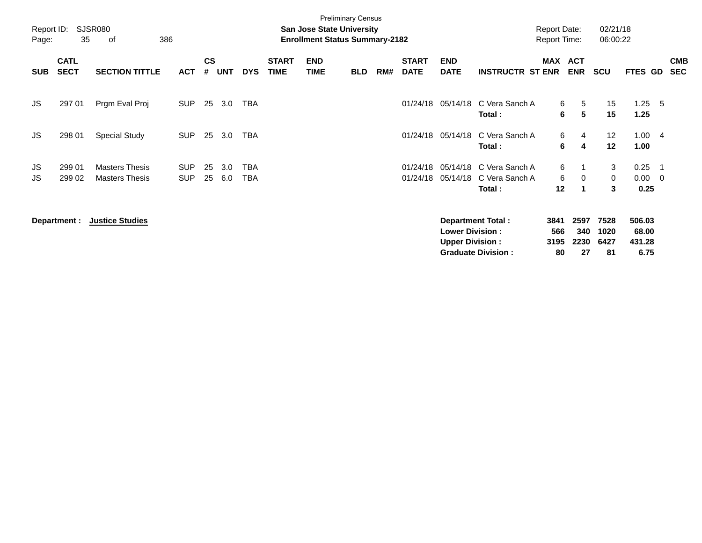| Report ID:<br>Page: | 35                         | SJSR080<br>386<br>of                           |                          |                    |            |                   |                             | San Jose State University<br><b>Enrollment Status Summary-2182</b> | <b>Preliminary Census</b> |     |                             |                                                  |                                                       | <b>Report Date:</b><br><b>Report Time:</b> |                           | 02/21/18<br>06:00:22       |                                   |                                                     |                          |
|---------------------|----------------------------|------------------------------------------------|--------------------------|--------------------|------------|-------------------|-----------------------------|--------------------------------------------------------------------|---------------------------|-----|-----------------------------|--------------------------------------------------|-------------------------------------------------------|--------------------------------------------|---------------------------|----------------------------|-----------------------------------|-----------------------------------------------------|--------------------------|
| <b>SUB</b>          | <b>CATL</b><br><b>SECT</b> | <b>SECTION TITTLE</b>                          | ACT                      | $\mathsf{cs}$<br># | <b>UNT</b> | <b>DYS</b>        | <b>START</b><br><b>TIME</b> | <b>END</b><br><b>TIME</b>                                          | <b>BLD</b>                | RM# | <b>START</b><br><b>DATE</b> | <b>END</b><br><b>DATE</b>                        | <b>INSTRUCTR ST ENR</b>                               | <b>MAX</b>                                 | <b>ACT</b><br><b>ENR</b>  | <b>SCU</b>                 | FTES GD                           |                                                     | <b>CMB</b><br><b>SEC</b> |
| JS                  | 297 01                     | Prgm Eval Proj                                 | <b>SUP</b>               | 25                 | 3.0        | <b>TBA</b>        |                             |                                                                    |                           |     | 01/24/18                    | 05/14/18                                         | C Vera Sanch A<br>Total:                              | 6<br>6                                     | 5<br>5                    | 15<br>15                   | 1.25<br>1.25                      | - 5                                                 |                          |
| JS.                 | 298 01                     | <b>Special Study</b>                           | <b>SUP</b>               | 25                 | 3.0        | <b>TBA</b>        |                             |                                                                    |                           |     | 01/24/18                    | 05/14/18                                         | C Vera Sanch A<br>Total:                              | 6<br>6                                     | 4<br>4                    | 12<br>12                   | 1.004<br>1.00                     |                                                     |                          |
| JS<br>JS            | 299 01<br>299 02           | <b>Masters Thesis</b><br><b>Masters Thesis</b> | <b>SUP</b><br><b>SUP</b> | 25<br>25           | 3.0<br>6.0 | <b>TBA</b><br>TBA |                             |                                                                    |                           |     | 01/24/18<br>01/24/18        | 05/14/18                                         | 05/14/18 C Vera Sanch A<br>C Vera Sanch A<br>Total:   | 6<br>6<br>12                               | $\mathbf 0$<br>-1         | 3<br>0<br>3                | 0.25<br>0.00<br>0.25              | $\overline{\phantom{1}}$<br>$\overline{\mathbf{0}}$ |                          |
|                     | Department :               | <b>Justice Studies</b>                         |                          |                    |            |                   |                             |                                                                    |                           |     |                             | <b>Lower Division:</b><br><b>Upper Division:</b> | <b>Department Total:</b><br><b>Graduate Division:</b> | 3841<br>566<br>3195<br>80                  | 2597<br>340<br>2230<br>27 | 7528<br>1020<br>6427<br>81 | 506.03<br>68.00<br>431.28<br>6.75 |                                                     |                          |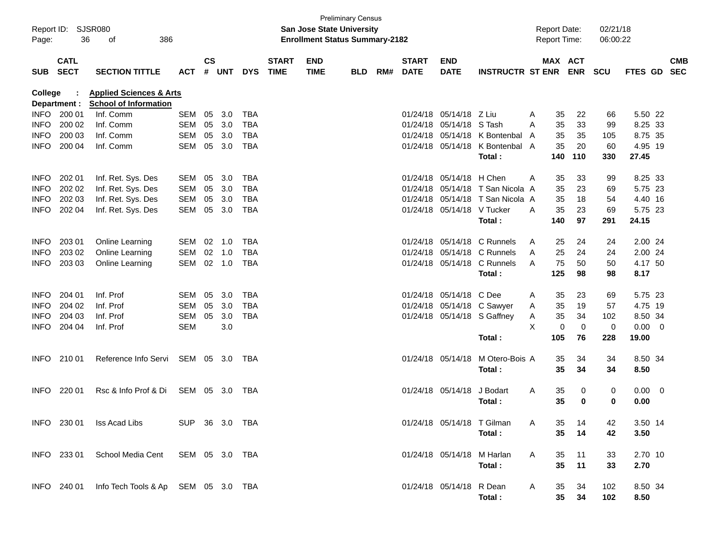| Report ID: SJSR080<br>36<br>386<br>Page:<br>оf |                            |                                                                    |                | <b>Preliminary Census</b><br><b>San Jose State University</b><br><b>Enrollment Status Summary-2182</b> |        |            |                             |                           |            |     |                             |                            |                             | <b>Report Date:</b><br><b>Report Time:</b> |                 |             | 02/21/18<br>06:00:22 |                |                          |                          |
|------------------------------------------------|----------------------------|--------------------------------------------------------------------|----------------|--------------------------------------------------------------------------------------------------------|--------|------------|-----------------------------|---------------------------|------------|-----|-----------------------------|----------------------------|-----------------------------|--------------------------------------------|-----------------|-------------|----------------------|----------------|--------------------------|--------------------------|
| <b>SUB</b>                                     | <b>CATL</b><br><b>SECT</b> | <b>SECTION TITTLE</b>                                              | <b>ACT</b>     | <b>CS</b>                                                                                              | # UNT  | <b>DYS</b> | <b>START</b><br><b>TIME</b> | <b>END</b><br><b>TIME</b> | <b>BLD</b> | RM# | <b>START</b><br><b>DATE</b> | <b>END</b><br><b>DATE</b>  | <b>INSTRUCTR ST ENR</b>     |                                            | MAX ACT         | <b>ENR</b>  | <b>SCU</b>           | <b>FTES GD</b> |                          | <b>CMB</b><br><b>SEC</b> |
| <b>College</b>                                 | Department :               | <b>Applied Sciences &amp; Arts</b><br><b>School of Information</b> |                |                                                                                                        |        |            |                             |                           |            |     |                             |                            |                             |                                            |                 |             |                      |                |                          |                          |
| <b>INFO</b>                                    | 200 01                     | Inf. Comm                                                          | <b>SEM</b>     | 05                                                                                                     | 3.0    | <b>TBA</b> |                             |                           |            |     | 01/24/18                    | 05/14/18 Z Liu             |                             | A                                          | 35              | 22          | 66                   | 5.50 22        |                          |                          |
| <b>INFO</b>                                    | 200 02                     | Inf. Comm                                                          | <b>SEM</b>     | 05                                                                                                     | 3.0    | <b>TBA</b> |                             |                           |            |     | 01/24/18                    | 05/14/18                   | S Tash                      | A                                          | 35              | 33          | 99                   | 8.25 33        |                          |                          |
| <b>INFO</b>                                    | 200 03                     | Inf. Comm                                                          | <b>SEM</b>     | 05                                                                                                     | 3.0    | <b>TBA</b> |                             |                           |            |     | 01/24/18                    | 05/14/18                   | K Bontenbal                 | A                                          | 35              | 35          | 105                  | 8.75 35        |                          |                          |
| <b>INFO</b>                                    | 200 04                     | Inf. Comm                                                          | <b>SEM</b>     | 05                                                                                                     | 3.0    | <b>TBA</b> |                             |                           |            |     |                             | 01/24/18 05/14/18          | K Bontenbal A               |                                            | 35              | 20          | 60                   | 4.95 19        |                          |                          |
|                                                |                            |                                                                    |                |                                                                                                        |        |            |                             |                           |            |     |                             |                            | Total:                      |                                            | 140             | 110         | 330                  | 27.45          |                          |                          |
| <b>INFO</b>                                    | 202 01                     | Inf. Ret. Sys. Des                                                 | SEM            | 05                                                                                                     | 3.0    | TBA        |                             |                           |            |     | 01/24/18                    | 05/14/18                   | H Chen                      | A                                          | 35              | 33          | 99                   | 8.25 33        |                          |                          |
| <b>INFO</b>                                    | 202 02                     | Inf. Ret. Sys. Des                                                 | <b>SEM</b>     | 05                                                                                                     | 3.0    | <b>TBA</b> |                             |                           |            |     | 01/24/18                    |                            | 05/14/18 T San Nicola A     |                                            | 35              | 23          | 69                   | 5.75 23        |                          |                          |
| <b>INFO</b>                                    | 202 03                     | Inf. Ret. Sys. Des                                                 | <b>SEM</b>     | 05                                                                                                     | 3.0    | <b>TBA</b> |                             |                           |            |     | 01/24/18                    |                            | 05/14/18 T San Nicola A     |                                            | 35              | 18          | 54                   | 4.40 16        |                          |                          |
| <b>INFO</b>                                    | 202 04                     | Inf. Ret. Sys. Des                                                 | <b>SEM</b>     | 05                                                                                                     | 3.0    | TBA        |                             |                           |            |     |                             | 01/24/18 05/14/18 V Tucker |                             | A                                          | 35              | 23          | 69                   | 5.75 23        |                          |                          |
|                                                |                            |                                                                    |                |                                                                                                        |        |            |                             |                           |            |     |                             |                            | Total:                      |                                            | 140             | 97          | 291                  | 24.15          |                          |                          |
| <b>INFO</b>                                    | 203 01                     | Online Learning                                                    | SEM            | $02 \quad 1.0$                                                                                         |        | TBA        |                             |                           |            |     | 01/24/18                    |                            | 05/14/18 C Runnels          | A                                          | 25              | 24          | 24                   | 2.00 24        |                          |                          |
| <b>INFO</b>                                    | 203 02                     | Online Learning                                                    | <b>SEM</b>     | 02                                                                                                     | 1.0    | <b>TBA</b> |                             |                           |            |     | 01/24/18                    |                            | 05/14/18 C Runnels          | A                                          | 25              | 24          | 24                   | 2.00 24        |                          |                          |
| <b>INFO</b>                                    | 203 03                     | Online Learning                                                    | SEM            |                                                                                                        | 02 1.0 | TBA        |                             |                           |            |     |                             | 01/24/18 05/14/18          | C Runnels                   | A                                          | 75              | 50          | 50                   | 4.17 50        |                          |                          |
|                                                |                            |                                                                    |                |                                                                                                        |        |            |                             |                           |            |     |                             |                            | Total:                      |                                            | 125             | 98          | 98                   | 8.17           |                          |                          |
| <b>INFO</b>                                    | 204 01                     | Inf. Prof                                                          | SEM            | 05                                                                                                     | 3.0    | TBA        |                             |                           |            |     | 01/24/18                    | 05/14/18                   | C Dee                       | Α                                          | 35              | 23          | 69                   | 5.75 23        |                          |                          |
| <b>INFO</b>                                    | 204 02                     | Inf. Prof                                                          | SEM            | 05                                                                                                     | 3.0    | <b>TBA</b> |                             |                           |            |     |                             |                            | 01/24/18 05/14/18 C Sawyer  | A                                          | 35              | 19          | 57                   | 4.75 19        |                          |                          |
| <b>INFO</b>                                    | 204 03                     | Inf. Prof                                                          | SEM            | 05                                                                                                     | 3.0    | <b>TBA</b> |                             |                           |            |     |                             |                            | 01/24/18 05/14/18 S Gaffney | Α                                          | 35              | 34          | 102                  | 8.50 34        |                          |                          |
| <b>INFO</b>                                    | 204 04                     | Inf. Prof                                                          | <b>SEM</b>     |                                                                                                        | 3.0    |            |                             |                           |            |     |                             |                            |                             | X                                          | $\mathbf 0$     | $\mathbf 0$ | 0                    | 0.00           | $\overline{\phantom{0}}$ |                          |
|                                                |                            |                                                                    |                |                                                                                                        |        |            |                             |                           |            |     |                             |                            | Total:                      |                                            | 105             | 76          | 228                  | 19.00          |                          |                          |
| <b>INFO</b>                                    | 210 01                     | Reference Info Servi                                               | SEM 05 3.0     |                                                                                                        |        | TBA        |                             |                           |            |     |                             | 01/24/18 05/14/18          | M Otero-Bois A              |                                            | 35              | 34          | 34                   | 8.50 34        |                          |                          |
|                                                |                            |                                                                    |                |                                                                                                        |        |            |                             |                           |            |     |                             |                            | Total:                      |                                            | 35              | 34          | 34                   | 8.50           |                          |                          |
| <b>INFO</b>                                    | 220 01                     | Rsc & Info Prof & Di                                               | SEM            | 05                                                                                                     | - 3.0  | TBA        |                             |                           |            |     |                             | 01/24/18 05/14/18          | J Bodart                    | A                                          | 35              | 0           | 0                    | 0.00           | $\overline{\mathbf{0}}$  |                          |
|                                                |                            |                                                                    |                |                                                                                                        |        |            |                             |                           |            |     |                             |                            | Total:                      |                                            | 35              | 0           | 0                    | 0.00           |                          |                          |
|                                                |                            | INFO 230 01 Iss Acad Libs                                          | SUP 36 3.0 TBA |                                                                                                        |        |            |                             |                           |            |     |                             | 01/24/18 05/14/18 T Gilman |                             | A                                          | 35              | 14          | 42                   | 3.50 14        |                          |                          |
|                                                |                            |                                                                    |                |                                                                                                        |        |            |                             |                           |            |     |                             |                            | Total:                      |                                            | 35 <sub>5</sub> | 14          | 42                   | 3.50           |                          |                          |
|                                                | INFO 233 01                | School Media Cent                                                  | SEM 05 3.0 TBA |                                                                                                        |        |            |                             |                           |            |     |                             | 01/24/18 05/14/18          | M Harlan                    | A                                          | 35              | 11          | 33                   | 2.70 10        |                          |                          |
|                                                |                            |                                                                    |                |                                                                                                        |        |            |                             |                           |            |     |                             |                            | Total:                      |                                            | 35              | 11          | 33                   | 2.70           |                          |                          |
|                                                |                            | INFO 240 01 Info Tech Tools & Ap SEM 05 3.0 TBA                    |                |                                                                                                        |        |            |                             |                           |            |     |                             | 01/24/18 05/14/18          | R Dean                      | A                                          | 35              | 34          | 102                  | 8.50 34        |                          |                          |
|                                                |                            |                                                                    |                |                                                                                                        |        |            |                             |                           |            |     |                             |                            | Total:                      |                                            | 35 <sub>o</sub> | 34          | 102                  | 8.50           |                          |                          |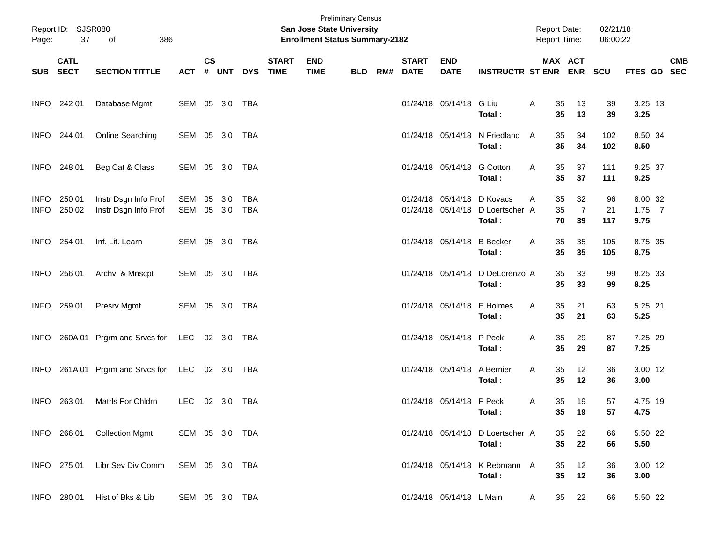| Page:                      | Report ID: SJSR080<br>37<br>386<br>of |                                              |                |                  |            |                   |                             | San Jose State University<br><b>Enrollment Status Summary-2182</b> | <b>Preliminary Census</b> |     |                             |                             |                                                        | <b>Report Date:</b><br>Report Time: |                            | 02/21/18<br>06:00:22 |                             |            |
|----------------------------|---------------------------------------|----------------------------------------------|----------------|------------------|------------|-------------------|-----------------------------|--------------------------------------------------------------------|---------------------------|-----|-----------------------------|-----------------------------|--------------------------------------------------------|-------------------------------------|----------------------------|----------------------|-----------------------------|------------|
|                            | <b>CATL</b><br>SUB SECT               | <b>SECTION TITTLE</b>                        | <b>ACT</b>     | $\mathsf{cs}$    | # UNT      | <b>DYS</b>        | <b>START</b><br><b>TIME</b> | <b>END</b><br><b>TIME</b>                                          | <b>BLD</b>                | RM# | <b>START</b><br><b>DATE</b> | <b>END</b><br><b>DATE</b>   | <b>INSTRUCTR ST ENR ENR</b>                            |                                     | MAX ACT                    | <b>SCU</b>           | FTES GD SEC                 | <b>CMB</b> |
|                            | INFO 242 01                           | Database Mgmt                                | SEM 05 3.0 TBA |                  |            |                   |                             |                                                                    |                           |     |                             | 01/24/18 05/14/18 G Liu     | Total:                                                 | Α<br>35<br>35                       | 13<br>13                   | 39<br>39             | 3.25 13<br>3.25             |            |
|                            | INFO 244 01                           | Online Searching                             | SEM 05 3.0 TBA |                  |            |                   |                             |                                                                    |                           |     |                             |                             | 01/24/18 05/14/18 N Friedland<br>Total:                | 35<br>A<br>35                       | 34<br>34                   | 102<br>102           | 8.50 34<br>8.50             |            |
|                            | INFO 248 01                           | Beg Cat & Class                              | SEM 05 3.0 TBA |                  |            |                   |                             |                                                                    |                           |     |                             | 01/24/18 05/14/18 G Cotton  | Total:                                                 | 35<br>A<br>35                       | 37<br>37                   | 111<br>111           | 9.25 37<br>9.25             |            |
| <b>INFO</b><br><b>INFO</b> | 250 01<br>250 02                      | Instr Dsgn Info Prof<br>Instr Dsgn Info Prof | SEM<br>SEM     | 05 3.0<br>05 3.0 |            | TBA<br><b>TBA</b> |                             |                                                                    |                           |     |                             | 01/24/18 05/14/18           | 01/24/18 05/14/18 D Kovacs<br>D Loertscher A<br>Total: | 35<br>A<br>35<br>70                 | 32<br>$\overline{7}$<br>39 | 96<br>21<br>117      | 8.00 32<br>$1.75$ 7<br>9.75 |            |
| <b>INFO</b>                | 254 01                                | Inf. Lit. Learn                              | SEM 05 3.0 TBA |                  |            |                   |                             |                                                                    |                           |     |                             | 01/24/18 05/14/18 B Becker  | Total:                                                 | 35<br>Α<br>35                       | 35<br>35                   | 105<br>105           | 8.75 35<br>8.75             |            |
| <b>INFO</b>                | 256 01                                | Archv & Mnscpt                               | SEM 05 3.0 TBA |                  |            |                   |                             |                                                                    |                           |     |                             | 01/24/18 05/14/18           | D DeLorenzo A<br>Total:                                | 35<br>35                            | 33<br>33                   | 99<br>99             | 8.25 33<br>8.25             |            |
| <b>INFO</b>                | 259 01                                | Presrv Mgmt                                  | SEM 05 3.0 TBA |                  |            |                   |                             |                                                                    |                           |     |                             | 01/24/18 05/14/18           | E Holmes<br>Total:                                     | 35<br>Α<br>35                       | 21<br>21                   | 63<br>63             | 5.25 21<br>5.25             |            |
| INFO.                      | 260A 01                               | Prgrm and Srvcs for                          | LEC 02 3.0 TBA |                  |            |                   |                             |                                                                    |                           |     |                             | 01/24/18 05/14/18 P Peck    | Total:                                                 | 35<br>Α<br>35                       | 29<br>29                   | 87<br>87             | 7.25 29<br>7.25             |            |
| INFO.                      | 261A 01                               | Prgrm and Srvcs for                          | LEC            |                  | 02 3.0 TBA |                   |                             |                                                                    |                           |     |                             | 01/24/18 05/14/18 A Bernier | Total:                                                 | 35<br>Α<br>35                       | 12<br>12                   | 36<br>36             | 3.00 12<br>3.00             |            |
| <b>INFO</b>                | 263 01                                | Matrls For Chldrn                            | <b>LEC</b>     |                  | 02 3.0 TBA |                   |                             |                                                                    |                           |     |                             | 01/24/18 05/14/18 P Peck    | Total:                                                 | 35<br>Α                             | 19<br>35 19                | 57<br>57             | 4.75 19<br>4.75             |            |
|                            | INFO 266 01                           | <b>Collection Mgmt</b>                       | SEM 05 3.0 TBA |                  |            |                   |                             |                                                                    |                           |     |                             |                             | 01/24/18 05/14/18 D Loertscher A<br>Total:             | 35<br>35                            | 22<br>22                   | 66<br>66             | 5.50 22<br>5.50             |            |
|                            | INFO 275 01                           | Libr Sev Div Comm                            | SEM 05 3.0 TBA |                  |            |                   |                             |                                                                    |                           |     |                             |                             | 01/24/18 05/14/18 K Rebmann A<br>Total:                | 35<br>35                            | 12<br>12                   | 36<br>36             | 3.00 12<br>3.00             |            |
|                            | INFO 280 01                           | Hist of Bks & Lib                            | SEM 05 3.0 TBA |                  |            |                   |                             |                                                                    |                           |     |                             | 01/24/18 05/14/18 L Main    |                                                        | 35<br>A                             | 22                         | 66                   | 5.50 22                     |            |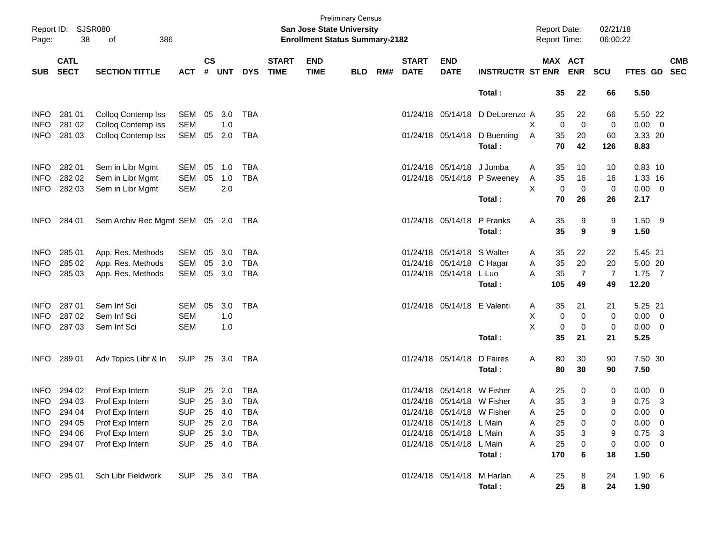| Report ID:<br>Page: | 38                         | SJSR080<br>386<br>of               |                |               |            |            |                             | <b>San Jose State University</b><br><b>Enrollment Status Summary-2182</b> | <b>Preliminary Census</b> |     |                             |                             |                              |   | Report Date:<br>Report Time: |                | 02/21/18<br>06:00:22 |                     |                         |            |
|---------------------|----------------------------|------------------------------------|----------------|---------------|------------|------------|-----------------------------|---------------------------------------------------------------------------|---------------------------|-----|-----------------------------|-----------------------------|------------------------------|---|------------------------------|----------------|----------------------|---------------------|-------------------------|------------|
| <b>SUB</b>          | <b>CATL</b><br><b>SECT</b> | <b>SECTION TITTLE</b>              | <b>ACT</b>     | $\mathsf{cs}$ | # UNT      | <b>DYS</b> | <b>START</b><br><b>TIME</b> | <b>END</b><br><b>TIME</b>                                                 | <b>BLD</b>                | RM# | <b>START</b><br><b>DATE</b> | <b>END</b><br><b>DATE</b>   | <b>INSTRUCTR ST ENR</b>      |   | MAX ACT                      | <b>ENR</b>     | <b>SCU</b>           | FTES GD SEC         |                         | <b>CMB</b> |
|                     |                            |                                    |                |               |            |            |                             |                                                                           |                           |     |                             |                             | Total:                       |   | 35                           | 22             | 66                   | 5.50                |                         |            |
| <b>INFO</b>         | 281 01                     | Colloq Contemp Iss                 | SEM            | 05            | 3.0        | <b>TBA</b> |                             |                                                                           |                           |     |                             | 01/24/18 05/14/18           | D DeLorenzo A                |   | 35                           | 22             | 66                   | 5.50 22             |                         |            |
| <b>INFO</b>         | 281 02                     | Colloq Contemp Iss                 | <b>SEM</b>     |               | 1.0        |            |                             |                                                                           |                           |     |                             |                             |                              | Χ | $\mathbf 0$                  | $\mathbf 0$    | 0                    | $0.00 \t 0$         |                         |            |
| <b>INFO</b>         | 281 03                     | <b>Colloq Contemp Iss</b>          | SEM            | 05            | 2.0        | <b>TBA</b> |                             |                                                                           |                           |     |                             |                             | 01/24/18 05/14/18 D Buenting | Α | 35                           | 20             | 60                   | 3.33 20             |                         |            |
|                     |                            |                                    |                |               |            |            |                             |                                                                           |                           |     |                             |                             | Total:                       |   | 70                           | 42             | 126                  | 8.83                |                         |            |
| <b>INFO</b>         | 282 01                     | Sem in Libr Mgmt                   | SEM            | 05            | 1.0        | <b>TBA</b> |                             |                                                                           |                           |     |                             | 01/24/18 05/14/18 J Jumba   |                              | A | 35                           | 10             | 10                   | $0.83$ 10           |                         |            |
| <b>INFO</b>         | 282 02                     | Sem in Libr Mgmt                   | <b>SEM</b>     | 05            | 1.0        | <b>TBA</b> |                             |                                                                           |                           |     |                             |                             | 01/24/18 05/14/18 P Sweeney  | A | 35                           | 16             | 16                   | 1.33 16             |                         |            |
| <b>INFO</b>         | 282 03                     | Sem in Libr Mgmt                   | <b>SEM</b>     |               | 2.0        |            |                             |                                                                           |                           |     |                             |                             |                              | X | $\mathbf 0$                  | $\mathbf 0$    | 0                    | $0.00 \t 0$         |                         |            |
|                     |                            |                                    |                |               |            |            |                             |                                                                           |                           |     |                             |                             | Total:                       |   | 70                           | 26             | 26                   | 2.17                |                         |            |
| <b>INFO</b>         | 284 01                     | Sem Archiv Rec Mgmt SEM 05 2.0 TBA |                |               |            |            |                             |                                                                           |                           |     |                             | 01/24/18 05/14/18           | P Franks                     | A | 35                           | 9              | 9                    | $1.50$ 9            |                         |            |
|                     |                            |                                    |                |               |            |            |                             |                                                                           |                           |     |                             |                             | Total:                       |   | 35                           | 9              | 9                    | 1.50                |                         |            |
| <b>INFO</b>         | 285 01                     | App. Res. Methods                  | SEM            | 05            | 3.0        | <b>TBA</b> |                             |                                                                           |                           |     | 01/24/18                    | 05/14/18 S Walter           |                              | A | 35                           | 22             | 22                   | 5.45 21             |                         |            |
| <b>INFO</b>         | 285 02                     | App. Res. Methods                  | SEM            | 05            | 3.0        | <b>TBA</b> |                             |                                                                           |                           |     |                             | 01/24/18 05/14/18 C Hagar   |                              | Α | 35                           | 20             | 20                   | 5.00 20             |                         |            |
| <b>INFO</b>         | 285 03                     | App. Res. Methods                  | SEM            | 05            | 3.0        | <b>TBA</b> |                             |                                                                           |                           |     |                             | 01/24/18 05/14/18 L Luo     |                              | A | 35                           | $\overline{7}$ | $\overline{7}$       | $1.75$ 7            |                         |            |
|                     |                            |                                    |                |               |            |            |                             |                                                                           |                           |     |                             |                             | Total:                       |   | 105                          | 49             | 49                   | 12.20               |                         |            |
| <b>INFO</b>         | 28701                      | Sem Inf Sci                        | SEM            | 05            | 3.0        | <b>TBA</b> |                             |                                                                           |                           |     |                             | 01/24/18 05/14/18 E Valenti |                              | A | 35                           | 21             | 21                   | 5.25 21             |                         |            |
| <b>INFO</b>         | 287 02                     | Sem Inf Sci                        | <b>SEM</b>     |               | 1.0        |            |                             |                                                                           |                           |     |                             |                             |                              | X | 0                            | 0              | 0                    | $0.00 \t 0$         |                         |            |
| <b>INFO</b>         | 287 03                     | Sem Inf Sci                        | <b>SEM</b>     |               | 1.0        |            |                             |                                                                           |                           |     |                             |                             | Total:                       | X | 0<br>35                      | 0<br>21        | 0<br>21              | $0.00 \t 0$<br>5.25 |                         |            |
| INFO                | 289 01                     | Adv Topics Libr & In               | <b>SUP</b>     |               | 25 3.0     | TBA        |                             |                                                                           |                           |     |                             | 01/24/18 05/14/18           | D Faires                     | A | 80                           | 30             | 90                   | 7.50 30             |                         |            |
|                     |                            |                                    |                |               |            |            |                             |                                                                           |                           |     |                             |                             | Total:                       |   | 80                           | 30             | 90                   | 7.50                |                         |            |
| <b>INFO</b>         | 294 02                     | Prof Exp Intern                    | <b>SUP</b>     | 25            | 2.0        | <b>TBA</b> |                             |                                                                           |                           |     | 01/24/18                    | 05/14/18                    | W Fisher                     | A | 25                           | 0              | 0                    | $0.00 \quad 0$      |                         |            |
| <b>INFO</b>         | 294 03                     | Prof Exp Intern                    | <b>SUP</b>     | 25            | 3.0        | <b>TBA</b> |                             |                                                                           |                           |     |                             | 01/24/18 05/14/18 W Fisher  |                              | Α | 35                           | 3              | 9                    | 0.75                | $\overline{\mathbf{3}}$ |            |
|                     | INFO 294 04                | Prof Exp Intern                    | <b>SUP</b>     |               | 25 4.0     | TBA        |                             |                                                                           |                           |     |                             | 01/24/18 05/14/18 W Fisher  |                              | A | 25                           | 0              | 0                    | $0.00 \t 0$         |                         |            |
|                     | INFO 294 05                | Prof Exp Intern                    | <b>SUP</b>     |               | 25 2.0     | TBA        |                             |                                                                           |                           |     |                             | 01/24/18 05/14/18 L Main    |                              | A | 25                           | 0              | 0                    | $0.00 \t 0$         |                         |            |
| <b>INFO</b>         | 294 06                     | Prof Exp Intern                    | <b>SUP</b>     |               | 25 3.0     | TBA        |                             |                                                                           |                           |     |                             | 01/24/18 05/14/18 L Main    |                              | A | 35                           | 3              | 9                    | $0.75$ 3            |                         |            |
| INFO                | 294 07                     | Prof Exp Intern                    | <b>SUP</b>     |               | 25 4.0 TBA |            |                             |                                                                           |                           |     |                             | 01/24/18 05/14/18 L Main    |                              | Α | 25                           | 0              | 0                    | $0.00 \t 0$         |                         |            |
|                     |                            |                                    |                |               |            |            |                             |                                                                           |                           |     |                             |                             | Total:                       |   | 170                          | 6              | 18                   | 1.50                |                         |            |
|                     | INFO 295 01                | Sch Libr Fieldwork                 | SUP 25 3.0 TBA |               |            |            |                             |                                                                           |                           |     |                             | 01/24/18 05/14/18 M Harlan  |                              | A | 25                           | 8              | 24                   | $1.90\quad 6$       |                         |            |
|                     |                            |                                    |                |               |            |            |                             |                                                                           |                           |     |                             |                             | Total:                       |   | 25                           | 8              | 24                   | 1.90                |                         |            |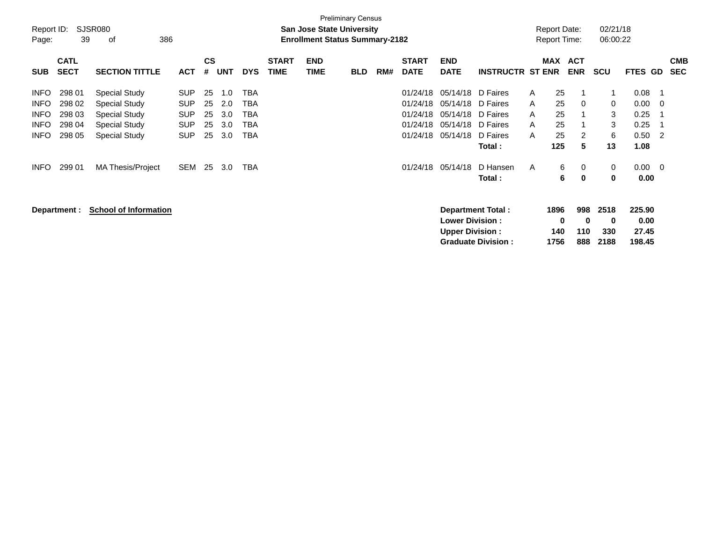|                     |                            |                              |            |                |            |            |                             |                           | <b>Preliminary Census</b>                                                 |     |                             |                           |                           |              |                                            |                          |                      |                |             |                          |
|---------------------|----------------------------|------------------------------|------------|----------------|------------|------------|-----------------------------|---------------------------|---------------------------------------------------------------------------|-----|-----------------------------|---------------------------|---------------------------|--------------|--------------------------------------------|--------------------------|----------------------|----------------|-------------|--------------------------|
| Report ID:<br>Page: | 39                         | SJSR080<br>386<br>οf         |            |                |            |            |                             |                           | <b>San Jose State University</b><br><b>Enrollment Status Summary-2182</b> |     |                             |                           |                           |              | <b>Report Date:</b><br><b>Report Time:</b> |                          | 02/21/18<br>06:00:22 |                |             |                          |
| <b>SUB</b>          | <b>CATL</b><br><b>SECT</b> | <b>SECTION TITTLE</b>        | <b>ACT</b> | <b>CS</b><br># | <b>UNT</b> | <b>DYS</b> | <b>START</b><br><b>TIME</b> | <b>END</b><br><b>TIME</b> | <b>BLD</b>                                                                | RM# | <b>START</b><br><b>DATE</b> | <b>END</b><br><b>DATE</b> | <b>INSTRUCTR ST ENR</b>   |              | MAX                                        | <b>ACT</b><br><b>ENR</b> | <b>SCU</b>           | <b>FTES GD</b> |             | <b>CMB</b><br><b>SEC</b> |
| <b>INFO</b>         | 298 01                     | <b>Special Study</b>         | <b>SUP</b> | 25             | 1.0        | TBA        |                             |                           |                                                                           |     | 01/24/18                    | 05/14/18                  | D Faires                  | $\mathsf{A}$ | 25                                         |                          |                      | 0.08           |             |                          |
| <b>INFO</b>         | 298 02                     | <b>Special Study</b>         | <b>SUP</b> | 25             | 2.0        | TBA        |                             |                           |                                                                           |     | 01/24/18                    | 05/14/18                  | D Faires                  | A            | 25                                         | 0                        | 0                    | 0.00           | $\mathbf 0$ |                          |
| <b>INFO</b>         | 298 03                     | Special Study                | <b>SUP</b> | 25             | 3.0        | TBA        |                             |                           |                                                                           |     | 01/24/18                    | 05/14/18                  | D Faires                  | A            | 25                                         |                          | 3                    | 0.25           |             |                          |
| <b>INFO</b>         | 298 04                     | <b>Special Study</b>         | <b>SUP</b> | 25             | 3.0        | TBA        |                             |                           |                                                                           |     | 01/24/18                    | 05/14/18                  | D Faires                  | A            | 25                                         |                          | 3                    | 0.25           |             |                          |
| <b>INFO</b>         | 298 05                     | <b>Special Study</b>         | <b>SUP</b> | 25             | 3.0        | TBA        |                             |                           |                                                                           |     | 01/24/18                    | 05/14/18                  | D Faires                  | A            | 25                                         | 2                        | 6                    | 0.50           | -2          |                          |
|                     |                            |                              |            |                |            |            |                             |                           |                                                                           |     |                             |                           | Total:                    |              | 125                                        | 5                        | 13                   | 1.08           |             |                          |
| <b>INFO</b>         | 299 01                     | <b>MA Thesis/Project</b>     | SEM        | 25             | 3.0        | TBA        |                             |                           |                                                                           |     | 01/24/18                    | 05/14/18                  | D Hansen                  | A            | 6                                          | 0                        | 0                    | $0.00 \quad 0$ |             |                          |
|                     |                            |                              |            |                |            |            |                             |                           |                                                                           |     |                             |                           | Total:                    |              | 6                                          | 0                        | $\mathbf 0$          | 0.00           |             |                          |
|                     | Department :               | <b>School of Information</b> |            |                |            |            |                             |                           |                                                                           |     |                             | <b>Lower Division:</b>    | <b>Department Total:</b>  |              | 1896<br>0                                  | 998<br>0                 | 2518<br>$\mathbf 0$  | 225.90<br>0.00 |             |                          |
|                     |                            |                              |            |                |            |            |                             |                           |                                                                           |     |                             | <b>Upper Division:</b>    |                           |              | 140                                        | 110                      | 330                  | 27.45          |             |                          |
|                     |                            |                              |            |                |            |            |                             |                           |                                                                           |     |                             |                           | <b>Graduate Division:</b> |              | 1756                                       | 888                      | 2188                 | 198.45         |             |                          |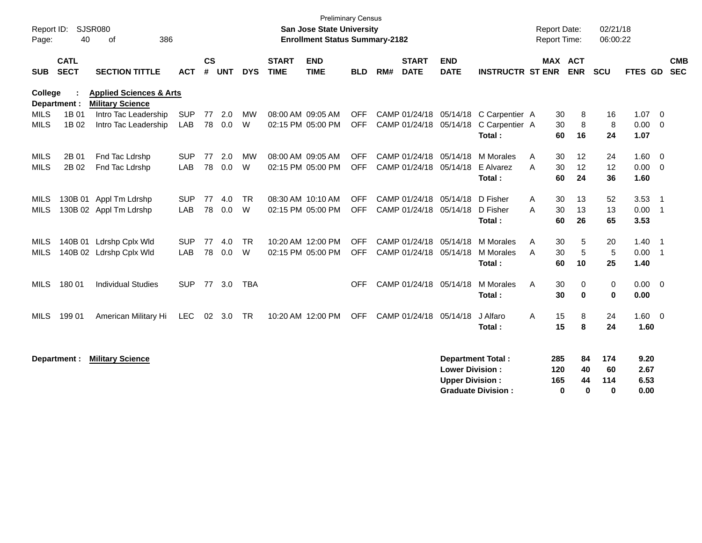| Report ID:<br>Page: | 40                         | <b>SJSR080</b><br>of<br>386                                   |            |                |            |            |                             | <b>Preliminary Census</b><br>San Jose State University<br><b>Enrollment Status Summary-2182</b> |            |     |                             |                                                  |                                                       | <b>Report Date:</b><br>Report Time: |                                 | 02/21/18<br>06:00:22         |                              |                            |
|---------------------|----------------------------|---------------------------------------------------------------|------------|----------------|------------|------------|-----------------------------|-------------------------------------------------------------------------------------------------|------------|-----|-----------------------------|--------------------------------------------------|-------------------------------------------------------|-------------------------------------|---------------------------------|------------------------------|------------------------------|----------------------------|
| <b>SUB</b>          | <b>CATL</b><br><b>SECT</b> | <b>SECTION TITTLE</b>                                         | <b>ACT</b> | <b>CS</b><br># | <b>UNT</b> | <b>DYS</b> | <b>START</b><br><b>TIME</b> | <b>END</b><br><b>TIME</b>                                                                       | <b>BLD</b> | RM# | <b>START</b><br><b>DATE</b> | <b>END</b><br><b>DATE</b>                        | <b>INSTRUCTR ST ENR</b>                               |                                     | <b>MAX ACT</b><br><b>ENR</b>    | SCU                          | <b>FTES GD</b>               | <b>CMB</b><br><b>SEC</b>   |
| <b>College</b>      | Department :               | <b>Applied Sciences &amp; Arts</b><br><b>Military Science</b> |            |                |            |            |                             |                                                                                                 |            |     |                             |                                                  |                                                       |                                     |                                 |                              |                              |                            |
| <b>MILS</b>         | 1B 01                      | Intro Tac Leadership                                          | <b>SUP</b> |                | 77 2.0     | MW         |                             | 08:00 AM 09:05 AM                                                                               | <b>OFF</b> |     |                             |                                                  | CAMP 01/24/18 05/14/18 C Carpentier A                 | 30                                  | 8                               | 16                           | $1.07 \t 0$                  |                            |
| <b>MILS</b>         | 1B 02                      | Intro Tac Leadership                                          | LAB        |                | 78 0.0     | W          |                             | 02:15 PM 05:00 PM                                                                               | <b>OFF</b> |     |                             | CAMP 01/24/18 05/14/18                           | C Carpentier A                                        | 30                                  | 8                               | 8                            | 0.00                         | $\overline{\phantom{0}}$   |
|                     |                            |                                                               |            |                |            |            |                             |                                                                                                 |            |     |                             |                                                  | Total:                                                | 60                                  | 16                              | 24                           | 1.07                         |                            |
| MILS                | 2B 01                      | Fnd Tac Ldrshp                                                | <b>SUP</b> | 77             | 2.0        | <b>MW</b>  |                             | 08:00 AM 09:05 AM                                                                               | <b>OFF</b> |     | CAMP 01/24/18 05/14/18      |                                                  | M Morales                                             | 30<br>A                             | 12                              | 24                           | 1.60                         | $\overline{\mathbf{0}}$    |
| <b>MILS</b>         | 2B 02                      | Fnd Tac Ldrshp                                                | LAB        | 78             | 0.0        | W          |                             | 02:15 PM 05:00 PM                                                                               | <b>OFF</b> |     |                             | CAMP 01/24/18 05/14/18                           | E Alvarez                                             | 30<br>A                             | 12                              | 12                           | 0.00                         | $\overline{\phantom{0}}$   |
|                     |                            |                                                               |            |                |            |            |                             |                                                                                                 |            |     |                             |                                                  | Total:                                                | 60                                  | 24                              | 36                           | 1.60                         |                            |
| MILS                |                            | 130B 01 Appl Tm Ldrshp                                        | <b>SUP</b> | 77             | 4.0        | <b>TR</b>  |                             | 08:30 AM 10:10 AM                                                                               | <b>OFF</b> |     | CAMP 01/24/18               | 05/14/18                                         | D Fisher                                              | 30<br>A                             | 13                              | 52                           | 3.53                         | - 1                        |
| MILS                |                            | 130B 02 Appl Tm Ldrshp                                        | LAB        | 78             | 0.0        | W          |                             | 02:15 PM 05:00 PM                                                                               | <b>OFF</b> |     | CAMP 01/24/18 05/14/18      |                                                  | D Fisher                                              | 30<br>A                             | 13                              | 13                           | 0.00                         | $\overline{\phantom{0}}$ 1 |
|                     |                            |                                                               |            |                |            |            |                             |                                                                                                 |            |     |                             |                                                  | Total:                                                | 60                                  | 26                              | 65                           | 3.53                         |                            |
| MILS                |                            | 140B 01 Ldrshp Cplx Wld                                       | <b>SUP</b> | 77             | 4.0        | <b>TR</b>  |                             | 10:20 AM 12:00 PM                                                                               | <b>OFF</b> |     | CAMP 01/24/18 05/14/18      |                                                  | M Morales                                             | 30<br>A                             | 5                               | 20                           | 1.40                         | - 1                        |
| MILS                |                            | 140B 02 Ldrshp Cplx Wld                                       | <b>LAB</b> | 78             | 0.0        | W          |                             | 02:15 PM 05:00 PM                                                                               | <b>OFF</b> |     | CAMP 01/24/18 05/14/18      |                                                  | M Morales                                             | A<br>30                             | 5                               | 5                            | 0.00                         | $\overline{\phantom{0}}$ 1 |
|                     |                            |                                                               |            |                |            |            |                             |                                                                                                 |            |     |                             |                                                  | Total:                                                | 60                                  | 10                              | 25                           | 1.40                         |                            |
| <b>MILS</b>         | 180 01                     | <b>Individual Studies</b>                                     | <b>SUP</b> |                | 77 3.0     | <b>TBA</b> |                             |                                                                                                 | <b>OFF</b> |     | CAMP 01/24/18 05/14/18      |                                                  | <b>M</b> Morales                                      | 30<br>Α                             | 0                               | 0                            | $0.00 \t 0$                  |                            |
|                     |                            |                                                               |            |                |            |            |                             |                                                                                                 |            |     |                             |                                                  | Total:                                                | 30                                  | $\bf{0}$                        | $\mathbf 0$                  | 0.00                         |                            |
| MILS                | 199 01                     | American Military Hi                                          | LEC        |                | 02 3.0     | <b>TR</b>  |                             | 10:20 AM 12:00 PM                                                                               | <b>OFF</b> |     | CAMP 01/24/18 05/14/18      |                                                  | J Alfaro                                              | A                                   | 15<br>8                         | 24                           | $1.60 \t 0$                  |                            |
|                     |                            |                                                               |            |                |            |            |                             |                                                                                                 |            |     |                             |                                                  | Total:                                                | 15                                  | 8                               | 24                           | 1.60                         |                            |
|                     | Department :               | <b>Military Science</b>                                       |            |                |            |            |                             |                                                                                                 |            |     |                             | <b>Lower Division:</b><br><b>Upper Division:</b> | <b>Department Total:</b><br><b>Graduate Division:</b> | 285<br>120<br>165                   | 84<br>40<br>44<br>0<br>$\bf{0}$ | 174<br>60<br>114<br>$\bf{0}$ | 9.20<br>2.67<br>6.53<br>0.00 |                            |
|                     |                            |                                                               |            |                |            |            |                             |                                                                                                 |            |     |                             |                                                  |                                                       |                                     |                                 |                              |                              |                            |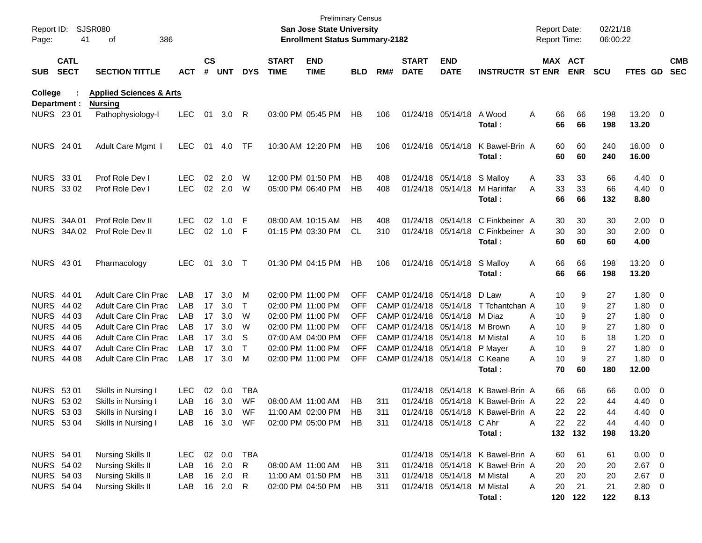| Report ID:<br>Page:                    | 41                               | <b>SJSR080</b><br>386<br>οf                                |                          |                    |                  |                     |                             | <b>Preliminary Census</b><br><b>San Jose State University</b><br><b>Enrollment Status Summary-2182</b> |                          |            |                                |                                                                   |                                                                      | <b>Report Date:</b><br>Report Time: |                     |                                   | 02/21/18<br>06:00:22               |                                                      |                          |
|----------------------------------------|----------------------------------|------------------------------------------------------------|--------------------------|--------------------|------------------|---------------------|-----------------------------|--------------------------------------------------------------------------------------------------------|--------------------------|------------|--------------------------------|-------------------------------------------------------------------|----------------------------------------------------------------------|-------------------------------------|---------------------|-----------------------------------|------------------------------------|------------------------------------------------------|--------------------------|
| <b>SUB</b>                             | <b>CATL</b><br><b>SECT</b>       | <b>SECTION TITTLE</b>                                      | ACT                      | $\mathsf{cs}$<br># | <b>UNT</b>       | <b>DYS</b>          | <b>START</b><br><b>TIME</b> | <b>END</b><br><b>TIME</b>                                                                              | BLD                      | RM#        | <b>START</b><br><b>DATE</b>    | <b>END</b><br><b>DATE</b>                                         | <b>INSTRUCTR ST ENR</b>                                              |                                     | MAX ACT<br>ENR      | <b>SCU</b>                        | FTES GD                            |                                                      | <b>CMB</b><br><b>SEC</b> |
| College                                |                                  | <b>Applied Sciences &amp; Arts</b>                         |                          |                    |                  |                     |                             |                                                                                                        |                          |            |                                |                                                                   |                                                                      |                                     |                     |                                   |                                    |                                                      |                          |
| Department :<br>NURS 23 01             |                                  | <b>Nursing</b><br>Pathophysiology-l                        | <b>LEC</b>               | 01                 | 3.0 R            |                     |                             | 03:00 PM 05:45 PM                                                                                      | HB                       | 106        |                                | 01/24/18 05/14/18                                                 | A Wood<br>Total:                                                     | A                                   | 66<br>66            | 66<br>198<br>66<br>198            | 13.20 0<br>13.20                   |                                                      |                          |
| <b>NURS</b> 24 01                      |                                  | Adult Care Mgmt I                                          | LEC.                     | 01                 | 4.0              | TF                  |                             | 10:30 AM 12:20 PM                                                                                      | HB                       | 106        |                                | 01/24/18 05/14/18                                                 | K Bawel-Brin A<br>Total:                                             |                                     | 60<br>60            | 60<br>240<br>60<br>240            | 16.00 0<br>16.00                   |                                                      |                          |
| NURS 33 01<br>NURS 33 02               |                                  | Prof Role Dev I<br>Prof Role Dev I                         | <b>LEC</b><br><b>LEC</b> | 02<br>02           | 2.0<br>2.0       | W<br>W              |                             | 12:00 PM 01:50 PM<br>05:00 PM 06:40 PM                                                                 | HВ<br><b>HB</b>          | 408<br>408 |                                | 01/24/18 05/14/18 S Malloy<br>01/24/18 05/14/18                   | M Haririfar<br>Total:                                                | A<br>Α                              | 33<br>33<br>66      | 33<br>66<br>33<br>66<br>66<br>132 | $4.40 \ 0$<br>4.40 0<br>8.80       |                                                      |                          |
|                                        | <b>NURS 34A01</b><br>NURS 34A 02 | Prof Role Dev II<br>Prof Role Dev II                       | <b>LEC</b><br><b>LEC</b> | 02<br>02           | 1.0<br>1.0       | -F<br>-F            |                             | 08:00 AM 10:15 AM<br>01:15 PM 03:30 PM                                                                 | HВ<br><b>CL</b>          | 408<br>310 |                                | 01/24/18 05/14/18<br>01/24/18 05/14/18                            | C Finkbeiner A<br>C Finkbeiner A<br>Total:                           |                                     | 30<br>30<br>60      | 30<br>30<br>30<br>30<br>60<br>60  | $2.00 \t 0$<br>$2.00 \t 0$<br>4.00 |                                                      |                          |
| <b>NURS 4301</b>                       |                                  | Pharmacology                                               | <b>LEC</b>               | 01                 | 3.0              | $\top$              |                             | 01:30 PM 04:15 PM                                                                                      | HB                       | 106        |                                | 01/24/18 05/14/18                                                 | S Malloy<br>Total:                                                   | A                                   | 66<br>66            | 66<br>198<br>66<br>198            | 13.20 0<br>13.20                   |                                                      |                          |
| <b>NURS 44 01</b><br><b>NURS</b>       | 44 02                            | <b>Adult Care Clin Prac</b><br><b>Adult Care Clin Prac</b> | LAB<br>LAB               | 17<br>17           | 3.0<br>3.0       | м<br>T              |                             | 02:00 PM 11:00 PM<br>02:00 PM 11:00 PM                                                                 | <b>OFF</b><br><b>OFF</b> |            | CAMP 01/24/18<br>CAMP 01/24/18 | 05/14/18<br>05/14/18                                              | D Law<br>T Tchantchan A                                              | A                                   | 10<br>10            | 9<br>27<br>9<br>27                | $1.80 \ 0$<br>$1.80 \ 0$           |                                                      |                          |
| <b>NURS</b><br><b>NURS</b>             | 44 03<br>44 05                   | <b>Adult Care Clin Prac</b><br><b>Adult Care Clin Prac</b> | LAB<br>LAB               | 17<br>17           | 3.0<br>3.0       | W<br>W              |                             | 02:00 PM 11:00 PM<br>02:00 PM 11:00 PM                                                                 | <b>OFF</b><br><b>OFF</b> |            |                                | CAMP 01/24/18 05/14/18<br>CAMP 01/24/18 05/14/18                  | M Diaz<br>M Brown                                                    | A<br>A                              | 10<br>10            | 9<br>27<br>9<br>27                | 1.80<br>1.80                       | $\overline{\phantom{0}}$<br>$\overline{\phantom{0}}$ |                          |
| <b>NURS</b><br><b>NURS 44 07</b>       | 44 06                            | <b>Adult Care Clin Prac</b><br><b>Adult Care Clin Prac</b> | LAB<br>LAB               | 17<br>17           | 3.0<br>3.0       | S<br>Τ              |                             | 07:00 AM 04:00 PM<br>02:00 PM 11:00 PM                                                                 | <b>OFF</b><br><b>OFF</b> |            |                                | CAMP 01/24/18 05/14/18 M Mistal<br>CAMP 01/24/18 05/14/18 P Mayer |                                                                      | A<br>Α                              | 10<br>10            | 6<br>18<br>9<br>27                | 1.20<br>1.80                       | $\overline{\phantom{0}}$<br>$\overline{\phantom{0}}$ |                          |
| <b>NURS 44 08</b>                      |                                  | <b>Adult Care Clin Prac</b>                                | LAB                      | 17                 | 3.0              | M                   |                             | 02:00 PM 11:00 PM                                                                                      | <b>OFF</b>               |            |                                | CAMP 01/24/18 05/14/18 C Keane                                    | Total:                                                               | А                                   | 10<br>70            | 9<br>27<br>60<br>180              | $1.80 \ 0$<br>12.00                |                                                      |                          |
| <b>NURS 5301</b><br>NURS 53 02         |                                  | Skills in Nursing I<br>Skills in Nursing I                 | <b>LEC</b><br>LAB        | 02<br>16           | 0.0<br>3.0       | TBA<br>WF           | 08:00 AM 11:00 AM           |                                                                                                        | HB                       | 311        | 01/24/18                       |                                                                   | 05/14/18 K Bawel-Brin A<br>01/24/18 05/14/18 K Bawel-Brin A          |                                     | 66<br>22            | 66<br>66<br>22<br>44              | $0.00 \t 0$<br>4.40                | $\overline{\phantom{0}}$                             |                          |
| NURS 53 03<br><b>NURS 5304</b>         |                                  | Skills in Nursing I<br>Skills in Nursing I                 | LAB<br>LAB               |                    | 16 3.0<br>16 3.0 | WF<br>WF            |                             | 11:00 AM 02:00 PM<br>02:00 PM 05:00 PM                                                                 | HB<br>HB                 | 311<br>311 |                                | 01/24/18 05/14/18 C Ahr                                           | 01/24/18 05/14/18 K Bawel-Brin A                                     | Α                                   | 22<br>22            | 22<br>44<br>22<br>44              | 4.40<br>4.40 0                     | $\overline{\phantom{0}}$                             |                          |
|                                        |                                  |                                                            |                          |                    |                  |                     |                             |                                                                                                        |                          |            |                                |                                                                   | Total:                                                               |                                     | 132 132             | 198                               | 13.20                              |                                                      |                          |
| <b>NURS 54 01</b><br>NURS 54 02        |                                  | <b>Nursing Skills II</b><br><b>Nursing Skills II</b>       | <b>LEC</b><br>LAB        |                    | 02 0.0<br>16 2.0 | TBA<br>$\mathsf{R}$ | 08:00 AM 11:00 AM           |                                                                                                        | HB                       | 311        |                                |                                                                   | 01/24/18 05/14/18 K Bawel-Brin A<br>01/24/18 05/14/18 K Bawel-Brin A |                                     | 60<br>20            | 61<br>61<br>20<br>20              | $0.00 \t 0$<br>$2.67$ 0            |                                                      |                          |
| <b>NURS 54 03</b><br><b>NURS 54 04</b> |                                  | <b>Nursing Skills II</b><br><b>Nursing Skills II</b>       | LAB<br>LAB               |                    | 16 2.0<br>16 2.0 | R<br>R              |                             | 11:00 AM 01:50 PM<br>02:00 PM 04:50 PM                                                                 | HB.<br>HB                | 311<br>311 |                                | 01/24/18 05/14/18 M Mistal<br>01/24/18 05/14/18 M Mistal          | Total:                                                               | A<br>Α                              | 20<br>20<br>120 122 | 20<br>20<br>21<br>21<br>122       | $2.67$ 0<br>2.80 0<br>8.13         |                                                      |                          |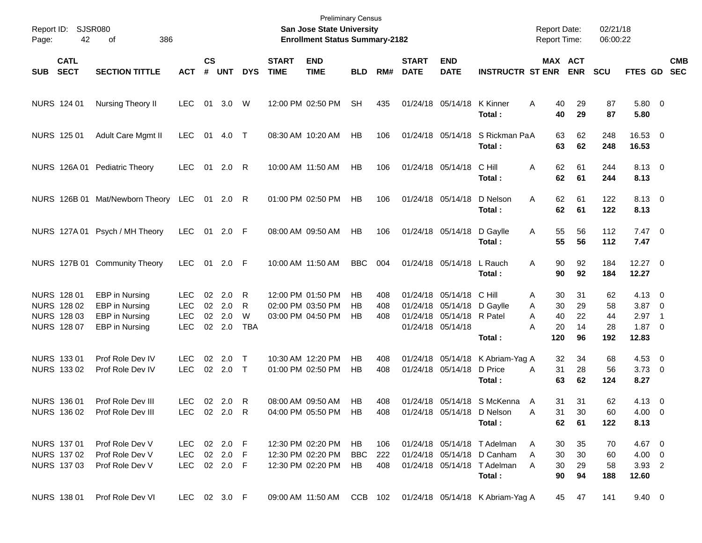| Page:      | Report ID: SJSR080<br>42                                 | 386<br>οf                                                                                        |                                                      |                    |                                   |                           |                             | <b>Preliminary Census</b><br>San Jose State University<br><b>Enrollment Status Summary-2182</b> |                        |                   |                             |                                                                                  |                                                                                                    | <b>Report Date:</b><br><b>Report Time:</b>      |                            | 02/21/18<br>06:00:22        |                                                       |                          |            |
|------------|----------------------------------------------------------|--------------------------------------------------------------------------------------------------|------------------------------------------------------|--------------------|-----------------------------------|---------------------------|-----------------------------|-------------------------------------------------------------------------------------------------|------------------------|-------------------|-----------------------------|----------------------------------------------------------------------------------|----------------------------------------------------------------------------------------------------|-------------------------------------------------|----------------------------|-----------------------------|-------------------------------------------------------|--------------------------|------------|
| <b>SUB</b> | <b>CATL</b><br><b>SECT</b>                               | <b>SECTION TITTLE</b>                                                                            | <b>ACT</b>                                           | $\mathsf{cs}$<br># | <b>UNT</b>                        | <b>DYS</b>                | <b>START</b><br><b>TIME</b> | <b>END</b><br><b>TIME</b>                                                                       | <b>BLD</b>             | RM#               | <b>START</b><br><b>DATE</b> | <b>END</b><br><b>DATE</b>                                                        | <b>INSTRUCTR ST ENR</b>                                                                            |                                                 | MAX ACT<br><b>ENR</b>      | <b>SCU</b>                  | FTES GD SEC                                           |                          | <b>CMB</b> |
|            | NURS 124 01                                              | Nursing Theory II                                                                                | <b>LEC</b>                                           | 01                 | 3.0                               | W                         |                             | 12:00 PM 02:50 PM                                                                               | <b>SH</b>              | 435               |                             | 01/24/18 05/14/18                                                                | K Kinner<br>Total:                                                                                 | A<br>40<br>40                                   | 29<br>29                   | 87<br>87                    | 5.80 0<br>5.80                                        |                          |            |
|            | NURS 125 01                                              | Adult Care Mgmt II                                                                               | LEC.                                                 | 01                 | 4.0                               | $\top$                    |                             | 08:30 AM 10:20 AM                                                                               | HB                     | 106               |                             | 01/24/18 05/14/18                                                                | S Rickman PaA<br>Total:                                                                            | 63<br>63                                        | 62<br>62                   | 248<br>248                  | 16.53 0<br>16.53                                      |                          |            |
|            |                                                          | NURS 126A 01 Pediatric Theory                                                                    | LEC.                                                 | 01                 | 2.0                               | R                         |                             | 10:00 AM 11:50 AM                                                                               | HB                     | 106               |                             | 01/24/18 05/14/18                                                                | C Hill<br>Total:                                                                                   | 62<br>Α<br>62                                   | 61<br>61                   | 244<br>244                  | 8.13 0<br>8.13                                        |                          |            |
|            |                                                          | NURS 126B 01 Mat/Newborn Theory                                                                  | LEC                                                  | 01                 | 2.0 R                             |                           |                             | 01:00 PM 02:50 PM                                                                               | HB                     | 106               |                             | 01/24/18 05/14/18                                                                | D Nelson<br>Total:                                                                                 | 62<br>A<br>62                                   | 61<br>61                   | 122<br>122                  | 8.13 0<br>8.13                                        |                          |            |
|            |                                                          | NURS 127A 01 Psych / MH Theory                                                                   | <b>LEC</b>                                           | 01                 | $2.0$ F                           |                           |                             | 08:00 AM 09:50 AM                                                                               | HB                     | 106               |                             | 01/24/18 05/14/18                                                                | D Gaylle<br>Total:                                                                                 | 55<br>A<br>55                                   | 56<br>56                   | 112<br>112                  | $7.47$ 0<br>7.47                                      |                          |            |
|            |                                                          | NURS 127B 01 Community Theory                                                                    | <b>LEC</b>                                           | 01                 | 2.0 F                             |                           |                             | 10:00 AM 11:50 AM                                                                               | <b>BBC</b>             | 004               |                             | 01/24/18 05/14/18                                                                | L Rauch<br>Total:                                                                                  | 90<br>A<br>90                                   | 92<br>92                   | 184<br>184                  | $12.27$ 0<br>12.27                                    |                          |            |
|            | NURS 128 01<br>NURS 128 02<br>NURS 128 03<br>NURS 128 07 | <b>EBP</b> in Nursing<br><b>EBP</b> in Nursing<br><b>EBP</b> in Nursing<br><b>EBP</b> in Nursing | <b>LEC</b><br><b>LEC</b><br><b>LEC</b><br><b>LEC</b> | 02                 | 2.0<br>02 2.0<br>02 2.0<br>02 2.0 | R<br>R<br>W<br><b>TBA</b> |                             | 12:00 PM 01:50 PM<br>02:00 PM 03:50 PM<br>03:00 PM 04:50 PM                                     | НB<br>НB<br>HB         | 408<br>408<br>408 |                             | 01/24/18 05/14/18<br>01/24/18 05/14/18<br>01/24/18 05/14/18<br>01/24/18 05/14/18 | C Hill<br>D Gaylle<br>R Patel<br>Total:                                                            | 30<br>Α<br>30<br>A<br>40<br>A<br>20<br>А<br>120 | 31<br>29<br>22<br>14<br>96 | 62<br>58<br>44<br>28<br>192 | $4.13 \ 0$<br>$3.87$ 0<br>2.97<br>$1.87 \ 0$<br>12.83 | $\overline{\phantom{1}}$ |            |
|            | NURS 133 01<br>NURS 133 02                               | Prof Role Dev IV<br>Prof Role Dev IV                                                             | <b>LEC</b><br><b>LEC</b>                             | 02                 | 2.0<br>02 2.0 T                   | $\top$                    |                             | 10:30 AM 12:20 PM<br>01:00 PM 02:50 PM                                                          | НB<br>HB               | 408<br>408        |                             | 01/24/18 05/14/18<br>01/24/18 05/14/18                                           | K Abriam-Yag A<br>D Price<br>Total :                                                               | 32<br>31<br>A<br>63                             | 34<br>28<br>62             | 68<br>56<br>124             | $4.53$ 0<br>$3.73$ 0<br>8.27                          |                          |            |
|            | NURS 136 01<br>NURS 136 02                               | Prof Role Dev III<br>Prof Role Dev III                                                           | <b>LEC</b><br>LEC 02 2.0                             |                    | 02 2.0                            | $\mathsf{R}$<br>R         |                             | 08:00 AM 09:50 AM<br>04:00 PM 05:50 PM                                                          | HB<br>HB.              | 408<br>408        |                             |                                                                                  | 01/24/18 05/14/18 S McKenna<br>01/24/18 05/14/18 D Nelson<br>Total:                                | 31<br>A<br>31<br>Α<br>62                        | 31<br>30<br>61             | 62<br>60<br>122             | 4.13 0<br>$4.00 \quad 0$<br>8.13                      |                          |            |
|            | NURS 137 01<br>NURS 137 02<br>NURS 137 03                | Prof Role Dev V<br>Prof Role Dev V<br>Prof Role Dev V                                            | LEC 02 2.0 F<br>LEC<br>LEC 02 2.0 F                  |                    | 02 2.0 F                          |                           |                             | 12:30 PM 02:20 PM<br>12:30 PM 02:20 PM<br>12:30 PM 02:20 PM                                     | HB<br><b>BBC</b><br>HB | 106<br>222<br>408 |                             |                                                                                  | 01/24/18 05/14/18 T Adelman<br>01/24/18 05/14/18 D Canham<br>01/24/18 05/14/18 T Adelman<br>Total: | 30<br>A<br>30<br>A<br>30<br>A<br>90             | 35<br>30<br>29<br>94       | 70<br>60<br>58<br>188       | 4.67 0<br>4.00 0<br>3.93 2<br>12.60                   |                          |            |
|            | NURS 138 01                                              | Prof Role Dev VI                                                                                 | LEC 02 3.0 F                                         |                    |                                   |                           |                             | 09:00 AM 11:50 AM CCB 102                                                                       |                        |                   |                             |                                                                                  | 01/24/18 05/14/18 K Abriam-Yag A                                                                   |                                                 | 45 47                      | 141                         | $9.40 \quad 0$                                        |                          |            |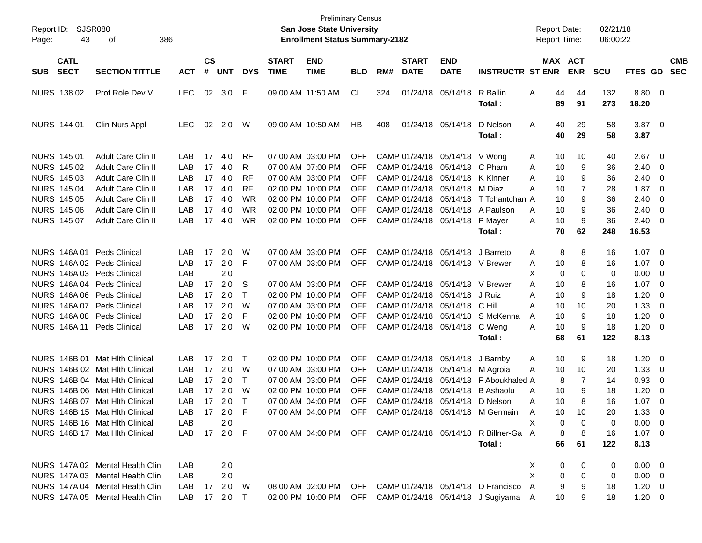| Report ID:<br>43<br>Page:                | SJSR080<br>386<br>οf            |              |                    |            |            |                             | San Jose State University<br><b>Enrollment Status Summary-2182</b> | <b>Preliminary Census</b> |     |                             |                                 |                                                             | <b>Report Date:</b><br><b>Report Time:</b> |              |                       | 02/21/18<br>06:00:22 |                  |                          |                          |
|------------------------------------------|---------------------------------|--------------|--------------------|------------|------------|-----------------------------|--------------------------------------------------------------------|---------------------------|-----|-----------------------------|---------------------------------|-------------------------------------------------------------|--------------------------------------------|--------------|-----------------------|----------------------|------------------|--------------------------|--------------------------|
| <b>CATL</b><br><b>SECT</b><br><b>SUB</b> | <b>SECTION TITTLE</b>           | <b>ACT</b>   | $\mathsf{cs}$<br># | <b>UNT</b> | <b>DYS</b> | <b>START</b><br><b>TIME</b> | <b>END</b><br><b>TIME</b>                                          | BLD                       | RM# | <b>START</b><br><b>DATE</b> | <b>END</b><br><b>DATE</b>       | <b>INSTRUCTR ST ENR</b>                                     |                                            |              | MAX ACT<br><b>ENR</b> | <b>SCU</b>           | FTES GD          |                          | <b>CMB</b><br><b>SEC</b> |
| NURS 138 02                              | Prof Role Dev VI                | <b>LEC</b>   | 02                 | 3.0        | F          |                             | 09:00 AM 11:50 AM                                                  | CL                        | 324 |                             | 01/24/18 05/14/18               | R Ballin<br>Total :                                         | A                                          | 44<br>89     | 44<br>91              | 132<br>273           | 8.80 0<br>18.20  |                          |                          |
| <b>NURS 144 01</b>                       | Clin Nurs Appl                  | <b>LEC</b>   | 02                 | 2.0        | W          |                             | 09:00 AM 10:50 AM                                                  | HB                        | 408 |                             | 01/24/18 05/14/18               | D Nelson<br>Total:                                          | A                                          | 40<br>40     | 29<br>29              | 58<br>58             | $3.87$ 0<br>3.87 |                          |                          |
| <b>NURS 145 01</b>                       | Adult Care Clin II              | LAB          | 17                 | 4.0        | RF         |                             | 07:00 AM 03:00 PM                                                  | <b>OFF</b>                |     |                             | CAMP 01/24/18 05/14/18 V Wong   |                                                             | A                                          | 10           | 10                    | 40                   | 2.67             | - 0                      |                          |
| NURS 145 02                              | <b>Adult Care Clin II</b>       | LAB          | 17                 | 4.0        | R          |                             | 07:00 AM 07:00 PM                                                  | OFF                       |     |                             | CAMP 01/24/18 05/14/18 C Pham   |                                                             | A                                          | 10           | 9                     | 36                   | 2.40             | - 0                      |                          |
| NURS 145 03                              | Adult Care Clin II              | LAB          | 17                 | 4.0        | <b>RF</b>  |                             | 07:00 AM 03:00 PM                                                  | OFF                       |     |                             | CAMP 01/24/18 05/14/18 K Kinner |                                                             | A                                          | 10           | 9                     | 36                   | 2.40             | - 0                      |                          |
| <b>NURS 145 04</b>                       | Adult Care Clin II              | LAB          | 17                 | 4.0        | <b>RF</b>  |                             | 02:00 PM 10:00 PM                                                  | OFF                       |     |                             | CAMP 01/24/18 05/14/18 M Diaz   |                                                             | A                                          | 10           | 7                     | 28                   | 1.87             | - 0                      |                          |
| <b>NURS 145 05</b>                       | Adult Care Clin II              | LAB          | 17                 | 4.0        | WR         |                             | 02:00 PM 10:00 PM                                                  | OFF                       |     |                             |                                 | CAMP 01/24/18 05/14/18 T Tchantchan A                       |                                            | 10           | 9                     | 36                   | 2.40             | - 0                      |                          |
| <b>NURS 145 06</b>                       | Adult Care Clin II              | LAB          | 17                 | 4.0        | WR         |                             | 02:00 PM 10:00 PM                                                  | OFF                       |     |                             |                                 | CAMP 01/24/18 05/14/18 A Paulson                            | A                                          | 10           | 9                     | 36                   | 2.40             | - 0                      |                          |
| NURS 145 07                              | Adult Care Clin II              | LAB          |                    | 17 4.0     | <b>WR</b>  |                             | 02:00 PM 10:00 PM                                                  | OFF                       |     |                             | CAMP 01/24/18 05/14/18          | P Mayer                                                     | A                                          | 10           | 9                     | 36                   | 2.40             | $\overline{\mathbf{0}}$  |                          |
|                                          |                                 |              |                    |            |            |                             |                                                                    |                           |     |                             |                                 | Total:                                                      |                                            | 70           | 62                    | 248                  | 16.53            |                          |                          |
| <b>NURS 146A01</b>                       | Peds Clinical                   | LAB          | 17                 | 2.0        | W          |                             | 07:00 AM 03:00 PM                                                  | <b>OFF</b>                |     |                             | CAMP 01/24/18 05/14/18          | J Barreto                                                   | A                                          | 8            | 8                     | 16                   | 1.07             | $\overline{\mathbf{0}}$  |                          |
| NURS 146A 02 Peds Clinical               |                                 | LAB          | 17                 | 2.0        | F          |                             | 07:00 AM 03:00 PM                                                  | OFF.                      |     |                             | CAMP 01/24/18 05/14/18 V Brewer |                                                             | A                                          | 10           | 8                     | 16                   | 1.07             | - 0                      |                          |
| NURS 146A 03 Peds Clinical               |                                 | LAB          |                    | 2.0        |            |                             |                                                                    |                           |     |                             |                                 |                                                             | Χ                                          | 0            | 0                     | 0                    | 0.00             | - 0                      |                          |
| NURS 146A 04 Peds Clinical               |                                 | LAB          | 17                 | 2.0        | S          |                             | 07:00 AM 03:00 PM                                                  | <b>OFF</b>                |     |                             | CAMP 01/24/18 05/14/18 V Brewer |                                                             | A                                          | 10           | 8                     | 16                   | 1.07             | - 0                      |                          |
| NURS 146A 06 Peds Clinical               |                                 | LAB          | 17                 | 2.0        | $\top$     |                             | 02:00 PM 10:00 PM                                                  | <b>OFF</b>                |     |                             | CAMP 01/24/18 05/14/18 J Ruiz   |                                                             | A                                          | 10           | 9                     | 18                   | 1.20             | - 0                      |                          |
| NURS 146A 07                             | Peds Clinical                   | LAB          | 17                 | 2.0        | W          |                             | 07:00 AM 03:00 PM                                                  | <b>OFF</b>                |     |                             | CAMP 01/24/18 05/14/18 C Hill   |                                                             | A                                          | 10           | 10                    | 20                   | 1.33             | - 0                      |                          |
| NURS 146A 08 Peds Clinical               |                                 | LAB          | 17                 | 2.0        | F          |                             | 02:00 PM 10:00 PM                                                  | <b>OFF</b>                |     |                             |                                 | CAMP 01/24/18 05/14/18 S McKenna                            | A                                          | 10           | 9                     | 18                   | 1.20             | - 0                      |                          |
| <b>NURS 146A11</b>                       | <b>Peds Clinical</b>            | LAB          |                    | 17 2.0     | W          |                             | 02:00 PM 10:00 PM                                                  | OFF.                      |     |                             | CAMP 01/24/18 05/14/18 C Weng   |                                                             | A                                          | 10           | 9                     | 18                   | 1.20             | $\overline{\phantom{0}}$ |                          |
|                                          |                                 |              |                    |            |            |                             |                                                                    |                           |     |                             |                                 | Total :                                                     |                                            | 68           | 61                    | 122                  | 8.13             |                          |                          |
|                                          | NURS 146B 01 Mat Hith Clinical  | LAB          | 17                 | 2.0        | $\top$     |                             | 02:00 PM 10:00 PM                                                  | <b>OFF</b>                |     |                             | CAMP 01/24/18 05/14/18          | J Barnby                                                    | A                                          | 10           | 9                     | 18                   | 1.20             | $\overline{\mathbf{0}}$  |                          |
|                                          | NURS 146B 02 Mat Hith Clinical  | LAB          | 17                 | 2.0        | W          |                             | 07:00 AM 03:00 PM                                                  | <b>OFF</b>                |     |                             | CAMP 01/24/18 05/14/18 M Agroia |                                                             | A                                          | 10           | 10                    | 20                   | 1.33             | $\overline{\mathbf{0}}$  |                          |
|                                          | NURS 146B 04 Mat Hlth Clinical  | LAB          | 17                 | 2.0        | $\top$     |                             | 07:00 AM 03:00 PM                                                  | <b>OFF</b>                |     |                             |                                 | CAMP 01/24/18 05/14/18 F Aboukhaled A                       |                                            | 8            | 7                     | 14                   | 0.93             | 0                        |                          |
|                                          | NURS 146B 06 Mat Hlth Clinical  | LAB          | 17                 | 2.0        | W          |                             | 02:00 PM 10:00 PM                                                  | <b>OFF</b>                |     |                             | CAMP 01/24/18 05/14/18          | B Ashaolu                                                   | A                                          | 10           | 9                     | 18                   | 1.20             | 0                        |                          |
|                                          | NURS 146B 07 Mat Hlth Clinical  | LAB          |                    | 17 2.0     | $\top$     |                             | 07:00 AM 04:00 PM                                                  | <b>OFF</b>                |     |                             | CAMP 01/24/18 05/14/18 D Nelson |                                                             | A                                          | 10           | 8                     | 16                   | 1.07             | - 0                      |                          |
|                                          | NURS 146B 15 Mat Hith Clinical  | LAB.         |                    | 17 2.0     | F          |                             | 07:00 AM 04:00 PM                                                  | OFF.                      |     |                             |                                 | CAMP 01/24/18 05/14/18 M Germain                            | A                                          | 10           | 10                    | 20                   | 1.33             | $\Omega$                 |                          |
|                                          | NURS 146B 16 Mat Hith Clinical  | LAB          |                    | 2.0        |            |                             |                                                                    |                           |     |                             |                                 |                                                             |                                            | 0            | 0                     | 0                    | $0.00 \t 0$      |                          |                          |
|                                          | NURS 146B 17 Mat Hith Clinical  | LAB 17 2.0 F |                    |            |            |                             |                                                                    |                           |     |                             |                                 | 07:00 AM 04:00 PM OFF CAMP 01/24/18 05/14/18 R Billner-Ga A |                                            | 8            | -8                    | 16                   | $1.07 \t 0$      |                          |                          |
|                                          |                                 |              |                    |            |            |                             |                                                                    |                           |     |                             |                                 | Total:                                                      |                                            | 66           | 61                    | 122                  | 8.13             |                          |                          |
|                                          | NURS 147A 02 Mental Health Clin | LAB          |                    | 2.0        |            |                             |                                                                    |                           |     |                             |                                 |                                                             | X.                                         | $\mathbf{0}$ | 0                     | 0                    | $0.00 \quad 0$   |                          |                          |
|                                          | NURS 147A 03 Mental Health Clin | LAB          |                    | 2.0        |            |                             |                                                                    |                           |     |                             |                                 |                                                             | X                                          | $\mathbf{0}$ | $\mathbf 0$           | 0                    | $0.00 \quad 0$   |                          |                          |
|                                          | NURS 147A 04 Mental Health Clin | LAB 17 2.0 W |                    |            |            |                             |                                                                    |                           |     |                             |                                 | 08:00 AM 02:00 PM OFF CAMP 01/24/18 05/14/18 D Francisco A  |                                            | 9            | 9                     | 18                   | $1.20 \t 0$      |                          |                          |
|                                          | NURS 147A 05 Mental Health Clin | LAB 17 2.0 T |                    |            |            |                             |                                                                    |                           |     |                             |                                 | 02:00 PM 10:00 PM OFF CAMP 01/24/18 05/14/18 J Sugiyama A   |                                            | 10           | 9                     | 18                   | $1.20 \t 0$      |                          |                          |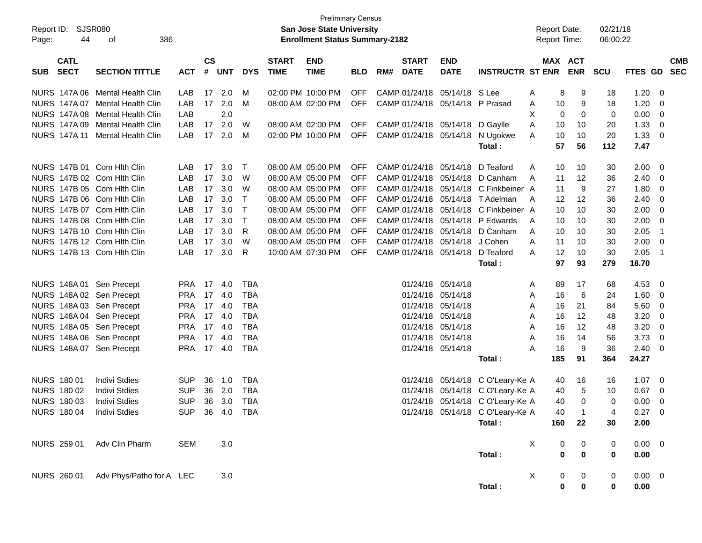| Report ID:<br>Page: | <b>SJSR080</b><br>44       | 386<br>оf                            |                |                    |            |            |                             | <b>Preliminary Census</b><br>San Jose State University<br><b>Enrollment Status Summary-2182</b> |            |     |                             |                           |                                  | <b>Report Date:</b><br><b>Report Time:</b> |                                    | 02/21/18<br>06:00:22 |                     |                          |                          |
|---------------------|----------------------------|--------------------------------------|----------------|--------------------|------------|------------|-----------------------------|-------------------------------------------------------------------------------------------------|------------|-----|-----------------------------|---------------------------|----------------------------------|--------------------------------------------|------------------------------------|----------------------|---------------------|--------------------------|--------------------------|
| <b>SUB</b>          | <b>CATL</b><br><b>SECT</b> | <b>SECTION TITTLE</b>                | <b>ACT</b>     | $\mathsf{cs}$<br># | <b>UNT</b> | <b>DYS</b> | <b>START</b><br><b>TIME</b> | <b>END</b><br><b>TIME</b>                                                                       | <b>BLD</b> | RM# | <b>START</b><br><b>DATE</b> | <b>END</b><br><b>DATE</b> | <b>INSTRUCTR ST ENR</b>          |                                            | MAX ACT<br><b>ENR</b>              | <b>SCU</b>           | FTES GD             |                          | <b>CMB</b><br><b>SEC</b> |
|                     |                            | NURS 147A 06 Mental Health Clin      | LAB            | 17                 | 2.0        | M          |                             | 02:00 PM 10:00 PM                                                                               | OFF        |     | CAMP 01/24/18               | 05/14/18                  | S Lee                            | A                                          | 8<br>9                             | 18                   | 1.20                | - 0                      |                          |
|                     |                            | NURS 147A 07 Mental Health Clin      | LAB            | 17                 | 2.0        | м          |                             | 08:00 AM 02:00 PM                                                                               | OFF        |     | CAMP 01/24/18               | 05/14/18                  | P Prasad                         | A                                          | 10<br>9                            | 18                   | 1.20                | - 0                      |                          |
|                     |                            | NURS 147A 08 Mental Health Clin      | LAB            |                    | 2.0        |            |                             |                                                                                                 |            |     |                             |                           |                                  | X                                          | 0<br>0                             | $\mathbf 0$          | 0.00                | $\overline{\mathbf{0}}$  |                          |
|                     |                            | NURS 147A 09 Mental Health Clin      | LAB            | 17                 | 2.0        | W          |                             | 08:00 AM 02:00 PM                                                                               | OFF        |     |                             | CAMP 01/24/18 05/14/18    | D Gaylle                         | A<br>10                                    | 10                                 | 20                   | 1.33                | $\overline{\mathbf{0}}$  |                          |
|                     |                            | NURS 147A 11 Mental Health Clin      | LAB            | 17                 | 2.0        | M          |                             | 02:00 PM 10:00 PM                                                                               | OFF        |     |                             | CAMP 01/24/18 05/14/18    | N Ugokwe                         | 10<br>A                                    | 10                                 | 20                   | 1.33                | - 0                      |                          |
|                     |                            |                                      |                |                    |            |            |                             |                                                                                                 |            |     |                             |                           | Total:                           | 57                                         | 56                                 | 112                  | 7.47                |                          |                          |
|                     |                            | NURS 147B 01 Com Hith Clin           | LAB            | 17                 | 3.0        | $\top$     |                             | 08:00 AM 05:00 PM                                                                               | <b>OFF</b> |     | CAMP 01/24/18               | 05/14/18                  | D Teaford                        | A                                          | 10<br>10                           | 30                   | 2.00                | - 0                      |                          |
|                     |                            | NURS 147B 02 Com Hith Clin           | LAB            | 17                 | 3.0        | W          |                             | 08:00 AM 05:00 PM                                                                               | <b>OFF</b> |     | CAMP 01/24/18               | 05/14/18                  | D Canham                         | 11<br>A                                    | 12                                 | 36                   | 2.40                | - 0                      |                          |
|                     |                            | NURS 147B 05 Com Hith Clin           | LAB            | 17                 | 3.0        | W          |                             | 08:00 AM 05:00 PM                                                                               | <b>OFF</b> |     | CAMP 01/24/18               | 05/14/18                  | C Finkbeiner A                   | 11                                         | 9                                  | 27                   | 1.80                | - 0                      |                          |
|                     |                            | NURS 147B 06 Com Hith Clin           | LAB            | 17                 | 3.0        | $\top$     |                             | 08:00 AM 05:00 PM                                                                               | <b>OFF</b> |     | CAMP 01/24/18               | 05/14/18                  | T Adelman                        | 12<br>A                                    | 12                                 | 36                   | 2.40                | - 0                      |                          |
|                     |                            | NURS 147B 07 Com Hlth Clin           | LAB            | 17                 | 3.0        | $\top$     |                             | 08:00 AM 05:00 PM                                                                               | <b>OFF</b> |     | CAMP 01/24/18               | 05/14/18                  | C Finkbeiner A                   | 10                                         | 10                                 | 30                   | 2.00                | - 0                      |                          |
|                     |                            | NURS 147B 08 Com Hith Clin           | LAB            | 17                 | 3.0        | $\top$     |                             | 08:00 AM 05:00 PM                                                                               | <b>OFF</b> |     |                             | CAMP 01/24/18 05/14/18    | P Edwards                        | 10<br>A                                    | 10                                 | 30                   | 2.00                | - 0                      |                          |
|                     |                            | NURS 147B 10 Com Hlth Clin           | LAB            | 17                 | 3.0        | R          |                             | 08:00 AM 05:00 PM                                                                               | <b>OFF</b> |     | CAMP 01/24/18               | 05/14/18                  | D Canham                         | A<br>10                                    | 10                                 | 30                   | 2.05                | $\overline{1}$           |                          |
|                     |                            | NURS 147B 12 Com Hith Clin           | LAB            | 17                 | 3.0        | W          |                             | 08:00 AM 05:00 PM                                                                               | <b>OFF</b> |     | CAMP 01/24/18               | 05/14/18                  | J Cohen                          | A<br>11                                    | 10                                 | 30                   | 2.00                | $\overline{\mathbf{0}}$  |                          |
|                     |                            | NURS 147B 13 Com Hith Clin           | LAB            | 17                 | 3.0        | R          |                             | 10:00 AM 07:30 PM                                                                               | <b>OFF</b> |     | CAMP 01/24/18               | 05/14/18                  | D Teaford                        | 12<br>A                                    | 10                                 | 30                   | 2.05                | $\overline{1}$           |                          |
|                     |                            |                                      |                |                    |            |            |                             |                                                                                                 |            |     |                             |                           | Total:                           | 97                                         | 93                                 | 279                  | 18.70               |                          |                          |
|                     |                            | NURS 148A 01 Sen Precept             | <b>PRA</b>     | 17                 | 4.0        | <b>TBA</b> |                             |                                                                                                 |            |     | 01/24/18 05/14/18           |                           |                                  | Α<br>89                                    | 17                                 | 68                   | 4.53                | - 0                      |                          |
|                     |                            | NURS 148A 02 Sen Precept             | <b>PRA</b>     | 17                 | 4.0        | <b>TBA</b> |                             |                                                                                                 |            |     | 01/24/18                    | 05/14/18                  |                                  | 16<br>Α                                    | 6                                  | 24                   | 1.60                | - 0                      |                          |
|                     |                            | NURS 148A 03 Sen Precept             | <b>PRA</b>     | 17                 | 4.0        | <b>TBA</b> |                             |                                                                                                 |            |     | 01/24/18                    | 05/14/18                  |                                  | 16<br>A                                    | 21                                 | 84                   | 5.60                | - 0                      |                          |
|                     |                            | NURS 148A 04 Sen Precept             | <b>PRA</b>     | 17                 | 4.0        | <b>TBA</b> |                             |                                                                                                 |            |     | 01/24/18                    | 05/14/18                  |                                  | Α<br>16                                    | 12                                 | 48                   | 3.20                | - 0                      |                          |
|                     |                            | NURS 148A 05 Sen Precept             | <b>PRA</b>     | 17                 | 4.0        | <b>TBA</b> |                             |                                                                                                 |            |     | 01/24/18                    | 05/14/18                  |                                  | A<br>16                                    | 12                                 | 48                   | 3.20                | - 0                      |                          |
|                     |                            | NURS 148A 06 Sen Precept             | <b>PRA</b>     | 17                 | 4.0        | <b>TBA</b> |                             |                                                                                                 |            |     | 01/24/18                    | 05/14/18                  |                                  | 16<br>A                                    | 14                                 | 56                   | 3.73                | - 0                      |                          |
|                     |                            | NURS 148A 07 Sen Precept             | <b>PRA</b>     |                    | 17 4.0     | <b>TBA</b> |                             |                                                                                                 |            |     | 01/24/18 05/14/18           |                           |                                  | Α<br>16                                    | 9                                  | 36                   | 2.40                | - 0                      |                          |
|                     |                            |                                      |                |                    |            |            |                             |                                                                                                 |            |     |                             |                           | Total :                          | 185                                        | 91                                 | 364                  | 24.27               |                          |                          |
| <b>NURS 180 01</b>  |                            | <b>Indivi Stdies</b>                 | <b>SUP</b>     | 36                 | 1.0        | <b>TBA</b> |                             |                                                                                                 |            |     |                             |                           | 01/24/18 05/14/18 C O'Leary-Ke A | 40                                         | 16                                 | 16                   | 1.07                | $\overline{\phantom{0}}$ |                          |
|                     | NURS 180 02                | <b>Indivi Stdies</b>                 | <b>SUP</b>     | 36                 | 2.0        | <b>TBA</b> |                             |                                                                                                 |            |     |                             |                           | 01/24/18 05/14/18 C O'Leary-Ke A | 40                                         | 5                                  | 10                   | 0.67                | $\overline{\mathbf{0}}$  |                          |
|                     | NURS 180 03                | <b>Indivi Stdies</b>                 | <b>SUP</b>     |                    | 36 3.0     | <b>TBA</b> |                             |                                                                                                 |            |     |                             |                           | 01/24/18 05/14/18 C O'Leary-Ke A | 40                                         | 0                                  | $\mathbf 0$          | 0.00                | - 0                      |                          |
|                     |                            | NURS 180 04 Indivi Stdies            | SUP 36 4.0 TBA |                    |            |            |                             |                                                                                                 |            |     |                             |                           | 01/24/18 05/14/18 CO'Leary-Ke A  |                                            | 40<br>$\overline{1}$               | 4                    | $0.27 \t 0$         |                          |                          |
|                     |                            |                                      |                |                    |            |            |                             |                                                                                                 |            |     |                             |                           | Total:                           |                                            | 160<br>22                          | 30                   | 2.00                |                          |                          |
|                     |                            | NURS 259 01 Adv Clin Pharm           | <b>SEM</b>     |                    | 3.0        |            |                             |                                                                                                 |            |     |                             |                           |                                  | $\mathsf{X}$                               | 0<br>$\boldsymbol{0}$              | 0                    | $0.00 \t 0$         |                          |                          |
|                     |                            |                                      |                |                    |            |            |                             |                                                                                                 |            |     |                             |                           | Total:                           |                                            | $\pmb{0}$<br>0                     | 0                    | 0.00                |                          |                          |
|                     |                            |                                      |                |                    |            |            |                             |                                                                                                 |            |     |                             |                           |                                  |                                            |                                    |                      |                     |                          |                          |
|                     |                            | NURS 260 01 Adv Phys/Patho for A LEC |                |                    | 3.0        |            |                             |                                                                                                 |            |     |                             |                           | Total:                           | X                                          | $\mathbf 0$<br>0<br>$\pmb{0}$<br>0 | 0<br>0               | $0.00 \t 0$<br>0.00 |                          |                          |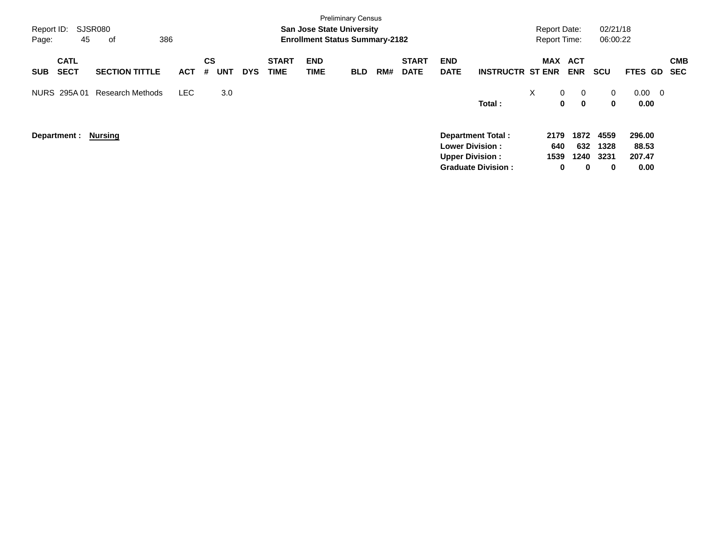| Report ID:<br>Page:               | <b>SJSR080</b><br>45 | оf                      | 386 |            |         |            |            |                             | <b>Preliminary Census</b><br><b>San Jose State University</b><br><b>Enrollment Status Summary-2182</b> |            |     |                             |                                                                              |                           |   | <b>Report Date:</b>                | <b>Report Time:</b>      | 02/21/18<br>06:00:22          |                                   |                          |                          |
|-----------------------------------|----------------------|-------------------------|-----|------------|---------|------------|------------|-----------------------------|--------------------------------------------------------------------------------------------------------|------------|-----|-----------------------------|------------------------------------------------------------------------------|---------------------------|---|------------------------------------|--------------------------|-------------------------------|-----------------------------------|--------------------------|--------------------------|
| <b>CATL</b><br><b>SECT</b><br>SUB |                      | <b>SECTION TITTLE</b>   |     | <b>ACT</b> | CS<br># | <b>UNT</b> | <b>DYS</b> | <b>START</b><br><b>TIME</b> | <b>END</b><br>TIME                                                                                     | <b>BLD</b> | RM# | <b>START</b><br><b>DATE</b> | <b>END</b><br><b>DATE</b>                                                    | <b>INSTRUCTR ST ENR</b>   |   | <b>MAX</b>                         | <b>ACT</b><br><b>ENR</b> | <b>SCU</b>                    | <b>FTES</b>                       | GD.                      | <b>CMB</b><br><b>SEC</b> |
| NURS 295A 01                      |                      | <b>Research Methods</b> |     | <b>LEC</b> |         | 3.0        |            |                             |                                                                                                        |            |     |                             |                                                                              | Total:                    | X | $\overline{0}$<br>$\mathbf 0$      | 0<br>$\mathbf 0$         | $\overline{0}$<br>$\mathbf 0$ | 0.00<br>0.00                      | $\overline{\phantom{0}}$ |                          |
| Department :                      |                      | Nursing                 |     |            |         |            |            |                             |                                                                                                        |            |     |                             | <b>Department Total:</b><br><b>Lower Division:</b><br><b>Upper Division:</b> | <b>Graduate Division:</b> |   | 2179<br>640<br>1539<br>$\mathbf 0$ | 1872<br>632<br>1240<br>0 | 4559<br>1328<br>3231<br>0     | 296.00<br>88.53<br>207.47<br>0.00 |                          |                          |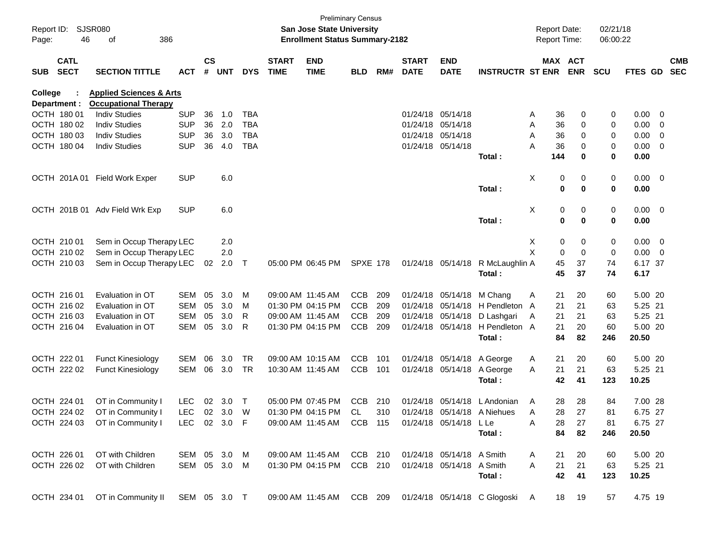| Page:      | Report ID: SJSR080<br>46    | 386<br>οf                                           |              |               |        |            |                             | <b>San Jose State University</b><br><b>Enrollment Status Summary-2182</b> | <b>Preliminary Census</b> |     |                             |                           |                                                          |              | <b>Report Date:</b><br><b>Report Time:</b> |             | 02/21/18<br>06:00:22 |             |                         |            |
|------------|-----------------------------|-----------------------------------------------------|--------------|---------------|--------|------------|-----------------------------|---------------------------------------------------------------------------|---------------------------|-----|-----------------------------|---------------------------|----------------------------------------------------------|--------------|--------------------------------------------|-------------|----------------------|-------------|-------------------------|------------|
| <b>SUB</b> | <b>CATL</b><br><b>SECT</b>  | <b>SECTION TITTLE</b>                               | <b>ACT</b>   | $\mathsf{cs}$ | # UNT  | <b>DYS</b> | <b>START</b><br><b>TIME</b> | <b>END</b><br><b>TIME</b>                                                 | <b>BLD</b>                | RM# | <b>START</b><br><b>DATE</b> | <b>END</b><br><b>DATE</b> | <b>INSTRUCTR ST ENR</b>                                  |              | MAX ACT                                    | <b>ENR</b>  | <b>SCU</b>           | FTES GD SEC |                         | <b>CMB</b> |
|            |                             |                                                     |              |               |        |            |                             |                                                                           |                           |     |                             |                           |                                                          |              |                                            |             |                      |             |                         |            |
| College    |                             | <b>Applied Sciences &amp; Arts</b>                  |              |               |        |            |                             |                                                                           |                           |     |                             |                           |                                                          |              |                                            |             |                      |             |                         |            |
|            | Department :<br>OCTH 180 01 | <b>Occupational Therapy</b><br><b>Indiv Studies</b> | <b>SUP</b>   | 36            | 1.0    | TBA        |                             |                                                                           |                           |     |                             | 01/24/18 05/14/18         |                                                          |              | 36                                         | 0           | 0                    | 0.00        | $\overline{\mathbf{0}}$ |            |
|            | OCTH 180 02                 | <b>Indiv Studies</b>                                | <b>SUP</b>   | 36            | 2.0    | <b>TBA</b> |                             |                                                                           |                           |     |                             | 01/24/18 05/14/18         |                                                          | A<br>A       | 36                                         | 0           | 0                    | 0.00        | $\overline{\mathbf{0}}$ |            |
|            | OCTH 180 03                 | <b>Indiv Studies</b>                                | <b>SUP</b>   | 36            | 3.0    | <b>TBA</b> |                             |                                                                           |                           |     |                             | 01/24/18 05/14/18         |                                                          | A            | 36                                         | 0           | 0                    | 0.00        | $\overline{\mathbf{0}}$ |            |
|            | OCTH 180 04                 | <b>Indiv Studies</b>                                | <b>SUP</b>   | 36            | 4.0    | <b>TBA</b> |                             |                                                                           |                           |     |                             | 01/24/18 05/14/18         |                                                          | Α            | 36                                         | 0           | 0                    | 0.00        | $\overline{\mathbf{0}}$ |            |
|            |                             |                                                     |              |               |        |            |                             |                                                                           |                           |     |                             |                           |                                                          |              | 144                                        | 0           | 0                    | 0.00        |                         |            |
|            |                             |                                                     |              |               |        |            |                             |                                                                           |                           |     |                             |                           | Total :                                                  |              |                                            |             |                      |             |                         |            |
|            |                             | OCTH 201A 01 Field Work Exper                       | <b>SUP</b>   |               | 6.0    |            |                             |                                                                           |                           |     |                             |                           |                                                          | X            | 0                                          | 0           | 0                    | $0.00 \t 0$ |                         |            |
|            |                             |                                                     |              |               |        |            |                             |                                                                           |                           |     |                             |                           | Total:                                                   |              | $\bf{0}$                                   | 0           | 0                    | 0.00        |                         |            |
|            | OCTH 201B 01                | Adv Field Wrk Exp                                   | <b>SUP</b>   |               | 6.0    |            |                             |                                                                           |                           |     |                             |                           |                                                          | X            | 0                                          | 0           | 0                    | $0.00 \t 0$ |                         |            |
|            |                             |                                                     |              |               |        |            |                             |                                                                           |                           |     |                             |                           | Total:                                                   |              | $\mathbf 0$                                | $\mathbf 0$ | $\mathbf 0$          | 0.00        |                         |            |
|            | OCTH 210 01                 | Sem in Occup Therapy LEC                            |              |               | 2.0    |            |                             |                                                                           |                           |     |                             |                           |                                                          | Х            | 0                                          | 0           | 0                    | $0.00 \t 0$ |                         |            |
|            | OCTH 210 02                 | Sem in Occup Therapy LEC                            |              |               | 2.0    |            |                             |                                                                           |                           |     |                             |                           |                                                          | X            | 0                                          | $\mathbf 0$ | 0                    | $0.00 \t 0$ |                         |            |
|            | OCTH 210 03                 | Sem in Occup Therapy LEC                            |              | 02            | 2.0    | $\top$     |                             | 05:00 PM 06:45 PM                                                         | <b>SPXE 178</b>           |     |                             | 01/24/18 05/14/18         | R McLaughlin A                                           |              | 45                                         | 37          | 74                   | 6.17 37     |                         |            |
|            |                             |                                                     |              |               |        |            |                             |                                                                           |                           |     |                             |                           | Total:                                                   |              | 45                                         | 37          | 74                   | 6.17        |                         |            |
|            | OCTH 216 01                 | Evaluation in OT                                    | SEM          | 05            | 3.0    | M          |                             | 09:00 AM 11:45 AM                                                         | <b>CCB</b>                | 209 |                             | 01/24/18 05/14/18         | M Chang                                                  | A            | 21                                         | 20          | 60                   | 5.00 20     |                         |            |
|            | OCTH 216 02                 | Evaluation in OT                                    | SEM          | 05            | 3.0    | M          |                             | 01:30 PM 04:15 PM                                                         | <b>CCB</b>                | 209 | 01/24/18                    | 05/14/18                  | H Pendleton A                                            |              | 21                                         | 21          | 63                   | 5.25 21     |                         |            |
|            | OCTH 216 03                 | Evaluation in OT                                    | SEM          | 05            | 3.0    | R          |                             | 09:00 AM 11:45 AM                                                         | <b>CCB</b>                | 209 | 01/24/18                    | 05/14/18                  | D Lashgari                                               | A            | 21                                         | 21          | 63                   | 5.25 21     |                         |            |
|            | OCTH 216 04                 | Evaluation in OT                                    | SEM          | 05            | 3.0    | R          |                             | 01:30 PM 04:15 PM                                                         | <b>CCB</b>                | 209 |                             | 01/24/18 05/14/18         | H Pendleton A                                            |              | 21                                         | 20          | 60                   | 5.00 20     |                         |            |
|            |                             |                                                     |              |               |        |            |                             |                                                                           |                           |     |                             |                           | Total:                                                   |              | 84                                         | 82          | 246                  | 20.50       |                         |            |
|            | OCTH 222 01                 | <b>Funct Kinesiology</b>                            | SEM          | 06            | 3.0    | <b>TR</b>  |                             | 09:00 AM 10:15 AM                                                         | <b>CCB</b>                | 101 | 01/24/18                    | 05/14/18                  | A George                                                 | A            | 21                                         | 20          | 60                   | 5.00 20     |                         |            |
|            | OCTH 222 02                 | <b>Funct Kinesiology</b>                            | SEM          | 06            | 3.0    | TR         |                             | 10:30 AM 11:45 AM                                                         | <b>CCB</b>                | 101 |                             | 01/24/18 05/14/18         | A George                                                 | Α            | 21                                         | 21          | 63                   | 5.25 21     |                         |            |
|            |                             |                                                     |              |               |        |            |                             |                                                                           |                           |     |                             |                           | Total:                                                   |              | 42                                         | 41          | 123                  | 10.25       |                         |            |
|            |                             |                                                     |              |               |        |            |                             |                                                                           |                           |     |                             |                           |                                                          |              |                                            |             |                      |             |                         |            |
|            | OCTH 224 01                 | OT in Community I                                   | <b>LEC</b>   |               | 02 3.0 | Т          |                             | 05:00 PM 07:45 PM                                                         | <b>CCB</b>                | 210 |                             |                           | 01/24/18 05/14/18 L Andonian                             | A            | 28                                         | 28          | 84                   | 7.00 28     |                         |            |
|            | OCTH 224 02                 | OT in Community I                                   | LEC 02 3.0 W |               |        |            |                             | 01:30 PM 04:15 PM                                                         | CL                        | 310 |                             |                           | 01/24/18 05/14/18 A Niehues                              | A            | 28                                         | 27          | 81                   | 6.75 27     |                         |            |
|            |                             | OCTH 224 03 OT in Community I LEC 02 3.0 F          |              |               |        |            |                             | 09:00 AM 11:45 AM CCB 115 01/24/18 05/14/18 LLe                           |                           |     |                             |                           |                                                          | A            | 28                                         | 27          | 81                   | 6.75 27     |                         |            |
|            |                             |                                                     |              |               |        |            |                             |                                                                           |                           |     |                             |                           | Total :                                                  |              | 84                                         | 82          | 246                  | 20.50       |                         |            |
|            | OCTH 226 01                 | OT with Children                                    | SEM 05 3.0 M |               |        |            |                             | 09:00 AM 11:45 AM CCB 210 01/24/18 05/14/18 A Smith                       |                           |     |                             |                           |                                                          | A            | 21                                         | -20         | 60                   | 5.00 20     |                         |            |
|            |                             | OCTH 226 02 OT with Children                        | SEM 05 3.0 M |               |        |            |                             | 01:30 PM 04:15 PM CCB 210 01/24/18 05/14/18 A Smith                       |                           |     |                             |                           |                                                          | $\mathsf{A}$ | 21                                         | 21          | 63                   | 5.25 21     |                         |            |
|            |                             |                                                     |              |               |        |            |                             |                                                                           |                           |     |                             |                           | Total:                                                   |              | 42                                         | 41          | 123                  | 10.25       |                         |            |
|            |                             | OCTH 234 01 OT in Community II SEM 05 3.0 T         |              |               |        |            |                             |                                                                           |                           |     |                             |                           | 09:00 AM 11:45 AM CCB 209 01/24/18 05/14/18 C Glogoski A |              |                                            | 18 19       | 57                   | 4.75 19     |                         |            |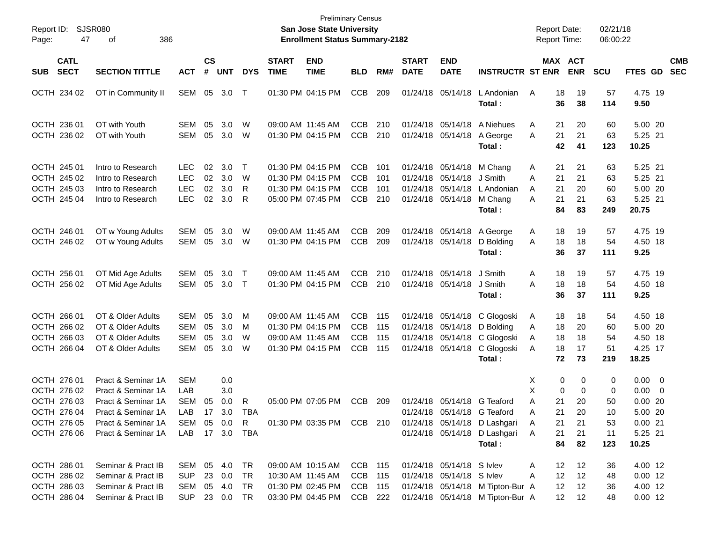| Report ID:<br>Page:                                                     | SJSR080<br>47              | 386<br>οf                                                                                                  |                                                        |                      |                             |                  |                             | <b>Preliminary Census</b><br>San Jose State University<br><b>Enrollment Status Summary-2182</b> |                                                      |                          |                             |                                                                                          |                                                                      | <b>Report Date:</b><br><b>Report Time:</b>     |                                    | 02/21/18<br>06:00:22        |                                                              |                          |
|-------------------------------------------------------------------------|----------------------------|------------------------------------------------------------------------------------------------------------|--------------------------------------------------------|----------------------|-----------------------------|------------------|-----------------------------|-------------------------------------------------------------------------------------------------|------------------------------------------------------|--------------------------|-----------------------------|------------------------------------------------------------------------------------------|----------------------------------------------------------------------|------------------------------------------------|------------------------------------|-----------------------------|--------------------------------------------------------------|--------------------------|
| <b>SUB</b>                                                              | <b>CATL</b><br><b>SECT</b> | <b>SECTION TITTLE</b>                                                                                      | <b>ACT</b>                                             | $\mathsf{cs}$<br>#   | <b>UNT</b>                  | <b>DYS</b>       | <b>START</b><br><b>TIME</b> | <b>END</b><br><b>TIME</b>                                                                       | <b>BLD</b>                                           | RM#                      | <b>START</b><br><b>DATE</b> | <b>END</b><br><b>DATE</b>                                                                | <b>INSTRUCTR ST ENR</b>                                              |                                                | MAX ACT<br><b>ENR</b>              | <b>SCU</b>                  | <b>FTES GD</b>                                               | <b>CMB</b><br><b>SEC</b> |
| OCTH 234 02                                                             |                            | OT in Community II                                                                                         | SEM                                                    | 05                   | 3.0                         | T                |                             | 01:30 PM 04:15 PM                                                                               | <b>CCB</b>                                           | 209                      |                             | 01/24/18 05/14/18                                                                        | L Andonian<br>Total:                                                 | A<br>18<br>36                                  | 19<br>38                           | 57<br>114                   | 4.75 19<br>9.50                                              |                          |
| OCTH 236 01<br>OCTH 236 02                                              |                            | OT with Youth<br>OT with Youth                                                                             | <b>SEM</b><br><b>SEM</b>                               | 05<br>05             | 3.0<br>3.0                  | W<br>W           | 09:00 AM 11:45 AM           | 01:30 PM 04:15 PM                                                                               | <b>CCB</b><br>CCB                                    | 210<br>210               |                             | 01/24/18 05/14/18<br>01/24/18 05/14/18                                                   | A Niehues<br>A George<br>Total:                                      | 21<br>Α<br>21<br>A<br>42                       | 20<br>21<br>41                     | 60<br>63<br>123             | 5.00 20<br>5.25 21<br>10.25                                  |                          |
| OCTH 245 01<br>OCTH 245 02<br>OCTH 245 03<br>OCTH 245 04                |                            | Intro to Research<br>Intro to Research<br>Intro to Research<br>Intro to Research                           | <b>LEC</b><br><b>LEC</b><br><b>LEC</b><br><b>LEC</b>   | 02<br>02<br>02<br>02 | 3.0<br>3.0<br>3.0<br>3.0    | Τ<br>W<br>R<br>R |                             | 01:30 PM 04:15 PM<br>01:30 PM 04:15 PM<br>01:30 PM 04:15 PM<br>05:00 PM 07:45 PM                | <b>CCB</b><br><b>CCB</b><br><b>CCB</b><br><b>CCB</b> | 101<br>101<br>101<br>210 |                             | 01/24/18 05/14/18<br>01/24/18 05/14/18 J Smith<br>01/24/18 05/14/18<br>01/24/18 05/14/18 | M Chang<br>L Andonian<br>M Chang<br>Total:                           | 21<br>Α<br>21<br>A<br>21<br>A<br>21<br>A<br>84 | 21<br>21<br>20<br>21<br>83         | 63<br>63<br>60<br>63<br>249 | 5.25 21<br>5.25 21<br>5.00 20<br>5.25 21<br>20.75            |                          |
| OCTH 246 01<br>OCTH 246 02                                              |                            | OT w Young Adults<br>OT w Young Adults                                                                     | <b>SEM</b><br><b>SEM</b>                               | 05<br>05             | 3.0<br>3.0                  | W<br>W           | 09:00 AM 11:45 AM           | 01:30 PM 04:15 PM                                                                               | <b>CCB</b><br><b>CCB</b>                             | 209<br>209               |                             | 01/24/18 05/14/18 A George<br>01/24/18 05/14/18                                          | D Bolding<br>Total:                                                  | Α<br>18<br>18<br>A<br>36                       | 19<br>18<br>37                     | 57<br>54<br>111             | 4.75 19<br>4.50 18<br>9.25                                   |                          |
| OCTH 256 01<br>OCTH 256 02                                              |                            | OT Mid Age Adults<br>OT Mid Age Adults                                                                     | <b>SEM</b><br>SEM                                      | 05<br>05             | 3.0<br>3.0                  | T<br>$\top$      | 09:00 AM 11:45 AM           | 01:30 PM 04:15 PM                                                                               | <b>CCB</b><br><b>CCB</b>                             | 210<br>210               |                             | 01/24/18 05/14/18<br>01/24/18 05/14/18                                                   | J Smith<br>J Smith<br>Total:                                         | Α<br>18<br>18<br>A<br>36                       | 19<br>18<br>37                     | 57<br>54<br>111             | 4.75 19<br>4.50 18<br>9.25                                   |                          |
| OCTH 266 01<br>OCTH 266 02<br>OCTH 266 03<br>OCTH 266 04                |                            | OT & Older Adults<br>OT & Older Adults<br>OT & Older Adults<br>OT & Older Adults                           | <b>SEM</b><br><b>SEM</b><br><b>SEM</b><br><b>SEM</b>   | 05<br>05<br>05<br>05 | 3.0<br>3.0<br>3.0<br>3.0    | M<br>M<br>W<br>W |                             | 09:00 AM 11:45 AM<br>01:30 PM 04:15 PM<br>09:00 AM 11:45 AM<br>01:30 PM 04:15 PM                | <b>CCB</b><br><b>CCB</b><br><b>CCB</b><br><b>CCB</b> | 115<br>115<br>115<br>115 |                             | 01/24/18 05/14/18<br>01/24/18 05/14/18<br>01/24/18 05/14/18<br>01/24/18 05/14/18         | C Glogoski<br>D Bolding<br>C Glogoski<br>C Glogoski<br>Total:        | 18<br>A<br>18<br>Α<br>18<br>Α<br>18<br>A<br>72 | 18<br>20<br>18<br>17<br>73         | 54<br>60<br>54<br>51<br>219 | 4.50 18<br>5.00 20<br>4.50 18<br>4.25 17<br>18.25            |                          |
| OCTH 276 01<br>OCTH 276 02<br>OCTH 276 03<br>OCTH 276 04<br>OCTH 276 05 |                            | Pract & Seminar 1A<br>Pract & Seminar 1A<br>Pract & Seminar 1A<br>Pract & Seminar 1A<br>Pract & Seminar 1A | <b>SEM</b><br>LAB<br><b>SEM</b><br>LAB<br>SEM 05 0.0 R | 05                   | 0.0<br>3.0<br>0.0<br>17 3.0 | R<br>TBA         |                             | 05:00 PM 07:05 PM<br>01:30 PM 03:35 PM CCB 210                                                  | CCB                                                  | 209                      |                             | 01/24/18 05/14/18 G Teaford                                                              | 01/24/18 05/14/18 G Teaford<br>01/24/18 05/14/18 D Lashgari          | X<br>X<br>Α<br>21<br>21<br>Α<br>21<br>A        | 0<br>0<br>0<br>0<br>20<br>20<br>21 | 0<br>0<br>50<br>10<br>53    | $0.00 \t 0$<br>$0.00 \t 0$<br>$0.00$ 20<br>5.00 20<br>0.0021 |                          |
| OCTH 276 06<br>OCTH 286 01                                              |                            | Pract & Seminar 1A<br>Seminar & Pract IB                                                                   | LAB 17 3.0 TBA<br>SEM 05 4.0 TR                        |                      |                             |                  |                             | 09:00 AM 10:15 AM                                                                               | CCB 115                                              |                          |                             | 01/24/18 05/14/18 S Ivlev                                                                | 01/24/18 05/14/18 D Lashgari<br>Total:                               | 21<br>A<br>84<br>12<br>A                       | 21<br>82<br>12                     | 11<br>123<br>36             | 5.25 21<br>10.25<br>4.00 12                                  |                          |
| OCTH 286 02<br>OCTH 286 03<br>OCTH 286 04                               |                            | Seminar & Pract IB<br>Seminar & Pract IB<br>Seminar & Pract IB                                             | SUP<br>SEM<br>SUP 23 0.0 TR                            |                      | 23 0.0<br>05 4.0            | TR<br>TR         |                             | 10:30 AM 11:45 AM<br>01:30 PM 02:45 PM<br>03:30 PM 04:45 PM                                     | CCB 115<br>CCB 115<br>CCB 222                        |                          |                             | 01/24/18 05/14/18 S Ivlev                                                                | 01/24/18 05/14/18 M Tipton-Bur A<br>01/24/18 05/14/18 M Tipton-Bur A | 12<br>A<br>12                                  | 12<br>12<br>12<br>12               | 48<br>36<br>48              | $0.00$ 12<br>4.00 12<br>$0.00$ 12                            |                          |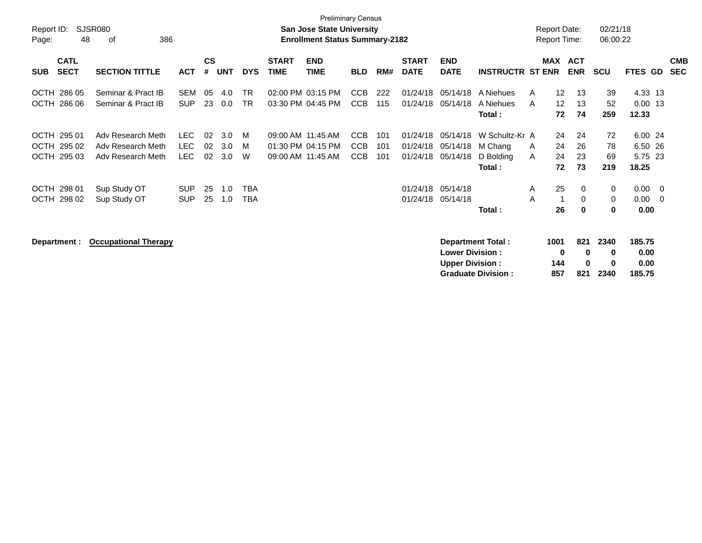| Report ID:<br>Page:                | <b>Preliminary Census</b><br>SJSR080<br><b>San Jose State University</b><br><b>Enrollment Status Summary-2182</b><br>48<br>386<br>οf |                                                             |                            |                |                   |                   |                                        |                           |                                        |                   |                                  |                                  |                                        |        |                   | <b>Report Date:</b><br>Report Time: | 02/21/18<br>06:00:22 |                               |                                                      |                          |
|------------------------------------|--------------------------------------------------------------------------------------------------------------------------------------|-------------------------------------------------------------|----------------------------|----------------|-------------------|-------------------|----------------------------------------|---------------------------|----------------------------------------|-------------------|----------------------------------|----------------------------------|----------------------------------------|--------|-------------------|-------------------------------------|----------------------|-------------------------------|------------------------------------------------------|--------------------------|
| <b>SUB</b>                         | <b>CATL</b><br><b>SECT</b>                                                                                                           | <b>SECTION TITTLE</b>                                       | <b>ACT</b>                 | <b>CS</b><br># | <b>UNT</b>        | <b>DYS</b>        | <b>START</b><br><b>TIME</b>            | <b>END</b><br><b>TIME</b> | <b>BLD</b>                             | RM#               | <b>START</b><br><b>DATE</b>      | <b>END</b><br><b>DATE</b>        | <b>INSTRUCTR ST ENR</b>                |        | MAX               | <b>ACT</b><br><b>ENR</b>            | <b>SCU</b>           | <b>FTES GD</b>                |                                                      | <b>CMB</b><br><b>SEC</b> |
| OCTH                               | 286 05                                                                                                                               | Seminar & Pract IB                                          | <b>SEM</b>                 | 05             | 4.0               | <b>TR</b>         |                                        | 02:00 PM 03:15 PM         | CCB                                    | 222               | 01/24/18                         | 05/14/18                         | A Niehues                              | A      | 12 <sup>2</sup>   | 13                                  | 39                   | 4.33 13                       |                                                      |                          |
| OCTH 286 06                        |                                                                                                                                      | Seminar & Pract IB                                          | <b>SUP</b>                 | 23             | 0.0               | <b>TR</b>         |                                        | 03:30 PM 04:45 PM         | <b>CCB</b>                             | 115               | 01/24/18                         | 05/14/18                         | A Niehues                              | A      | $12 \overline{ }$ | 13                                  | 52                   | $0.00$ 13                     |                                                      |                          |
|                                    |                                                                                                                                      |                                                             |                            |                |                   |                   |                                        |                           |                                        |                   |                                  |                                  | Total:                                 |        | 72                | 74                                  | 259                  | 12.33                         |                                                      |                          |
| OCTH 295 01<br>OCTH 295 02<br>OCTH | 295 03                                                                                                                               | Adv Research Meth<br>Adv Research Meth<br>Adv Research Meth | <b>LEC</b><br>LEC.<br>LEC. | 02<br>02<br>02 | 3.0<br>3.0<br>3.0 | M<br>м<br>W       | 09:00 AM 11:45 AM<br>09:00 AM 11:45 AM | 01:30 PM 04:15 PM         | <b>CCB</b><br><b>CCB</b><br><b>CCB</b> | 101<br>101<br>101 | 01/24/18<br>01/24/18<br>01/24/18 | 05/14/18<br>05/14/18<br>05/14/18 | W Schultz-Kr A<br>M Chang<br>D Bolding | A<br>A | 24<br>24<br>24    | 24<br>26<br>23                      | 72<br>78<br>69       | 6.00 24<br>6.50 26<br>5.75 23 |                                                      |                          |
|                                    |                                                                                                                                      |                                                             |                            |                |                   |                   |                                        |                           |                                        |                   |                                  |                                  | Total:                                 |        | 72                | 73                                  | 219                  | 18.25                         |                                                      |                          |
| OCTH 298 01<br>OCTH 298 02         |                                                                                                                                      | Sup Study OT<br>Sup Study OT                                | <b>SUP</b><br><b>SUP</b>   | 25<br>25       | 1.0<br>1.0        | TBA<br><b>TBA</b> |                                        |                           |                                        |                   | 01/24/18<br>01/24/18             | 05/14/18<br>05/14/18             |                                        | A<br>A | 25                | 0<br>0                              | 0<br>0               | 0.00<br>0.00                  | $\overline{\phantom{0}}$<br>$\overline{\phantom{0}}$ |                          |
|                                    |                                                                                                                                      |                                                             |                            |                |                   |                   |                                        |                           |                                        |                   |                                  |                                  | Total:                                 |        | 26                | $\bf{0}$                            | 0                    | 0.00                          |                                                      |                          |
| Department :                       |                                                                                                                                      | <b>Occupational Therapy</b>                                 |                            |                |                   |                   |                                        |                           |                                        |                   |                                  |                                  | Department Total:                      |        | 1001              | 821                                 | 2340                 | 185.75                        |                                                      |                          |

| <b>Lower Division:</b>    | o   | $\mathbf{u}$ | o        | 0.00   |
|---------------------------|-----|--------------|----------|--------|
| <b>Upper Division:</b>    | 144 | $\mathbf{u}$ | o        | 0.00   |
| <b>Graduate Division:</b> | 857 |              | 821 2340 | 185.75 |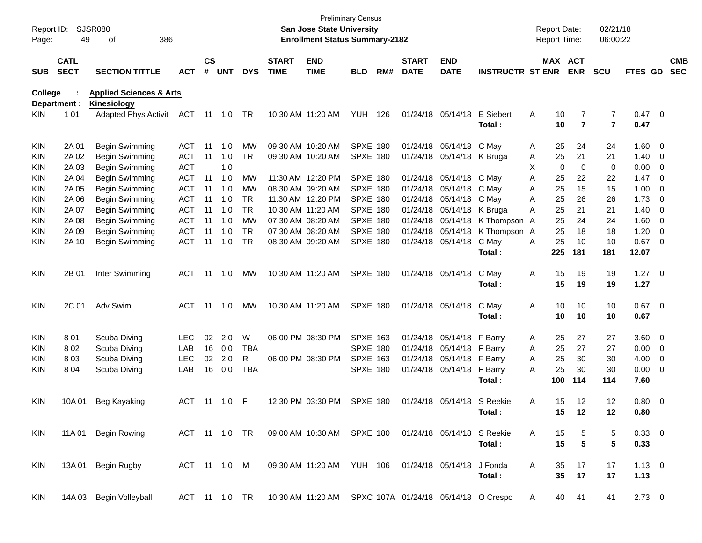| Report ID:<br>Page: | 49                         | SJSR080<br>386<br>οf                              |              |                    |            |            |                             | San Jose State University<br><b>Enrollment Status Summary-2182</b>         | <b>Preliminary Census</b> |     |                             |                           |                         |   | <b>Report Date:</b><br><b>Report Time:</b> |                | 02/21/18<br>06:00:22 |                |                          |                          |
|---------------------|----------------------------|---------------------------------------------------|--------------|--------------------|------------|------------|-----------------------------|----------------------------------------------------------------------------|---------------------------|-----|-----------------------------|---------------------------|-------------------------|---|--------------------------------------------|----------------|----------------------|----------------|--------------------------|--------------------------|
| <b>SUB</b>          | <b>CATL</b><br><b>SECT</b> | <b>SECTION TITTLE</b>                             | <b>ACT</b>   | $\mathsf{cs}$<br># | <b>UNT</b> | <b>DYS</b> | <b>START</b><br><b>TIME</b> | <b>END</b><br><b>TIME</b>                                                  | <b>BLD</b>                | RM# | <b>START</b><br><b>DATE</b> | <b>END</b><br><b>DATE</b> | <b>INSTRUCTR ST ENR</b> |   | MAX ACT                                    | <b>ENR</b>     | <b>SCU</b>           | <b>FTES GD</b> |                          | <b>CMB</b><br><b>SEC</b> |
| College             |                            | <b>Applied Sciences &amp; Arts</b>                |              |                    |            |            |                             |                                                                            |                           |     |                             |                           |                         |   |                                            |                |                      |                |                          |                          |
| KIN.                | Department :<br>1 0 1      | <b>Kinesiology</b><br><b>Adapted Phys Activit</b> | ACT          | 11                 | 1.0        | TR         |                             | 10:30 AM 11:20 AM                                                          | <b>YUH</b>                | 126 |                             | 01/24/18 05/14/18         | E Siebert               | Α | 10                                         | 7              | 7                    | 0.47 0         |                          |                          |
|                     |                            |                                                   |              |                    |            |            |                             |                                                                            |                           |     |                             |                           | Total:                  |   | 10                                         | $\overline{7}$ | $\overline{7}$       | 0.47           |                          |                          |
| <b>KIN</b>          | 2A 01                      | Begin Swimming                                    | ACT          | -11                | 1.0        | MW         |                             | 09:30 AM 10:20 AM                                                          | <b>SPXE 180</b>           |     |                             | 01/24/18 05/14/18         | C May                   | Α | 25                                         | 24             | 24                   | 1.60 0         |                          |                          |
| <b>KIN</b>          | 2A 02                      | Begin Swimming                                    | <b>ACT</b>   | 11                 | 1.0        | <b>TR</b>  |                             | 09:30 AM 10:20 AM                                                          | <b>SPXE 180</b>           |     |                             | 01/24/18 05/14/18 K Bruga |                         | Α | 25                                         | 21             | 21                   | 1.40           | $\overline{\phantom{0}}$ |                          |
| KIN                 | 2A 03                      | Begin Swimming                                    | <b>ACT</b>   |                    | 1.0        |            |                             |                                                                            |                           |     |                             |                           |                         | Х | $\mathbf 0$                                | $\mathbf 0$    | 0                    | 0.00           | $\overline{\phantom{0}}$ |                          |
| KIN                 | 2A 04                      | Begin Swimming                                    | <b>ACT</b>   | 11                 | 1.0        | <b>MW</b>  |                             | 11:30 AM 12:20 PM                                                          | <b>SPXE 180</b>           |     |                             | 01/24/18 05/14/18 C May   |                         | A | 25                                         | 22             | 22                   | 1.47           | $\overline{\mathbf{0}}$  |                          |
| <b>KIN</b>          | 2A 05                      | Begin Swimming                                    | <b>ACT</b>   | 11                 | 1.0        | <b>MW</b>  |                             | 08:30 AM 09:20 AM                                                          | <b>SPXE 180</b>           |     |                             | 01/24/18 05/14/18         | C May                   | Α | 25                                         | 15             | 15                   | 1.00           | $\overline{\phantom{0}}$ |                          |
| KIN                 | 2A 06                      | Begin Swimming                                    | <b>ACT</b>   | 11                 | 1.0        | <b>TR</b>  |                             | 11:30 AM 12:20 PM                                                          | <b>SPXE 180</b>           |     |                             | 01/24/18 05/14/18         | C May                   | Α | 25                                         | 26             | 26                   | 1.73           | $\overline{\mathbf{0}}$  |                          |
| KIN                 | 2A 07                      | Begin Swimming                                    | <b>ACT</b>   | 11                 | 1.0        | <b>TR</b>  |                             | 10:30 AM 11:20 AM                                                          | <b>SPXE 180</b>           |     |                             | 01/24/18 05/14/18         | K Bruga                 | Α | 25                                         | 21             | 21                   | 1.40           | $\overline{\phantom{0}}$ |                          |
| <b>KIN</b>          | 2A 08                      | Begin Swimming                                    | <b>ACT</b>   | 11                 | 1.0        | <b>MW</b>  |                             | 07:30 AM 08:20 AM                                                          | <b>SPXE 180</b>           |     |                             | 01/24/18 05/14/18         | K Thompson              | A | 25                                         | 24             | 24                   | 1.60           | $\overline{\phantom{0}}$ |                          |
| <b>KIN</b>          | 2A 09                      | Begin Swimming                                    | <b>ACT</b>   | 11                 | 1.0        | <b>TR</b>  |                             | 07:30 AM 08:20 AM                                                          | <b>SPXE 180</b>           |     |                             | 01/24/18 05/14/18         | K Thompson              | A | 25                                         | 18             | 18                   | 1.20           | $\overline{\mathbf{0}}$  |                          |
| <b>KIN</b>          | 2A 10                      | Begin Swimming                                    | <b>ACT</b>   | -11                | 1.0        | <b>TR</b>  |                             | 08:30 AM 09:20 AM                                                          | <b>SPXE 180</b>           |     |                             | 01/24/18 05/14/18         | C May                   | A | 25                                         | 10             | 10                   | 0.67           | - 0                      |                          |
|                     |                            |                                                   |              |                    |            |            |                             |                                                                            |                           |     |                             |                           | Total :                 |   | 225                                        | 181            | 181                  | 12.07          |                          |                          |
| <b>KIN</b>          | 2B 01                      | Inter Swimming                                    | ACT          | -11                | 1.0        | МW         |                             | 10:30 AM 11:20 AM                                                          | <b>SPXE 180</b>           |     |                             | 01/24/18 05/14/18         | C May                   | Α | 15                                         | 19             | 19                   | $1.27 \t 0$    |                          |                          |
|                     |                            |                                                   |              |                    |            |            |                             |                                                                            |                           |     |                             |                           | Total:                  |   | 15                                         | 19             | 19                   | 1.27           |                          |                          |
| <b>KIN</b>          | 2C 01                      | Adv Swim                                          | ACT          | -11                | 1.0        | MW         |                             | 10:30 AM 11:20 AM                                                          | SPXE 180                  |     |                             | 01/24/18 05/14/18         | C May                   | Α | 10                                         | 10             | 10                   | $0.67$ 0       |                          |                          |
|                     |                            |                                                   |              |                    |            |            |                             |                                                                            |                           |     |                             |                           | Total:                  |   | 10                                         | 10             | 10                   | 0.67           |                          |                          |
| <b>KIN</b>          | 801                        | Scuba Diving                                      | LEC          | 02                 | 2.0        | W          |                             | 06:00 PM 08:30 PM                                                          | <b>SPXE 163</b>           |     |                             | 01/24/18 05/14/18         | F Barry                 | Α | 25                                         | 27             | 27                   | 3.60 0         |                          |                          |
| <b>KIN</b>          | 802                        | Scuba Diving                                      | LAB          | 16                 | 0.0        | <b>TBA</b> |                             |                                                                            | <b>SPXE 180</b>           |     |                             | 01/24/18 05/14/18         | F Barry                 | Α | 25                                         | 27             | 27                   | 0.00           | $\overline{\phantom{0}}$ |                          |
| KIN                 | 803                        | Scuba Diving                                      | <b>LEC</b>   | 02                 | 2.0        | R          |                             | 06:00 PM 08:30 PM                                                          | <b>SPXE 163</b>           |     |                             | 01/24/18 05/14/18         | F Barry                 | Α | 25                                         | 30             | 30                   | 4.00           | $\overline{\phantom{0}}$ |                          |
| KIN.                | 804                        | Scuba Diving                                      | LAB          | 16                 | 0.0        | <b>TBA</b> |                             |                                                                            | <b>SPXE 180</b>           |     |                             | 01/24/18 05/14/18         | F Barry                 | Α | 25                                         | 30             | 30                   | 0.00           | $\overline{\phantom{0}}$ |                          |
|                     |                            |                                                   |              |                    |            |            |                             |                                                                            |                           |     |                             |                           | Total:                  |   | 100                                        | 114            | 114                  | 7.60           |                          |                          |
| <b>KIN</b>          | 10A 01                     | <b>Beg Kayaking</b>                               | ACT          | -11                | 1.0        | -F         |                             | 12:30 PM 03:30 PM                                                          | <b>SPXE 180</b>           |     |                             | 01/24/18 05/14/18         | S Reekie                | Α | 15                                         | 12             | 12                   | 0.80 0         |                          |                          |
|                     |                            |                                                   |              |                    |            |            |                             |                                                                            |                           |     |                             |                           | Total:                  |   | 15                                         | 12             | 12                   | 0.80           |                          |                          |
| KIN.                |                            | 11A 01 Begin Rowing                               |              |                    |            |            |                             | ACT 11 1.0 TR  09:00 AM  10:30 AM  SPXE  180  01/24/18  05/14/18  S Reekie |                           |     |                             |                           |                         | A | 15                                         | 5              | 5                    | $0.33 \ 0$     |                          |                          |
|                     |                            |                                                   |              |                    |            |            |                             |                                                                            |                           |     |                             |                           | Total:                  |   | 15                                         | $5\phantom{a}$ | 5                    | 0.33           |                          |                          |
| KIN                 |                            | 13A 01 Begin Rugby                                | ACT 11 1.0 M |                    |            |            |                             | 09:30 AM 11:20 AM YUH 106 01/24/18 05/14/18 J Fonda                        |                           |     |                             |                           |                         | Α | 35                                         | 17             | 17                   | $1.13 \ 0$     |                          |                          |
|                     |                            |                                                   |              |                    |            |            |                             |                                                                            |                           |     |                             |                           | Total:                  |   | 35                                         | 17             | 17                   | 1.13           |                          |                          |
| KIN.                |                            | 14A 03 Begin Volleyball                           |              |                    |            |            |                             | ACT 11 1.0 TR 10:30 AM 11:20 AM SPXC 107A 01/24/18 05/14/18 O Crespo       |                           |     |                             |                           |                         | A |                                            | 40 41          | 41                   | $2.73 \t 0$    |                          |                          |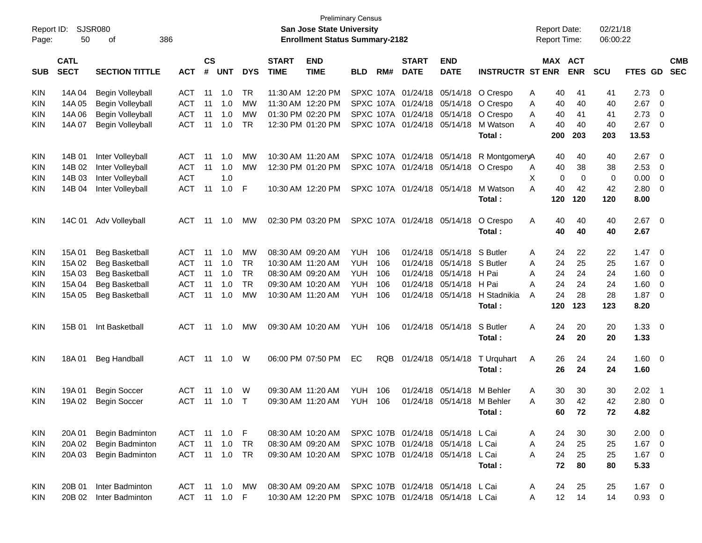|            |                            |                        |            |                    |               |            |                             |                                                     | <b>Preliminary Census</b> |      |                             |                                   |                                           |   |                     |             |            |                |                          |                          |
|------------|----------------------------|------------------------|------------|--------------------|---------------|------------|-----------------------------|-----------------------------------------------------|---------------------------|------|-----------------------------|-----------------------------------|-------------------------------------------|---|---------------------|-------------|------------|----------------|--------------------------|--------------------------|
| Report ID: |                            | SJSR080                |            |                    |               |            |                             | San Jose State University                           |                           |      |                             |                                   |                                           |   | <b>Report Date:</b> |             | 02/21/18   |                |                          |                          |
| Page:      | 50                         | 386<br>οf              |            |                    |               |            |                             | <b>Enrollment Status Summary-2182</b>               |                           |      |                             |                                   |                                           |   | Report Time:        |             | 06:00:22   |                |                          |                          |
|            |                            |                        |            |                    |               |            |                             |                                                     |                           |      |                             |                                   |                                           |   |                     |             |            |                |                          |                          |
|            | <b>CATL</b><br><b>SECT</b> | <b>SECTION TITTLE</b>  |            | $\mathsf{cs}$<br># | <b>UNT</b>    | <b>DYS</b> | <b>START</b><br><b>TIME</b> | <b>END</b><br><b>TIME</b>                           | <b>BLD</b>                | RM#  | <b>START</b><br><b>DATE</b> | <b>END</b><br><b>DATE</b>         | <b>INSTRUCTR ST ENR</b>                   |   | MAX ACT             | <b>ENR</b>  | <b>SCU</b> | <b>FTES GD</b> |                          | <b>CMB</b><br><b>SEC</b> |
| <b>SUB</b> |                            |                        | АСТ        |                    |               |            |                             |                                                     |                           |      |                             |                                   |                                           |   |                     |             |            |                |                          |                          |
| <b>KIN</b> | 14A 04                     | Begin Volleyball       | ACT        | 11                 | 1.0           | TR.        |                             | 11:30 AM 12:20 PM                                   |                           |      |                             |                                   | SPXC 107A 01/24/18 05/14/18 O Crespo      | Α | 40                  | 41          | 41         | 2.73           | - 0                      |                          |
| <b>KIN</b> | 14A 05                     | Begin Volleyball       | <b>ACT</b> | 11                 | 1.0           | <b>MW</b>  |                             | 11:30 AM 12:20 PM                                   |                           |      | SPXC 107A 01/24/18 05/14/18 |                                   | O Crespo                                  | A | 40                  | 40          | 40         | 2.67           | - 0                      |                          |
| <b>KIN</b> | 14A 06                     | Begin Volleyball       | <b>ACT</b> | 11                 | 1.0           | <b>MW</b>  |                             | 01:30 PM 02:20 PM                                   |                           |      | SPXC 107A 01/24/18          | 05/14/18                          | O Crespo                                  | Α | 40                  | 41          | 41         | 2.73           | 0                        |                          |
| <b>KIN</b> | 14A 07                     | Begin Volleyball       | ACT        | 11                 | 1.0           | <b>TR</b>  |                             | 12:30 PM 01:20 PM                                   |                           |      | SPXC 107A 01/24/18          | 05/14/18                          | M Watson                                  | A | 40                  | 40          | 40         | 2.67           | - 0                      |                          |
|            |                            |                        |            |                    |               |            |                             |                                                     |                           |      |                             |                                   | Total:                                    |   | 200                 | 203         | 203        | 13.53          |                          |                          |
|            |                            |                        |            |                    |               |            |                             |                                                     |                           |      |                             |                                   |                                           |   |                     |             |            |                |                          |                          |
| <b>KIN</b> | 14B 01                     | Inter Volleyball       | ACT        | 11                 | 1.0           | <b>MW</b>  |                             | 10:30 AM 11:20 AM                                   |                           |      |                             |                                   | SPXC 107A 01/24/18 05/14/18 R MontgomeryA |   | 40                  | 40          | 40         | 2.67           | - 0                      |                          |
| <b>KIN</b> | 14B 02                     | Inter Volleyball       | ACT        | 11                 | 1.0           | MW         |                             | 12:30 PM 01:20 PM                                   |                           |      |                             |                                   | SPXC 107A 01/24/18 05/14/18 O Crespo      | A | 40                  | 38          | 38         | 2.53           | - 0                      |                          |
| <b>KIN</b> | 14B 03                     | Inter Volleyball       | <b>ACT</b> |                    | 1.0           |            |                             |                                                     |                           |      |                             |                                   |                                           | X | $\mathbf 0$         | $\mathbf 0$ | 0          | 0.00           | $\overline{0}$           |                          |
| <b>KIN</b> | 14B 04                     | Inter Volleyball       | ACT        | 11                 | 1.0           | F          |                             | 10:30 AM 12:20 PM                                   |                           |      | SPXC 107A 01/24/18          | 05/14/18                          | M Watson                                  | А | 40                  | 42          | 42         | 2.80           | - 0                      |                          |
|            |                            |                        |            |                    |               |            |                             |                                                     |                           |      |                             |                                   | Total:                                    |   | 120                 | 120         | 120        | 8.00           |                          |                          |
|            |                            |                        |            |                    |               |            |                             |                                                     |                           |      |                             |                                   |                                           |   |                     |             |            |                |                          |                          |
| <b>KIN</b> | 14C 01                     | Adv Volleyball         | ACT        | 11                 | 1.0           | <b>MW</b>  |                             | 02:30 PM 03:20 PM                                   |                           |      | SPXC 107A 01/24/18 05/14/18 |                                   | O Crespo                                  | A | 40                  | 40          | 40         | 2.67           | $\overline{\mathbf{0}}$  |                          |
|            |                            |                        |            |                    |               |            |                             |                                                     |                           |      |                             |                                   | Total:                                    |   | 40                  | 40          | 40         | 2.67           |                          |                          |
|            |                            |                        |            |                    |               |            |                             |                                                     |                           |      |                             |                                   |                                           |   |                     |             |            |                |                          |                          |
| <b>KIN</b> | 15A 01                     | <b>Beg Basketball</b>  | ACT        | 11                 | 1.0           | MW         |                             | 08:30 AM 09:20 AM                                   | YUH.                      | 106  | 01/24/18                    | 05/14/18                          | S Butler                                  | A | 24                  | 22          | 22         | 1.47           | - 0                      |                          |
| <b>KIN</b> | 15A 02                     | <b>Beg Basketball</b>  | ACT        | 11                 | 1.0           | <b>TR</b>  |                             | 10:30 AM 11:20 AM                                   | <b>YUH</b>                | 106  | 01/24/18                    | 05/14/18                          | S Butler                                  | Α | 24                  | 25          | 25         | 1.67           | 0                        |                          |
| <b>KIN</b> | 15A 03                     | Beg Basketball         | <b>ACT</b> | 11                 | 1.0           | <b>TR</b>  |                             | 08:30 AM 09:20 AM                                   | <b>YUH</b>                | 106  | 01/24/18                    | 05/14/18                          | H Pai                                     | А | 24                  | 24          | 24         | 1.60           | - 0                      |                          |
| <b>KIN</b> | 15A 04                     | <b>Beg Basketball</b>  | <b>ACT</b> | 11                 | 1.0           | <b>TR</b>  |                             | 09:30 AM 10:20 AM                                   | <b>YUH</b>                | 106  | 01/24/18                    | 05/14/18                          | H Pai                                     | А | 24                  | 24          | 24         | 1.60           | 0                        |                          |
| <b>KIN</b> | 15A 05                     | <b>Beg Basketball</b>  | ACT        | 11                 | 1.0           | <b>MW</b>  |                             | 10:30 AM 11:20 AM                                   | YUH                       | 106  | 01/24/18                    | 05/14/18                          | H Stadnikia                               | А | 24                  | 28          | 28         | 1.87           | 0                        |                          |
|            |                            |                        |            |                    |               |            |                             |                                                     |                           |      |                             |                                   | Total:                                    |   | 120                 | 123         | 123        | 8.20           |                          |                          |
|            |                            |                        |            |                    |               |            |                             |                                                     |                           |      |                             |                                   |                                           |   |                     |             |            |                |                          |                          |
| <b>KIN</b> | 15B 01                     | Int Basketball         | ACT        | 11                 | 1.0           | <b>MW</b>  |                             | 09:30 AM 10:20 AM                                   | YUH                       | 106  |                             | 01/24/18 05/14/18                 | S Butler                                  | A | 24                  | 20          | 20         | 1.33           | $\overline{\mathbf{0}}$  |                          |
|            |                            |                        |            |                    |               |            |                             |                                                     |                           |      |                             |                                   | Total:                                    |   | 24                  | 20          | 20         | 1.33           |                          |                          |
|            |                            |                        |            |                    |               |            |                             |                                                     |                           |      |                             |                                   |                                           |   |                     |             |            |                |                          |                          |
| <b>KIN</b> | 18A 01                     | <b>Beg Handball</b>    | ACT        | 11                 | 1.0           | W          |                             | 06:00 PM 07:50 PM                                   | ЕC                        | RQB. |                             | 01/24/18 05/14/18                 | T Urquhart                                | A | 26                  | 24          | 24         | 1.60           | $\overline{\phantom{0}}$ |                          |
|            |                            |                        |            |                    |               |            |                             |                                                     |                           |      |                             |                                   | Total:                                    |   | 26                  | 24          | 24         | 1.60           |                          |                          |
|            |                            |                        |            |                    |               |            |                             |                                                     |                           |      |                             |                                   |                                           |   |                     |             |            |                |                          |                          |
| <b>KIN</b> | 19A 01                     | <b>Begin Soccer</b>    | ACT        | 11                 | 1.0           | W          |                             | 09:30 AM 11:20 AM                                   | <b>YUH</b>                | 106  | 01/24/18                    | 05/14/18                          | M Behler                                  | A | 30                  | 30          | 30         | 2.02           | $\overline{\phantom{1}}$ |                          |
| <b>KIN</b> | 19A 02                     | <b>Begin Soccer</b>    | ACT        | 11                 | 1.0           | Т          |                             | 09:30 AM 11:20 AM                                   | YUH                       | 106  | 01/24/18                    | 05/14/18                          | M Behler                                  | A | 30                  | 42          | 42         | 2.80           | 0                        |                          |
|            |                            |                        |            |                    |               |            |                             |                                                     |                           |      |                             |                                   | Total:                                    |   | 60                  | 72          | 72         | 4.82           |                          |                          |
|            |                            |                        |            |                    |               |            |                             |                                                     |                           |      |                             |                                   |                                           |   |                     |             |            |                |                          |                          |
| KIN        | 20A 01                     | Begin Badminton        |            |                    | ACT 11 1.0 F  |            |                             | 08:30 AM 10:20 AM SPXC 107B 01/24/18 05/14/18 L Cai |                           |      |                             |                                   |                                           | A | 24                  | 30          | 30         | $2.00 \t 0$    |                          |                          |
| KIN        | 20A 02                     | Begin Badminton        | <b>ACT</b> | 11                 | 1.0           | <b>TR</b>  |                             | 08:30 AM 09:20 AM                                   |                           |      | SPXC 107B 01/24/18 05/14/18 |                                   | L Cai                                     | Α | 24                  | 25          | 25         | $1.67$ 0       |                          |                          |
| KIN        | 20A 03                     | Begin Badminton        | ACT 11 1.0 |                    |               | TR         |                             | 09:30 AM 10:20 AM                                   |                           |      |                             | SPXC 107B 01/24/18 05/14/18 L Cai |                                           | A | 24                  | 25          | 25         | $1.67$ 0       |                          |                          |
|            |                            |                        |            |                    |               |            |                             |                                                     |                           |      |                             |                                   | Total:                                    |   | 72                  | 80          | 80         | 5.33           |                          |                          |
|            |                            |                        |            |                    |               |            |                             |                                                     |                           |      |                             |                                   |                                           |   |                     |             |            |                |                          |                          |
| KIN        | 20B 01                     | Inter Badminton        |            |                    | ACT 11 1.0 MW |            |                             | 08:30 AM 09:20 AM SPXC 107B 01/24/18 05/14/18 L Cai |                           |      |                             |                                   |                                           | A | 24                  | 25          | 25         | $1.67 \t 0$    |                          |                          |
| KIN        |                            | 20B 02 Inter Badminton |            |                    | ACT 11 1.0 F  |            |                             | 10:30 AM 12:20 PM                                   |                           |      |                             | SPXC 107B 01/24/18 05/14/18 L Cai |                                           | A | 12                  | 14          | 14         | $0.93 \ 0$     |                          |                          |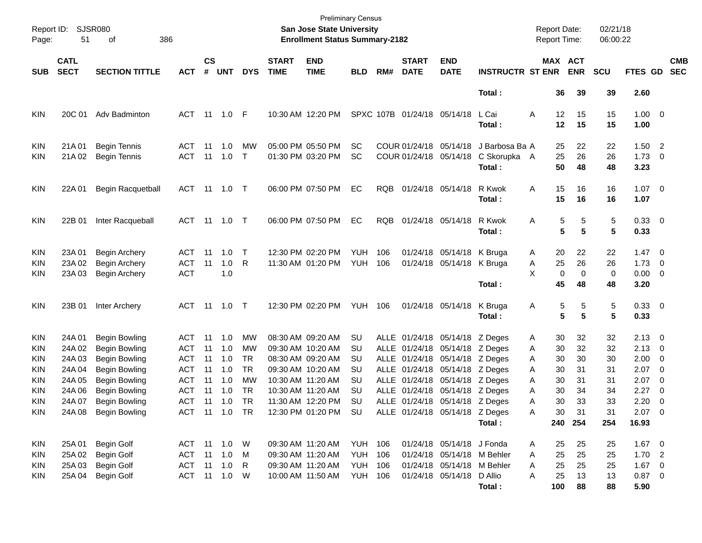| Report ID:<br>Page:             | 51                         | <b>SJSR080</b><br>386<br>оf                                   |                                 |                    |                                 |                        |                             | <b>Preliminary Census</b><br>San Jose State University<br><b>Enrollment Status Summary-2182</b> |                          |            |                                                  |                                                                  |                                          | <b>Report Date:</b><br><b>Report Time:</b> |                              | 02/21/18<br>06:00:22 |                                       |                                                      |
|---------------------------------|----------------------------|---------------------------------------------------------------|---------------------------------|--------------------|---------------------------------|------------------------|-----------------------------|-------------------------------------------------------------------------------------------------|--------------------------|------------|--------------------------------------------------|------------------------------------------------------------------|------------------------------------------|--------------------------------------------|------------------------------|----------------------|---------------------------------------|------------------------------------------------------|
| <b>SUB</b>                      | <b>CATL</b><br><b>SECT</b> | <b>SECTION TITTLE</b>                                         | <b>ACT</b>                      | $\mathsf{cs}$<br># | <b>UNT</b>                      | <b>DYS</b>             | <b>START</b><br><b>TIME</b> | <b>END</b><br><b>TIME</b>                                                                       | <b>BLD</b>               | RM#        | <b>START</b><br><b>DATE</b>                      | <b>END</b><br><b>DATE</b>                                        | <b>INSTRUCTR ST ENR</b>                  |                                            | MAX ACT<br><b>ENR</b>        | <b>SCU</b>           | FTES GD                               | <b>CMB</b><br><b>SEC</b>                             |
|                                 |                            |                                                               |                                 |                    |                                 |                        |                             |                                                                                                 |                          |            |                                                  |                                                                  | Total:                                   | 36                                         | 39                           | 39                   | 2.60                                  |                                                      |
| <b>KIN</b>                      | 20C 01                     | Adv Badminton                                                 | ACT                             |                    |                                 | - F                    |                             | 10:30 AM 12:20 PM                                                                               |                          |            | SPXC 107B 01/24/18 05/14/18                      |                                                                  | L Cai<br>Total:                          | Α<br>12<br>12                              | 15<br>15                     | 15<br>15             | $1.00 \t 0$<br>1.00                   |                                                      |
| <b>KIN</b><br><b>KIN</b>        | 21A 01<br>21A 02           | <b>Begin Tennis</b><br><b>Begin Tennis</b>                    | ACT<br><b>ACT</b>               | 11<br>11           | 1.0<br>1.0                      | MW<br>$\mathsf{T}$     |                             | 05:00 PM 05:50 PM<br>01:30 PM 03:20 PM                                                          | SC<br><b>SC</b>          |            | COUR 01/24/18 05/14/18<br>COUR 01/24/18 05/14/18 |                                                                  | J Barbosa Ba A<br>C Skorupka A<br>Total: | 25<br>25<br>50                             | 22<br>26<br>48               | 22<br>26<br>48       | $1.50$ 2<br>$1.73 \t 0$<br>3.23       |                                                      |
| <b>KIN</b>                      | 22A 01                     | <b>Begin Racquetball</b>                                      | ACT 11 1.0 T                    |                    |                                 |                        |                             | 06:00 PM 07:50 PM                                                                               | EC                       | <b>RQB</b> | 01/24/18 05/14/18                                |                                                                  | R Kwok<br>Total:                         | 15<br>Α<br>15                              | 16<br>16                     | 16<br>16             | $1.07 \t 0$<br>1.07                   |                                                      |
| <b>KIN</b>                      | 22B 01                     | Inter Racqueball                                              | ACT 11 1.0 T                    |                    |                                 |                        |                             | 06:00 PM 07:50 PM                                                                               | EC                       | <b>RQB</b> |                                                  | 01/24/18 05/14/18                                                | R Kwok<br>Total:                         | Α                                          | 5<br>5<br>5<br>5             | 5<br>5               | 0.33 0<br>0.33                        |                                                      |
| <b>KIN</b><br><b>KIN</b><br>KIN | 23A 01<br>23A 02<br>23A 03 | <b>Begin Archery</b><br>Begin Archery<br><b>Begin Archery</b> | ACT<br><b>ACT</b><br><b>ACT</b> | 11<br>11           | 1.0<br>1.0<br>1.0               | T<br>R                 |                             | 12:30 PM 02:20 PM<br>11:30 AM 01:20 PM                                                          | <b>YUH</b><br><b>YUH</b> | 106<br>106 |                                                  | 01/24/18 05/14/18<br>01/24/18 05/14/18                           | K Bruga<br>K Bruga                       | 20<br>A<br>25<br>Α<br>X                    | 22<br>26<br>0<br>$\mathbf 0$ | 22<br>26<br>0        | $1.47 \quad 0$<br>1.73<br>$0.00 \t 0$ | $\overline{\phantom{0}}$                             |
|                                 |                            |                                                               |                                 |                    |                                 |                        |                             |                                                                                                 |                          |            |                                                  |                                                                  | Total:                                   | 45                                         | 48                           | 48                   | 3.20                                  |                                                      |
| <b>KIN</b>                      | 23B 01                     | Inter Archery                                                 | ACT                             |                    | 11  1.0  T                      |                        |                             | 12:30 PM 02:20 PM                                                                               | YUH                      | 106        |                                                  | 01/24/18 05/14/18                                                | K Bruga<br>Total:                        | A                                          | 5<br>5<br>5                  | 5<br>5<br>5          | 0.33 0<br>0.33                        |                                                      |
| <b>KIN</b><br><b>KIN</b>        | 24A 01<br>24A 02           | <b>Begin Bowling</b><br>Begin Bowling                         | ACT<br>ACT                      | 11<br>11           | 1.0<br>1.0                      | МW<br>МW               |                             | 08:30 AM 09:20 AM<br>09:30 AM 10:20 AM                                                          | SU<br>SU                 |            |                                                  | ALLE 01/24/18 05/14/18 Z Deges<br>ALLE 01/24/18 05/14/18 Z Deges |                                          | 30<br>A<br>30<br>A                         | 32<br>32                     | 32<br>32             | $2.13 \quad 0$<br>$2.13 \quad 0$      |                                                      |
| <b>KIN</b><br><b>KIN</b>        | 24A 03<br>24A 04           | Begin Bowling<br><b>Begin Bowling</b>                         | ACT<br><b>ACT</b>               | 11<br>11           | 1.0<br>1.0                      | <b>TR</b><br><b>TR</b> |                             | 08:30 AM 09:20 AM<br>09:30 AM 10:20 AM                                                          | SU<br>SU                 |            |                                                  | ALLE 01/24/18 05/14/18 Z Deges<br>ALLE 01/24/18 05/14/18 Z Deges |                                          | 30<br>A<br>30<br>A                         | 30<br>31                     | 30<br>31             | 2.00<br>2.07                          | $\overline{\phantom{0}}$<br>$\overline{\phantom{0}}$ |
| <b>KIN</b><br><b>KIN</b>        | 24A 05<br>24A 06           | <b>Begin Bowling</b><br><b>Begin Bowling</b>                  | <b>ACT</b><br>ACT               | 11<br>11           | 1.0<br>1.0                      | МW<br><b>TR</b>        | 10:30 AM 11:20 AM           | 10:30 AM 11:20 AM                                                                               | SU<br>SU                 |            |                                                  | ALLE 01/24/18 05/14/18 Z Deges<br>ALLE 01/24/18 05/14/18 Z Deges |                                          | 30<br>A<br>30<br>Α                         | 31<br>34                     | 31<br>34             | 2.07<br>2.27                          | $\overline{\mathbf{0}}$<br>- 0                       |
| KIN<br><b>KIN</b>               | 24A 07                     | Begin Bowling<br>24A 08 Begin Bowling                         | ACT                             |                    | $11 \quad 1.0$<br>ACT 11 1.0 TR | TR                     |                             | 11:30 AM 12:20 PM<br>12:30 PM 01:20 PM SU                                                       | SU                       |            |                                                  | ALLE 01/24/18 05/14/18 Z Deges<br>ALLE 01/24/18 05/14/18 Z Deges |                                          | 30<br>Α<br>Α<br>30                         | 33<br>31                     | 33<br>31             | 2.20<br>$2.07 \t 0$                   | - 0                                                  |
|                                 |                            |                                                               |                                 |                    |                                 |                        |                             |                                                                                                 |                          |            |                                                  |                                                                  | Total:                                   |                                            | 240 254                      | 254                  | 16.93                                 |                                                      |
| <b>KIN</b>                      | 25A 01                     | Begin Golf                                                    | ACT 11 1.0 W                    |                    |                                 |                        |                             | 09:30 AM 11:20 AM                                                                               | <b>YUH 106</b>           |            |                                                  | 01/24/18 05/14/18 J Fonda                                        |                                          | 25<br>A                                    | 25                           | 25                   | $1.67$ 0                              |                                                      |
| <b>KIN</b>                      | 25A 02                     | Begin Golf                                                    | ACT 11 1.0 M                    |                    |                                 |                        |                             | 09:30 AM 11:20 AM                                                                               | <b>YUH 106</b>           |            |                                                  | 01/24/18 05/14/18 M Behler                                       |                                          | 25<br>A                                    | 25                           | 25                   | 1.702                                 |                                                      |
| <b>KIN</b>                      | 25A 03                     | Begin Golf                                                    | ACT 11 1.0 R                    |                    |                                 |                        |                             | 09:30 AM 11:20 AM                                                                               | <b>YUH 106</b>           |            |                                                  | 01/24/18 05/14/18 M Behler                                       |                                          | 25<br>Α                                    | 25                           | 25                   | $1.67 \t 0$                           |                                                      |
| <b>KIN</b>                      | 25A 04                     | Begin Golf                                                    | ACT 11 1.0 W                    |                    |                                 |                        |                             | 10:00 AM 11:50 AM                                                                               | <b>YUH 106</b>           |            |                                                  | 01/24/18 05/14/18 D Allio                                        | Total:                                   | 25<br>Α<br>100                             | 13<br>88                     | 13<br>88             | $0.87$ 0<br>5.90                      |                                                      |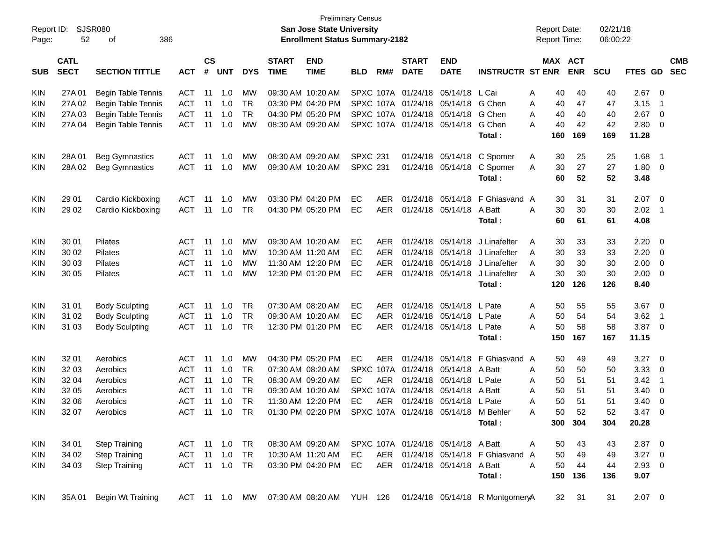| Report ID:<br>Page: | 52                         | SJSR080<br>386<br>оf      |               |                    |                |            |                             | San Jose State University<br><b>Enrollment Status Summary-2182</b> | <b>Preliminary Census</b> |            |                             |                                      |                                     |   | <b>Report Date:</b><br><b>Report Time:</b> |            | 02/21/18<br>06:00:22 |          |                            |                          |
|---------------------|----------------------------|---------------------------|---------------|--------------------|----------------|------------|-----------------------------|--------------------------------------------------------------------|---------------------------|------------|-----------------------------|--------------------------------------|-------------------------------------|---|--------------------------------------------|------------|----------------------|----------|----------------------------|--------------------------|
| <b>SUB</b>          | <b>CATL</b><br><b>SECT</b> | <b>SECTION TITTLE</b>     | <b>ACT</b>    | $\mathsf{cs}$<br># | <b>UNT</b>     | <b>DYS</b> | <b>START</b><br><b>TIME</b> | <b>END</b><br><b>TIME</b>                                          | BLD                       | RM#        | <b>START</b><br><b>DATE</b> | <b>END</b><br><b>DATE</b>            | <b>INSTRUCTR ST ENR</b>             |   | MAX ACT                                    | <b>ENR</b> | <b>SCU</b>           | FTES GD  |                            | <b>CMB</b><br><b>SEC</b> |
| <b>KIN</b>          | 27A 01                     | <b>Begin Table Tennis</b> | <b>ACT</b>    | 11                 | 1.0            | <b>MW</b>  |                             | 09:30 AM 10:20 AM                                                  |                           |            | SPXC 107A 01/24/18          | 05/14/18                             | L Cai                               | A | 40                                         | 40         | 40                   | 2.67     | - 0                        |                          |
| <b>KIN</b>          | 27A 02                     | <b>Begin Table Tennis</b> | <b>ACT</b>    | 11                 | 1.0            | <b>TR</b>  |                             | 03:30 PM 04:20 PM                                                  |                           |            | SPXC 107A 01/24/18          | 05/14/18                             | G Chen                              | A | 40                                         | 47         | 47                   | 3.15     | - 1                        |                          |
| <b>KIN</b>          | 27A 03                     | <b>Begin Table Tennis</b> | <b>ACT</b>    | 11                 | 1.0            | <b>TR</b>  |                             | 04:30 PM 05:20 PM                                                  |                           |            | SPXC 107A 01/24/18          | 05/14/18                             | G Chen                              | A | 40                                         | 40         | 40                   | 2.67     | $\overline{\mathbf{0}}$    |                          |
| KIN                 | 27A 04                     | <b>Begin Table Tennis</b> | <b>ACT</b>    | 11                 | 1.0            | МW         |                             | 08:30 AM 09:20 AM                                                  |                           |            | SPXC 107A 01/24/18          | 05/14/18                             | G Chen                              | А | 40                                         | 42         | 42                   | 2.80     | $\overline{\mathbf{0}}$    |                          |
|                     |                            |                           |               |                    |                |            |                             |                                                                    |                           |            |                             |                                      | Total:                              |   | 160                                        | 169        | 169                  | 11.28    |                            |                          |
| <b>KIN</b>          | 28A01                      | <b>Beg Gymnastics</b>     | <b>ACT</b>    | 11                 | 1.0            | MW         |                             | 08:30 AM 09:20 AM                                                  | <b>SPXC 231</b>           |            | 01/24/18                    | 05/14/18                             | C Spomer                            | A | 30                                         | 25         | 25                   | 1.68     | - 1                        |                          |
| KIN                 | 28A02                      | <b>Beg Gymnastics</b>     | <b>ACT</b>    | -11                | 1.0            | MW         |                             | 09:30 AM 10:20 AM                                                  | <b>SPXC 231</b>           |            | 01/24/18                    | 05/14/18                             | C Spomer                            | A | 30                                         | 27         | 27                   | 1.80     | $\overline{\mathbf{0}}$    |                          |
|                     |                            |                           |               |                    |                |            |                             |                                                                    |                           |            |                             |                                      | Total:                              |   | 60                                         | 52         | 52                   | 3.48     |                            |                          |
| <b>KIN</b>          | 29 01                      | Cardio Kickboxing         | <b>ACT</b>    | 11                 | 1.0            | MW         |                             | 03:30 PM 04:20 PM                                                  | EC                        | <b>AER</b> | 01/24/18                    | 05/14/18                             | F Ghiasvand A                       |   | 30                                         | 31         | 31                   | 2.07     | $\overline{\mathbf{0}}$    |                          |
| KIN                 | 29 02                      | Cardio Kickboxing         | <b>ACT</b>    | -11                | 1.0            | <b>TR</b>  |                             | 04:30 PM 05:20 PM                                                  | ЕC                        | AER.       | 01/24/18                    | 05/14/18                             | A Batt                              | A | 30                                         | 30         | 30                   | 2.02     | $\overline{\phantom{0}}$ 1 |                          |
|                     |                            |                           |               |                    |                |            |                             |                                                                    |                           |            |                             |                                      | Total:                              |   | 60                                         | 61         | 61                   | 4.08     |                            |                          |
| <b>KIN</b>          | 30 01                      | Pilates                   | <b>ACT</b>    | 11                 | 1.0            | MW         |                             | 09:30 AM 10:20 AM                                                  | ЕC                        | AER.       | 01/24/18                    | 05/14/18                             | J Linafelter                        | A | 30                                         | 33         | 33                   | 2.20     | - 0                        |                          |
| <b>KIN</b>          | 30 02                      | Pilates                   | <b>ACT</b>    | 11                 | 1.0            | MW         | 10:30 AM 11:20 AM           |                                                                    | ЕC                        | AER        | 01/24/18                    | 05/14/18                             | J Linafelter                        | A | 30                                         | 33         | 33                   | 2.20     | $\overline{\mathbf{0}}$    |                          |
| <b>KIN</b>          | 30 03                      | Pilates                   | <b>ACT</b>    | 11                 | 1.0            | MW         |                             | 11:30 AM 12:20 PM                                                  | ЕC                        | <b>AER</b> | 01/24/18                    | 05/14/18                             | J Linafelter                        | A | 30                                         | 30         | 30                   | 2.00     | $\overline{\mathbf{0}}$    |                          |
| KIN                 | 30 05                      | <b>Pilates</b>            | <b>ACT</b>    | 11                 | 1.0            | MW         |                             | 12:30 PM 01:20 PM                                                  | EC                        | <b>AER</b> | 01/24/18                    | 05/14/18                             | J Linafelter                        | A | 30                                         | 30         | 30                   | 2.00     | $\overline{\mathbf{0}}$    |                          |
|                     |                            |                           |               |                    |                |            |                             |                                                                    |                           |            |                             |                                      | Total:                              |   | 120                                        | 126        | 126                  | 8.40     |                            |                          |
| <b>KIN</b>          | 31 01                      | <b>Body Sculpting</b>     | <b>ACT</b>    | 11                 | 1.0            | <b>TR</b>  |                             | 07:30 AM 08:20 AM                                                  | ЕC                        | <b>AER</b> | 01/24/18                    | 05/14/18                             | L Pate                              | A | 50                                         | 55         | 55                   | 3.67     | - 0                        |                          |
| KIN                 | 31 02                      | <b>Body Sculpting</b>     | <b>ACT</b>    | 11                 | 1.0            | <b>TR</b>  |                             | 09:30 AM 10:20 AM                                                  | ЕC                        | <b>AER</b> | 01/24/18                    | 05/14/18                             | L Pate                              | A | 50                                         | 54         | 54                   | 3.62     | - 1                        |                          |
| KIN                 | 31 03                      | <b>Body Sculpting</b>     | <b>ACT</b>    | 11                 | 1.0            | <b>TR</b>  |                             | 12:30 PM 01:20 PM                                                  | ЕC                        | <b>AER</b> | 01/24/18                    | 05/14/18                             | L Pate                              | А | 50                                         | 58         | 58                   | 3.87     | $\overline{\mathbf{0}}$    |                          |
|                     |                            |                           |               |                    |                |            |                             |                                                                    |                           |            |                             |                                      | Total:                              |   | 150                                        | 167        | 167                  | 11.15    |                            |                          |
| <b>KIN</b>          | 32 01                      | Aerobics                  | <b>ACT</b>    | -11                | 1.0            | MW         |                             | 04:30 PM 05:20 PM                                                  | EC                        | <b>AER</b> | 01/24/18                    | 05/14/18                             | F Ghiasvand A                       |   | 50                                         | 49         | 49                   | 3.27     | - 0                        |                          |
| <b>KIN</b>          | 32 03                      | Aerobics                  | <b>ACT</b>    | 11                 | 1.0            | <b>TR</b>  |                             | 07:30 AM 08:20 AM                                                  |                           |            | SPXC 107A 01/24/18          | 05/14/18                             | A Batt                              | A | 50                                         | 50         | 50                   | 3.33     | 0                          |                          |
| <b>KIN</b>          | 32 04                      | Aerobics                  | <b>ACT</b>    | 11                 | 1.0            | <b>TR</b>  |                             | 08:30 AM 09:20 AM                                                  | EC.                       | <b>AER</b> | 01/24/18                    | 05/14/18                             | L Pate                              | A | 50                                         | 51         | 51                   | 3.42     | $\overline{\phantom{0}}$ 1 |                          |
| <b>KIN</b>          | 32 05                      | Aerobics                  | <b>ACT</b>    | 11                 | 1.0            | <b>TR</b>  |                             | 09:30 AM 10:20 AM                                                  |                           |            | SPXC 107A 01/24/18          | 05/14/18                             | A Batt                              | A | 50                                         | 51         | 51                   | 3.40     | $\overline{\mathbf{0}}$    |                          |
| <b>KIN</b>          | 32 06                      | Aerobics                  | <b>ACT</b>    | 11                 | 1.0            | TR         |                             | 11:30 AM 12:20 PM                                                  | EC                        | AER        | 01/24/18                    | 05/14/18                             | L Pate                              | A | 50                                         | 51         | 51                   | 3.40     | 0                          |                          |
| <b>KIN</b>          | 32 07                      | Aerobics                  | ACT 11 1.0    |                    |                | TR         |                             | 01:30 PM 02:20 PM                                                  |                           |            |                             | SPXC 107A 01/24/18 05/14/18 M Behler |                                     | A | 50                                         | 52         | 52                   | 3.47     | $\overline{0}$             |                          |
|                     |                            |                           |               |                    |                |            |                             |                                                                    |                           |            |                             |                                      | Total:                              |   | 300                                        | 304        | 304                  | 20.28    |                            |                          |
| <b>KIN</b>          | 34 01                      | <b>Step Training</b>      | ACT 11 1.0    |                    |                | TR         |                             | 08:30 AM 09:20 AM SPXC 107A 01/24/18 05/14/18 A Batt               |                           |            |                             |                                      |                                     | A | 50                                         | 43         | 43                   | $2.87$ 0 |                            |                          |
| <b>KIN</b>          | 34 02                      | <b>Step Training</b>      | ACT           |                    | $11 \quad 1.0$ | <b>TR</b>  |                             | 10:30 AM 11:20 AM                                                  | EC                        |            |                             |                                      | AER 01/24/18 05/14/18 F Ghiasvand A |   | 50                                         | 49         | 49                   | $3.27$ 0 |                            |                          |
| KIN.                | 34 03                      | <b>Step Training</b>      | ACT 11 1.0 TR |                    |                |            |                             | 03:30 PM 04:20 PM                                                  | EC.                       |            |                             | AER 01/24/18 05/14/18 A Batt         |                                     | A | 50                                         | 44         | 44                   | $2.93$ 0 |                            |                          |
|                     |                            |                           |               |                    |                |            |                             |                                                                    |                           |            |                             |                                      | Total:                              |   | 150                                        | 136        | 136                  | 9.07     |                            |                          |
| <b>KIN</b>          | 35A 01                     | Begin Wt Training         | ACT 11 1.0 MW |                    |                |            |                             | 07:30 AM 08:20 AM YUH 126                                          |                           |            |                             |                                      | 01/24/18 05/14/18 R MontgomeryA     |   | 32                                         | 31         | 31                   | $2.07$ 0 |                            |                          |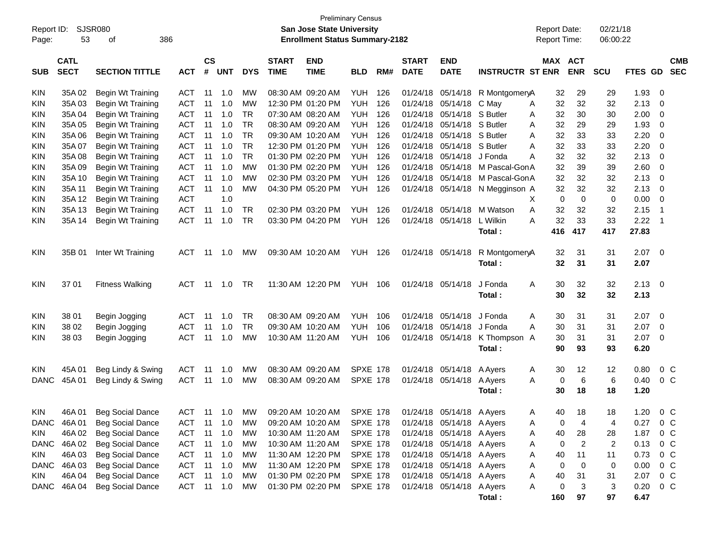| Report ID:<br>Page: | 53                         | <b>SJSR080</b><br>386<br>of |            |                    |                |            |                             | <b>San Jose State University</b><br><b>Enrollment Status Summary-2182</b> | <b>Preliminary Census</b> |     |                             |                           |                         | <b>Report Date:</b><br>Report Time: |                              | 02/21/18<br>06:00:22    |         |                          |
|---------------------|----------------------------|-----------------------------|------------|--------------------|----------------|------------|-----------------------------|---------------------------------------------------------------------------|---------------------------|-----|-----------------------------|---------------------------|-------------------------|-------------------------------------|------------------------------|-------------------------|---------|--------------------------|
| <b>SUB</b>          | <b>CATL</b><br><b>SECT</b> | <b>SECTION TITTLE</b>       | <b>ACT</b> | $\mathsf{cs}$<br># | <b>UNT</b>     | <b>DYS</b> | <b>START</b><br><b>TIME</b> | <b>END</b><br><b>TIME</b>                                                 | <b>BLD</b>                | RM# | <b>START</b><br><b>DATE</b> | <b>END</b><br><b>DATE</b> | <b>INSTRUCTR ST ENR</b> |                                     | <b>MAX ACT</b><br><b>ENR</b> | SCU                     | FTES GD | <b>CMB</b><br><b>SEC</b> |
| <b>KIN</b>          | 35A 02                     | Begin Wt Training           | <b>ACT</b> | -11                | 1.0            | МW         |                             | 08:30 AM 09:20 AM                                                         | YUH                       | 126 | 01/24/18                    | 05/14/18                  | R MontgomeryA           | 32                                  | 29                           | 29                      | 1.93    | 0                        |
| KIN                 | 35A03                      | Begin Wt Training           | <b>ACT</b> | 11                 | 1.0            | <b>MW</b>  |                             | 12:30 PM 01:20 PM                                                         | <b>YUH</b>                | 126 | 01/24/18                    | 05/14/18                  | C May                   | 32<br>Α                             | 32                           | 32                      | 2.13    | 0                        |
| KIN                 | 35A 04                     | Begin Wt Training           | <b>ACT</b> | 11                 | 1.0            | <b>TR</b>  |                             | 07:30 AM 08:20 AM                                                         | <b>YUH</b>                | 126 | 01/24/18                    | 05/14/18                  | S Butler                | 32<br>A                             | 30                           | 30                      | 2.00    | 0                        |
| KIN                 | 35A 05                     | Begin Wt Training           | <b>ACT</b> | 11                 | 1.0            | <b>TR</b>  | 08:30 AM 09:20 AM           |                                                                           | <b>YUH</b>                | 126 | 01/24/18                    | 05/14/18                  | S Butler                | 32<br>A                             | 29                           | 29                      | 1.93    | $\mathbf 0$              |
| KIN                 | 35A 06                     | Begin Wt Training           | <b>ACT</b> | 11                 | 1.0            | <b>TR</b>  |                             | 09:30 AM 10:20 AM                                                         | <b>YUH</b>                | 126 | 01/24/18                    | 05/14/18                  | S Butler                | 32<br>A                             | 33                           | 33                      | 2.20    | $\mathbf 0$              |
| KIN                 | 35A 07                     | Begin Wt Training           | <b>ACT</b> | 11                 | 1.0            | <b>TR</b>  |                             | 12:30 PM 01:20 PM                                                         | <b>YUH</b>                | 126 | 01/24/18                    | 05/14/18                  | S Butler                | 32<br>A                             | 33                           | 33                      | 2.20    | $\mathbf 0$              |
| KIN                 | 35A 08                     | Begin Wt Training           | <b>ACT</b> | 11                 | 1.0            | <b>TR</b>  |                             | 01:30 PM 02:20 PM                                                         | <b>YUH</b>                | 126 | 01/24/18                    | 05/14/18                  | J Fonda                 | 32<br>Α                             | 32                           | 32                      | 2.13    | $\mathbf 0$              |
| <b>KIN</b>          | 35A09                      | Begin Wt Training           | <b>ACT</b> | 11                 | 1.0            | <b>MW</b>  |                             | 01:30 PM 02:20 PM                                                         | <b>YUH</b>                | 126 | 01/24/18                    | 05/14/18                  | M Pascal-GonA           | 32                                  | 39                           | 39                      | 2.60    | $\mathbf 0$              |
| <b>KIN</b>          | 35A 10                     | Begin Wt Training           | <b>ACT</b> | 11                 | 1.0            | <b>MW</b>  |                             | 02:30 PM 03:20 PM                                                         | <b>YUH</b>                | 126 | 01/24/18                    | 05/14/18                  | M Pascal-GonA           | 32                                  | 32                           | 32                      | 2.13    | 0                        |
| <b>KIN</b>          | 35A 11                     | Begin Wt Training           | <b>ACT</b> | 11                 | 1.0            | <b>MW</b>  |                             | 04:30 PM 05:20 PM                                                         | YUH                       | 126 |                             | 01/24/18 05/14/18         | N Megginson A           | 32                                  | 32                           | 32                      | 2.13    | 0                        |
| <b>KIN</b>          | 35A 12                     | Begin Wt Training           | <b>ACT</b> |                    | 1.0            |            |                             |                                                                           |                           |     |                             |                           |                         | 0<br>X                              | $\mathbf 0$                  | 0                       | 0.00    | $\mathbf 0$              |
| KIN                 | 35A 13                     | Begin Wt Training           | <b>ACT</b> | 11                 | 1.0            | TR.        |                             | 02:30 PM 03:20 PM                                                         | <b>YUH</b>                | 126 |                             | 01/24/18 05/14/18         | M Watson                | 32<br>A                             | 32                           | 32                      | 2.15    | -1                       |
| KIN                 | 35A 14                     | Begin Wt Training           | <b>ACT</b> | 11                 | 1.0            | <b>TR</b>  |                             | 03:30 PM 04:20 PM                                                         | YUH                       | 126 |                             | 01/24/18 05/14/18         | L Wilkin                | 32<br>Α                             | 33                           | 33                      | 2.22    | -1                       |
|                     |                            |                             |            |                    |                |            |                             |                                                                           |                           |     |                             |                           | Total:                  | 416                                 | 417                          | 417                     | 27.83   |                          |
| <b>KIN</b>          | 35B 01                     | Inter Wt Training           | <b>ACT</b> | -11                | 1.0            | MW         |                             | 09:30 AM 10:20 AM                                                         | <b>YUH 126</b>            |     |                             | 01/24/18 05/14/18         | R MontgomeryA           | 32                                  | 31                           | 31                      | 2.07    | $\overline{0}$           |
|                     |                            |                             |            |                    |                |            |                             |                                                                           |                           |     |                             |                           | Total:                  | 32                                  | 31                           | 31                      | 2.07    |                          |
| <b>KIN</b>          | 37 01                      | <b>Fitness Walking</b>      | <b>ACT</b> | 11                 | 1.0            | <b>TR</b>  |                             | 11:30 AM 12:20 PM                                                         | <b>YUH 106</b>            |     |                             | 01/24/18 05/14/18         | J Fonda                 | 30<br>Α                             | 32                           | 32                      | 2.13    | - 0                      |
|                     |                            |                             |            |                    |                |            |                             |                                                                           |                           |     |                             |                           | Total:                  | 30                                  | 32                           | 32                      | 2.13    |                          |
| <b>KIN</b>          | 38 01                      | Begin Jogging               | <b>ACT</b> | -11                | 1.0            | <b>TR</b>  | 08:30 AM 09:20 AM           |                                                                           | <b>YUH</b>                | 106 | 01/24/18                    | 05/14/18                  | J Fonda                 | 30<br>A                             | 31                           | 31                      | 2.07    | 0                        |
| KIN                 | 38 02                      | Begin Jogging               | <b>ACT</b> | 11                 | 1.0            | <b>TR</b>  | 09:30 AM 10:20 AM           |                                                                           | <b>YUH</b>                | 106 | 01/24/18                    | 05/14/18                  | J Fonda                 | 30<br>A                             | 31                           | 31                      | 2.07    | 0                        |
| KIN                 | 38 03                      | Begin Jogging               | <b>ACT</b> | 11                 | 1.0            | <b>MW</b>  |                             | 10:30 AM 11:20 AM                                                         | <b>YUH</b>                | 106 | 01/24/18                    | 05/14/18                  | K Thompson A            | 30                                  | 31                           | 31                      | 2.07    | 0                        |
|                     |                            |                             |            |                    |                |            |                             |                                                                           |                           |     |                             |                           | Total:                  | 90                                  | 93                           | 93                      | 6.20    |                          |
| <b>KIN</b>          | 45A 01                     | Beg Lindy & Swing           | <b>ACT</b> | 11                 | 1.0            | МW         | 08:30 AM 09:20 AM           |                                                                           | <b>SPXE 178</b>           |     | 01/24/18                    | 05/14/18                  | A Ayers                 | 30<br>A                             | 12                           | 12                      | 0.80    | 0 <sup>o</sup>           |
| <b>DANC</b>         | 45A 01                     | Beg Lindy & Swing           | <b>ACT</b> | 11                 | 1.0            | <b>MW</b>  |                             | 08:30 AM 09:20 AM                                                         | <b>SPXE 178</b>           |     |                             | 01/24/18 05/14/18         | A Ayers                 | 0<br>A                              | 6                            | 6                       | 0.40    | $0\,C$                   |
|                     |                            |                             |            |                    |                |            |                             |                                                                           |                           |     |                             |                           | Total:                  | 30                                  | 18                           | 18                      | 1.20    |                          |
| <b>KIN</b>          | 46A01                      | <b>Beg Social Dance</b>     |            |                    |                |            |                             | ACT 11 1.0 MW 09:20 AM 10:20 AM SPXE 178 01/24/18 05/14/18 A Ayers        |                           |     |                             |                           |                         | 40<br>Α                             | 18                           | 18                      | 1.20    | $0\,C$                   |
| DANC                | 46A 01                     | <b>Beg Social Dance</b>     | ACT        | 11                 | 1.0            | MW         |                             | 09:20 AM 10:20 AM                                                         | <b>SPXE 178</b>           |     |                             | 01/24/18 05/14/18 A Ayers |                         | 0<br>Α                              | 4                            | 4                       | 0.27    | 0 <sup>o</sup>           |
| <b>KIN</b>          | 46A02                      | <b>Beg Social Dance</b>     | <b>ACT</b> | 11                 | 1.0            | <b>MW</b>  |                             | 10:30 AM 11:20 AM                                                         | <b>SPXE 178</b>           |     |                             | 01/24/18 05/14/18 A Ayers |                         | 40<br>A                             | 28                           | 28                      | 1.87    | 0 <sup>C</sup>           |
| <b>DANC</b>         | 46A 02                     | <b>Beg Social Dance</b>     | <b>ACT</b> | 11                 | 1.0            | MW         |                             | 10:30 AM 11:20 AM                                                         | <b>SPXE 178</b>           |     |                             | 01/24/18 05/14/18 A Ayers |                         | 0<br>Α                              | $\overline{2}$               | $\overline{\mathbf{c}}$ | 0.13    | $0\,C$                   |
| <b>KIN</b>          | 46A03                      | <b>Beg Social Dance</b>     | <b>ACT</b> | 11                 | 1.0            | MW         |                             | 11:30 AM 12:20 PM                                                         | <b>SPXE 178</b>           |     |                             | 01/24/18 05/14/18 A Ayers |                         | 40<br>Α                             | 11                           | 11                      | 0.73    | $0\,C$                   |
| <b>DANC</b>         | 46A03                      | <b>Beg Social Dance</b>     | <b>ACT</b> |                    | $11 \quad 1.0$ | MW         |                             | 11:30 AM 12:20 PM                                                         | <b>SPXE 178</b>           |     |                             | 01/24/18 05/14/18 A Ayers |                         | 0<br>Α                              | 0                            | 0                       | 0.00    | $0\,C$                   |
| <b>KIN</b>          | 46A 04                     | <b>Beg Social Dance</b>     | <b>ACT</b> | 11                 | 1.0            | <b>MW</b>  |                             | 01:30 PM 02:20 PM                                                         | <b>SPXE 178</b>           |     |                             | 01/24/18 05/14/18 A Ayers |                         | 40<br>Α                             | 31                           | 31                      | 2.07    | $0\,C$                   |
| DANC                | 46A 04                     | <b>Beg Social Dance</b>     | <b>ACT</b> |                    | 11 1.0         | MW         |                             | 01:30 PM 02:20 PM                                                         | <b>SPXE 178</b>           |     |                             | 01/24/18 05/14/18 A Ayers |                         | Α<br>0                              | 3                            | 3                       | 0.20    | $0\,C$                   |
|                     |                            |                             |            |                    |                |            |                             |                                                                           |                           |     |                             |                           | Total:                  | 160                                 | 97                           | 97                      | 6.47    |                          |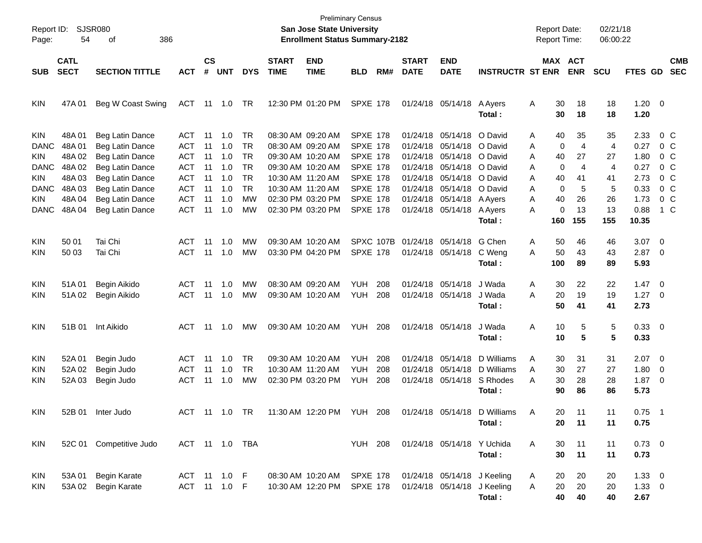| Page:                                                                                | SJSR080<br>Report ID:<br>54<br>386<br>οf<br><b>CATL</b>                  |                                                                                                                                                      |                                                                                                       |                                              |                                                      |                                                     |              | <b>San Jose State University</b><br><b>Enrollment Status Summary-2182</b>                                                                                            | <b>Preliminary Census</b>                                                                                                                            |                   |                   |                                                                                                                                                                                                                                      |                                                 | <b>Report Date:</b><br><b>Report Time:</b>                                       |                                                                     | 02/21/18<br>06:00:22                      |                                                              |                                                                                                  |  |
|--------------------------------------------------------------------------------------|--------------------------------------------------------------------------|------------------------------------------------------------------------------------------------------------------------------------------------------|-------------------------------------------------------------------------------------------------------|----------------------------------------------|------------------------------------------------------|-----------------------------------------------------|--------------|----------------------------------------------------------------------------------------------------------------------------------------------------------------------|------------------------------------------------------------------------------------------------------------------------------------------------------|-------------------|-------------------|--------------------------------------------------------------------------------------------------------------------------------------------------------------------------------------------------------------------------------------|-------------------------------------------------|----------------------------------------------------------------------------------|---------------------------------------------------------------------|-------------------------------------------|--------------------------------------------------------------|--------------------------------------------------------------------------------------------------|--|
|                                                                                      |                                                                          |                                                                                                                                                      |                                                                                                       | <b>CS</b>                                    |                                                      |                                                     | <b>START</b> | <b>END</b>                                                                                                                                                           |                                                                                                                                                      |                   | <b>START</b>      | <b>END</b>                                                                                                                                                                                                                           |                                                 | MAX ACT                                                                          |                                                                     |                                           |                                                              | <b>CMB</b>                                                                                       |  |
| <b>SUB</b>                                                                           | <b>SECT</b>                                                              | <b>SECTION TITTLE</b>                                                                                                                                | <b>ACT</b>                                                                                            | #                                            | <b>UNT</b>                                           | <b>DYS</b>                                          | <b>TIME</b>  | <b>TIME</b>                                                                                                                                                          | <b>BLD</b>                                                                                                                                           | RM#               | <b>DATE</b>       | <b>DATE</b>                                                                                                                                                                                                                          | <b>INSTRUCTR ST ENR</b>                         |                                                                                  | <b>ENR</b>                                                          | <b>SCU</b>                                | FTES GD                                                      | <b>SEC</b>                                                                                       |  |
| KIN                                                                                  | 47A 01                                                                   | Beg W Coast Swing                                                                                                                                    | ACT                                                                                                   |                                              | 11  1.0                                              | TR                                                  |              | 12:30 PM 01:20 PM                                                                                                                                                    | <b>SPXE 178</b>                                                                                                                                      |                   |                   | 01/24/18 05/14/18                                                                                                                                                                                                                    | A Ayers<br>Total:                               | A<br>30<br>30                                                                    | 18<br>18                                                            | 18<br>18                                  | $1.20 \t 0$<br>1.20                                          |                                                                                                  |  |
| KIN<br><b>DANC</b><br>KIN<br><b>DANC</b><br>KIN<br><b>DANC</b><br>KIN<br><b>DANC</b> | 48A 01<br>48A01<br>48A 02<br>48A 02<br>48A03<br>48A03<br>48A04<br>48A 04 | Beg Latin Dance<br>Beg Latin Dance<br>Beg Latin Dance<br>Beg Latin Dance<br>Beg Latin Dance<br>Beg Latin Dance<br>Beg Latin Dance<br>Beg Latin Dance | ACT<br><b>ACT</b><br><b>ACT</b><br><b>ACT</b><br><b>ACT</b><br><b>ACT</b><br><b>ACT</b><br><b>ACT</b> | 11<br>11<br>11<br>11<br>11<br>11<br>11<br>11 | 1.0<br>1.0<br>1.0<br>1.0<br>1.0<br>1.0<br>1.0<br>1.0 | TR<br>TR<br>TR<br>TR<br>TR<br>TR<br><b>MW</b><br>MW |              | 08:30 AM 09:20 AM<br>08:30 AM 09:20 AM<br>09:30 AM 10:20 AM<br>09:30 AM 10:20 AM<br>10:30 AM 11:20 AM<br>10:30 AM 11:20 AM<br>02:30 PM 03:20 PM<br>02:30 PM 03:20 PM | <b>SPXE 178</b><br><b>SPXE 178</b><br><b>SPXE 178</b><br><b>SPXE 178</b><br><b>SPXE 178</b><br><b>SPXE 178</b><br><b>SPXE 178</b><br><b>SPXE 178</b> |                   |                   | 01/24/18 05/14/18 O David<br>01/24/18 05/14/18 O David<br>01/24/18 05/14/18 O David<br>01/24/18 05/14/18 O David<br>01/24/18 05/14/18 O David<br>01/24/18 05/14/18 O David<br>01/24/18 05/14/18 A Ayers<br>01/24/18 05/14/18 A Ayers |                                                 | 40<br>A<br>0<br>Α<br>40<br>A<br>0<br>Α<br>40<br>A<br>0<br>Α<br>40<br>A<br>0<br>A | 35<br>$\overline{4}$<br>27<br>$\overline{4}$<br>41<br>5<br>26<br>13 | 35<br>4<br>27<br>4<br>41<br>5<br>26<br>13 | 2.33<br>0.27<br>1.80<br>0.27<br>2.73<br>0.33<br>1.73<br>0.88 | 0 C<br>0 C<br>0 C<br>0 <sup>o</sup><br>0 <sup>o</sup><br>0 <sup>o</sup><br>0 <sup>o</sup><br>1 C |  |
|                                                                                      |                                                                          |                                                                                                                                                      |                                                                                                       |                                              |                                                      |                                                     |              |                                                                                                                                                                      |                                                                                                                                                      |                   |                   |                                                                                                                                                                                                                                      | Total:                                          | 160                                                                              | 155                                                                 | 155                                       | 10.35                                                        |                                                                                                  |  |
| KIN<br>KIN                                                                           | 50 01<br>50 03                                                           | Tai Chi<br>Tai Chi                                                                                                                                   | ACT<br><b>ACT</b>                                                                                     | 11<br>11                                     | 1.0<br>1.0                                           | MW<br><b>MW</b>                                     |              | 09:30 AM 10:20 AM<br>03:30 PM 04:20 PM                                                                                                                               | SPXC 107B<br><b>SPXE 178</b>                                                                                                                         |                   | 01/24/18 05/14/18 | 01/24/18 05/14/18                                                                                                                                                                                                                    | G Chen<br>C Weng<br>Total:                      | 50<br>A<br>50<br>A<br>100                                                        | 46<br>43<br>89                                                      | 46<br>43<br>89                            | 3.07<br>$2.87$ 0<br>5.93                                     | $\overline{\mathbf{0}}$                                                                          |  |
| <b>KIN</b><br>KIN                                                                    | 51A01<br>51A02                                                           | Begin Aikido<br>Begin Aikido                                                                                                                         | ACT<br><b>ACT</b>                                                                                     | 11<br>11                                     | 1.0<br>1.0                                           | MW<br><b>MW</b>                                     |              | 08:30 AM 09:20 AM<br>09:30 AM 10:20 AM                                                                                                                               | <b>YUH</b><br><b>YUH</b>                                                                                                                             | 208<br>208        |                   | 01/24/18 05/14/18<br>01/24/18 05/14/18                                                                                                                                                                                               | J Wada<br>J Wada<br>Total:                      | 30<br>A<br>20<br>A<br>50                                                         | 22<br>19<br>41                                                      | 22<br>19<br>41                            | $1.47 \ 0$<br>$1.27 \t 0$<br>2.73                            |                                                                                                  |  |
| KIN                                                                                  | 51B 01                                                                   | Int Aikido                                                                                                                                           | ACT                                                                                                   | 11                                           | 1.0                                                  | <b>MW</b>                                           |              | 09:30 AM 10:20 AM                                                                                                                                                    | <b>YUH 208</b>                                                                                                                                       |                   |                   | 01/24/18 05/14/18                                                                                                                                                                                                                    | J Wada<br>Total :                               | Α<br>10<br>10                                                                    | 5<br>5                                                              | 5<br>5                                    | 0.33 0<br>0.33                                               |                                                                                                  |  |
| KIN<br>KIN<br>KIN                                                                    | 52A 01<br>52A 02<br>52A03                                                | Begin Judo<br>Begin Judo<br>Begin Judo                                                                                                               | ACT<br><b>ACT</b><br><b>ACT</b>                                                                       | 11<br>11<br>11                               | 1.0<br>1.0<br>1.0                                    | TR<br>TR<br><b>MW</b>                               |              | 09:30 AM 10:20 AM<br>10:30 AM 11:20 AM<br>02:30 PM 03:20 PM                                                                                                          | <b>YUH</b><br><b>YUH</b><br><b>YUH</b>                                                                                                               | 208<br>208<br>208 |                   | 01/24/18 05/14/18<br>01/24/18 05/14/18<br>01/24/18 05/14/18                                                                                                                                                                          | D Williams<br>D Williams<br>S Rhodes<br>Total : | A<br>30<br>30<br>A<br>30<br>A<br>90                                              | 31<br>27<br>28<br>86                                                | 31<br>27<br>28<br>86                      | $2.07$ 0<br>1.80<br>$1.87 \t 0$<br>5.73                      | $\overline{\phantom{0}}$                                                                         |  |
| KIN                                                                                  | 52B 01                                                                   | Inter Judo                                                                                                                                           | ACT 11 1.0 TR                                                                                         |                                              |                                                      |                                                     |              | 11:30 AM 12:20 PM                                                                                                                                                    | YUH                                                                                                                                                  | 208               |                   |                                                                                                                                                                                                                                      | 01/24/18 05/14/18 D Williams<br>Total:          | 20<br>A<br>20                                                                    | 11<br>11                                                            | 11<br>11                                  | $0.75$ 1<br>0.75                                             |                                                                                                  |  |
| KIN                                                                                  |                                                                          | 52C 01 Competitive Judo                                                                                                                              | ACT 11 1.0 TBA                                                                                        |                                              |                                                      |                                                     |              |                                                                                                                                                                      | <b>YUH 208</b>                                                                                                                                       |                   |                   | 01/24/18 05/14/18 Y Uchida                                                                                                                                                                                                           | Total:                                          | A<br>30<br>30                                                                    | 11<br>11                                                            | 11<br>11                                  | $0.73 \ 0$<br>0.73                                           |                                                                                                  |  |
| KIN<br><b>KIN</b>                                                                    | 53A 01                                                                   | <b>Begin Karate</b><br>53A 02 Begin Karate                                                                                                           | ACT 11 1.0 F<br>ACT 11 1.0 F                                                                          |                                              |                                                      |                                                     |              | 08:30 AM 10:20 AM<br>10:30 AM 12:20 PM                                                                                                                               | <b>SPXE 178</b><br><b>SPXE 178</b>                                                                                                                   |                   |                   | 01/24/18 05/14/18 J Keeling<br>01/24/18 05/14/18 J Keeling                                                                                                                                                                           | Total:                                          | 20<br>A<br>20<br>Α<br>40                                                         | 20<br>20<br>40                                                      | 20<br>20<br>40                            | $1.33 \ 0$<br>$1.33 \ 0$<br>2.67                             |                                                                                                  |  |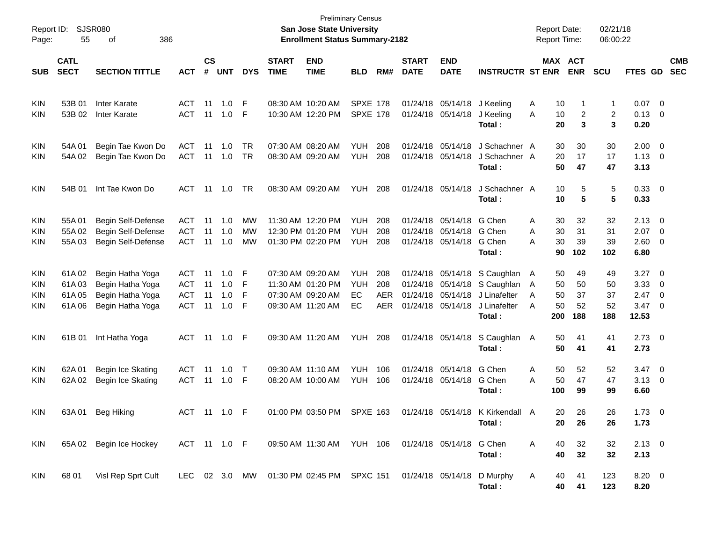| Report ID:<br>Page:                                  | 55                               | <b>SJSR080</b><br>386<br>οf                                                  |                                                      |                      |                          |                        |                             | <b>Preliminary Census</b><br><b>San Jose State University</b><br><b>Enrollment Status Summary-2182</b> |                                        |                                 |                                                       |                                           |                                                                    | <b>Report Date:</b><br><b>Report Time:</b>      |                             | 02/21/18<br>06:00:22        |                                             |                                                            |                          |
|------------------------------------------------------|----------------------------------|------------------------------------------------------------------------------|------------------------------------------------------|----------------------|--------------------------|------------------------|-----------------------------|--------------------------------------------------------------------------------------------------------|----------------------------------------|---------------------------------|-------------------------------------------------------|-------------------------------------------|--------------------------------------------------------------------|-------------------------------------------------|-----------------------------|-----------------------------|---------------------------------------------|------------------------------------------------------------|--------------------------|
| <b>SUB</b>                                           | <b>CATL</b><br><b>SECT</b>       | <b>SECTION TITTLE</b>                                                        | <b>ACT</b>                                           | $\mathsf{cs}$<br>#   | <b>UNT</b>               | <b>DYS</b>             | <b>START</b><br><b>TIME</b> | <b>END</b><br><b>TIME</b>                                                                              | <b>BLD</b>                             | RM#                             | <b>START</b><br><b>DATE</b>                           | <b>END</b><br><b>DATE</b>                 | <b>INSTRUCTR ST ENR</b>                                            |                                                 | MAX ACT<br><b>ENR</b>       | <b>SCU</b>                  | FTES GD                                     |                                                            | <b>CMB</b><br><b>SEC</b> |
| <b>KIN</b><br>KIN                                    | 53B 01<br>53B 02                 | <b>Inter Karate</b><br>Inter Karate                                          | ACT<br><b>ACT</b>                                    | 11<br>11             | 1.0<br>1.0               | F<br>F                 |                             | 08:30 AM 10:20 AM<br>10:30 AM 12:20 PM                                                                 | <b>SPXE 178</b><br><b>SPXE 178</b>     |                                 | 01/24/18                                              | 05/14/18<br>01/24/18 05/14/18             | J Keeling<br>J Keeling<br>Total:                                   | 10<br>Α<br>10<br>Α<br>20                        | 1<br>2<br>3                 | 1<br>2<br>3                 | 0.07<br>$0.13 \quad 0$<br>0.20              | $\overline{\phantom{0}}$                                   |                          |
| <b>KIN</b><br><b>KIN</b>                             | 54A 01<br>54A 02                 | Begin Tae Kwon Do<br>Begin Tae Kwon Do                                       | <b>ACT</b><br><b>ACT</b>                             | 11<br>11             | 1.0<br>$-1.0$            | <b>TR</b><br><b>TR</b> |                             | 07:30 AM 08:20 AM<br>08:30 AM 09:20 AM                                                                 | <b>YUH</b><br><b>YUH</b>               | 208<br>208                      | 01/24/18<br>01/24/18                                  | 05/14/18<br>05/14/18                      | J Schachner A<br>J Schachner A<br>Total:                           | 30<br>20<br>50                                  | 30<br>17<br>47              | 30<br>17<br>47              | 2.00<br>$1.13 \ 0$<br>3.13                  | $\overline{\mathbf{0}}$                                    |                          |
| <b>KIN</b>                                           | 54B 01                           | Int Tae Kwon Do                                                              | ACT                                                  | 11                   | 1.0                      | <b>TR</b>              |                             | 08:30 AM 09:20 AM                                                                                      | <b>YUH</b>                             | 208                             |                                                       | 01/24/18 05/14/18                         | J Schachner A<br>Total:                                            | 10<br>10                                        | 5<br>5                      | 5<br>5                      | 0.33 0<br>0.33                              |                                                            |                          |
| <b>KIN</b><br><b>KIN</b><br><b>KIN</b>               | 55A01<br>55A 02<br>55A03         | Begin Self-Defense<br>Begin Self-Defense<br>Begin Self-Defense               | <b>ACT</b><br><b>ACT</b><br><b>ACT</b>               | 11<br>11<br>11       | 1.0<br>1.0<br>1.0        | МW<br>МW<br>MW         |                             | 11:30 AM 12:20 PM<br>12:30 PM 01:20 PM<br>01:30 PM 02:20 PM                                            | <b>YUH</b><br><b>YUH</b><br><b>YUH</b> | 208<br>208<br>208               | 01/24/18<br>01/24/18                                  | 05/14/18<br>05/14/18<br>01/24/18 05/14/18 | G Chen<br>G Chen<br>G Chen<br>Total:                               | Α<br>30<br>30<br>Α<br>30<br>Α<br>90             | 32<br>31<br>39<br>102       | 32<br>31<br>39<br>102       | 2.13<br>2.07<br>$2.60 \quad 0$<br>6.80      | $\overline{\phantom{0}}$<br>$\overline{\phantom{0}}$       |                          |
| <b>KIN</b><br><b>KIN</b><br><b>KIN</b><br><b>KIN</b> | 61A02<br>61A03<br>61A05<br>61A06 | Begin Hatha Yoga<br>Begin Hatha Yoga<br>Begin Hatha Yoga<br>Begin Hatha Yoga | <b>ACT</b><br><b>ACT</b><br><b>ACT</b><br><b>ACT</b> | 11<br>11<br>11<br>11 | 1.0<br>1.0<br>1.0<br>1.0 | F<br>F<br>F<br>F       |                             | 07:30 AM 09:20 AM<br>11:30 AM 01:20 PM<br>07:30 AM 09:20 AM<br>09:30 AM 11:20 AM                       | <b>YUH</b><br><b>YUH</b><br>EC<br>EC   | 208<br>208<br><b>AER</b><br>AER | 01/24/18<br>01/24/18<br>01/24/18<br>01/24/18 05/14/18 | 05/14/18<br>05/14/18<br>05/14/18          | S Caughlan<br>S Caughlan<br>J Linafelter<br>J Linafelter<br>Total: | 50<br>A<br>50<br>A<br>50<br>A<br>50<br>A<br>200 | 49<br>50<br>37<br>52<br>188 | 49<br>50<br>37<br>52<br>188 | 3.27<br>3.33<br>2.47<br>$3.47 \ 0$<br>12.53 | $\overline{\mathbf{0}}$<br>- 0<br>$\overline{\phantom{0}}$ |                          |
| <b>KIN</b>                                           | 61B 01                           | Int Hatha Yoga                                                               | ACT                                                  |                      |                          |                        |                             | 09:30 AM 11:20 AM                                                                                      | YUH                                    | 208                             |                                                       | 01/24/18 05/14/18                         | S Caughlan<br>Total:                                               | 50<br>A<br>50                                   | 41<br>41                    | 41<br>41                    | $2.73$ 0<br>2.73                            |                                                            |                          |
| <b>KIN</b><br><b>KIN</b>                             | 62A 01<br>62A 02                 | Begin Ice Skating<br>Begin Ice Skating                                       | <b>ACT</b><br><b>ACT</b>                             | 11<br>11             | 1.0<br>1.0               | $\top$<br>-F           |                             | 09:30 AM 11:10 AM<br>08:20 AM 10:00 AM                                                                 | <b>YUH</b><br><b>YUH</b>               | 106<br>106                      | 01/24/18                                              | 05/14/18<br>01/24/18 05/14/18             | G Chen<br>G Chen<br>Total:                                         | Α<br>50<br>50<br>Α<br>100                       | 52<br>47<br>99              | 52<br>47<br>99              | $3.47 \quad 0$<br>$3.13 \quad 0$<br>6.60    |                                                            |                          |
| KIN                                                  |                                  | 63A 01 Beg Hiking                                                            | ACT 11 1.0 F                                         |                      |                          |                        |                             | 01:00 PM 03:50 PM SPXE 163                                                                             |                                        |                                 |                                                       |                                           | 01/24/18 05/14/18 K Kirkendall A<br>Total :                        | 20<br>20                                        | 26<br>26                    | 26<br>26                    | $1.73 \t 0$<br>1.73                         |                                                            |                          |
| KIN                                                  |                                  | 65A 02 Begin Ice Hockey                                                      | ACT 11 1.0 F                                         |                      |                          |                        |                             | 09:50 AM 11:30 AM YUH 106 01/24/18 05/14/18 G Chen                                                     |                                        |                                 |                                                       |                                           | Total:                                                             | 40<br>A<br>40                                   | 32<br>32                    | 32<br>32                    | $2.13 \t 0$<br>2.13                         |                                                            |                          |
| KIN                                                  | 68 01                            | Visl Rep Sprt Cult                                                           |                                                      |                      |                          |                        |                             | LEC 02 3.0 MW 01:30 PM 02:45 PM SPXC 151 01/24/18 05/14/18 D Murphy                                    |                                        |                                 |                                                       |                                           | Total:                                                             | A<br>40<br>40                                   | 41<br>41                    | 123<br>123                  | 8.20 0<br>8.20                              |                                                            |                          |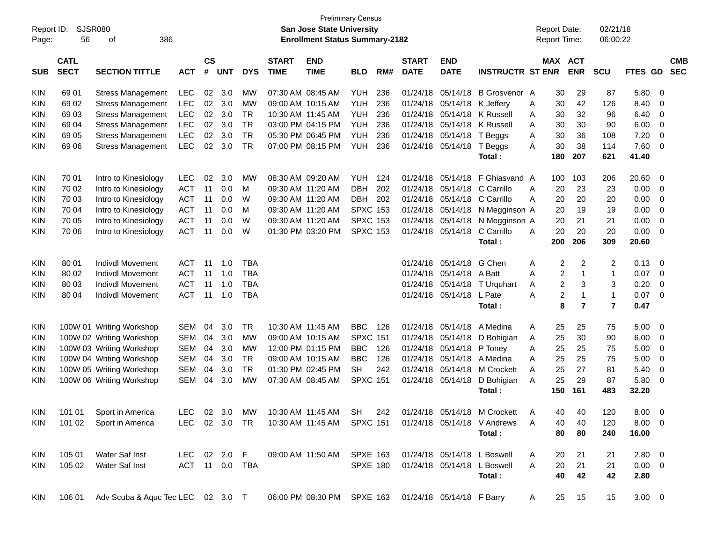| Report ID:<br>Page: | SJSR080<br>56              | 386<br>оf                                |                |                    |            |            |                             | <b>Preliminary Census</b><br>San Jose State University<br><b>Enrollment Status Summary-2182</b> |                 |     |                             |                           |                                                                   | <b>Report Date:</b><br><b>Report Time:</b> |                       | 02/21/18<br>06:00:22 |             |                |                          |
|---------------------|----------------------------|------------------------------------------|----------------|--------------------|------------|------------|-----------------------------|-------------------------------------------------------------------------------------------------|-----------------|-----|-----------------------------|---------------------------|-------------------------------------------------------------------|--------------------------------------------|-----------------------|----------------------|-------------|----------------|--------------------------|
| <b>SUB</b>          | <b>CATL</b><br><b>SECT</b> | <b>SECTION TITTLE</b>                    | <b>ACT</b>     | $\mathsf{cs}$<br># | <b>UNT</b> | <b>DYS</b> | <b>START</b><br><b>TIME</b> | <b>END</b><br><b>TIME</b>                                                                       | <b>BLD</b>      | RM# | <b>START</b><br><b>DATE</b> | <b>END</b><br><b>DATE</b> | <b>INSTRUCTR ST ENR</b>                                           |                                            | MAX ACT<br><b>ENR</b> | <b>SCU</b>           | FTES GD     |                | <b>CMB</b><br><b>SEC</b> |
| KIN                 | 69 01                      | <b>Stress Management</b>                 | <b>LEC</b>     | 02                 | 3.0        | МW         |                             | 07:30 AM 08:45 AM                                                                               | YUH             | 236 | 01/24/18                    | 05/14/18                  | B Grosvenor A                                                     | 30                                         | 29                    | 87                   | 5.80        | - 0            |                          |
| KIN                 | 69 02                      | <b>Stress Management</b>                 | <b>LEC</b>     | 02                 | 3.0        | MW         |                             | 09:00 AM 10:15 AM                                                                               | YUH             | 236 | 01/24/18                    | 05/14/18 K Jeffery        |                                                                   | 30<br>A                                    | 42                    | 126                  | 8.40        | - 0            |                          |
| KIN                 | 69 03                      | <b>Stress Management</b>                 | <b>LEC</b>     | 02                 | 3.0        | <b>TR</b>  |                             | 10:30 AM 11:45 AM                                                                               | <b>YUH</b>      | 236 | 01/24/18                    | 05/14/18                  | K Russell                                                         | 30<br>A                                    | 32                    | 96                   | 6.40        | 0              |                          |
| KIN                 | 69 04                      | <b>Stress Management</b>                 | <b>LEC</b>     | 02                 | 3.0        | <b>TR</b>  |                             | 03:00 PM 04:15 PM                                                                               | <b>YUH</b>      | 236 | 01/24/18                    | 05/14/18                  | K Russell                                                         | 30<br>A                                    | 30                    | 90                   | 6.00        | 0              |                          |
| KIN                 | 69 05                      | <b>Stress Management</b>                 | <b>LEC</b>     | 02                 | 3.0        | <b>TR</b>  |                             | 05:30 PM 06:45 PM                                                                               | <b>YUH</b>      | 236 | 01/24/18                    | 05/14/18 T Beggs          |                                                                   | 30<br>A                                    | 36                    | 108                  | 7.20        | 0              |                          |
| KIN                 | 69 06                      | <b>Stress Management</b>                 | <b>LEC</b>     | 02                 | 3.0        | <b>TR</b>  |                             | 07:00 PM 08:15 PM                                                                               | <b>YUH</b>      | 236 |                             | 01/24/18 05/14/18 T Beggs |                                                                   | 30<br>A                                    | 38                    | 114                  | 7.60        | - 0            |                          |
|                     |                            |                                          |                |                    |            |            |                             |                                                                                                 |                 |     |                             |                           | Total:                                                            | 180                                        | 207                   | 621                  | 41.40       |                |                          |
| KIN                 | 70 01                      | Intro to Kinesiology                     | <b>LEC</b>     | 02                 | 3.0        | MW         | 08:30 AM 09:20 AM           |                                                                                                 | <b>YUH</b>      | 124 | 01/24/18                    | 05/14/18                  | F Ghiasvand A                                                     | 100                                        | 103                   | 206                  | 20.60       | - 0            |                          |
| KIN                 | 70 02                      | Intro to Kinesiology                     | <b>ACT</b>     | 11                 | 0.0        | м          | 09:30 AM 11:20 AM           |                                                                                                 | <b>DBH</b>      | 202 | 01/24/18                    | 05/14/18                  | C Carrillo                                                        | 20<br>A                                    | 23                    | 23                   | 0.00        | - 0            |                          |
| KIN                 | 70 03                      | Intro to Kinesiology                     | <b>ACT</b>     | 11                 | 0.0        | W          | 09:30 AM 11:20 AM           |                                                                                                 | <b>DBH</b>      | 202 | 01/24/18                    | 05/14/18                  | C Carrillo                                                        | 20<br>A                                    | 20                    | 20                   | 0.00        | 0              |                          |
| KIN                 | 70 04                      | Intro to Kinesiology                     | <b>ACT</b>     | 11                 | 0.0        | м          | 09:30 AM 11:20 AM           |                                                                                                 | <b>SPXC 153</b> |     | 01/24/18                    |                           | 05/14/18 N Megginson A                                            | 20                                         | 19                    | 19                   | 0.00        | 0              |                          |
| KIN                 | 70 05                      | Intro to Kinesiology                     | <b>ACT</b>     | 11                 | 0.0        | W          | 09:30 AM 11:20 AM           |                                                                                                 | <b>SPXC 153</b> |     | 01/24/18                    |                           | 05/14/18 N Megginson A                                            | 20                                         | 21                    | 21                   | 0.00        | 0              |                          |
| KIN                 | 70 06                      | Intro to Kinesiology                     | <b>ACT</b>     | 11                 | 0.0        | W          |                             | 01:30 PM 03:20 PM                                                                               | <b>SPXC 153</b> |     |                             | 01/24/18 05/14/18         | C Carrillo                                                        | 20<br>A                                    | 20                    | 20                   | 0.00        | - 0            |                          |
|                     |                            |                                          |                |                    |            |            |                             |                                                                                                 |                 |     |                             |                           | Total:                                                            | 200                                        | 206                   | 309                  | 20.60       |                |                          |
| KIN                 | 80 01                      | <b>Indivdl Movement</b>                  | <b>ACT</b>     | 11                 | 1.0        | <b>TBA</b> |                             |                                                                                                 |                 |     | 01/24/18                    | 05/14/18                  | G Chen                                                            | Α                                          | 2<br>$\overline{2}$   | 2                    | 0.13        | - 0            |                          |
| KIN                 | 80 02                      | <b>Indivdl Movement</b>                  | <b>ACT</b>     | -11                | 1.0        | <b>TBA</b> |                             |                                                                                                 |                 |     |                             | 01/24/18 05/14/18         | A Batt                                                            | A                                          | 2<br>$\overline{1}$   | 1                    | 0.07        | - 0            |                          |
| KIN                 | 80 03                      | <b>Indivdl Movement</b>                  | <b>ACT</b>     | 11                 | 1.0        | <b>TBA</b> |                             |                                                                                                 |                 |     | 01/24/18                    |                           | 05/14/18 T Urquhart                                               | A                                          | 2<br>3                | 3                    | 0.20        | $\overline{0}$ |                          |
| KIN                 | 80 04                      | <b>Indivdl Movement</b>                  | <b>ACT</b>     | 11                 | 1.0        | <b>TBA</b> |                             |                                                                                                 |                 |     |                             | 01/24/18 05/14/18         | L Pate                                                            | A                                          | 2<br>$\mathbf{1}$     | $\mathbf{1}$         | 0.07        | - 0            |                          |
|                     |                            |                                          |                |                    |            |            |                             |                                                                                                 |                 |     |                             |                           | Total:                                                            |                                            | $\overline{7}$<br>8   | $\overline{7}$       | 0.47        |                |                          |
| KIN                 |                            | 100W 01 Writing Workshop                 | <b>SEM</b>     | 04                 | 3.0        | TR         | 10:30 AM 11:45 AM           |                                                                                                 | <b>BBC</b>      | 126 | 01/24/18                    | 05/14/18                  | A Medina                                                          | 25<br>A                                    | 25                    | 75                   | 5.00        | 0              |                          |
| KIN                 |                            | 100W 02 Writing Workshop                 | <b>SEM</b>     | 04                 | 3.0        | МW         |                             | 09:00 AM 10:15 AM                                                                               | <b>SPXC 151</b> |     | 01/24/18                    | 05/14/18                  | D Bohigian                                                        | 25<br>A                                    | 30                    | 90                   | 6.00        | 0              |                          |
| KIN                 |                            | 100W 03 Writing Workshop                 | <b>SEM</b>     | 04                 | 3.0        | MW         |                             | 12:00 PM 01:15 PM                                                                               | <b>BBC</b>      | 126 | 01/24/18                    | 05/14/18                  | P Toney                                                           | 25<br>A                                    | 25                    | 75                   | 5.00        | 0              |                          |
| KIN                 |                            | 100W 04 Writing Workshop                 | <b>SEM</b>     | 04                 | 3.0        | <b>TR</b>  |                             | 09:00 AM 10:15 AM                                                                               | <b>BBC</b>      | 126 | 01/24/18                    | 05/14/18                  | A Medina                                                          | 25<br>A                                    | 25                    | 75                   | 5.00        | 0              |                          |
| KIN                 |                            | 100W 05 Writing Workshop                 | <b>SEM</b>     | 04                 | 3.0        | <b>TR</b>  |                             | 01:30 PM 02:45 PM                                                                               | <b>SH</b>       | 242 | 01/24/18                    | 05/14/18                  | M Crockett                                                        | 25<br>A                                    | 27                    | 81                   | 5.40        | 0              |                          |
| KIN                 |                            | 100W 06 Writing Workshop                 | <b>SEM</b>     | 04                 | 3.0        | MW         |                             | 07:30 AM 08:45 AM                                                                               | <b>SPXC 151</b> |     | 01/24/18 05/14/18           |                           | D Bohigian                                                        | 25<br>A                                    | 29                    | 87                   | 5.80        | 0              |                          |
|                     |                            |                                          |                |                    |            |            |                             |                                                                                                 |                 |     |                             |                           | Total:                                                            | 150                                        | 161                   | 483                  | 32.20       |                |                          |
| KIN                 |                            | 101 01 Sport in America                  | <b>LEC</b>     |                    |            |            |                             |                                                                                                 |                 |     |                             |                           | 02 3.0 MW 10:30 AM 11:45 AM SH 242 01/24/18 05/14/18 M Crockett A | 40                                         | 40                    | 120                  | 8.00 0      |                |                          |
| <b>KIN</b>          |                            | 101 02 Sport in America                  | LEC 02 3.0 TR  |                    |            |            |                             | 10:30 AM 11:45 AM SPXC 151                                                                      |                 |     |                             |                           | 01/24/18 05/14/18 V Andrews                                       | 40<br>A                                    | 40                    | 120                  | $8.00 \ 0$  |                |                          |
|                     |                            |                                          |                |                    |            |            |                             |                                                                                                 |                 |     |                             |                           | Total:                                                            | 80                                         | 80                    | 240                  | 16.00       |                |                          |
| KIN                 | 105 01                     | Water Saf Inst                           | LEC 02 2.0 F   |                    |            |            |                             | 09:00 AM 11:50 AM SPXE 163                                                                      |                 |     |                             |                           | 01/24/18 05/14/18 L Boswell                                       | 20<br>A                                    | 21                    | 21                   | $2.80\ 0$   |                |                          |
| KIN                 | 105 02                     | Water Saf Inst                           | ACT 11 0.0 TBA |                    |            |            |                             |                                                                                                 | SPXE 180        |     |                             |                           | 01/24/18 05/14/18 L Boswell                                       | 20<br>A                                    | 21                    | 21                   | $0.00 \t 0$ |                |                          |
|                     |                            |                                          |                |                    |            |            |                             |                                                                                                 |                 |     |                             |                           | Total:                                                            | 40                                         | 42                    | 42                   | 2.80        |                |                          |
| <b>KIN</b>          |                            | 106 01 Adv Scuba & Aquc Tec LEC 02 3.0 T |                |                    |            |            |                             | 06:00 PM 08:30 PM SPXE 163                                                                      |                 |     |                             | 01/24/18 05/14/18 F Barry |                                                                   | 25<br>A                                    | 15                    | 15                   | $3.00 \ 0$  |                |                          |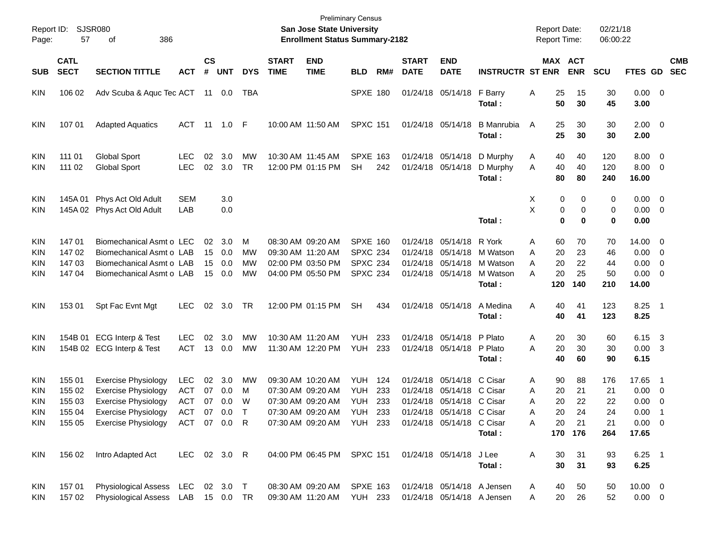| Report ID:<br>Page:                                         | 57                                             | SJSR080<br>386<br>оf                                                                                                                               |                                                               |                      |                              |                            |                             | San Jose State University<br><b>Enrollment Status Summary-2182</b>                                    | <b>Preliminary Census</b>                                                |                   |                             |                                                                                                                                               |                                                      | <b>Report Date:</b><br>Report Time: |                             |                                       | 02/21/18<br>06:00:22               |                                                       |                                                                  |            |
|-------------------------------------------------------------|------------------------------------------------|----------------------------------------------------------------------------------------------------------------------------------------------------|---------------------------------------------------------------|----------------------|------------------------------|----------------------------|-----------------------------|-------------------------------------------------------------------------------------------------------|--------------------------------------------------------------------------|-------------------|-----------------------------|-----------------------------------------------------------------------------------------------------------------------------------------------|------------------------------------------------------|-------------------------------------|-----------------------------|---------------------------------------|------------------------------------|-------------------------------------------------------|------------------------------------------------------------------|------------|
| <b>SUB</b>                                                  | <b>CATL</b><br><b>SECT</b>                     | <b>SECTION TITTLE</b>                                                                                                                              | <b>ACT</b>                                                    | $\mathsf{cs}$<br>#   | <b>UNT</b>                   | <b>DYS</b>                 | <b>START</b><br><b>TIME</b> | <b>END</b><br><b>TIME</b>                                                                             | <b>BLD</b>                                                               | RM#               | <b>START</b><br><b>DATE</b> | <b>END</b><br><b>DATE</b>                                                                                                                     | <b>INSTRUCTR ST ENR</b>                              |                                     |                             | MAX ACT<br><b>ENR</b>                 | <b>SCU</b>                         | FTES GD SEC                                           |                                                                  | <b>CMB</b> |
| <b>KIN</b>                                                  | 106 02                                         | Adv Scuba & Aquc Tec ACT 11 0.0                                                                                                                    |                                                               |                      |                              | TBA                        |                             |                                                                                                       | <b>SPXE 180</b>                                                          |                   |                             | 01/24/18 05/14/18                                                                                                                             | F Barry<br>Total:                                    | Α                                   | 25<br>50                    | 15<br>30                              | 30<br>45                           | $0.00 \t 0$<br>3.00                                   |                                                                  |            |
| <b>KIN</b>                                                  | 107 01                                         | <b>Adapted Aquatics</b>                                                                                                                            | ACT                                                           | - 11                 | 1.0 F                        |                            |                             | 10:00 AM 11:50 AM                                                                                     | <b>SPXC 151</b>                                                          |                   |                             | 01/24/18 05/14/18                                                                                                                             | <b>B</b> Manrubia<br>Total:                          | A                                   | 25<br>25                    | 30<br>30                              | 30<br>30                           | $2.00 \t 0$<br>2.00                                   |                                                                  |            |
| <b>KIN</b><br>KIN                                           | 111 01<br>111 02                               | <b>Global Sport</b><br><b>Global Sport</b>                                                                                                         | <b>LEC</b><br><b>LEC</b>                                      | 02<br>02             | 3.0<br>3.0                   | MW<br><b>TR</b>            |                             | 10:30 AM 11:45 AM<br>12:00 PM 01:15 PM                                                                | <b>SPXE 163</b><br><b>SH</b>                                             | 242               |                             | 01/24/18 05/14/18<br>01/24/18 05/14/18                                                                                                        | D Murphy<br>D Murphy<br>Total:                       | A<br>A                              | 40<br>40<br>80              | 40<br>40<br>80                        | 120<br>120<br>240                  | 8.00<br>8.00<br>16.00                                 | 0<br>0                                                           |            |
| <b>KIN</b><br><b>KIN</b>                                    | 145A 01                                        | Phys Act Old Adult<br>145A 02 Phys Act Old Adult                                                                                                   | <b>SEM</b><br>LAB                                             |                      | 3.0<br>0.0                   |                            |                             |                                                                                                       |                                                                          |                   |                             |                                                                                                                                               | Total:                                               | X<br>X                              | 0<br>0<br>$\bf{0}$          | 0<br>$\mathbf 0$<br>$\bf{0}$          | 0<br>0<br>$\mathbf 0$              | 0.00<br>0.00<br>0.00                                  | $\overline{0}$<br>$\overline{\mathbf{0}}$                        |            |
| <b>KIN</b><br><b>KIN</b><br><b>KIN</b><br>KIN               | 14701<br>147 02<br>147 03<br>14704             | Biomechanical Asmt o LEC<br>Biomechanical Asmt o LAB<br>Biomechanical Asmt o LAB<br>Biomechanical Asmt o LAB                                       |                                                               | 02<br>15<br>15<br>15 | 3.0<br>0.0<br>0.0<br>0.0     | м<br><b>MW</b><br>MW<br>MW |                             | 08:30 AM 09:20 AM<br>09:30 AM 11:20 AM<br>02:00 PM 03:50 PM<br>04:00 PM 05:50 PM                      | <b>SPXE 160</b><br><b>SPXC 234</b><br><b>SPXC 234</b><br><b>SPXC 234</b> |                   |                             | 01/24/18 05/14/18<br>01/24/18 05/14/18<br>01/24/18 05/14/18<br>01/24/18 05/14/18                                                              | R York<br>M Watson<br>M Watson<br>M Watson<br>Total: | A<br>A<br>A<br>A                    | 60<br>20<br>20<br>20<br>120 | 70<br>23<br>22<br>25<br>140           | 70<br>46<br>44<br>50<br>210        | 14.00<br>0.00<br>0.00<br>0.00<br>14.00                | 0<br>0<br>0<br>0                                                 |            |
| <b>KIN</b>                                                  | 153 01                                         | Spt Fac Evnt Mgt                                                                                                                                   | <b>LEC</b>                                                    | 02                   | 3.0                          | TR                         |                             | 12:00 PM 01:15 PM                                                                                     | <b>SH</b>                                                                | 434               |                             | 01/24/18 05/14/18                                                                                                                             | A Medina<br>Total:                                   | Α                                   | 40<br>40                    | 41<br>41                              | 123<br>123                         | 8.25<br>8.25                                          | $\overline{\phantom{0}}$ 1                                       |            |
| <b>KIN</b><br><b>KIN</b>                                    |                                                | 154B 01 ECG Interp & Test<br>154B 02 ECG Interp & Test                                                                                             | <b>LEC</b><br><b>ACT</b>                                      | 02<br>13             | 3.0<br>0.0                   | MW<br>MW                   |                             | 10:30 AM 11:20 AM<br>11:30 AM 12:20 PM                                                                | YUH<br>YUH                                                               | 233<br>233        |                             | 01/24/18 05/14/18<br>01/24/18 05/14/18                                                                                                        | P Plato<br>P Plato<br>Total:                         | A<br>A                              | 20<br>20<br>40              | 30<br>30<br>60                        | 60<br>30<br>90                     | 6.15<br>0.00<br>6.15                                  | $\overline{\mathbf{3}}$<br>-3                                    |            |
| <b>KIN</b><br><b>KIN</b><br>KIN<br><b>KIN</b><br><b>KIN</b> | 155 01<br>155 02<br>155 03<br>155 04<br>155 05 | <b>Exercise Physiology</b><br><b>Exercise Physiology</b><br><b>Exercise Physiology</b><br><b>Exercise Physiology</b><br><b>Exercise Physiology</b> | <b>LEC</b><br><b>ACT</b><br><b>ACT</b><br>ACT<br>ACT 07 0.0 R | 02<br>07<br>07       | 3.0<br>0.0<br>0.0<br>07  0.0 | МW<br>м<br>W<br>$\top$     |                             | 09:30 AM 10:20 AM<br>07:30 AM 09:20 AM<br>07:30 AM 09:20 AM<br>07:30 AM 09:20 AM<br>07:30 AM 09:20 AM | YUH<br><b>YUH</b><br>YUH<br><b>YUH 233</b><br><b>YUH 233</b>             | 124<br>233<br>233 |                             | 01/24/18 05/14/18 C Cisar<br>01/24/18 05/14/18 C Cisar<br>01/24/18 05/14/18 C Cisar<br>01/24/18 05/14/18 C Cisar<br>01/24/18 05/14/18 C Cisar | Total:                                               | A<br>A<br>Α<br>Α<br>Α               | 90<br>20<br>20<br>20<br>20  | 88<br>21<br>22<br>24<br>21<br>170 176 | 176<br>21<br>22<br>24<br>21<br>264 | 17.65<br>0.00<br>0.00<br>0.00<br>$0.00 \t 0$<br>17.65 | $\overline{\phantom{1}}$<br>0<br>0<br>$\overline{\phantom{0}}$ 1 |            |
| KIN                                                         | 156 02                                         | Intro Adapted Act                                                                                                                                  | LEC 02 3.0 R                                                  |                      |                              |                            |                             | 04:00 PM 06:45 PM SPXC 151                                                                            |                                                                          |                   |                             | 01/24/18 05/14/18                                                                                                                             | J Lee<br>Total:                                      | Α                                   | 30<br>30                    | 31<br>31                              | 93<br>93                           | $6.25$ 1<br>6.25                                      |                                                                  |            |
| <b>KIN</b><br>KIN                                           | 157 01<br>157 02                               | Physiological Assess LEC<br>Physiological Assess LAB 15 0.0 TR                                                                                     |                                                               |                      | 02 3.0 T                     |                            |                             | 08:30 AM 09:20 AM<br>09:30 AM 11:20 AM                                                                | <b>SPXE 163</b><br><b>YUH 233</b>                                        |                   |                             | 01/24/18 05/14/18 A Jensen<br>01/24/18 05/14/18 A Jensen                                                                                      |                                                      | A<br>Α                              | 40<br>20                    | 50<br>26                              | 50<br>52                           | $10.00 \t 0$<br>$0.00 \t 0$                           |                                                                  |            |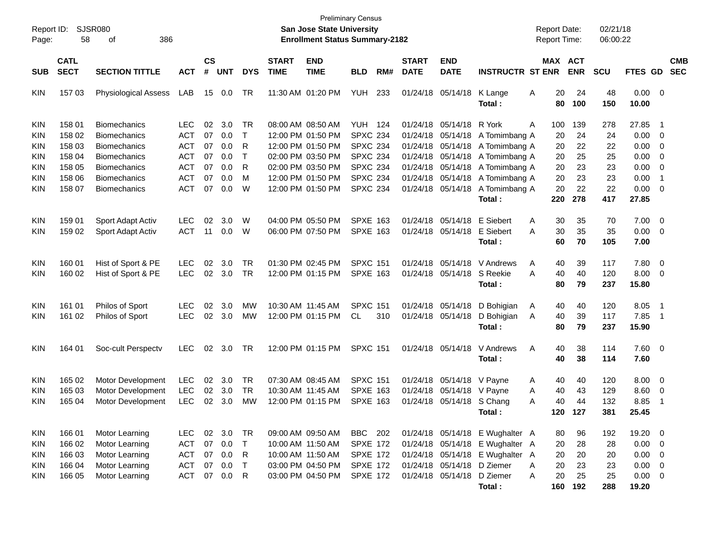| Report ID:<br>Page:      | 58                                   | <b>SJSR080</b><br>386<br>οf                                          |                                                      |                             |                             |                             |                             | <b>Preliminary Census</b><br>San Jose State University<br><b>Enrollment Status Summary-2182</b> |                                                                  |     |                             |                                                                     |                                                                                                                                     | <b>Report Date:</b><br><b>Report Time:</b> |                       | 02/21/18<br>06:00:22     |                                 |                                           |                          |
|--------------------------|--------------------------------------|----------------------------------------------------------------------|------------------------------------------------------|-----------------------------|-----------------------------|-----------------------------|-----------------------------|-------------------------------------------------------------------------------------------------|------------------------------------------------------------------|-----|-----------------------------|---------------------------------------------------------------------|-------------------------------------------------------------------------------------------------------------------------------------|--------------------------------------------|-----------------------|--------------------------|---------------------------------|-------------------------------------------|--------------------------|
| <b>SUB</b>               | <b>CATL</b><br><b>SECT</b>           | <b>SECTION TITTLE</b>                                                | <b>ACT</b>                                           | $\mathbf{c}\mathbf{s}$<br># | <b>UNT</b>                  | <b>DYS</b>                  | <b>START</b><br><b>TIME</b> | <b>END</b><br><b>TIME</b>                                                                       | <b>BLD</b>                                                       | RM# | <b>START</b><br><b>DATE</b> | <b>END</b><br><b>DATE</b>                                           | <b>INSTRUCTR ST ENR</b>                                                                                                             |                                            | MAX ACT<br><b>ENR</b> | <b>SCU</b>               | FTES GD                         |                                           | <b>CMB</b><br><b>SEC</b> |
| KIN                      | 157 03                               | <b>Physiological Assess</b>                                          | LAB                                                  | 15                          | 0.0                         | TR                          |                             | 11:30 AM 01:20 PM                                                                               | <b>YUH</b>                                                       | 233 |                             | 01/24/18 05/14/18                                                   | K Lange<br>Total:                                                                                                                   | 20<br>A<br>80                              | 24<br>100             | 48<br>150                | 0.00<br>10.00                   | $\overline{\mathbf{0}}$                   |                          |
| KIN<br>KIN               | 158 01<br>158 02                     | <b>Biomechanics</b><br><b>Biomechanics</b>                           | <b>LEC</b><br><b>ACT</b>                             | 02<br>07                    | 3.0<br>0.0                  | TR<br>$\top$                |                             | 08:00 AM 08:50 AM<br>12:00 PM 01:50 PM                                                          | <b>YUH 124</b><br><b>SPXC 234</b>                                |     | 01/24/18                    | 01/24/18 05/14/18                                                   | R York<br>05/14/18 A Tomimbang A                                                                                                    | Α<br>100<br>20                             | 139<br>24             | 278<br>24                | 27.85<br>0.00                   | -1<br>0                                   |                          |
| KIN<br>KIN<br>KIN        | 158 03<br>158 04<br>158 05           | <b>Biomechanics</b><br><b>Biomechanics</b><br><b>Biomechanics</b>    | <b>ACT</b><br><b>ACT</b><br><b>ACT</b>               | 07<br>07<br>07              | 0.0<br>0.0<br>0.0           | R<br>$\mathsf T$<br>R       |                             | 12:00 PM 01:50 PM<br>02:00 PM 03:50 PM<br>02:00 PM 03:50 PM                                     | <b>SPXC 234</b><br><b>SPXC 234</b><br><b>SPXC 234</b>            |     | 01/24/18                    | 05/14/18<br>01/24/18 05/14/18                                       | A Tomimbang A<br>01/24/18 05/14/18 A Tomimbang A<br>A Tomimbang A                                                                   | 20<br>20<br>20                             | 22<br>25<br>23        | 22<br>25<br>23           | 0.00<br>0.00<br>0.00            | 0<br>0<br>0                               |                          |
| KIN<br>KIN               | 158 06<br>158 07                     | <b>Biomechanics</b><br><b>Biomechanics</b>                           | <b>ACT</b><br><b>ACT</b>                             | 07<br>07                    | 0.0<br>0.0                  | M<br>W                      |                             | 12:00 PM 01:50 PM<br>12:00 PM 01:50 PM                                                          | <b>SPXC 234</b><br><b>SPXC 234</b>                               |     |                             | 01/24/18 05/14/18                                                   | 01/24/18 05/14/18 A Tomimbang A<br>A Tomimbang A<br>Total:                                                                          | 20<br>20<br>220                            | 23<br>22<br>278       | 23<br>22<br>417          | 0.00<br>0.00<br>27.85           | $\overline{1}$<br>0                       |                          |
| KIN<br>KIN               | 159 01<br>159 02                     | Sport Adapt Activ<br>Sport Adapt Activ                               | <b>LEC</b><br><b>ACT</b>                             | 02<br>11                    | 3.0<br>0.0                  | W<br>W                      |                             | 04:00 PM 05:50 PM<br>06:00 PM 07:50 PM                                                          | <b>SPXE 163</b><br><b>SPXE 163</b>                               |     |                             | 01/24/18 05/14/18<br>01/24/18 05/14/18                              | E Siebert<br>E Siebert<br>Total:                                                                                                    | 30<br>A<br>30<br>A<br>60                   | 35<br>35<br>70        | 70<br>35<br>105          | 7.00<br>0.00<br>7.00            | $\overline{0}$<br>0                       |                          |
| <b>KIN</b><br>KIN        | 160 01<br>160 02                     | Hist of Sport & PE<br>Hist of Sport & PE                             | <b>LEC</b><br><b>LEC</b>                             | 02<br>02                    | 3.0<br>3.0                  | TR<br>TR                    |                             | 01:30 PM 02:45 PM<br>12:00 PM 01:15 PM                                                          | <b>SPXC 151</b><br><b>SPXE 163</b>                               |     |                             | 01/24/18 05/14/18<br>01/24/18 05/14/18                              | V Andrews<br>S Reekie<br>Total:                                                                                                     | Α<br>40<br>A<br>40<br>80                   | 39<br>40<br>79        | 117<br>120<br>237        | 7.80<br>8.00<br>15.80           | $\overline{0}$<br>0                       |                          |
| KIN<br>KIN               | 161 01<br>161 02                     | Philos of Sport<br><b>Philos of Sport</b>                            | <b>LEC</b><br><b>LEC</b>                             | 02<br>02                    | 3.0<br>3.0                  | МW<br>MW                    |                             | 10:30 AM 11:45 AM<br>12:00 PM 01:15 PM                                                          | <b>SPXC 151</b><br>CL.                                           | 310 |                             | 01/24/18 05/14/18<br>01/24/18 05/14/18                              | D Bohigian<br>D Bohigian<br>Total:                                                                                                  | A<br>40<br>40<br>A<br>80                   | 40<br>39<br>79        | 120<br>117<br>237        | 8.05<br>7.85<br>15.90           | $\overline{\mathbf{1}}$<br>$\overline{1}$ |                          |
| <b>KIN</b>               | 164 01                               | Soc-cult Perspectv                                                   | <b>LEC</b>                                           | 02                          | 3.0                         | TR                          |                             | 12:00 PM 01:15 PM                                                                               | <b>SPXC 151</b>                                                  |     |                             | 01/24/18 05/14/18                                                   | V Andrews<br>Total:                                                                                                                 | Α<br>40<br>40                              | 38<br>38              | 114<br>114               | $7.60$ 0<br>7.60                |                                           |                          |
| KIN<br>KIN<br>KIN        | 165 02<br>165 03<br>165 04           | <b>Motor Development</b><br>Motor Development<br>Motor Development   | <b>LEC</b><br><b>LEC</b><br><b>LEC</b>               | 02<br>02<br>02              | 3.0<br>3.0<br>3.0           | TR<br>TR<br>MW              |                             | 07:30 AM 08:45 AM<br>10:30 AM 11:45 AM<br>12:00 PM 01:15 PM                                     | <b>SPXC 151</b><br><b>SPXE 163</b><br><b>SPXE 163</b>            |     |                             | 01/24/18 05/14/18<br>01/24/18 05/14/18 V Payne<br>01/24/18 05/14/18 | V Payne<br>S Chang<br>Total:                                                                                                        | A<br>40<br>A<br>40<br>A<br>40<br>120       | 40<br>43<br>44<br>127 | 120<br>129<br>132<br>381 | 8.00<br>8.60<br>8.85<br>25.45   | $\overline{0}$<br>0<br>-1                 |                          |
| KIN<br>KIN<br>KIN<br>KIN | 166 01<br>166 02<br>166 03<br>166 04 | Motor Learning<br>Motor Learning<br>Motor Learning<br>Motor Learning | <b>LEC</b><br><b>ACT</b><br><b>ACT</b><br><b>ACT</b> | 07<br>07<br>07              | 02 3.0<br>0.0<br>0.0<br>0.0 | TR<br>$\top$<br>R<br>$\top$ |                             | 09:00 AM 09:50 AM<br>10:00 AM 11:50 AM<br>10:00 AM 11:50 AM<br>03:00 PM 04:50 PM                | BBC 202<br><b>SPXE 172</b><br><b>SPXE 172</b><br><b>SPXE 172</b> |     |                             |                                                                     | 01/24/18 05/14/18 E Wughalter A<br>01/24/18 05/14/18 E Wughalter A<br>01/24/18 05/14/18 E Wughalter A<br>01/24/18 05/14/18 D Ziemer | 80<br>20<br>20<br>Α<br>20                  | 96<br>28<br>20<br>23  | 192<br>28<br>20<br>23    | 19.20 0<br>0.00<br>0.00<br>0.00 | $\overline{0}$<br>0<br>0                  |                          |
| KIN                      | 166 05                               | Motor Learning                                                       | ACT                                                  | 07                          | 0.0                         | R                           |                             | 03:00 PM 04:50 PM                                                                               | <b>SPXE 172</b>                                                  |     |                             | 01/24/18 05/14/18                                                   | D Ziemer<br>Total:                                                                                                                  | 20<br>A<br>160                             | 25<br>192             | 25<br>288                | $0.00 \t 0$<br>19.20            |                                           |                          |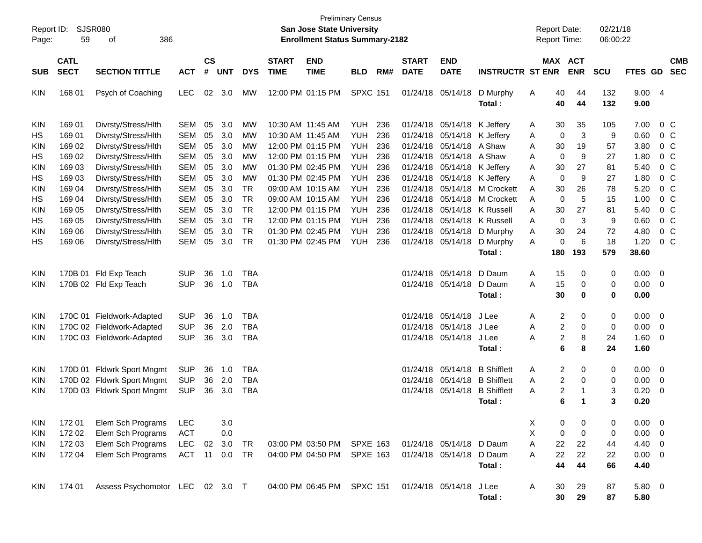| Report ID:<br>Page: | 59          | SJSR080<br>386<br>οf            |            |               |            |            |              | <b>San Jose State University</b><br><b>Enrollment Status Summary-2182</b> | <b>Preliminary Census</b> |     |              |                             |                              |   | <b>Report Date:</b><br>Report Time: |            | 02/21/18<br>06:00:22 |                |                         |                |
|---------------------|-------------|---------------------------------|------------|---------------|------------|------------|--------------|---------------------------------------------------------------------------|---------------------------|-----|--------------|-----------------------------|------------------------------|---|-------------------------------------|------------|----------------------|----------------|-------------------------|----------------|
|                     | <b>CATL</b> |                                 |            | $\mathsf{cs}$ |            |            | <b>START</b> | <b>END</b>                                                                |                           |     | <b>START</b> | <b>END</b>                  |                              |   | MAX ACT                             |            |                      |                |                         | <b>CMB</b>     |
| <b>SUB</b>          | <b>SECT</b> | <b>SECTION TITTLE</b>           | <b>ACT</b> | #             | <b>UNT</b> | <b>DYS</b> | <b>TIME</b>  | <b>TIME</b>                                                               | <b>BLD</b>                | RM# | <b>DATE</b>  | <b>DATE</b>                 | <b>INSTRUCTR ST ENR</b>      |   |                                     | <b>ENR</b> | <b>SCU</b>           | <b>FTES GD</b> |                         | <b>SEC</b>     |
| KIN                 | 168 01      | Psych of Coaching               | <b>LEC</b> | 02            | 3.0        | MW         |              | 12:00 PM 01:15 PM                                                         | <b>SPXC 151</b>           |     |              | 01/24/18 05/14/18           | D Murphy                     | A | 40                                  | 44         | 132                  | 9.004          |                         |                |
|                     |             |                                 |            |               |            |            |              |                                                                           |                           |     |              |                             | Total:                       |   | 40                                  | 44         | 132                  | 9.00           |                         |                |
| KIN                 | 169 01      | Divrsty/Stress/Hlth             | <b>SEM</b> | 05            | 3.0        | МW         |              | 10:30 AM 11:45 AM                                                         | YUH                       | 236 |              | 01/24/18 05/14/18 K Jeffery |                              | A | 30                                  | 35         | 105                  | 7.00           |                         | 0 <sup>o</sup> |
| HS                  | 169 01      | Divrsty/Stress/Hlth             | <b>SEM</b> | 05            | 3.0        | <b>MW</b>  |              | 10:30 AM 11:45 AM                                                         | <b>YUH</b>                | 236 |              | 01/24/18 05/14/18 K Jeffery |                              | A | 0                                   | 3          | 9                    | 0.60           |                         | 0 <sup>o</sup> |
| KIN                 | 169 02      | Divrsty/Stress/Hlth             | <b>SEM</b> | 05            | 3.0        | <b>MW</b>  |              | 12:00 PM 01:15 PM                                                         | <b>YUH</b>                | 236 |              | 01/24/18 05/14/18 A Shaw    |                              | A | 30                                  | 19         | 57                   | 3.80           |                         | 0 <sup>o</sup> |
| HS                  | 169 02      | Divrsty/Stress/Hlth             | <b>SEM</b> | 05            | 3.0        | <b>MW</b>  |              | 12:00 PM 01:15 PM                                                         | <b>YUH</b>                | 236 |              | 01/24/18 05/14/18 A Shaw    |                              | A | $\mathbf 0$                         | 9          | 27                   | 1.80           |                         | 0 <sup>o</sup> |
| KIN                 | 169 03      | Divrsty/Stress/Hlth             | <b>SEM</b> | 05            | 3.0        | <b>MW</b>  |              | 01:30 PM 02:45 PM                                                         | <b>YUH</b>                | 236 |              | 01/24/18 05/14/18 K Jeffery |                              | A | 30                                  | 27         | 81                   | 5.40           |                         | 0 <sup>o</sup> |
| HS                  | 169 03      | Divrsty/Stress/Hlth             | <b>SEM</b> | 05            | 3.0        | <b>MW</b>  |              | 01:30 PM 02:45 PM                                                         | <b>YUH</b>                | 236 |              | 01/24/18 05/14/18 K Jeffery |                              | A | $\mathbf 0$                         | 9          | 27                   | 1.80           |                         | 0 <sup>o</sup> |
| KIN                 | 169 04      | Divrsty/Stress/Hlth             | <b>SEM</b> | 05            | 3.0        | <b>TR</b>  |              | 09:00 AM 10:15 AM                                                         | <b>YUH</b>                | 236 |              |                             | 01/24/18 05/14/18 M Crockett | A | 30                                  | 26         | 78                   | 5.20           |                         | 0 <sup>o</sup> |
| HS                  | 169 04      | Divrsty/Stress/Hlth             | <b>SEM</b> | 05            | 3.0        | <b>TR</b>  |              | 09:00 AM 10:15 AM                                                         | <b>YUH</b>                | 236 |              |                             | 01/24/18 05/14/18 M Crockett | A | $\mathbf 0$                         | 5          | 15                   | 1.00           |                         | $0\,C$         |
| KIN                 | 169 05      | Divrsty/Stress/Hlth             | <b>SEM</b> | 05            | 3.0        | <b>TR</b>  |              | 12:00 PM 01:15 PM                                                         | <b>YUH</b>                | 236 |              |                             | 01/24/18 05/14/18 K Russell  | A | 30                                  | 27         | 81                   | 5.40           |                         | 0 <sup>o</sup> |
| HS                  | 169 05      | Divrsty/Stress/Hlth             | <b>SEM</b> | 05            | 3.0        | <b>TR</b>  |              | 12:00 PM 01:15 PM                                                         | <b>YUH</b>                | 236 |              |                             | 01/24/18 05/14/18 K Russell  | A | $\mathbf 0$                         | 3          | 9                    | 0.60           |                         | 0 <sup>o</sup> |
| KIN                 | 169 06      | Divrsty/Stress/Hlth             | <b>SEM</b> | 05            | 3.0        | <b>TR</b>  |              | 01:30 PM 02:45 PM                                                         | <b>YUH</b>                | 236 |              |                             | 01/24/18 05/14/18 D Murphy   | A | 30                                  | 24         | 72                   | 4.80           |                         | $0\,C$         |
| HS                  | 169 06      | Divrsty/Stress/Hlth             | <b>SEM</b> | 05            | 3.0        | <b>TR</b>  |              | 01:30 PM 02:45 PM                                                         | <b>YUH</b>                | 236 |              | 01/24/18 05/14/18           | D Murphy                     | A | $\mathbf 0$                         | 6          | 18                   | 1.20           |                         | $0\,C$         |
|                     |             |                                 |            |               |            |            |              |                                                                           |                           |     |              |                             | Total:                       |   | 180                                 | 193        | 579                  | 38.60          |                         |                |
| KIN                 | 170B 01     | Fld Exp Teach                   | <b>SUP</b> | 36            | 1.0        | <b>TBA</b> |              |                                                                           |                           |     |              | 01/24/18 05/14/18 D Daum    |                              | Α | 15                                  | 0          | 0                    | 0.00           | $\overline{0}$          |                |
| KIN                 |             | 170B 02 Fld Exp Teach           | <b>SUP</b> | 36            | 1.0        | <b>TBA</b> |              |                                                                           |                           |     |              | 01/24/18 05/14/18           | D Daum                       | Α | 15                                  | 0          | 0                    | 0.00           | $\overline{0}$          |                |
|                     |             |                                 |            |               |            |            |              |                                                                           |                           |     |              |                             | Total :                      |   | 30                                  | $\bf{0}$   | 0                    | 0.00           |                         |                |
| <b>KIN</b>          |             | 170C 01 Fieldwork-Adapted       | <b>SUP</b> | 36            | 1.0        | <b>TBA</b> |              |                                                                           |                           |     |              | 01/24/18 05/14/18           | J Lee                        | A | 2                                   | 0          | 0                    | 0.00           | $\overline{0}$          |                |
| KIN                 |             | 170C 02 Fieldwork-Adapted       | <b>SUP</b> | 36            | 2.0        | <b>TBA</b> |              |                                                                           |                           |     |              | 01/24/18 05/14/18           | J Lee                        | Α | 2                                   | 0          | $\mathbf 0$          | 0.00           | $\mathbf 0$             |                |
| KIN                 |             | 170C 03 Fieldwork-Adapted       | <b>SUP</b> | 36            | 3.0        | <b>TBA</b> |              |                                                                           |                           |     |              | 01/24/18 05/14/18           | J Lee                        | Α | 2                                   | 8          | 24                   | 1.60           | $\overline{0}$          |                |
|                     |             |                                 |            |               |            |            |              |                                                                           |                           |     |              |                             | Total:                       |   | 6                                   | 8          | 24                   | 1.60           |                         |                |
| KIN                 |             | 170D 01 Fldwrk Sport Mngmt      | <b>SUP</b> | 36            | 1.0        | <b>TBA</b> |              |                                                                           |                           |     |              | 01/24/18 05/14/18           | <b>B</b> Shifflett           | A | 2                                   | 0          | 0                    | 0.00           | $\overline{\mathbf{0}}$ |                |
| KIN                 |             | 170D 02 Fldwrk Sport Mngmt      | <b>SUP</b> | 36            | 2.0        | <b>TBA</b> |              |                                                                           |                           |     |              | 01/24/18 05/14/18           | <b>B</b> Shifflett           | Α | $\overline{2}$                      | 0          | 0                    | 0.00           | 0                       |                |
| KIN                 |             | 170D 03 Fldwrk Sport Mngmt      | <b>SUP</b> | 36            | 3.0        | <b>TBA</b> |              |                                                                           |                           |     |              | 01/24/18 05/14/18           | <b>B</b> Shifflett           | Α | 2                                   | 1          | 3                    | 0.20           | 0                       |                |
|                     |             |                                 |            |               |            |            |              |                                                                           |                           |     |              |                             | Total :                      |   | 6                                   | 1          | 3                    | 0.20           |                         |                |
| <b>KIN</b>          | 172 01      | Elem Sch Programs               | <b>LEC</b> |               | 3.0        |            |              |                                                                           |                           |     |              |                             |                              | Χ | 0                                   | 0          | 0                    | 0.00           | $\overline{\mathbf{0}}$ |                |
| <b>KIN</b>          | 172 02      | Elem Sch Programs               | <b>ACT</b> |               | 0.0        |            |              |                                                                           |                           |     |              |                             |                              | X | 0                                   | 0          | 0                    | 0.00           | $\overline{\mathbf{0}}$ |                |
| KIN                 | 172 03      | Elem Sch Programs               | <b>LEC</b> | $02\,$        | 3.0        | <b>TR</b>  |              | 03:00 PM 03:50 PM                                                         | <b>SPXE 163</b>           |     |              | 01/24/18 05/14/18 D Daum    |                              | Α | 22                                  | 22         | 44                   | 4.40           | $\overline{\mathbf{0}}$ |                |
| <b>KIN</b>          | 172 04      | Elem Sch Programs               | ACT        | 11            | 0.0        | <b>TR</b>  |              | 04:00 PM 04:50 PM                                                         | <b>SPXE 163</b>           |     |              | 01/24/18 05/14/18 D Daum    |                              | Α | 22                                  | 22         | 22                   | 0.00           | $\overline{\mathbf{0}}$ |                |
|                     |             |                                 |            |               |            |            |              |                                                                           |                           |     |              |                             | Total:                       |   | 44                                  | 44         | 66                   | 4.40           |                         |                |
| KIN                 | 174 01      | Assess Psychomotor LEC 02 3.0 T |            |               |            |            |              | 04:00 PM 06:45 PM                                                         | <b>SPXC 151</b>           |     |              | 01/24/18 05/14/18           | J Lee                        | A | 30                                  | 29         | 87                   | 5.80 0         |                         |                |
|                     |             |                                 |            |               |            |            |              |                                                                           |                           |     |              |                             | Total:                       |   | 30                                  | 29         | 87                   | 5.80           |                         |                |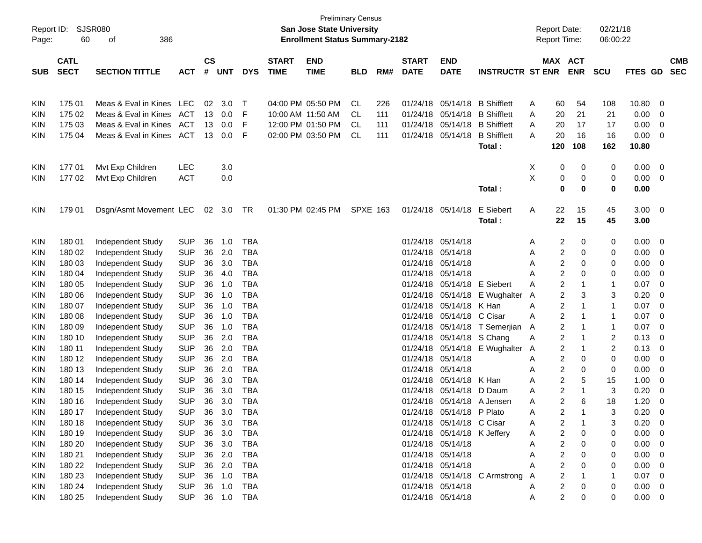| Report ID:<br>Page: | 60          | SJSR080<br>386<br>οf     |            |               |            |            |              | San Jose State University<br><b>Enrollment Status Summary-2182</b> | <b>Preliminary Census</b> |     |              |                             |                               |        |                         | <b>Report Date:</b><br><b>Report Time:</b> | 02/21/18<br>06:00:22 |         |                |            |
|---------------------|-------------|--------------------------|------------|---------------|------------|------------|--------------|--------------------------------------------------------------------|---------------------------|-----|--------------|-----------------------------|-------------------------------|--------|-------------------------|--------------------------------------------|----------------------|---------|----------------|------------|
|                     | <b>CATL</b> |                          |            | $\mathsf{cs}$ |            |            | <b>START</b> | <b>END</b>                                                         |                           |     | <b>START</b> | <b>END</b>                  |                               |        |                         | MAX ACT                                    |                      |         |                | <b>CMB</b> |
| <b>SUB</b>          | <b>SECT</b> | <b>SECTION TITTLE</b>    | <b>ACT</b> | #             | <b>UNT</b> | <b>DYS</b> | <b>TIME</b>  | <b>TIME</b>                                                        | <b>BLD</b>                | RM# | <b>DATE</b>  | <b>DATE</b>                 | <b>INSTRUCTR ST ENR</b>       |        |                         | <b>ENR</b>                                 | <b>SCU</b>           | FTES GD |                | <b>SEC</b> |
|                     |             |                          |            |               |            |            |              |                                                                    |                           |     |              |                             |                               |        |                         |                                            |                      |         |                |            |
|                     | 175 01      | Meas & Eval in Kines     | LEC        | 02            | 3.0        | т          |              | 04:00 PM 05:50 PM                                                  | <b>CL</b>                 | 226 | 01/24/18     | 05/14/18                    | <b>B</b> Shifflett            |        | 60                      | 54                                         | 108                  | 10.80   | 0              |            |
| KIN<br><b>KIN</b>   | 175 02      | Meas & Eval in Kines     | ACT        | 13            | 0.0        | F          |              | 10:00 AM 11:50 AM                                                  | CL.                       | 111 | 01/24/18     | 05/14/18                    | <b>B</b> Shifflett            | A<br>A | 20                      | 21                                         | 21                   | 0.00    | 0              |            |
| <b>KIN</b>          | 175 03      | Meas & Eval in Kines     | ACT        | 13            | 0.0        | F          |              | 12:00 PM 01:50 PM                                                  | CL.                       | 111 | 01/24/18     | 05/14/18                    | <b>B</b> Shifflett            | A      | 20                      | 17                                         | 17                   | 0.00    | 0              |            |
| <b>KIN</b>          | 175 04      | Meas & Eval in Kines     | ACT        | 13            | 0.0        | F          |              | 02:00 PM 03:50 PM                                                  | <b>CL</b>                 | 111 | 01/24/18     | 05/14/18                    | <b>B</b> Shifflett            | A      | 20                      | 16                                         | 16                   | 0.00    | 0              |            |
|                     |             |                          |            |               |            |            |              |                                                                    |                           |     |              |                             | <b>Total :</b>                |        | 120                     | 108                                        | 162                  | 10.80   |                |            |
|                     |             |                          |            |               |            |            |              |                                                                    |                           |     |              |                             |                               |        |                         |                                            |                      |         |                |            |
| KIN                 | 17701       | Mvt Exp Children         | LEC        |               | 3.0        |            |              |                                                                    |                           |     |              |                             |                               | Χ      | 0                       | 0                                          | 0                    | 0.00    | 0              |            |
| KIN                 | 17702       | Mvt Exp Children         | <b>ACT</b> |               | 0.0        |            |              |                                                                    |                           |     |              |                             |                               | X      | 0                       | 0                                          | 0                    | 0.00    | $\mathbf 0$    |            |
|                     |             |                          |            |               |            |            |              |                                                                    |                           |     |              |                             | Total:                        |        | 0                       | 0                                          | 0                    | 0.00    |                |            |
|                     |             |                          |            |               |            |            |              |                                                                    |                           |     |              |                             |                               |        |                         |                                            |                      |         |                |            |
| KIN                 | 179 01      | Dsgn/Asmt Movement LEC   |            |               | 02 3.0     | TR         |              | 01:30 PM 02:45 PM                                                  | <b>SPXE 163</b>           |     |              | 01/24/18 05/14/18           | E Siebert                     | Α      | 22                      | 15                                         | 45                   | 3.00    | $\overline{0}$ |            |
|                     |             |                          |            |               |            |            |              |                                                                    |                           |     |              |                             | <b>Total :</b>                |        | 22                      | 15                                         | 45                   | 3.00    |                |            |
|                     |             |                          |            |               |            |            |              |                                                                    |                           |     |              |                             |                               |        |                         |                                            |                      |         |                |            |
| KIN                 | 180 01      | Independent Study        | <b>SUP</b> | 36            | 1.0        | <b>TBA</b> |              |                                                                    |                           |     | 01/24/18     | 05/14/18                    |                               | A      | $\overline{\mathbf{c}}$ | 0                                          | 0                    | 0.00    | 0              |            |
| KIN                 | 180 02      | Independent Study        | <b>SUP</b> | 36            | 2.0        | <b>TBA</b> |              |                                                                    |                           |     | 01/24/18     | 05/14/18                    |                               | Α      | 2                       | 0                                          | 0                    | 0.00    | 0              |            |
| <b>KIN</b>          | 180 03      | Independent Study        | <b>SUP</b> | 36            | 3.0        | <b>TBA</b> |              |                                                                    |                           |     | 01/24/18     | 05/14/18                    |                               | A      | 2                       | 0                                          | 0                    | 0.00    | 0              |            |
| <b>KIN</b>          | 180 04      | Independent Study        | <b>SUP</b> | 36            | 4.0        | <b>TBA</b> |              |                                                                    |                           |     | 01/24/18     | 05/14/18                    |                               | A      | $\overline{c}$          | 0                                          | 0                    | 0.00    | 0              |            |
| <b>KIN</b>          | 180 05      | Independent Study        | <b>SUP</b> | 36            | 1.0        | <b>TBA</b> |              |                                                                    |                           |     | 01/24/18     | 05/14/18                    | E Siebert                     | A      | 2                       | -1                                         | 1                    | 0.07    | $\mathbf 0$    |            |
| <b>KIN</b>          | 180 06      | Independent Study        | <b>SUP</b> | 36            | 1.0        | <b>TBA</b> |              |                                                                    |                           |     | 01/24/18     | 05/14/18                    | E Wughalter                   | A      | 2                       | 3                                          | 3                    | 0.20    | 0              |            |
| <b>KIN</b>          | 180 07      | Independent Study        | <b>SUP</b> | 36            | 1.0        | <b>TBA</b> |              |                                                                    |                           |     | 01/24/18     | 05/14/18                    | K Han                         | Α      | $\overline{c}$          | 1                                          | 1                    | 0.07    | $\mathbf 0$    |            |
| <b>KIN</b>          | 180 08      | Independent Study        | <b>SUP</b> | 36            | 1.0        | <b>TBA</b> |              |                                                                    |                           |     | 01/24/18     | 05/14/18                    | C Cisar                       | A      | $\overline{2}$          | -1                                         | 1                    | 0.07    | $\mathbf 0$    |            |
| <b>KIN</b>          | 180 09      | Independent Study        | <b>SUP</b> | 36            | 1.0        | <b>TBA</b> |              |                                                                    |                           |     | 01/24/18     | 05/14/18                    | T Semerjian                   | A      | $\overline{c}$          | -1                                         | 1                    | 0.07    | $\mathbf 0$    |            |
| <b>KIN</b>          | 180 10      | Independent Study        | <b>SUP</b> | 36            | 2.0        | <b>TBA</b> |              |                                                                    |                           |     | 01/24/18     | 05/14/18                    | S Chang                       | Α      | $\overline{c}$          | -1                                         | 2                    | 0.13    | 0              |            |
| <b>KIN</b>          | 180 11      | Independent Study        | <b>SUP</b> | 36            | 2.0        | <b>TBA</b> |              |                                                                    |                           |     | 01/24/18     | 05/14/18                    | E Wughalter A                 |        | $\overline{c}$          | -1                                         | 2                    | 0.13    | 0              |            |
| <b>KIN</b>          | 180 12      | Independent Study        | <b>SUP</b> | 36            | 2.0        | <b>TBA</b> |              |                                                                    |                           |     | 01/24/18     | 05/14/18                    |                               | A      | 2                       | 0                                          | 0                    | 0.00    | 0              |            |
| <b>KIN</b>          | 180 13      | Independent Study        | <b>SUP</b> | 36            | 2.0        | <b>TBA</b> |              |                                                                    |                           |     | 01/24/18     | 05/14/18                    |                               | A      | 2                       | 0                                          | 0                    | 0.00    | 0              |            |
| <b>KIN</b>          | 180 14      | Independent Study        | <b>SUP</b> | 36            | 3.0        | <b>TBA</b> |              |                                                                    |                           |     | 01/24/18     | 05/14/18                    | K Han                         | A      | 2                       | 5                                          | 15                   | 1.00    | 0              |            |
| KIN                 | 180 15      | Independent Study        | <b>SUP</b> | 36            | 3.0        | <b>TBA</b> |              |                                                                    |                           |     | 01/24/18     | 05/14/18                    | D Daum                        | A      | 2                       | -1                                         | 3                    | 0.20    | 0              |            |
| <b>KIN</b>          | 180 16      | <b>Independent Study</b> | <b>SUP</b> | 36            | 3.0        | <b>TBA</b> |              |                                                                    |                           |     | 01/24/18     |                             | 05/14/18 A Jensen             | A      | $\overline{2}$          | 6                                          | 18                   | 1.20    | $\mathbf 0$    |            |
| <b>KIN</b>          | 180 17      | Independent Study        | <b>SUP</b> |               | 36 3.0     | <b>TBA</b> |              |                                                                    |                           |     |              | 01/24/18 05/14/18 P Plato   |                               |        | 2                       |                                            |                      | 0.20    | $\Omega$       |            |
| KIN                 | 180 18      | Independent Study        | <b>SUP</b> | 36            | 3.0        | TBA        |              |                                                                    |                           |     |              | 01/24/18 05/14/18 C Cisar   |                               | A      | 2                       | -1                                         | 3                    | 0.20    | 0              |            |
| <b>KIN</b>          | 180 19      | Independent Study        | <b>SUP</b> | 36            | 3.0        | <b>TBA</b> |              |                                                                    |                           |     |              | 01/24/18 05/14/18 K Jeffery |                               | A      | $\overline{c}$          | 0                                          | 0                    | 0.00    | 0              |            |
| <b>KIN</b>          | 180 20      | Independent Study        | <b>SUP</b> | 36            | 3.0        | <b>TBA</b> |              |                                                                    |                           |     |              | 01/24/18 05/14/18           |                               | Α      | 2                       | 0                                          | 0                    | 0.00    | 0              |            |
| <b>KIN</b>          | 180 21      | Independent Study        | <b>SUP</b> |               | 36 2.0     | <b>TBA</b> |              |                                                                    |                           |     |              | 01/24/18 05/14/18           |                               | Α      | 2                       | 0                                          | 0                    | 0.00    | 0              |            |
| <b>KIN</b>          | 180 22      | Independent Study        | <b>SUP</b> | 36            | 2.0        | <b>TBA</b> |              |                                                                    |                           |     |              | 01/24/18 05/14/18           |                               |        | 2                       | 0                                          | 0                    | 0.00    | 0              |            |
| <b>KIN</b>          | 180 23      | Independent Study        | <b>SUP</b> | 36            | 1.0        | <b>TBA</b> |              |                                                                    |                           |     |              |                             | 01/24/18 05/14/18 C Armstrong | A      | 2                       |                                            | 1                    | 0.07    | 0              |            |
| <b>KIN</b>          | 180 24      | Independent Study        | <b>SUP</b> | 36            | 1.0        | <b>TBA</b> |              |                                                                    |                           |     |              | 01/24/18 05/14/18           |                               | Α      | $\overline{c}$          | 0                                          | 0                    | 0.00    | 0              |            |
| <b>KIN</b>          | 180 25      | Independent Study        | <b>SUP</b> |               | 36 1.0 TBA |            |              |                                                                    |                           |     |              | 01/24/18 05/14/18           |                               | A      | $\overline{\mathbf{c}}$ | 0                                          | 0                    | 0.00    | $\overline{0}$ |            |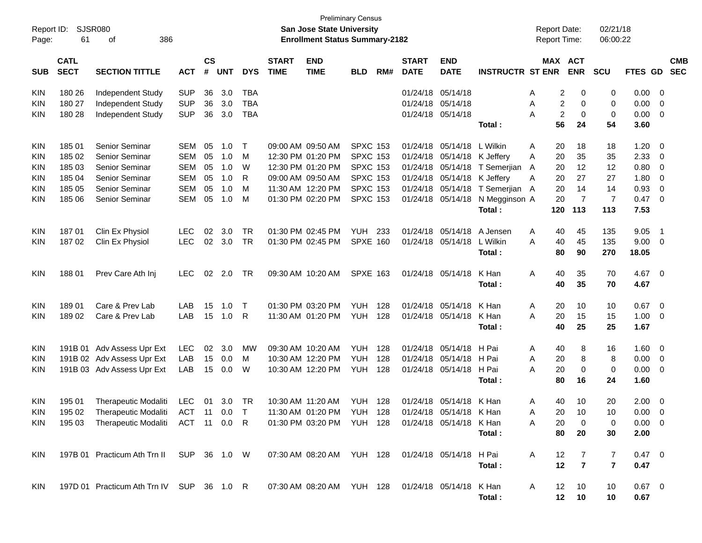| Report ID:<br>Page: | SJSR080<br>61              | 386<br>оf                                                                                  |            |                    |            |            |                             | San Jose State University<br><b>Enrollment Status Summary-2182</b> | <b>Preliminary Census</b> |     |                             |                             |                                 | <b>Report Date:</b><br><b>Report Time:</b> |                |                       | 02/21/18<br>06:00:22 |                |                            |            |
|---------------------|----------------------------|--------------------------------------------------------------------------------------------|------------|--------------------|------------|------------|-----------------------------|--------------------------------------------------------------------|---------------------------|-----|-----------------------------|-----------------------------|---------------------------------|--------------------------------------------|----------------|-----------------------|----------------------|----------------|----------------------------|------------|
| <b>SUB</b>          | <b>CATL</b><br><b>SECT</b> | <b>SECTION TITTLE</b>                                                                      | <b>ACT</b> | $\mathsf{cs}$<br># | <b>UNT</b> | <b>DYS</b> | <b>START</b><br><b>TIME</b> | <b>END</b><br><b>TIME</b>                                          | <b>BLD</b>                | RM# | <b>START</b><br><b>DATE</b> | <b>END</b><br><b>DATE</b>   | <b>INSTRUCTR ST ENR</b>         |                                            |                | MAX ACT<br><b>ENR</b> | <b>SCU</b>           | FTES GD SEC    |                            | <b>CMB</b> |
| <b>KIN</b>          | 180 26                     | Independent Study                                                                          | <b>SUP</b> | 36                 | 3.0        | <b>TBA</b> |                             |                                                                    |                           |     | 01/24/18 05/14/18           |                             |                                 | A                                          | 2              | 0                     | 0                    | 0.00           | - 0                        |            |
| KIN                 | 180 27                     | Independent Study                                                                          | <b>SUP</b> | 36                 | 3.0        | <b>TBA</b> |                             |                                                                    |                           |     |                             | 01/24/18 05/14/18           |                                 | A                                          | 2              | 0                     | 0                    | 0.00           | $\overline{0}$             |            |
| KIN                 | 180 28                     | Independent Study                                                                          | <b>SUP</b> | 36                 | 3.0        | <b>TBA</b> |                             |                                                                    |                           |     |                             | 01/24/18 05/14/18           |                                 | A                                          | $\overline{c}$ | 0                     | 0                    | 0.00           | $\overline{\mathbf{0}}$    |            |
|                     |                            |                                                                                            |            |                    |            |            |                             |                                                                    |                           |     |                             |                             | Total:                          |                                            | 56             | 24                    | 54                   | 3.60           |                            |            |
| <b>KIN</b>          | 185 01                     | Senior Seminar                                                                             | <b>SEM</b> | 05                 | 1.0        | $\top$     |                             | 09:00 AM 09:50 AM                                                  | <b>SPXC 153</b>           |     | 01/24/18                    | 05/14/18 L Wilkin           |                                 | A                                          | 20             | 18                    | 18                   | 1.20           | $\overline{0}$             |            |
| KIN                 | 185 02                     | Senior Seminar                                                                             | <b>SEM</b> | 05                 | 1.0        | M          |                             | 12:30 PM 01:20 PM                                                  | <b>SPXC 153</b>           |     |                             | 01/24/18 05/14/18 K Jeffery |                                 | A                                          | 20             | 35                    | 35                   | 2.33           | $\overline{0}$             |            |
| KIN                 | 185 03                     | Senior Seminar                                                                             | <b>SEM</b> | 05                 | 1.0        | W          |                             | 12:30 PM 01:20 PM                                                  | <b>SPXC 153</b>           |     |                             |                             | 01/24/18 05/14/18 T Semerjian   | A                                          | 20             | 12                    | 12                   | 0.80           | $\overline{0}$             |            |
| KIN                 | 185 04                     | Senior Seminar                                                                             | <b>SEM</b> | 05                 | 1.0        | R          |                             | 09:00 AM 09:50 AM                                                  | <b>SPXC 153</b>           |     |                             | 01/24/18 05/14/18 K Jeffery |                                 | A                                          | 20             | 27                    | 27                   | 1.80           | $\overline{0}$             |            |
| KIN                 | 185 05                     | Senior Seminar                                                                             | <b>SEM</b> | 05                 | 1.0        | M          |                             | 11:30 AM 12:20 PM                                                  | <b>SPXC 153</b>           |     |                             |                             | 01/24/18 05/14/18 T Semerjian A |                                            | 20             | 14                    | 14                   | 0.93           | $\overline{0}$             |            |
| KIN                 | 185 06                     | Senior Seminar                                                                             | <b>SEM</b> | 05                 | 1.0        | M          |                             | 01:30 PM 02:20 PM                                                  | <b>SPXC 153</b>           |     |                             |                             | 01/24/18 05/14/18 N Megginson A |                                            | 20             | $\overline{7}$        | $\overline{7}$       | 0.47           | $\overline{0}$             |            |
|                     |                            |                                                                                            |            |                    |            |            |                             |                                                                    |                           |     |                             |                             | Total:                          |                                            | 120            | 113                   | 113                  | 7.53           |                            |            |
| <b>KIN</b>          | 18701                      | Clin Ex Physiol                                                                            | <b>LEC</b> | 02                 | 3.0        | <b>TR</b>  |                             | 01:30 PM 02:45 PM                                                  | <b>YUH</b>                | 233 | 01/24/18                    | 05/14/18                    | A Jensen                        | A                                          | 40             | 45                    | 135                  | 9.05           | $\overline{\phantom{0}}$ 1 |            |
| KIN                 | 18702                      | Clin Ex Physiol                                                                            | <b>LEC</b> | 02                 | 3.0        | <b>TR</b>  |                             | 01:30 PM 02:45 PM                                                  | <b>SPXE 160</b>           |     |                             | 01/24/18 05/14/18           | L Wilkin                        | A                                          | 40             | 45                    | 135                  | 9.00           | $\overline{\mathbf{0}}$    |            |
|                     |                            |                                                                                            |            |                    |            |            |                             |                                                                    |                           |     |                             |                             | Total:                          |                                            | 80             | 90                    | 270                  | 18.05          |                            |            |
| <b>KIN</b>          | 18801                      | Prev Care Ath Inj                                                                          | <b>LEC</b> | 02                 | 2.0        | TR         |                             | 09:30 AM 10:20 AM                                                  | <b>SPXE 163</b>           |     |                             | 01/24/18 05/14/18           | K Han                           | Α                                          | 40             | 35                    | 70                   | 4.67           | $\overline{0}$             |            |
|                     |                            |                                                                                            |            |                    |            |            |                             |                                                                    |                           |     |                             |                             | Total:                          |                                            | 40             | 35                    | 70                   | 4.67           |                            |            |
| <b>KIN</b>          | 18901                      | Care & Prev Lab                                                                            | LAB        | 15                 | 1.0        | $\top$     |                             | 01:30 PM 03:20 PM                                                  | <b>YUH</b>                | 128 | 01/24/18                    | 05/14/18                    | K Han                           | A                                          | 20             | 10                    | 10                   | 0.67           | $\overline{0}$             |            |
| KIN                 | 18902                      | Care & Prev Lab                                                                            | LAB        | 15                 | 1.0        | R          |                             | 11:30 AM 01:20 PM                                                  | <b>YUH 128</b>            |     |                             | 01/24/18 05/14/18           | K Han                           | A                                          | 20             | 15                    | 15                   | 1.00           | $\overline{\mathbf{0}}$    |            |
|                     |                            |                                                                                            |            |                    |            |            |                             |                                                                    |                           |     |                             |                             | Total:                          |                                            | 40             | 25                    | 25                   | 1.67           |                            |            |
| <b>KIN</b>          |                            | 191B 01 Adv Assess Upr Ext                                                                 | <b>LEC</b> | 02                 | 3.0        | MW         |                             | 09:30 AM 10:20 AM                                                  | <b>YUH</b>                | 128 | 01/24/18                    | 05/14/18                    | H Pai                           | A                                          | 40             | 8                     | 16                   | 1.60           | $\overline{\mathbf{0}}$    |            |
| KIN                 |                            | 191B 02 Adv Assess Upr Ext                                                                 | LAB        | 15                 | 0.0        | м          |                             | 10:30 AM 12:20 PM                                                  | <b>YUH</b>                | 128 | 01/24/18                    | 05/14/18                    | H Pai                           | A                                          | 20             | 8                     | 8                    | 0.00           | $\overline{\mathbf{0}}$    |            |
| KIN                 |                            | 191B 03 Adv Assess Upr Ext                                                                 | LAB        | 15                 | 0.0        | W          |                             | 10:30 AM 12:20 PM                                                  | YUH                       | 128 |                             | 01/24/18 05/14/18 H Pai     |                                 | A                                          | 20             | 0                     | 0                    | 0.00           | $\overline{\mathbf{0}}$    |            |
|                     |                            |                                                                                            |            |                    |            |            |                             |                                                                    |                           |     |                             |                             | Total:                          |                                            | 80             | 16                    | 24                   | 1.60           |                            |            |
| <b>KIN</b>          | 195 01                     | Therapeutic Modaliti                                                                       | LEC        | 01                 | 3.0        | TR         |                             | 10:30 AM 11:20 AM                                                  | YUH 128                   |     |                             | 01/24/18 05/14/18 K Han     |                                 | A                                          | 40             | 10                    | 20                   | 2.00           | $\overline{\mathbf{0}}$    |            |
| <b>KIN</b>          |                            | 195 02 Therapeutic Modaliti ACT 11 0.0 T 11:30 AM 01:20 PM YUH 128 01/24/18 05/14/18 K Han |            |                    |            |            |                             |                                                                    |                           |     |                             |                             |                                 | Α                                          |                | 20 10                 | 10                   | $0.00 \t 0$    |                            |            |
| KIN.                |                            | 195 03 Therapeutic Modaliti ACT 11 0.0 R                                                   |            |                    |            |            |                             | 01:30 PM 03:20 PM YUH 128                                          |                           |     |                             | 01/24/18 05/14/18 K Han     |                                 | A                                          | 20             | 0                     | 0                    | $0.00 \quad 0$ |                            |            |
|                     |                            |                                                                                            |            |                    |            |            |                             |                                                                    |                           |     |                             |                             | Total:                          |                                            | 80             | 20                    | 30                   | 2.00           |                            |            |
| KIN.                |                            | 197B 01 Practicum Ath Trn II SUP 36 1.0 W                                                  |            |                    |            |            |                             | 07:30 AM 08:20 AM YUH 128 01/24/18 05/14/18 H Pai                  |                           |     |                             |                             |                                 | A                                          | 12             | $\overline{7}$        | 7                    | $0.47 \quad 0$ |                            |            |
|                     |                            |                                                                                            |            |                    |            |            |                             |                                                                    |                           |     |                             |                             | Total:                          |                                            | 12             | $\overline{7}$        | $\overline{7}$       | 0.47           |                            |            |
| <b>KIN</b>          |                            | 197D 01 Practicum Ath Trn IV SUP 36 1.0 R                                                  |            |                    |            |            |                             | 07:30 AM 08:20 AM YUH 128 01/24/18 05/14/18 K Han                  |                           |     |                             |                             |                                 | A                                          | 12             | 10                    | 10                   | $0.67$ 0       |                            |            |
|                     |                            |                                                                                            |            |                    |            |            |                             |                                                                    |                           |     |                             |                             | Total:                          |                                            |                | 12 10                 | 10                   | 0.67           |                            |            |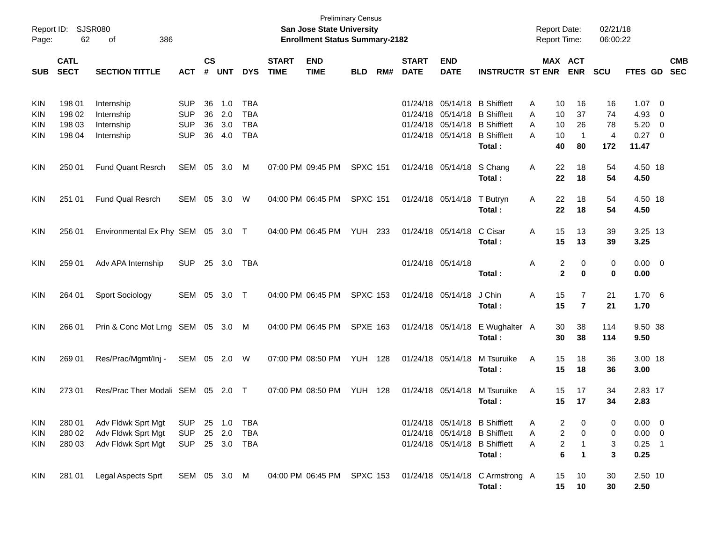| Report ID:<br>Page:                    | 62                                   | SJSR080<br>386<br>оf                                           |                                                      |                      |                          |                                                      |                             | <b>Preliminary Census</b><br>San Jose State University<br><b>Enrollment Status Summary-2182</b> |                 |     |                             |                           |                                                                                                                                            | <b>Report Date:</b><br><b>Report Time:</b>     |                                                                                | 02/21/18<br>06:00:22       |                                                      |                          |            |
|----------------------------------------|--------------------------------------|----------------------------------------------------------------|------------------------------------------------------|----------------------|--------------------------|------------------------------------------------------|-----------------------------|-------------------------------------------------------------------------------------------------|-----------------|-----|-----------------------------|---------------------------|--------------------------------------------------------------------------------------------------------------------------------------------|------------------------------------------------|--------------------------------------------------------------------------------|----------------------------|------------------------------------------------------|--------------------------|------------|
| <b>SUB</b>                             | <b>CATL</b><br><b>SECT</b>           | <b>SECTION TITTLE</b>                                          | <b>ACT</b>                                           | <b>CS</b><br>#       | <b>UNT</b>               | <b>DYS</b>                                           | <b>START</b><br><b>TIME</b> | <b>END</b><br><b>TIME</b>                                                                       | <b>BLD</b>      | RM# | <b>START</b><br><b>DATE</b> | <b>END</b><br><b>DATE</b> | <b>INSTRUCTR ST ENR</b>                                                                                                                    |                                                | MAX ACT<br><b>ENR</b>                                                          | <b>SCU</b>                 | FTES GD SEC                                          |                          | <b>CMB</b> |
| KIN<br><b>KIN</b><br>KIN<br><b>KIN</b> | 198 01<br>198 02<br>198 03<br>198 04 | Internship<br>Internship<br>Internship<br>Internship           | <b>SUP</b><br><b>SUP</b><br><b>SUP</b><br><b>SUP</b> | 36<br>36<br>36<br>36 | 1.0<br>2.0<br>3.0<br>4.0 | <b>TBA</b><br><b>TBA</b><br><b>TBA</b><br><b>TBA</b> |                             |                                                                                                 |                 |     |                             |                           | 01/24/18 05/14/18 B Shifflett<br>01/24/18 05/14/18 B Shifflett<br>01/24/18 05/14/18 B Shifflett<br>01/24/18 05/14/18 B Shifflett<br>Total: | A<br>10<br>10<br>A<br>10<br>A<br>10<br>A<br>40 | 16<br>37<br>26<br>$\overline{1}$<br>80                                         | 16<br>74<br>78<br>4<br>172 | $1.07 \t 0$<br>4.93<br>$5.20 \ 0$<br>0.27 0<br>11.47 | $\overline{\phantom{0}}$ |            |
| <b>KIN</b>                             | 250 01                               | <b>Fund Quant Resrch</b>                                       | SEM 05                                               |                      | 3.0                      | M                                                    |                             | 07:00 PM 09:45 PM                                                                               | <b>SPXC 151</b> |     |                             | 01/24/18 05/14/18         | S Chang<br>Total:                                                                                                                          | 22<br>Α<br>22                                  | 18<br>18                                                                       | 54<br>54                   | 4.50 18<br>4.50                                      |                          |            |
| <b>KIN</b>                             | 251 01                               | <b>Fund Qual Resrch</b>                                        | SEM 05                                               |                      | 3.0                      | W                                                    |                             | 04:00 PM 06:45 PM                                                                               | <b>SPXC 151</b> |     |                             | 01/24/18 05/14/18         | T Butryn<br>Total:                                                                                                                         | 22<br>Α<br>22                                  | 18<br>18                                                                       | 54<br>54                   | 4.50 18<br>4.50                                      |                          |            |
| <b>KIN</b>                             | 256 01                               | Environmental Ex Phy SEM 05 3.0 T                              |                                                      |                      |                          |                                                      |                             | 04:00 PM 06:45 PM                                                                               | <b>YUH 233</b>  |     |                             | 01/24/18 05/14/18         | C Cisar<br>Total :                                                                                                                         | 15<br>A<br>15                                  | 13<br>13                                                                       | 39<br>39                   | 3.25 13<br>3.25                                      |                          |            |
| <b>KIN</b>                             | 259 01                               | Adv APA Internship                                             | <b>SUP</b>                                           |                      | 25 3.0                   | <b>TBA</b>                                           |                             |                                                                                                 |                 |     |                             | 01/24/18 05/14/18         | Total:                                                                                                                                     | Α                                              | 2<br>0<br>$\mathbf{2}$<br>$\bf{0}$                                             | 0<br>0                     | $0.00 \t 0$<br>0.00                                  |                          |            |
| <b>KIN</b>                             | 264 01                               | <b>Sport Sociology</b>                                         | SEM 05 3.0                                           |                      |                          | $\top$                                               |                             | 04:00 PM 06:45 PM                                                                               | <b>SPXC 153</b> |     |                             | 01/24/18 05/14/18         | J Chin<br>Total :                                                                                                                          | Α<br>15<br>15                                  | $\overline{7}$<br>$\overline{7}$                                               | 21<br>21                   | 1.706<br>1.70                                        |                          |            |
| <b>KIN</b>                             | 266 01                               | Prin & Conc Mot Lrng SEM 05 3.0 M                              |                                                      |                      |                          |                                                      |                             | 04:00 PM 06:45 PM                                                                               | <b>SPXE 163</b> |     |                             |                           | 01/24/18 05/14/18 E Wughalter A<br>Total:                                                                                                  | 30<br>30                                       | 38<br>38                                                                       | 114<br>114                 | 9.50 38<br>9.50                                      |                          |            |
| <b>KIN</b>                             | 269 01                               | Res/Prac/Mgmt/Inj -                                            | SEM 05 2.0 W                                         |                      |                          |                                                      |                             | 07:00 PM 08:50 PM                                                                               | <b>YUH 128</b>  |     |                             | 01/24/18 05/14/18         | M Tsuruike<br>Total:                                                                                                                       | A<br>15<br>15                                  | 18<br>18                                                                       | 36<br>36                   | 3.00 18<br>3.00                                      |                          |            |
| <b>KIN</b>                             | 273 01                               | Res/Prac Ther Modali SEM 05                                    |                                                      |                      | 2.0                      | $\top$                                               |                             | 07:00 PM 08:50 PM                                                                               | <b>YUH 128</b>  |     |                             | 01/24/18 05/14/18         | M Tsuruike<br>Total:                                                                                                                       | Α<br>15<br>15                                  | 17<br>17                                                                       | 34<br>34                   | 2.83 17<br>2.83                                      |                          |            |
| KIN<br><b>KIN</b><br>KIN               | 280 01<br>280 02<br>280 03           | Adv Fldwk Sprt Mgt<br>Adv Fldwk Sprt Mgt<br>Adv Fldwk Sprt Mgt | <b>SUP</b><br><b>SUP</b><br><b>SUP</b>               |                      | 25 1.0<br>25 2.0         | TBA<br><b>TBA</b><br>25 3.0 TBA                      |                             |                                                                                                 |                 |     |                             |                           | 01/24/18 05/14/18 B Shifflett<br>01/24/18 05/14/18 B Shifflett<br>01/24/18 05/14/18 B Shifflett<br>Total:                                  | Α<br>Α<br>Α                                    | 2<br>0<br>$\overline{\mathbf{c}}$<br>0<br>2<br>$\mathbf 1$<br>6<br>$\mathbf 1$ | 0<br>0<br>3<br>3           | $0.00 \t 0$<br>$0.00 \t 0$<br>$0.25$ 1<br>0.25       |                          |            |
| <b>KIN</b>                             | 281 01                               | Legal Aspects Sprt                                             | SEM 05 3.0 M                                         |                      |                          |                                                      |                             |                                                                                                 |                 |     |                             |                           | 04:00 PM 06:45 PM SPXC 153 01/24/18 05/14/18 C Armstrong A<br>Total:                                                                       | 15<br>15                                       | 10<br>10                                                                       | 30<br>30                   | 2.50 10<br>2.50                                      |                          |            |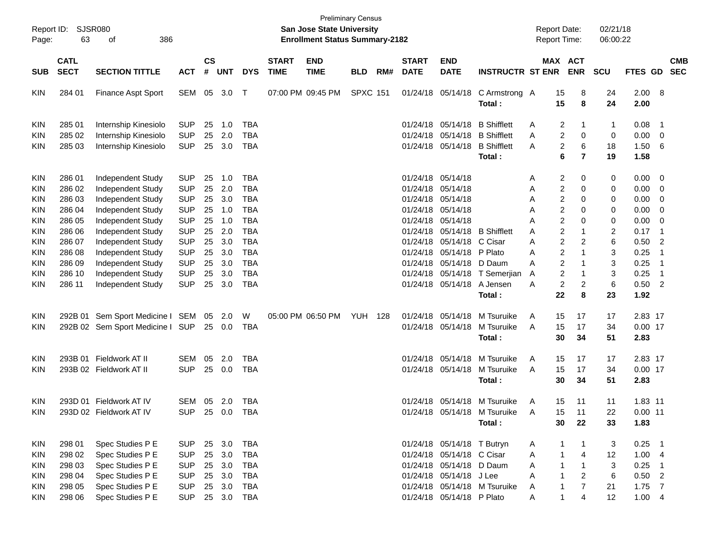| Report ID:<br>Page: | 63                         | <b>SJSR080</b><br>386<br>οf      |                |                    |            |            |                             | <b>Preliminary Census</b><br>San Jose State University<br><b>Enrollment Status Summary-2182</b> |                 |     |                             |                            |                              |   | <b>Report Date:</b><br>Report Time: |                         | 02/21/18<br>06:00:22 |                |                            |                          |
|---------------------|----------------------------|----------------------------------|----------------|--------------------|------------|------------|-----------------------------|-------------------------------------------------------------------------------------------------|-----------------|-----|-----------------------------|----------------------------|------------------------------|---|-------------------------------------|-------------------------|----------------------|----------------|----------------------------|--------------------------|
| <b>SUB</b>          | <b>CATL</b><br><b>SECT</b> | <b>SECTION TITTLE</b>            | <b>ACT</b>     | $\mathsf{cs}$<br># | <b>UNT</b> | <b>DYS</b> | <b>START</b><br><b>TIME</b> | <b>END</b><br><b>TIME</b>                                                                       | <b>BLD</b>      | RM# | <b>START</b><br><b>DATE</b> | <b>END</b><br><b>DATE</b>  | <b>INSTRUCTR ST ENR</b>      |   |                                     | MAX ACT<br><b>ENR</b>   | <b>SCU</b>           | <b>FTES GD</b> |                            | <b>CMB</b><br><b>SEC</b> |
| <b>KIN</b>          | 284 01                     | <b>Finance Aspt Sport</b>        | SEM            | 05                 | 3.0        | $\top$     |                             | 07:00 PM 09:45 PM                                                                               | <b>SPXC 151</b> |     |                             | 01/24/18 05/14/18          | C Armstrong A<br>Total:      |   | 15<br>15                            | 8<br>8                  | 24<br>24             | 2.00<br>2.00   | - 8                        |                          |
| <b>KIN</b>          | 285 01                     | Internship Kinesiolo             | <b>SUP</b>     | 25                 | 1.0        | TBA        |                             |                                                                                                 |                 |     | 01/24/18                    | 05/14/18                   | <b>B</b> Shifflett           | A | 2                                   | 1                       | 1                    | 0.08           | -1                         |                          |
| KIN                 | 285 02                     | Internship Kinesiolo             | <b>SUP</b>     | 25                 | 2.0        | <b>TBA</b> |                             |                                                                                                 |                 |     | 01/24/18                    | 05/14/18                   | <b>B</b> Shifflett           | Α | $\overline{c}$                      | 0                       | 0                    | 0.00           | 0                          |                          |
| <b>KIN</b>          | 285 03                     | Internship Kinesiolo             | <b>SUP</b>     | 25                 | 3.0        | <b>TBA</b> |                             |                                                                                                 |                 |     |                             | 01/24/18 05/14/18          | <b>B</b> Shifflett           | A | $\overline{c}$                      | 6                       | 18                   | 1.50           | 6                          |                          |
|                     |                            |                                  |                |                    |            |            |                             |                                                                                                 |                 |     |                             |                            | Total:                       |   | 6                                   | $\overline{7}$          | 19                   | 1.58           |                            |                          |
| <b>KIN</b>          | 286 01                     | Independent Study                | <b>SUP</b>     | 25                 | 1.0        | <b>TBA</b> |                             |                                                                                                 |                 |     | 01/24/18                    | 05/14/18                   |                              | A | 2                                   | 0                       | 0                    | 0.00           | $\overline{\mathbf{0}}$    |                          |
| KIN                 | 286 02                     | Independent Study                | <b>SUP</b>     | 25                 | 2.0        | <b>TBA</b> |                             |                                                                                                 |                 |     | 01/24/18                    | 05/14/18                   |                              | A | 2                                   | 0                       | 0                    | 0.00           | 0                          |                          |
| KIN                 | 286 03                     | Independent Study                | <b>SUP</b>     | 25                 | 3.0        | <b>TBA</b> |                             |                                                                                                 |                 |     | 01/24/18                    | 05/14/18                   |                              | A | 2                                   | 0                       | 0                    | 0.00           | 0                          |                          |
| <b>KIN</b>          | 286 04                     | Independent Study                | <b>SUP</b>     | 25                 | 1.0        | <b>TBA</b> |                             |                                                                                                 |                 |     | 01/24/18                    | 05/14/18                   |                              | A | 2                                   | 0                       | 0                    | 0.00           | 0                          |                          |
| KIN                 | 286 05                     | Independent Study                | <b>SUP</b>     | 25                 | 1.0        | <b>TBA</b> |                             |                                                                                                 |                 |     | 01/24/18                    | 05/14/18                   |                              | A | 2                                   | 0                       | 0                    | 0.00           | 0                          |                          |
| <b>KIN</b>          | 286 06                     | Independent Study                | <b>SUP</b>     | 25                 | 2.0        | <b>TBA</b> |                             |                                                                                                 |                 |     | 01/24/18                    | 05/14/18                   | <b>B</b> Shifflett           | A | 2                                   | 1                       | 2                    | 0.17           | $\overline{\phantom{0}}$ 1 |                          |
| <b>KIN</b>          | 286 07                     | Independent Study                | <b>SUP</b>     | 25                 | 3.0        | <b>TBA</b> |                             |                                                                                                 |                 |     | 01/24/18                    | 05/14/18                   | C Cisar                      | Α | 2                                   | 2                       | 6                    | 0.50           | $\overline{2}$             |                          |
| <b>KIN</b>          | 286 08                     | Independent Study                | <b>SUP</b>     | 25                 | 3.0        | <b>TBA</b> |                             |                                                                                                 |                 |     | 01/24/18                    | 05/14/18 P Plato           |                              | A | 2                                   | 1                       | 3                    | 0.25           | -1                         |                          |
| <b>KIN</b>          | 286 09                     | Independent Study                | <b>SUP</b>     | 25                 | 3.0        | <b>TBA</b> |                             |                                                                                                 |                 |     | 01/24/18                    | 05/14/18                   | D Daum                       | A | 2                                   | 1                       | 3                    | 0.25           | -1                         |                          |
| <b>KIN</b>          | 286 10                     | Independent Study                | <b>SUP</b>     | 25                 | 3.0        | <b>TBA</b> |                             |                                                                                                 |                 |     | 01/24/18                    |                            | 05/14/18 T Semerjian         | A | 2                                   | -1                      | 3                    | 0.25           | -1                         |                          |
| <b>KIN</b>          | 286 11                     | Independent Study                | <b>SUP</b>     | 25                 | 3.0        | <b>TBA</b> |                             |                                                                                                 |                 |     |                             | 01/24/18 05/14/18          | A Jensen                     | A | $\overline{c}$                      | 2                       | 6                    | 0.50           | $\overline{2}$             |                          |
|                     |                            |                                  |                |                    |            |            |                             |                                                                                                 |                 |     |                             |                            | Total:                       |   | 22                                  | 8                       | 23                   | 1.92           |                            |                          |
| <b>KIN</b>          | 292B 01                    | Sem Sport Medicine I SEM         |                | 05                 | 2.0        | W          |                             | 05:00 PM 06:50 PM                                                                               | <b>YUH 128</b>  |     | 01/24/18                    | 05/14/18                   | M Tsuruike                   | A | 15                                  | 17                      | 17                   | 2.83 17        |                            |                          |
| <b>KIN</b>          |                            | 292B 02 Sem Sport Medicine I SUP |                | 25                 | 0.0        | <b>TBA</b> |                             |                                                                                                 |                 |     |                             | 01/24/18 05/14/18          | M Tsuruike                   | A | 15                                  | 17                      | 34                   | $0.00$ 17      |                            |                          |
|                     |                            |                                  |                |                    |            |            |                             |                                                                                                 |                 |     |                             |                            | Total:                       |   | 30                                  | 34                      | 51                   | 2.83           |                            |                          |
| <b>KIN</b>          |                            | 293B 01 Fieldwork AT II          | <b>SEM</b>     | 05                 | 2.0        | TBA        |                             |                                                                                                 |                 |     | 01/24/18                    | 05/14/18                   | M Tsuruike                   | A | 15                                  | 17                      | 17                   | 2.83 17        |                            |                          |
| <b>KIN</b>          |                            | 293B 02 Fieldwork AT II          | <b>SUP</b>     | 25                 | 0.0        | <b>TBA</b> |                             |                                                                                                 |                 |     |                             | 01/24/18 05/14/18          | M Tsuruike                   | A | 15                                  | 17                      | 34                   | $0.00$ 17      |                            |                          |
|                     |                            |                                  |                |                    |            |            |                             |                                                                                                 |                 |     |                             |                            | Total:                       |   | 30                                  | 34                      | 51                   | 2.83           |                            |                          |
| <b>KIN</b>          |                            | 293D 01 Fieldwork AT IV          | SEM            |                    | 05 2.0     | TBA        |                             |                                                                                                 |                 |     |                             |                            | 01/24/18 05/14/18 M Tsuruike | A | 15                                  | 11                      | 11                   | 1.83 11        |                            |                          |
| KIN                 |                            | 293D 02 Fieldwork AT IV          | SUP 25 0.0 TBA |                    |            |            |                             |                                                                                                 |                 |     |                             |                            | 01/24/18 05/14/18 M Tsuruike | Α | 15                                  | 11                      | 22                   | $0.00$ 11      |                            |                          |
|                     |                            |                                  |                |                    |            |            |                             |                                                                                                 |                 |     |                             |                            | Total:                       |   | 30                                  | 22                      | 33                   | 1.83           |                            |                          |
| KIN                 | 298 01                     | Spec Studies P E                 | <b>SUP</b>     |                    | 25 3.0     | <b>TBA</b> |                             |                                                                                                 |                 |     |                             | 01/24/18 05/14/18 T Butryn |                              | A | 1                                   | $\mathbf{1}$            | 3                    | $0.25$ 1       |                            |                          |
| KIN                 | 298 02                     | Spec Studies P E                 | <b>SUP</b>     |                    | 25 3.0     | <b>TBA</b> |                             |                                                                                                 |                 |     |                             | 01/24/18 05/14/18 C Cisar  |                              | Α | $\mathbf{1}$                        | $\overline{4}$          | 12                   | 1.004          |                            |                          |
| <b>KIN</b>          | 298 03                     | Spec Studies P E                 | <b>SUP</b>     |                    | 25 3.0     | TBA        |                             |                                                                                                 |                 |     |                             | 01/24/18 05/14/18 D Daum   |                              | A | $\mathbf{1}$                        | $\mathbf{1}$            | 3                    | $0.25$ 1       |                            |                          |
| KIN                 | 298 04                     | Spec Studies P E                 | <b>SUP</b>     |                    | 25 3.0     | TBA        |                             |                                                                                                 |                 |     |                             | 01/24/18 05/14/18 J Lee    |                              | A | $\mathbf{1}$                        | $\overline{\mathbf{c}}$ | 6                    | 0.50 2         |                            |                          |
| KIN                 | 298 05                     | Spec Studies P E                 | <b>SUP</b>     |                    | 25 3.0     | <b>TBA</b> |                             |                                                                                                 |                 |     |                             |                            | 01/24/18 05/14/18 M Tsuruike | A | $\mathbf{1}$                        | $\overline{7}$          | 21                   | $1.75$ 7       |                            |                          |
| <b>KIN</b>          | 298 06                     | Spec Studies P E                 | <b>SUP</b>     |                    | 25 3.0     | <b>TBA</b> |                             |                                                                                                 |                 |     |                             | 01/24/18 05/14/18 P Plato  |                              | Α | $\mathbf{1}$                        | 4                       | 12                   | 1.004          |                            |                          |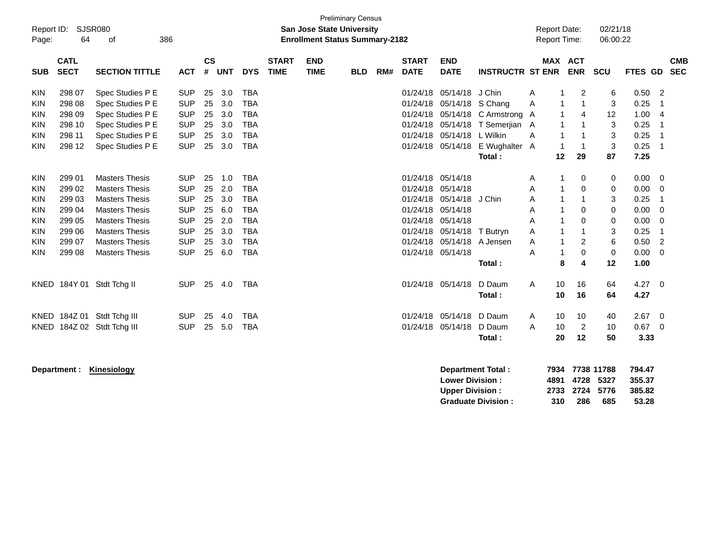| Report ID:<br>Page:      | 64                         | <b>SJSR080</b><br>386<br>οf          |                          |                    |            |                          |                             | <b>San Jose State University</b><br><b>Enrollment Status Summary-2182</b> | <b>Preliminary Census</b> |     |                             |                           |                                 |   | <b>Report Date:</b><br><b>Report Time:</b> |                | 02/21/18<br>06:00:22 |                    |                          |
|--------------------------|----------------------------|--------------------------------------|--------------------------|--------------------|------------|--------------------------|-----------------------------|---------------------------------------------------------------------------|---------------------------|-----|-----------------------------|---------------------------|---------------------------------|---|--------------------------------------------|----------------|----------------------|--------------------|--------------------------|
| <b>SUB</b>               | <b>CATL</b><br><b>SECT</b> | <b>SECTION TITTLE</b>                | <b>ACT</b>               | $\mathsf{cs}$<br># | <b>UNT</b> | <b>DYS</b>               | <b>START</b><br><b>TIME</b> | <b>END</b><br><b>TIME</b>                                                 | <b>BLD</b>                | RM# | <b>START</b><br><b>DATE</b> | <b>END</b><br><b>DATE</b> | <b>INSTRUCTR ST ENR</b>         |   | <b>MAX ACT</b>                             | <b>ENR</b>     | SCU                  | <b>FTES GD</b>     | <b>CMB</b><br><b>SEC</b> |
| <b>KIN</b>               | 298 07                     | Spec Studies P E                     | <b>SUP</b>               | 25                 | 3.0        | <b>TBA</b>               |                             |                                                                           |                           |     | 01/24/18                    | 05/14/18 J Chin           |                                 | Α |                                            | 2              | 6                    | 0.50               | $\overline{2}$           |
| KIN                      | 298 08                     | Spec Studies P E                     | <b>SUP</b>               | 25                 | 3.0        | <b>TBA</b>               |                             |                                                                           |                           |     | 01/24/18                    | 05/14/18 S Chang          |                                 | Α | 1                                          | 1              | 3                    | 0.25               | 1                        |
| KIN                      | 298 09                     | Spec Studies P E                     | <b>SUP</b>               | 25                 | 3.0        | <b>TBA</b>               |                             |                                                                           |                           |     |                             |                           | 01/24/18 05/14/18 C Armstrong A |   |                                            | 4              | 12                   | 1.00               | $\overline{4}$           |
| KIN                      | 298 10                     | Spec Studies P E                     | <b>SUP</b>               | 25                 | 3.0        | <b>TBA</b>               |                             |                                                                           |                           |     | 01/24/18                    |                           | 05/14/18 T Semerjian A          |   | 1<br>1                                     | $\mathbf{1}$   | 3                    | 0.25               | 1                        |
| <b>KIN</b><br><b>KIN</b> | 298 11<br>298 12           | Spec Studies P E<br>Spec Studies P E | <b>SUP</b><br><b>SUP</b> | 25<br>25           | 3.0<br>3.0 | <b>TBA</b><br><b>TBA</b> |                             |                                                                           |                           |     | 01/24/18                    | 05/14/18 L Wilkin         | 01/24/18 05/14/18 E Wughalter A | A | 1                                          | $\mathbf{1}$   | 3<br>3               | 0.25<br>0.25<br>-1 |                          |
|                          |                            |                                      |                          |                    |            |                          |                             |                                                                           |                           |     |                             |                           | Total:                          |   | 12                                         | 29             | 87                   | 7.25               |                          |
| KIN                      | 299 01                     | <b>Masters Thesis</b>                | <b>SUP</b>               | 25                 | 1.0        | <b>TBA</b>               |                             |                                                                           |                           |     | 01/24/18 05/14/18           |                           |                                 | Α |                                            | 0              | 0                    | 0.00               | $\overline{0}$           |
| KIN                      | 299 02                     | <b>Masters Thesis</b>                | <b>SUP</b>               | 25                 | 2.0        | <b>TBA</b>               |                             |                                                                           |                           |     | 01/24/18                    | 05/14/18                  |                                 | A | 1                                          | $\mathbf 0$    | 0                    | 0.00               | 0                        |
| KIN                      | 299 03                     | <b>Masters Thesis</b>                | <b>SUP</b>               | 25                 | 3.0        | <b>TBA</b>               |                             |                                                                           |                           |     | 01/24/18                    | 05/14/18                  | J Chin                          | Α |                                            | 1              | 3                    | 0.25               | 1                        |
| KIN                      | 299 04                     | <b>Masters Thesis</b>                | <b>SUP</b>               | 25                 | 6.0        | <b>TBA</b>               |                             |                                                                           |                           |     | 01/24/18                    | 05/14/18                  |                                 | Α |                                            | $\mathbf 0$    | 0                    | 0.00               | $\mathbf 0$              |
| <b>KIN</b>               | 299 05                     | <b>Masters Thesis</b>                | <b>SUP</b>               | 25                 | 2.0        | <b>TBA</b>               |                             |                                                                           |                           |     | 01/24/18                    | 05/14/18                  |                                 | A | 1                                          | $\Omega$       | $\mathbf 0$          | 0.00               | $\Omega$                 |
| <b>KIN</b>               | 299 06                     | <b>Masters Thesis</b>                | <b>SUP</b>               | 25                 | 3.0        | <b>TBA</b>               |                             |                                                                           |                           |     | 01/24/18                    | 05/14/18                  | T Butryn                        | A | 1                                          |                | 3                    | 0.25               | -1                       |
| <b>KIN</b>               | 299 07                     | <b>Masters Thesis</b>                | <b>SUP</b>               | 25                 | 3.0        | <b>TBA</b>               |                             |                                                                           |                           |     | 01/24/18                    | 05/14/18 A Jensen         |                                 | Α |                                            | $\overline{c}$ | 6                    | 0.50               | 2                        |
| KIN                      | 299 08                     | <b>Masters Thesis</b>                | <b>SUP</b>               | 25                 | 6.0        | <b>TBA</b>               |                             |                                                                           |                           |     | 01/24/18 05/14/18           |                           |                                 | A | 1                                          | $\mathbf 0$    | $\mathbf 0$          | 0.00               | $\Omega$                 |
|                          |                            |                                      |                          |                    |            |                          |                             |                                                                           |                           |     |                             |                           | Total:                          |   | 8                                          | 4              | 12                   | 1.00               |                          |
|                          |                            | KNED 184Y 01 Stdt Tchg II            | <b>SUP</b>               | 25                 | 4.0        | <b>TBA</b>               |                             |                                                                           |                           |     |                             | 01/24/18 05/14/18         | D Daum                          | A | 10                                         | 16             | 64                   | 4.27               | $\overline{0}$           |
|                          |                            |                                      |                          |                    |            |                          |                             |                                                                           |                           |     |                             |                           | Total:                          |   | 10                                         | 16             | 64                   | 4.27               |                          |
|                          |                            | KNED 184Z 01 Stdt Tchg III           | <b>SUP</b>               | 25                 | 4.0        | <b>TBA</b>               |                             |                                                                           |                           |     |                             | 01/24/18 05/14/18 D Daum  |                                 | A | 10                                         | 10             | 40                   | 2.67               | $\overline{0}$           |
| <b>KNED</b>              |                            | 184Z 02 Stdt Tchg III                | <b>SUP</b>               | 25                 | 5.0        | <b>TBA</b>               |                             |                                                                           |                           |     | 01/24/18                    | 05/14/18 D Daum           |                                 | A | 10                                         | 2              | 10                   | $0.67$ 0           |                          |
|                          |                            |                                      |                          |                    |            |                          |                             |                                                                           |                           |     |                             |                           | Total:                          |   | 20                                         | 12             | 50                   | 3.33               |                          |
|                          |                            |                                      |                          |                    |            |                          |                             |                                                                           |                           |     |                             |                           |                                 |   |                                            |                |                      |                    |                          |

**Department : Kinesiology Department Total : 7934 7738 11788 794.47 Lower Division : 4891 4728 5327 355.37 Upper Division : 2733 2724 5776 385.82 Graduate Division : 310 286 685 53.28**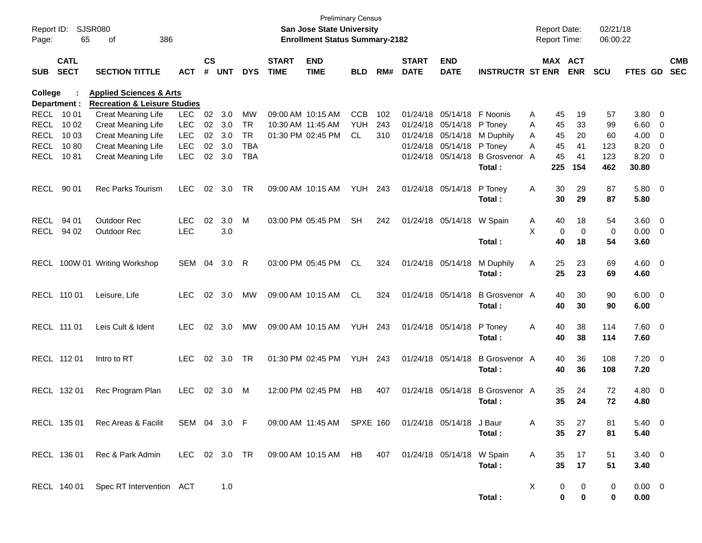| Report ID:<br>Page: | 65                         | SJSR080<br>386<br>οf                                          |               |                    |            |            |                             | San Jose State University<br><b>Enrollment Status Summary-2182</b> | <b>Preliminary Census</b> |     |                             |                               |                         |   | <b>Report Date:</b><br><b>Report Time:</b> |             | 02/21/18<br>06:00:22 |                |                          |                          |
|---------------------|----------------------------|---------------------------------------------------------------|---------------|--------------------|------------|------------|-----------------------------|--------------------------------------------------------------------|---------------------------|-----|-----------------------------|-------------------------------|-------------------------|---|--------------------------------------------|-------------|----------------------|----------------|--------------------------|--------------------------|
| <b>SUB</b>          | <b>CATL</b><br><b>SECT</b> | <b>SECTION TITTLE</b>                                         | АСТ           | $\mathsf{cs}$<br># | <b>UNT</b> | <b>DYS</b> | <b>START</b><br><b>TIME</b> | <b>END</b><br><b>TIME</b>                                          | <b>BLD</b>                | RM# | <b>START</b><br><b>DATE</b> | <b>END</b><br><b>DATE</b>     | <b>INSTRUCTR ST ENR</b> |   | MAX ACT                                    | <b>ENR</b>  | <b>SCU</b>           | <b>FTES GD</b> |                          | <b>CMB</b><br><b>SEC</b> |
| College             |                            | <b>Applied Sciences &amp; Arts</b>                            |               |                    |            |            |                             |                                                                    |                           |     |                             |                               |                         |   |                                            |             |                      |                |                          |                          |
| <b>RECL</b>         | Department :<br>10 01      | <b>Recreation &amp; Leisure Studies</b><br>Creat Meaning Life | <b>LEC</b>    | 02                 | 3.0        | MW         | 09:00 AM 10:15 AM           |                                                                    | <b>CCB</b>                | 102 | 01/24/18                    | 05/14/18                      | F Noonis                | A | 45                                         | 19          | 57                   | 3.80           | - 0                      |                          |
| <b>RECL</b>         | 10 02                      | Creat Meaning Life                                            | <b>LEC</b>    | 02                 | 3.0        | <b>TR</b>  | 10:30 AM 11:45 AM           |                                                                    | <b>YUH</b>                | 243 | 01/24/18                    | 05/14/18                      | P Toney                 | A | 45                                         | 33          | 99                   | 6.60           | $\overline{0}$           |                          |
| <b>RECL</b>         | 10 03                      | Creat Meaning Life                                            | <b>LEC</b>    | 02                 | 3.0        | <b>TR</b>  |                             | 01:30 PM 02:45 PM                                                  | <b>CL</b>                 | 310 | 01/24/18                    | 05/14/18                      | M Duphily               | A | 45                                         | 20          | 60                   | 4.00           | $\overline{0}$           |                          |
| <b>RECL</b>         | 1080                       | Creat Meaning Life                                            | <b>LEC</b>    | 02                 | 3.0        | <b>TBA</b> |                             |                                                                    |                           |     | 01/24/18                    | 05/14/18                      | P Toney                 | A | 45                                         | 41          | 123                  | 8.20           | 0                        |                          |
| <b>RECL</b>         | 1081                       | Creat Meaning Life                                            | <b>LEC</b>    | 02                 | 3.0        | <b>TBA</b> |                             |                                                                    |                           |     |                             | 01/24/18 05/14/18             | <b>B</b> Grosvenor      | A | 45                                         | 41          | 123                  | 8.20           | 0                        |                          |
|                     |                            |                                                               |               |                    |            |            |                             |                                                                    |                           |     |                             |                               | Total:                  |   | 225                                        | 154         | 462                  | 30.80          |                          |                          |
|                     |                            |                                                               |               |                    |            |            |                             |                                                                    |                           |     |                             |                               |                         |   |                                            |             |                      |                |                          |                          |
| <b>RECL</b>         | 90 01                      | <b>Rec Parks Tourism</b>                                      | <b>LEC</b>    | 02                 | 3.0        | <b>TR</b>  |                             | 09:00 AM 10:15 AM                                                  | YUH                       | 243 |                             | 01/24/18 05/14/18             | P Toney                 | Α | 30                                         | 29          | 87                   | $5.80\ 0$      |                          |                          |
|                     |                            |                                                               |               |                    |            |            |                             |                                                                    |                           |     |                             |                               | Total:                  |   | 30                                         | 29          | 87                   | 5.80           |                          |                          |
|                     |                            |                                                               |               |                    |            |            |                             |                                                                    |                           |     |                             |                               |                         |   |                                            |             |                      |                |                          |                          |
| <b>RECL</b>         | 94 01                      | <b>Outdoor Rec</b>                                            | <b>LEC</b>    | 02                 | 3.0        | M          |                             | 03:00 PM 05:45 PM                                                  | <b>SH</b>                 | 242 |                             | 01/24/18 05/14/18             | W Spain                 | A | 40                                         | 18          | 54                   | $3.60 \ 0$     |                          |                          |
| <b>RECL</b>         | 94 02                      | Outdoor Rec                                                   | <b>LEC</b>    |                    | 3.0        |            |                             |                                                                    |                           |     |                             |                               |                         | X | 0                                          | $\mathbf 0$ | 0                    | 0.00           | $\overline{\phantom{0}}$ |                          |
|                     |                            |                                                               |               |                    |            |            |                             |                                                                    |                           |     |                             |                               | Total:                  |   | 40                                         | 18          | 54                   | 3.60           |                          |                          |
|                     |                            |                                                               |               |                    |            |            |                             |                                                                    |                           |     |                             |                               |                         |   |                                            |             |                      |                |                          |                          |
| RECL                |                            | 100W 01 Writing Workshop                                      | SEM           | 04                 | 3.0        | R          |                             | 03:00 PM 05:45 PM                                                  | <b>CL</b>                 | 324 |                             | 01/24/18 05/14/18             | M Duphily               | A | 25                                         | 23          | 69                   | $4.60$ 0       |                          |                          |
|                     |                            |                                                               |               |                    |            |            |                             |                                                                    |                           |     |                             |                               | Total:                  |   | 25                                         | 23          | 69                   | 4.60           |                          |                          |
|                     |                            |                                                               |               |                    |            |            |                             |                                                                    |                           |     |                             |                               |                         |   |                                            |             |                      |                |                          |                          |
|                     | RECL 110 01                | Leisure, Life                                                 | <b>LEC</b>    | 02                 | 3.0        | MW         |                             | 09:00 AM 10:15 AM                                                  | <b>CL</b>                 | 324 |                             | 01/24/18 05/14/18             | B Grosvenor A           |   | 40                                         | 30          | 90                   | $6.00 \quad 0$ |                          |                          |
|                     |                            |                                                               |               |                    |            |            |                             |                                                                    |                           |     |                             |                               | Total:                  |   | 40                                         | 30          | 90                   | 6.00           |                          |                          |
|                     |                            |                                                               |               |                    |            |            |                             |                                                                    |                           |     |                             |                               |                         |   |                                            |             |                      |                |                          |                          |
|                     | RECL 111 01                | Leis Cult & Ident                                             | <b>LEC</b>    | 02                 | 3.0        | MW         |                             | 09:00 AM 10:15 AM                                                  | <b>YUH 243</b>            |     |                             | 01/24/18 05/14/18             | P Toney                 | A | 40                                         | 38          | 114                  | $7.60 \t 0$    |                          |                          |
|                     |                            |                                                               |               |                    |            |            |                             |                                                                    |                           |     |                             |                               | Total:                  |   | 40                                         | 38          | 114                  | 7.60           |                          |                          |
|                     |                            |                                                               |               |                    |            |            |                             |                                                                    |                           |     |                             |                               |                         |   |                                            |             |                      |                |                          |                          |
|                     | RECL 112 01                | Intro to RT                                                   | <b>LEC</b>    | 02                 | 3.0        | TR         |                             | 01:30 PM 02:45 PM                                                  | <b>YUH 243</b>            |     |                             | 01/24/18 05/14/18             | B Grosvenor A           |   | 40                                         | 36          | 108                  | $7.20 \t 0$    |                          |                          |
|                     |                            |                                                               |               |                    |            |            |                             |                                                                    |                           |     |                             |                               | Total:                  |   | 40                                         | 36          | 108                  | 7.20           |                          |                          |
|                     |                            |                                                               |               |                    |            |            |                             |                                                                    |                           |     |                             |                               |                         |   |                                            |             |                      |                |                          |                          |
|                     | RECL 132 01                | Rec Program Plan                                              | <b>LEC</b>    | 02                 | 3.0        | M          |                             | 12:00 PM 02:45 PM                                                  | <b>HB</b>                 | 407 |                             | 01/24/18 05/14/18             | <b>B</b> Grosvenor A    |   | 35                                         | 24          | 72                   | 4.80 0         |                          |                          |
|                     |                            |                                                               |               |                    |            |            |                             |                                                                    |                           |     |                             |                               | Total:                  |   | 35                                         | 24          | 72                   | 4.80           |                          |                          |
|                     |                            |                                                               |               |                    |            |            |                             |                                                                    |                           |     |                             |                               |                         |   |                                            |             |                      |                |                          |                          |
|                     | RECL 135 01                | Rec Areas & Facilit                                           | SEM 04 3.0 F  |                    |            |            |                             | 09:00 AM 11:45 AM SPXE 160                                         |                           |     |                             | 01/24/18 05/14/18 J Baur      |                         | A | 35                                         | 27          | 81                   | $5.40 \ 0$     |                          |                          |
|                     |                            |                                                               |               |                    |            |            |                             |                                                                    |                           |     |                             |                               | Total:                  |   | 35                                         | 27          | 81                   | 5.40           |                          |                          |
|                     |                            |                                                               |               |                    |            |            |                             |                                                                    |                           |     |                             |                               |                         |   |                                            |             |                      |                |                          |                          |
|                     | RECL 136 01                | Rec & Park Admin                                              | LEC 02 3.0 TR |                    |            |            |                             | 09:00 AM 10:15 AM HB                                               |                           |     |                             | 407 01/24/18 05/14/18 W Spain |                         | A | 35                                         | 17          | 51                   | $3.40 \ 0$     |                          |                          |
|                     |                            |                                                               |               |                    |            |            |                             |                                                                    |                           |     |                             |                               | Total:                  |   | 35                                         | 17          | 51                   | 3.40           |                          |                          |
|                     |                            |                                                               |               |                    |            |            |                             |                                                                    |                           |     |                             |                               |                         |   |                                            |             |                      |                |                          |                          |
|                     |                            | RECL 140 01 Spec RT Intervention ACT                          |               |                    | 1.0        |            |                             |                                                                    |                           |     |                             |                               |                         | X | 0                                          | 0           | 0                    | $0.00 \quad 0$ |                          |                          |
|                     |                            |                                                               |               |                    |            |            |                             |                                                                    |                           |     |                             |                               | Total:                  |   | $\bf{0}$                                   | 0           | 0                    | 0.00           |                          |                          |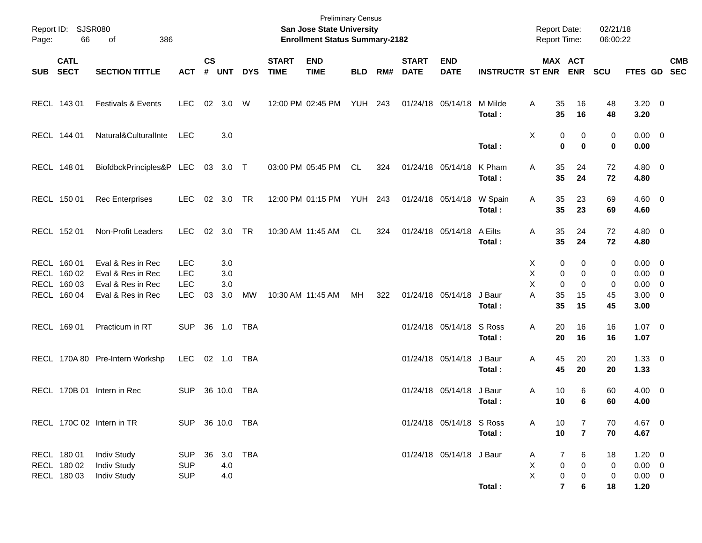| 66                                        | 386<br>of                                                      |                                                                                                                                                          |                                                      |                   |                                                             |                                                                |                           |                                                                                                       |     |                                                                      |                                       |                                                                                                                                                                      |                                                                                    |                                   |                                                                                                                                                                                                                                                                      |                |                                                           |                                                                                                                                                                                                                                             |
|-------------------------------------------|----------------------------------------------------------------|----------------------------------------------------------------------------------------------------------------------------------------------------------|------------------------------------------------------|-------------------|-------------------------------------------------------------|----------------------------------------------------------------|---------------------------|-------------------------------------------------------------------------------------------------------|-----|----------------------------------------------------------------------|---------------------------------------|----------------------------------------------------------------------------------------------------------------------------------------------------------------------|------------------------------------------------------------------------------------|-----------------------------------|----------------------------------------------------------------------------------------------------------------------------------------------------------------------------------------------------------------------------------------------------------------------|----------------|-----------------------------------------------------------|---------------------------------------------------------------------------------------------------------------------------------------------------------------------------------------------------------------------------------------------|
| <b>CATL</b><br><b>SECT</b>                | <b>SECTION TITTLE</b>                                          | <b>ACT</b>                                                                                                                                               | $\mathsf{cs}$<br>$\pmb{\#}$                          |                   | <b>DYS</b>                                                  | <b>START</b><br><b>TIME</b>                                    | <b>END</b><br><b>TIME</b> | <b>BLD</b>                                                                                            | RM# | <b>START</b><br><b>DATE</b>                                          | <b>END</b><br><b>DATE</b>             |                                                                                                                                                                      |                                                                                    | <b>ENR</b>                        | <b>SCU</b>                                                                                                                                                                                                                                                           |                |                                                           | <b>CMB</b>                                                                                                                                                                                                                                  |
| RECL 143 01                               | <b>Festivals &amp; Events</b>                                  | <b>LEC</b>                                                                                                                                               | 02                                                   | 3.0               | W                                                           |                                                                |                           |                                                                                                       |     |                                                                      |                                       | M Milde<br>Total:                                                                                                                                                    | Α                                                                                  | 16<br>16                          | 48<br>48                                                                                                                                                                                                                                                             | 3.20           |                                                           |                                                                                                                                                                                                                                             |
| RECL 144 01                               | Natural&CulturalInte                                           | <b>LEC</b>                                                                                                                                               |                                                      | 3.0               |                                                             |                                                                |                           |                                                                                                       |     |                                                                      |                                       | Total:                                                                                                                                                               | X                                                                                  | 0<br>$\bf{0}$                     | 0<br>0                                                                                                                                                                                                                                                               | 0.00           |                                                           |                                                                                                                                                                                                                                             |
| RECL 148 01                               |                                                                |                                                                                                                                                          | 03                                                   |                   |                                                             |                                                                |                           | CL.                                                                                                   | 324 |                                                                      |                                       | K Pham<br>Total:                                                                                                                                                     | Α                                                                                  | 24<br>24                          | 72<br>72                                                                                                                                                                                                                                                             | 4.80           |                                                           |                                                                                                                                                                                                                                             |
| RECL 150 01                               | <b>Rec Enterprises</b>                                         | <b>LEC</b>                                                                                                                                               | 02                                                   |                   | TR                                                          |                                                                |                           |                                                                                                       |     |                                                                      |                                       | W Spain<br>Total:                                                                                                                                                    | A                                                                                  | 23<br>23                          | 69<br>69                                                                                                                                                                                                                                                             | 4.60           |                                                           |                                                                                                                                                                                                                                             |
| RECL 152 01                               | Non-Profit Leaders                                             | <b>LEC</b>                                                                                                                                               | 02                                                   |                   | TR                                                          |                                                                |                           | CL.                                                                                                   | 324 |                                                                      |                                       | A Eilts<br>Total:                                                                                                                                                    | Α                                                                                  | 24<br>24                          | 72<br>72                                                                                                                                                                                                                                                             | 4.80           |                                                           |                                                                                                                                                                                                                                             |
| RECL 160 01<br>RECL 160 02<br>RECL 160 03 | Eval & Res in Rec<br>Eval & Res in Rec<br>Eval & Res in Rec    | <b>LEC</b><br><b>LEC</b><br><b>LEC</b>                                                                                                                   |                                                      | 3.0<br>3.0<br>3.0 |                                                             |                                                                |                           |                                                                                                       |     |                                                                      |                                       |                                                                                                                                                                      | Х<br>X<br>X                                                                        | 0<br>0<br>0                       | 0<br>0<br>0                                                                                                                                                                                                                                                          |                |                                                           |                                                                                                                                                                                                                                             |
|                                           |                                                                |                                                                                                                                                          |                                                      |                   |                                                             |                                                                |                           |                                                                                                       |     |                                                                      |                                       | Total:                                                                                                                                                               |                                                                                    | 15                                | 45                                                                                                                                                                                                                                                                   | 3.00           |                                                           |                                                                                                                                                                                                                                             |
|                                           |                                                                |                                                                                                                                                          |                                                      |                   |                                                             |                                                                |                           |                                                                                                       |     |                                                                      |                                       | Total:                                                                                                                                                               |                                                                                    | 16                                | 16                                                                                                                                                                                                                                                                   | 1.07           |                                                           |                                                                                                                                                                                                                                             |
|                                           |                                                                | <b>LEC</b>                                                                                                                                               |                                                      |                   | TBA                                                         |                                                                |                           |                                                                                                       |     |                                                                      |                                       | J Baur<br>Total:                                                                                                                                                     | Α                                                                                  | 20<br>20                          | 20<br>20                                                                                                                                                                                                                                                             | 1.33           |                                                           |                                                                                                                                                                                                                                             |
|                                           |                                                                | <b>SUP</b>                                                                                                                                               |                                                      |                   | TBA                                                         |                                                                |                           |                                                                                                       |     |                                                                      |                                       | J Baur<br>Total :                                                                                                                                                    | Α                                                                                  | 6<br>6                            | 60<br>60                                                                                                                                                                                                                                                             | 4.00           |                                                           |                                                                                                                                                                                                                                             |
|                                           |                                                                |                                                                                                                                                          |                                                      |                   |                                                             |                                                                |                           |                                                                                                       |     |                                                                      |                                       | Total:                                                                                                                                                               | A                                                                                  | 7<br>$\overline{7}$               | 70<br>70                                                                                                                                                                                                                                                             | 4.67           |                                                           |                                                                                                                                                                                                                                             |
| RECL 180 01<br>RECL 180 02<br>RECL 180 03 | <b>Indiv Study</b><br><b>Indiv Study</b><br><b>Indiv Study</b> | <b>SUP</b><br><b>SUP</b><br><b>SUP</b>                                                                                                                   | 36                                                   | 4.0<br>4.0        |                                                             |                                                                |                           |                                                                                                       |     |                                                                      |                                       |                                                                                                                                                                      | A<br>X<br>X                                                                        | 6<br>0<br>0                       | 18<br>0<br>0                                                                                                                                                                                                                                                         |                |                                                           |                                                                                                                                                                                                                                             |
|                                           | RECL 160 04<br>RECL 169 01                                     | Report ID: SJSR080<br>Eval & Res in Rec<br>Practicum in RT<br>RECL 170A 80 Pre-Intern Workshp<br>RECL 170B 01 Intern in Rec<br>RECL 170C 02 Intern in TR | BiofdbckPrinciples&P LEC<br><b>LEC</b><br><b>SUP</b> | 03<br>36          | <b>UNT</b><br>3.0<br>3.0<br>3.0<br>1.0<br>02 1.0<br>36 10.0 | 3.0 T<br><b>MW</b><br><b>TBA</b><br>SUP 36 10.0 TBA<br>3.0 TBA |                           | 12:00 PM 02:45 PM<br>03:00 PM 05:45 PM<br>12:00 PM 01:15 PM<br>10:30 AM 11:45 AM<br>10:30 AM 11:45 AM | MH  | San Jose State University<br><b>YUH 243</b><br><b>YUH 243</b><br>322 | <b>Enrollment Status Summary-2182</b> | 01/24/18 05/14/18<br>01/24/18 05/14/18<br>01/24/18 05/14/18<br>01/24/18 05/14/18<br>01/24/18 05/14/18<br>01/24/18 05/14/18<br>01/24/18 05/14/18<br>01/24/18 05/14/18 | J Baur<br>S Ross<br>01/24/18 05/14/18 S Ross<br>01/24/18 05/14/18 J Baur<br>Total: | <b>INSTRUCTR ST ENR</b><br>A<br>Α | <b>Report Date:</b><br><b>Report Time:</b><br>MAX ACT<br>35<br>35<br>0<br>$\bf{0}$<br>35<br>35<br>35<br>35<br>35<br>35<br>0<br>0<br>0<br>35<br>15<br>35<br>20<br>16<br>20<br>45<br>45<br>10<br>10<br>10<br>10<br>7<br>0<br>$\pmb{0}$<br>$\overline{\mathbf{r}}$<br>6 | 45<br>16<br>18 | <b>Preliminary Census</b><br>02/21/18<br>06:00:22<br>1.20 | FTES GD SEC<br>$3.20 \ 0$<br>$0.00 \t 0$<br>$4.80\ 0$<br>$4.60$ 0<br>$4.80\ 0$<br>$0.00 \t 0$<br>$0.00 \t 0$<br>$0.00 \t 0$<br>$3.00 \ 0$<br>$1.07 \t 0$<br>$1.33 \ 0$<br>$4.00 \ 0$<br>4.67 0<br>$1.20 \t 0$<br>$0.00 \t 0$<br>$0.00 \t 0$ |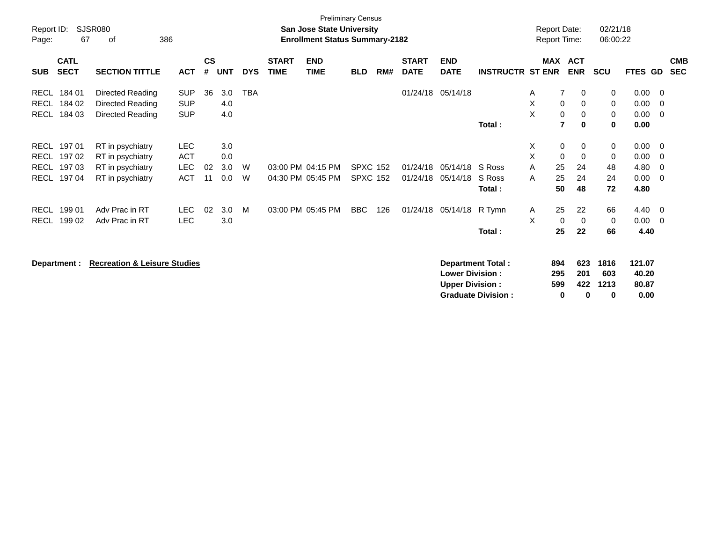| Report ID:<br>Page:                                      | 67                                  | SJSR080<br>386<br>0f                                                         |                                                      |                    |                          |            |                             | <b>San Jose State University</b><br><b>Enrollment Status Summary-2182</b> | <b>Preliminary Census</b>          |     |                             |                           |                            | <b>Report Date:</b><br><b>Report Time:</b> |                                         |                                    | 02/21/18<br>06:00:22                 |                                      |                                 |                          |
|----------------------------------------------------------|-------------------------------------|------------------------------------------------------------------------------|------------------------------------------------------|--------------------|--------------------------|------------|-----------------------------|---------------------------------------------------------------------------|------------------------------------|-----|-----------------------------|---------------------------|----------------------------|--------------------------------------------|-----------------------------------------|------------------------------------|--------------------------------------|--------------------------------------|---------------------------------|--------------------------|
| <b>SUB</b>                                               | <b>CATL</b><br><b>SECT</b>          | <b>SECTION TITTLE</b>                                                        | ACT                                                  | $\mathsf{cs}$<br># | <b>UNT</b>               | <b>DYS</b> | <b>START</b><br><b>TIME</b> | <b>END</b><br><b>TIME</b>                                                 | <b>BLD</b>                         | RM# | <b>START</b><br><b>DATE</b> | <b>END</b><br><b>DATE</b> | <b>INSTRUCTR ST ENR</b>    | <b>MAX</b>                                 |                                         | <b>ACT</b><br><b>ENR</b>           | <b>SCU</b>                           | FTES GD                              |                                 | <b>CMB</b><br><b>SEC</b> |
| <b>RECL</b><br>RECL<br>RECL                              | 184 01<br>184 02<br>184 03          | Directed Reading<br>Directed Reading<br>Directed Reading                     | <b>SUP</b><br><b>SUP</b><br><b>SUP</b>               | 36                 | 3.0<br>4.0<br>4.0        | <b>TBA</b> |                             |                                                                           |                                    |     |                             | 01/24/18 05/14/18         | Total:                     | A<br>X<br>X                                | $\overline{7}$<br>$\mathbf 0$<br>0<br>7 | 0<br>0<br>0<br>$\bf{0}$            | 0<br>$\mathbf 0$<br>$\mathbf 0$<br>0 | 0.00<br>0.00<br>0.00<br>0.00         | - 0<br>- 0<br>- 0               |                          |
| <b>RECL</b><br><b>RECL</b><br><b>RECL</b><br><b>RECL</b> | 197 01<br>197 02<br>19703<br>197 04 | RT in psychiatry<br>RT in psychiatry<br>RT in psychiatry<br>RT in psychiatry | <b>LEC</b><br><b>ACT</b><br><b>LEC</b><br><b>ACT</b> | 02<br>11           | 3.0<br>0.0<br>3.0<br>0.0 | W<br>W     |                             | 03:00 PM 04:15 PM<br>04:30 PM 05:45 PM                                    | <b>SPXC 152</b><br><b>SPXC 152</b> |     | 01/24/18<br>01/24/18        | 05/14/18<br>05/14/18      | S Ross<br>S Ross<br>Total: | X.<br>X<br>A<br>A                          | 0<br>$\mathbf 0$<br>25<br>25<br>50      | 0<br>$\mathbf 0$<br>24<br>24<br>48 | 0<br>$\mathbf 0$<br>48<br>24<br>72   | 0.00<br>0.00<br>4.80<br>0.00<br>4.80 | - 0<br>- 0<br>- 0<br>- 0        |                          |
| <b>RECL</b><br><b>RECL</b>                               | 199 01<br>199 02                    | Adv Prac in RT<br>Adv Prac in RT                                             | LEC.<br><b>LEC</b>                                   | 02                 | 3.0<br>3.0               | M          |                             | 03:00 PM 05:45 PM                                                         | <b>BBC</b>                         | 126 | 01/24/18                    | 05/14/18                  | R Tymn<br>Total:           | A<br>X                                     | 25<br>0<br>25                           | 22<br>0<br>22                      | 66<br>0<br>66                        | 4.40<br>0.00<br>4.40                 | $\overline{\phantom{0}}$<br>- 0 |                          |
|                                                          | Department :                        | <b>Recreation &amp; Leisure Studies</b>                                      |                                                      |                    |                          |            |                             |                                                                           |                                    |     |                             |                           | <b>Department Total:</b>   |                                            | 894                                     | 623                                | 1816                                 | 121.07                               |                                 |                          |

**Lower Division : 295 201 603 40.20 Upper Division : 599 422 1213 80.87<br>
Graduate Division : 6 0 0 0 0 0 0.00 Graduate Division : 0 0 0 0.00**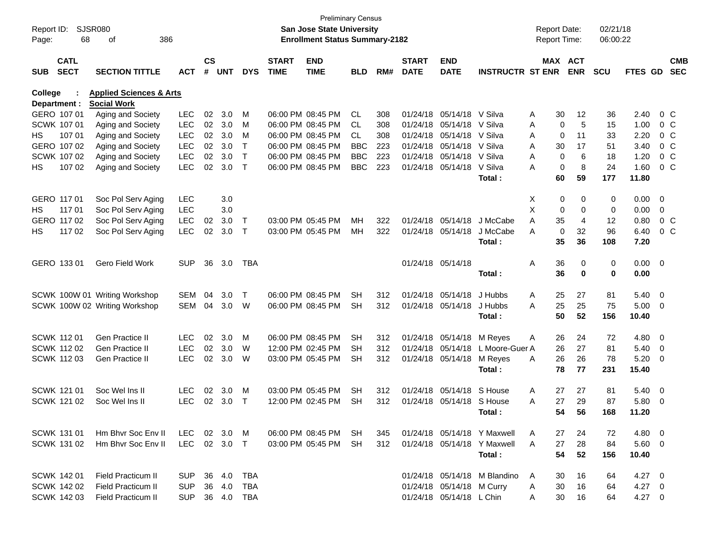| <b>SJSR080</b><br>San Jose State University<br>Report ID:<br>68<br>386<br><b>Enrollment Status Summary-2182</b><br>Page:<br>of                                                                | <b>Preliminary Census</b> |     |                             |                           |                              | <b>Report Date:</b><br>Report Time: |             | 02/21/18<br>06:00:22 |                |                          |  |
|-----------------------------------------------------------------------------------------------------------------------------------------------------------------------------------------------|---------------------------|-----|-----------------------------|---------------------------|------------------------------|-------------------------------------|-------------|----------------------|----------------|--------------------------|--|
| $\mathsf{cs}$<br><b>CATL</b><br><b>START</b><br><b>END</b><br><b>SECT</b><br>#<br><b>UNT</b><br><b>TIME</b><br><b>SUB</b><br><b>SECTION TITTLE</b><br><b>ACT</b><br><b>DYS</b><br><b>TIME</b> | <b>BLD</b>                | RM# | <b>START</b><br><b>DATE</b> | <b>END</b><br><b>DATE</b> | <b>INSTRUCTR ST ENR</b>      | MAX ACT                             | <b>ENR</b>  | <b>SCU</b>           | <b>FTES GD</b> | <b>CMB</b><br><b>SEC</b> |  |
| College<br><b>Applied Sciences &amp; Arts</b>                                                                                                                                                 |                           |     |                             |                           |                              |                                     |             |                      |                |                          |  |
| Department :<br><b>Social Work</b>                                                                                                                                                            |                           |     |                             |                           |                              |                                     |             |                      |                |                          |  |
| GERO 107 01<br><b>LEC</b><br>02<br>3.0<br>06:00 PM 08:45 PM<br>Aging and Society<br>M                                                                                                         | CL                        | 308 |                             | 01/24/18 05/14/18 V Silva |                              | Α<br>30                             | 12          | 36                   | 2.40           | 0 C                      |  |
| <b>LEC</b><br>02<br>SCWK 107 01<br>Aging and Society<br>3.0<br>06:00 PM 08:45 PM<br>м                                                                                                         | CL.                       | 308 |                             | 01/24/18 05/14/18 V Silva |                              | 0<br>Α                              | 5           | 15                   | 1.00           | 0 <sup>o</sup>           |  |
| LEC<br>02<br>107 01<br>Aging and Society<br>3.0<br>06:00 PM 08:45 PM<br>НS<br>м                                                                                                               | CL.                       | 308 |                             | 01/24/18 05/14/18 V Silva |                              | 0<br>A                              | 11          | 33                   | 2.20           | 0 <sup>o</sup>           |  |
| LEC<br>02<br>GERO 107 02<br>Aging and Society<br>3.0<br>06:00 PM 08:45 PM<br>$\top$                                                                                                           | <b>BBC</b>                | 223 |                             | 01/24/18 05/14/18 V Silva |                              | 30<br>A                             | 17          | 51                   | 3.40           | 0 <sup>o</sup>           |  |
| <b>LEC</b><br>02<br>SCWK 107 02<br>Aging and Society<br>3.0<br>$\mathsf{T}$<br>06:00 PM 08:45 PM                                                                                              | <b>BBC</b>                | 223 |                             | 01/24/18 05/14/18 V Silva |                              | 0<br>A                              | 6           | 18                   | 1.20           | 0 <sup>o</sup>           |  |
| <b>LEC</b><br>02<br>107 02<br>3.0<br>$\top$<br>06:00 PM 08:45 PM<br>HS<br>Aging and Society                                                                                                   | <b>BBC</b>                | 223 |                             | 01/24/18 05/14/18 V Silva |                              | 0<br>Α                              | 8           | 24                   | 1.60           | 0 <sup>o</sup>           |  |
|                                                                                                                                                                                               |                           |     |                             |                           | Total:                       | 60                                  | 59          | 177                  | 11.80          |                          |  |
|                                                                                                                                                                                               |                           |     |                             |                           |                              |                                     |             |                      |                |                          |  |
| GERO 117 01<br>Soc Pol Serv Aging<br>3.0<br>LEC                                                                                                                                               |                           |     |                             |                           |                              | 0<br>X                              | 0           | 0                    | $0.00 \t 0$    |                          |  |
| 117 01<br>Soc Pol Serv Aging<br><b>LEC</b><br>3.0<br>HS                                                                                                                                       |                           |     |                             |                           |                              | X<br>0                              | $\mathbf 0$ | 0                    | 0.00           | $\overline{0}$           |  |
| GERO 117 02<br>Soc Pol Serv Aging<br><b>LEC</b><br>3.0<br>03:00 PM 05:45 PM<br>02<br>$\top$                                                                                                   | MН                        | 322 |                             | 01/24/18 05/14/18         | J McCabe                     | 35<br>Α                             | 4           | 12                   | 0.80           | $0\,C$                   |  |
| <b>LEC</b><br>117 02<br>Soc Pol Serv Aging<br>02<br>3.0<br>03:00 PM 05:45 PM<br>HS<br>$\top$                                                                                                  | MН                        | 322 |                             | 01/24/18 05/14/18         | J McCabe                     | 0<br>A                              | 32          | 96                   | 6.40           | 0 <sup>o</sup>           |  |
|                                                                                                                                                                                               |                           |     |                             |                           | Total:                       | 35                                  | 36          | 108                  | 7.20           |                          |  |
| GERO 133 01<br>Gero Field Work<br><b>SUP</b><br>36<br>3.0<br>TBA                                                                                                                              |                           |     |                             | 01/24/18 05/14/18         |                              | 36<br>Α                             | 0           | 0                    | $0.00 \t 0$    |                          |  |
|                                                                                                                                                                                               |                           |     |                             |                           | Total:                       | 36                                  | $\mathbf 0$ | 0                    | 0.00           |                          |  |
|                                                                                                                                                                                               |                           |     |                             |                           |                              |                                     |             |                      |                |                          |  |
| 04<br>3.0<br>06:00 PM 08:45 PM<br>SCWK 100W 01 Writing Workshop<br>SEM<br>$\mathsf{T}$                                                                                                        | <b>SH</b>                 | 312 |                             | 01/24/18 05/14/18         | J Hubbs                      | Α<br>25                             | 27          | 81                   | $5.40\ 0$      |                          |  |
| SEM<br>04<br>3.0<br>06:00 PM 08:45 PM<br>SCWK 100W 02 Writing Workshop<br>W                                                                                                                   | <b>SH</b>                 | 312 |                             | 01/24/18 05/14/18         | J Hubbs                      | 25<br>Α                             | 25          | 75                   | $5.00 \t 0$    |                          |  |
|                                                                                                                                                                                               |                           |     |                             |                           | Total:                       | 50                                  | 52          | 156                  | 10.40          |                          |  |
|                                                                                                                                                                                               |                           |     |                             |                           |                              |                                     |             |                      |                |                          |  |
| <b>SCWK 11201</b><br>Gen Practice II<br><b>LEC</b><br>02<br>3.0<br>06:00 PM 08:45 PM<br>M                                                                                                     | <b>SH</b>                 | 312 |                             | 01/24/18 05/14/18         | M Reyes                      | 26<br>Α                             | 24          | 72                   | 4.80 0         |                          |  |
| <b>LEC</b><br><b>SCWK 11202</b><br>Gen Practice II<br>02<br>3.0<br>12:00 PM 02:45 PM<br>W                                                                                                     | SН                        | 312 |                             | 01/24/18 05/14/18         | L Moore-Guer A               | 26                                  | 27          | 81                   | $5.40 \ 0$     |                          |  |
| <b>SCWK 11203</b><br><b>LEC</b><br>02<br>3.0<br>03:00 PM 05:45 PM<br><b>Gen Practice II</b><br>W                                                                                              | <b>SH</b>                 | 312 |                             | 01/24/18 05/14/18         | M Reyes                      | 26<br>A                             | 26          | 78                   | 5.20           | $\overline{\phantom{0}}$ |  |
|                                                                                                                                                                                               |                           |     |                             |                           | Total:                       | 78                                  | 77          | 231                  | 15.40          |                          |  |
|                                                                                                                                                                                               |                           |     |                             |                           |                              |                                     |             |                      |                |                          |  |
| <b>SCWK 121 01</b><br>Soc Wel Ins II<br><b>LEC</b><br>02<br>3.0<br>03:00 PM 05:45 PM<br>м                                                                                                     | <b>SH</b>                 | 312 |                             | 01/24/18 05/14/18         | S House                      | 27<br>A                             | 27          | 81                   | $5.40\ 0$      |                          |  |
| SCWK 121 02<br><b>LEC</b><br>02<br>3.0<br>12:00 PM 02:45 PM<br>Soc Wel Ins II<br>т                                                                                                            | SН                        | 312 |                             | 01/24/18 05/14/18 S House |                              | 27<br>Α                             | 29          | 87                   | 5.80           | $\overline{\phantom{0}}$ |  |
|                                                                                                                                                                                               |                           |     |                             |                           | Total:                       | 54                                  | 56          | 168                  | 11.20          |                          |  |
|                                                                                                                                                                                               |                           |     |                             |                           |                              |                                     |             |                      |                |                          |  |
| <b>SCWK 131 01</b><br>Hm Bhyr Soc Env II<br>02 3.0<br>06:00 PM 08:45 PM<br>LEC<br>M                                                                                                           | -SH                       | 345 |                             |                           | 01/24/18 05/14/18 Y Maxwell  | 27<br>A                             | 24          | 72                   | $4.80\ 0$      |                          |  |
| 02 3.0 T<br>SCWK 131 02<br>Hm Bhvr Soc Env II<br>LEC<br>03:00 PM 05:45 PM                                                                                                                     | SH                        | 312 |                             |                           | 01/24/18 05/14/18 Y Maxwell  | 27<br>A                             | 28          | 84                   | 5.60 0         |                          |  |
|                                                                                                                                                                                               |                           |     |                             |                           | Total:                       | 54                                  | 52          | 156                  | 10.40          |                          |  |
|                                                                                                                                                                                               |                           |     |                             |                           |                              |                                     |             |                      |                |                          |  |
| SCWK 142 01<br><b>Field Practicum II</b><br>36 4.0<br>TBA<br><b>SUP</b>                                                                                                                       |                           |     |                             |                           | 01/24/18 05/14/18 M Blandino | 30<br>A                             | 16          | 64                   | $4.27 \t 0$    |                          |  |
| SCWK 142 02<br>Field Practicum II<br>36 4.0<br><b>SUP</b><br>TBA                                                                                                                              |                           |     |                             | 01/24/18 05/14/18 M Curry |                              | 30<br>A                             | 16          | 64                   | $4.27 \t 0$    |                          |  |
| SCWK 142 03<br>Field Practicum II<br><b>SUP</b><br>36  4.0  TBA                                                                                                                               |                           |     |                             | 01/24/18 05/14/18 L Chin  |                              | 30<br>A                             | 16          | 64                   | 4.27 0         |                          |  |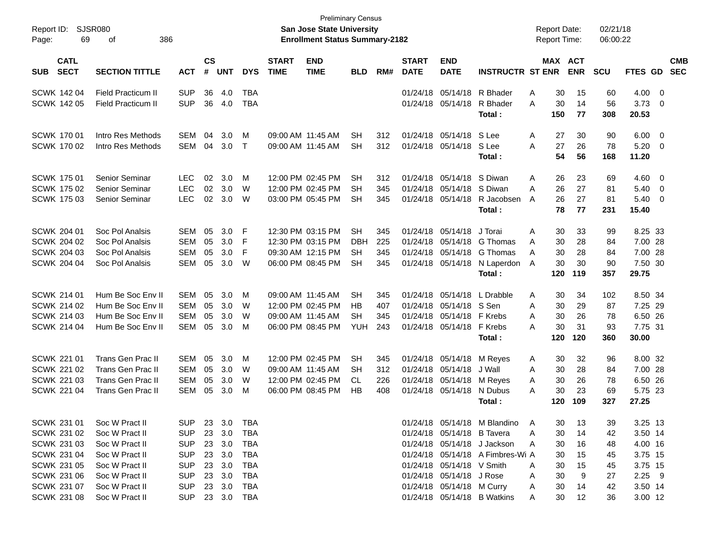| Report ID:<br>Page: | 69                         | SJSR080<br>386<br>οf      |            |                    |            |              |                             | <b>Preliminary Census</b><br><b>San Jose State University</b><br><b>Enrollment Status Summary-2182</b> |            |     |                             |                            |                                  |   | <b>Report Date:</b><br>Report Time: |            | 02/21/18<br>06:00:22 |                  |                |                          |
|---------------------|----------------------------|---------------------------|------------|--------------------|------------|--------------|-----------------------------|--------------------------------------------------------------------------------------------------------|------------|-----|-----------------------------|----------------------------|----------------------------------|---|-------------------------------------|------------|----------------------|------------------|----------------|--------------------------|
| <b>SUB</b>          | <b>CATL</b><br><b>SECT</b> | <b>SECTION TITTLE</b>     | <b>ACT</b> | $\mathsf{cs}$<br># | <b>UNT</b> | <b>DYS</b>   | <b>START</b><br><b>TIME</b> | <b>END</b><br><b>TIME</b>                                                                              | <b>BLD</b> | RM# | <b>START</b><br><b>DATE</b> | <b>END</b><br><b>DATE</b>  | <b>INSTRUCTR ST ENR</b>          |   | MAX ACT                             | <b>ENR</b> | SCU                  | FTES GD          |                | <b>CMB</b><br><b>SEC</b> |
|                     | <b>SCWK 142 04</b>         | <b>Field Practicum II</b> | <b>SUP</b> | 36                 | 4.0        | <b>TBA</b>   |                             |                                                                                                        |            |     | 01/24/18                    | 05/14/18                   | R Bhader                         | A | 30                                  | 15         | 60                   | 4.00             | $\overline{0}$ |                          |
|                     | <b>SCWK 142 05</b>         | <b>Field Practicum II</b> | <b>SUP</b> | 36                 | 4.0        | <b>TBA</b>   |                             |                                                                                                        |            |     | 01/24/18                    | 05/14/18                   | R Bhader<br>Total:               | A | 30<br>150                           | 14<br>77   | 56<br>308            | 3.73<br>20.53    | - 0            |                          |
|                     | <b>SCWK 17001</b>          | Intro Res Methods         | SEM        | 04                 | 3.0        | M            |                             | 09:00 AM 11:45 AM                                                                                      | <b>SH</b>  | 312 | 01/24/18                    | 05/14/18                   | S Lee                            | A | 27                                  | 30         | 90                   | 6.00             | $\overline{0}$ |                          |
|                     | SCWK 170 02                | Intro Res Methods         | <b>SEM</b> | 04                 | 3.0        | $\mathsf{T}$ |                             | 09:00 AM 11:45 AM                                                                                      | <b>SH</b>  | 312 | 01/24/18                    | 05/14/18                   | S Lee<br>Total:                  | A | 27<br>54                            | 26<br>56   | 78<br>168            | 5.20<br>11.20    | - 0            |                          |
|                     | <b>SCWK 175 01</b>         | Senior Seminar            | <b>LEC</b> | 02                 | 3.0        | М            |                             | 12:00 PM 02:45 PM                                                                                      | <b>SH</b>  | 312 | 01/24/18                    | 05/14/18                   | S Diwan                          | A | 26                                  | 23         | 69                   | 4.60             | $\overline{0}$ |                          |
|                     | <b>SCWK 175 02</b>         | Senior Seminar            | <b>LEC</b> | 02                 | 3.0        | W            |                             | 12:00 PM 02:45 PM                                                                                      | <b>SH</b>  | 345 | 01/24/18                    | 05/14/18                   | S Diwan                          | A | 26                                  | 27         | 81                   | 5.40             | $\overline{0}$ |                          |
|                     | <b>SCWK 175 03</b>         | Senior Seminar            | <b>LEC</b> | 02                 | 3.0        | W            |                             | 03:00 PM 05:45 PM                                                                                      | <b>SH</b>  | 345 | 01/24/18                    | 05/14/18                   | R Jacobsen<br>Total:             | A | 26<br>78                            | 27<br>77   | 81<br>231            | 5.40<br>15.40    | $\overline{0}$ |                          |
|                     | <b>SCWK 204 01</b>         | Soc Pol Analsis           | <b>SEM</b> | 05                 | 3.0        | F            |                             | 12:30 PM 03:15 PM                                                                                      | <b>SH</b>  | 345 | 01/24/18                    | 05/14/18                   | J Torai                          | A | 30                                  | 33         | 99                   | 8.25 33          |                |                          |
|                     | <b>SCWK 204 02</b>         | Soc Pol Analsis           | <b>SEM</b> | 05                 | 3.0        | F            |                             | 12:30 PM 03:15 PM                                                                                      | <b>DBH</b> | 225 | 01/24/18                    | 05/14/18                   | G Thomas                         | A | 30                                  | 28         | 84                   | 7.00 28          |                |                          |
|                     | <b>SCWK 204 03</b>         | Soc Pol Analsis           | <b>SEM</b> | 05                 | 3.0        | F            |                             | 09:30 AM 12:15 PM                                                                                      | <b>SH</b>  | 345 | 01/24/18                    | 05/14/18                   | G Thomas                         | A | 30                                  | 28         | 84                   | 7.00 28          |                |                          |
|                     | <b>SCWK 204 04</b>         | Soc Pol Analsis           | <b>SEM</b> | 05                 | 3.0        | W            |                             | 06:00 PM 08:45 PM                                                                                      | <b>SH</b>  | 345 | 01/24/18                    | 05/14/18                   | N Laperdon<br>Total:             | A | 30<br>120                           | 30<br>119  | 90<br>357            | 7.50 30<br>29.75 |                |                          |
|                     | SCWK 214 01                | Hum Be Soc Env II         | <b>SEM</b> | 05                 | 3.0        | М            |                             | 09:00 AM 11:45 AM                                                                                      | <b>SH</b>  | 345 | 01/24/18                    | 05/14/18                   | L Drabble                        | Α | 30                                  | 34         | 102                  | 8.50 34          |                |                          |
|                     | <b>SCWK 214 02</b>         | Hum Be Soc Env II         | <b>SEM</b> | 05                 | 3.0        | W            |                             | 12:00 PM 02:45 PM                                                                                      | HB         | 407 | 01/24/18                    | 05/14/18 S Sen             |                                  | A | 30                                  | 29         | 87                   | 7.25 29          |                |                          |
|                     | <b>SCWK 214 03</b>         | Hum Be Soc Env II         | <b>SEM</b> | 05                 | 3.0        | W            |                             | 09:00 AM 11:45 AM                                                                                      | <b>SH</b>  | 345 | 01/24/18                    | 05/14/18                   | F Krebs                          | A | 30                                  | 26         | 78                   | 6.50 26          |                |                          |
|                     | <b>SCWK 214 04</b>         | Hum Be Soc Env II         | <b>SEM</b> | 05                 | 3.0        | M            |                             | 06:00 PM 08:45 PM                                                                                      | <b>YUH</b> | 243 |                             | 01/24/18 05/14/18          | F Krebs<br>Total:                | A | 30<br>120                           | 31<br>120  | 93<br>360            | 7.75 31<br>30.00 |                |                          |
|                     | <b>SCWK 221 01</b>         | <b>Trans Gen Prac II</b>  | <b>SEM</b> | 05                 | 3.0        | М            |                             | 12:00 PM 02:45 PM                                                                                      | <b>SH</b>  | 345 | 01/24/18                    | 05/14/18                   | M Reyes                          | A | 30                                  | 32         | 96                   | 8.00 32          |                |                          |
|                     | <b>SCWK 221 02</b>         | <b>Trans Gen Prac II</b>  | <b>SEM</b> | 05                 | 3.0        | W            |                             | 09:00 AM 11:45 AM                                                                                      | SH         | 312 | 01/24/18                    | 05/14/18                   | J Wall                           | A | 30                                  | 28         | 84                   | 7.00 28          |                |                          |
|                     | <b>SCWK 221 03</b>         | <b>Trans Gen Prac II</b>  | <b>SEM</b> | 05                 | 3.0        | W            |                             | 12:00 PM 02:45 PM                                                                                      | CL         | 226 | 01/24/18                    | 05/14/18                   | M Reyes                          | A | 30                                  | 26         | 78                   | 6.50 26          |                |                          |
|                     | <b>SCWK 221 04</b>         | Trans Gen Prac II         | <b>SEM</b> | 05                 | 3.0        | M            |                             | 06:00 PM 08:45 PM                                                                                      | HB         | 408 | 01/24/18                    | 05/14/18                   | N Dubus                          | A | 30                                  | 23         | 69                   | 5.75 23          |                |                          |
|                     |                            |                           |            |                    |            |              |                             |                                                                                                        |            |     |                             |                            | Total:                           |   | 120                                 | 109        | 327                  | 27.25            |                |                          |
|                     | SCWK 231 01                | Soc W Pract II            | <b>SUP</b> |                    | 23 3.0     | TBA          |                             |                                                                                                        |            |     |                             |                            | 01/24/18 05/14/18 M Blandino     | A | 30                                  | 13         | 39                   | 3.25 13          |                |                          |
|                     | SCWK 231 02                | Soc W Pract II            | <b>SUP</b> |                    | 23 3.0     | <b>TBA</b>   |                             |                                                                                                        |            |     |                             | 01/24/18 05/14/18 B Tavera |                                  | A | 30                                  | 14         | 42                   | 3.50 14          |                |                          |
|                     | SCWK 231 03                | Soc W Pract II            | <b>SUP</b> |                    | 23 3.0     | TBA          |                             |                                                                                                        |            |     |                             |                            | 01/24/18 05/14/18 J Jackson      | A | 30                                  | 16         | 48                   | 4.00 16          |                |                          |
|                     | <b>SCWK 231 04</b>         | Soc W Pract II            | <b>SUP</b> |                    | 23 3.0     | TBA          |                             |                                                                                                        |            |     |                             |                            | 01/24/18 05/14/18 A Fimbres-Wi A |   | 30                                  | 15         | 45                   | 3.75 15          |                |                          |
|                     | <b>SCWK 231 05</b>         | Soc W Pract II            | <b>SUP</b> |                    | 23 3.0     | TBA          |                             |                                                                                                        |            |     |                             | 01/24/18 05/14/18 V Smith  |                                  | A | 30                                  | 15         | 45                   | 3.75 15          |                |                          |
|                     | SCWK 231 06                | Soc W Pract II            | <b>SUP</b> |                    | 23 3.0     | TBA          |                             |                                                                                                        |            |     |                             | 01/24/18 05/14/18 J Rose   |                                  | A | 30                                  | 9          | 27                   | $2.25$ 9         |                |                          |
|                     | SCWK 231 07                | Soc W Pract II            | <b>SUP</b> |                    | 23 3.0     | TBA          |                             |                                                                                                        |            |     |                             | 01/24/18 05/14/18 M Curry  |                                  | A | 30                                  | 14         | 42                   | 3.50 14          |                |                          |
|                     | <b>SCWK 231 08</b>         | Soc W Pract II            | <b>SUP</b> |                    | 23 3.0     | TBA          |                             |                                                                                                        |            |     |                             |                            | 01/24/18 05/14/18 B Watkins      | A | 30                                  | 12         | 36                   | 3.00 12          |                |                          |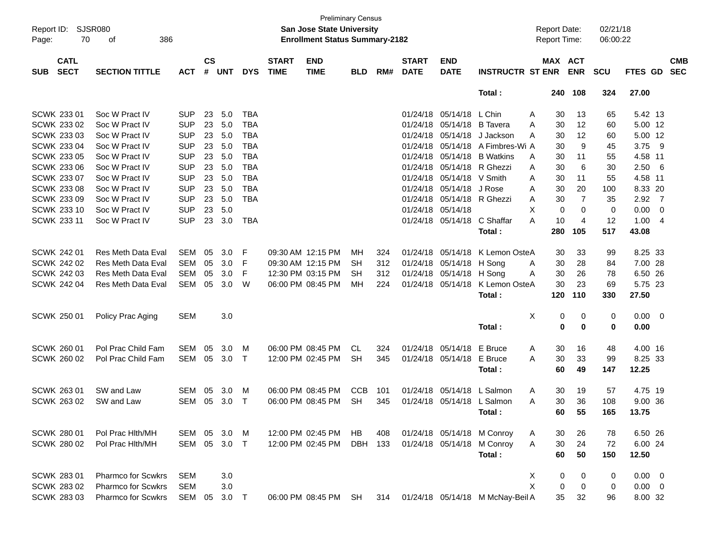| $\mathsf{cs}$<br><b>CATL</b><br><b>END</b><br><b>START</b><br><b>END</b><br>MAX ACT<br><b>CMB</b><br><b>START</b><br><b>SECT</b><br>#<br><b>UNT</b><br><b>DATE</b><br><b>INSTRUCTR ST ENR</b><br><b>ENR</b><br><b>SEC</b><br><b>SECTION TITTLE</b><br><b>DYS</b><br><b>TIME</b><br><b>TIME</b><br><b>BLD</b><br>RM#<br><b>DATE</b><br><b>SCU</b><br>FTES GD<br><b>SUB</b><br><b>ACT</b><br>108<br>324<br>27.00<br>Total:<br>240<br>Soc W Pract IV<br>23<br>5.0<br>01/24/18 05/14/18 L Chin<br>5.42 13<br><b>SUP</b><br><b>TBA</b><br>13<br>Α<br>30<br>65<br>Soc W Pract IV<br><b>SUP</b><br>23<br>5.0<br><b>TBA</b><br>01/24/18 05/14/18 B Tavera<br>5.00 12<br>30<br>12<br>60<br>A<br>Soc W Pract IV<br><b>SUP</b><br>23<br>5.0<br><b>TBA</b><br>01/24/18 05/14/18<br>5.00 12<br>J Jackson<br>30<br>12<br>60<br>A<br>3.75 9<br>Soc W Pract IV<br><b>SUP</b><br>23<br>5.0<br><b>TBA</b><br>01/24/18 05/14/18 A Fimbres-Wi A<br>9<br>30<br>45<br>4.58 11<br>Soc W Pract IV<br><b>SUP</b><br>23<br><b>TBA</b><br>01/24/18 05/14/18 B Watkins<br>5.0<br>55<br>A<br>30<br>11<br><b>SUP</b><br>2.506<br>Soc W Pract IV<br>23<br>5.0<br><b>TBA</b><br>01/24/18 05/14/18 R Ghezzi<br>6<br>30<br>30<br>A<br><b>SUP</b><br>4.58 11<br>SCWK 233 07<br>Soc W Pract IV<br>23<br>5.0<br><b>TBA</b><br>01/24/18 05/14/18 V Smith<br>30<br>55<br>A<br>11<br>Soc W Pract IV<br><b>SUP</b><br>23<br>5.0<br><b>TBA</b><br>01/24/18 05/14/18<br>J Rose<br>8.33 20<br>30<br>20<br>100<br>A<br>$2.92 \quad 7$<br>SCWK 233 09<br>Soc W Pract IV<br><b>SUP</b><br>23<br>5.0<br><b>TBA</b><br>01/24/18 05/14/18 R Ghezzi<br>7<br>30<br>35<br>A<br>23<br>$0.00 \t 0$<br>Soc W Pract IV<br><b>SUP</b><br>5.0<br>01/24/18 05/14/18<br>$\mathbf 0$<br>$\mathbf 0$<br>0<br>X<br><b>SCWK 233 11</b><br>Soc W Pract IV<br><b>SUP</b><br>23<br>3.0<br><b>TBA</b><br>01/24/18 05/14/18<br>C Shaffar<br>10<br>$\overline{4}$<br>12<br>1.004<br>Α<br>280<br>105<br>517<br>43.08<br>Total:<br>SCWK 242 01<br><b>Res Meth Data Eval</b><br><b>SEM</b><br>05<br>3.0<br>09:30 AM 12:15 PM<br>01/24/18 05/14/18<br>K Lemon OsteA<br>8.25 33<br>F<br>MН<br>324<br>33<br>99<br>30<br>7.00 28<br>Res Meth Data Eval<br><b>SEM</b><br>05<br>3.0<br>09:30 AM 12:15 PM<br>01/24/18 05/14/18 H Song<br>F<br>SН<br>312<br>30<br>28<br>84<br>Α<br>6.50 26<br><b>SCWK 242 03</b><br>Res Meth Data Eval<br><b>SEM</b><br>05<br>3.0<br>F<br>12:30 PM 03:15 PM<br>01/24/18 05/14/18 H Song<br>30<br>SH<br>312<br>26<br>78<br>Α<br><b>SCWK 242 04</b><br>05<br>3.0<br>01/24/18 05/14/18<br>K Lemon OsteA<br>30<br>5.75 23<br><b>Res Meth Data Eval</b><br>SEM<br>W<br>06:00 PM 08:45 PM<br>MН<br>224<br>23<br>69<br>27.50<br>120<br>110<br>330<br>Total:<br>SCWK 250 01<br><b>SEM</b><br>3.0<br>Χ<br>0<br>0<br>$0.00 \t 0$<br>Policy Prac Aging<br>0<br>$\bf{0}$<br>$\bf{0}$<br>0<br>0.00<br>Total:<br>Pol Prac Child Fam<br>SEM<br>05<br>3.0<br>06:00 PM 08:45 PM<br>01/24/18 05/14/18<br>E Bruce<br>4.00 16<br>M<br><b>CL</b><br>324<br>16<br>48<br>Α<br>30<br>05<br>3.0<br>01/24/18 05/14/18<br>30<br>8.25 33<br>Pol Prac Child Fam<br>SEM<br>12:00 PM 02:45 PM<br>SН<br>345<br>E Bruce<br>A<br>33<br>99<br>$\top$<br>60<br>147<br>12.25<br>Total:<br>49<br>SW and Law<br>05<br>3.0<br>06:00 PM 08:45 PM<br><b>CCB</b><br>01/24/18 05/14/18<br>L Salmon<br>4.75 19<br><b>SEM</b><br>101<br>30<br>19<br>57<br>M<br>Α<br>SW and Law<br>05<br>3.0<br>01/24/18 05/14/18 L Salmon<br>30<br>9.00 36<br>SCWK 263 02<br><b>SEM</b><br>06:00 PM 08:45 PM<br>SH<br>345<br>A<br>36<br>108<br>Т<br>55<br>13.75<br>165<br>Total:<br>60.<br>Pol Prac Hith/MH<br>SEM 05 3.0<br>12:00 PM 02:45 PM<br>01/24/18 05/14/18 M Conroy<br>26<br>6.50 26<br>M<br>HB.<br>408<br>30<br>78<br>A<br>SEM 05 3.0<br>01/24/18 05/14/18 M Conroy<br><b>SCWK 280 02</b><br>Pol Prac Hith/MH<br>12:00 PM 02:45 PM<br>DBH 133<br>30<br>24<br>6.00 24<br>$\top$<br>Α<br>72<br>Total:<br>60<br>50<br>12.50<br>150 | Report ID:<br>70<br>Page: | <b>SJSR080</b><br>386<br>of |  |  | San Jose State University<br><b>Enrollment Status Summary-2182</b> | <b>Preliminary Census</b> |  |  | <b>Report Date:</b><br>Report Time: | 02/21/18<br>06:00:22 |  |  |
|---------------------------------------------------------------------------------------------------------------------------------------------------------------------------------------------------------------------------------------------------------------------------------------------------------------------------------------------------------------------------------------------------------------------------------------------------------------------------------------------------------------------------------------------------------------------------------------------------------------------------------------------------------------------------------------------------------------------------------------------------------------------------------------------------------------------------------------------------------------------------------------------------------------------------------------------------------------------------------------------------------------------------------------------------------------------------------------------------------------------------------------------------------------------------------------------------------------------------------------------------------------------------------------------------------------------------------------------------------------------------------------------------------------------------------------------------------------------------------------------------------------------------------------------------------------------------------------------------------------------------------------------------------------------------------------------------------------------------------------------------------------------------------------------------------------------------------------------------------------------------------------------------------------------------------------------------------------------------------------------------------------------------------------------------------------------------------------------------------------------------------------------------------------------------------------------------------------------------------------------------------------------------------------------------------------------------------------------------------------------------------------------------------------------------------------------------------------------------------------------------------------------------------------------------------------------------------------------------------------------------------------------------------------------------------------------------------------------------------------------------------------------------------------------------------------------------------------------------------------------------------------------------------------------------------------------------------------------------------------------------------------------------------------------------------------------------------------------------------------------------------------------------------------------------------------------------------------------------------------------------------------------------------------------------------------------------------------------------------------------------------------------------------------------------------------------------------------------------------------------------------------------------------------------------------------------------------------------------------------------------------------------------------------------------------------------------------------------------------------------------------------------------------------------------------------------------------------------------------------------------------------------------------------------------|---------------------------|-----------------------------|--|--|--------------------------------------------------------------------|---------------------------|--|--|-------------------------------------|----------------------|--|--|
|                                                                                                                                                                                                                                                                                                                                                                                                                                                                                                                                                                                                                                                                                                                                                                                                                                                                                                                                                                                                                                                                                                                                                                                                                                                                                                                                                                                                                                                                                                                                                                                                                                                                                                                                                                                                                                                                                                                                                                                                                                                                                                                                                                                                                                                                                                                                                                                                                                                                                                                                                                                                                                                                                                                                                                                                                                                                                                                                                                                                                                                                                                                                                                                                                                                                                                                                                                                                                                                                                                                                                                                                                                                                                                                                                                                                                                                                                                                           |                           |                             |  |  |                                                                    |                           |  |  |                                     |                      |  |  |
|                                                                                                                                                                                                                                                                                                                                                                                                                                                                                                                                                                                                                                                                                                                                                                                                                                                                                                                                                                                                                                                                                                                                                                                                                                                                                                                                                                                                                                                                                                                                                                                                                                                                                                                                                                                                                                                                                                                                                                                                                                                                                                                                                                                                                                                                                                                                                                                                                                                                                                                                                                                                                                                                                                                                                                                                                                                                                                                                                                                                                                                                                                                                                                                                                                                                                                                                                                                                                                                                                                                                                                                                                                                                                                                                                                                                                                                                                                                           |                           |                             |  |  |                                                                    |                           |  |  |                                     |                      |  |  |
|                                                                                                                                                                                                                                                                                                                                                                                                                                                                                                                                                                                                                                                                                                                                                                                                                                                                                                                                                                                                                                                                                                                                                                                                                                                                                                                                                                                                                                                                                                                                                                                                                                                                                                                                                                                                                                                                                                                                                                                                                                                                                                                                                                                                                                                                                                                                                                                                                                                                                                                                                                                                                                                                                                                                                                                                                                                                                                                                                                                                                                                                                                                                                                                                                                                                                                                                                                                                                                                                                                                                                                                                                                                                                                                                                                                                                                                                                                                           | SCWK 233 01               |                             |  |  |                                                                    |                           |  |  |                                     |                      |  |  |
|                                                                                                                                                                                                                                                                                                                                                                                                                                                                                                                                                                                                                                                                                                                                                                                                                                                                                                                                                                                                                                                                                                                                                                                                                                                                                                                                                                                                                                                                                                                                                                                                                                                                                                                                                                                                                                                                                                                                                                                                                                                                                                                                                                                                                                                                                                                                                                                                                                                                                                                                                                                                                                                                                                                                                                                                                                                                                                                                                                                                                                                                                                                                                                                                                                                                                                                                                                                                                                                                                                                                                                                                                                                                                                                                                                                                                                                                                                                           | SCWK 233 02               |                             |  |  |                                                                    |                           |  |  |                                     |                      |  |  |
|                                                                                                                                                                                                                                                                                                                                                                                                                                                                                                                                                                                                                                                                                                                                                                                                                                                                                                                                                                                                                                                                                                                                                                                                                                                                                                                                                                                                                                                                                                                                                                                                                                                                                                                                                                                                                                                                                                                                                                                                                                                                                                                                                                                                                                                                                                                                                                                                                                                                                                                                                                                                                                                                                                                                                                                                                                                                                                                                                                                                                                                                                                                                                                                                                                                                                                                                                                                                                                                                                                                                                                                                                                                                                                                                                                                                                                                                                                                           | SCWK 233 03               |                             |  |  |                                                                    |                           |  |  |                                     |                      |  |  |
|                                                                                                                                                                                                                                                                                                                                                                                                                                                                                                                                                                                                                                                                                                                                                                                                                                                                                                                                                                                                                                                                                                                                                                                                                                                                                                                                                                                                                                                                                                                                                                                                                                                                                                                                                                                                                                                                                                                                                                                                                                                                                                                                                                                                                                                                                                                                                                                                                                                                                                                                                                                                                                                                                                                                                                                                                                                                                                                                                                                                                                                                                                                                                                                                                                                                                                                                                                                                                                                                                                                                                                                                                                                                                                                                                                                                                                                                                                                           | SCWK 233 04               |                             |  |  |                                                                    |                           |  |  |                                     |                      |  |  |
|                                                                                                                                                                                                                                                                                                                                                                                                                                                                                                                                                                                                                                                                                                                                                                                                                                                                                                                                                                                                                                                                                                                                                                                                                                                                                                                                                                                                                                                                                                                                                                                                                                                                                                                                                                                                                                                                                                                                                                                                                                                                                                                                                                                                                                                                                                                                                                                                                                                                                                                                                                                                                                                                                                                                                                                                                                                                                                                                                                                                                                                                                                                                                                                                                                                                                                                                                                                                                                                                                                                                                                                                                                                                                                                                                                                                                                                                                                                           | <b>SCWK 233 05</b>        |                             |  |  |                                                                    |                           |  |  |                                     |                      |  |  |
|                                                                                                                                                                                                                                                                                                                                                                                                                                                                                                                                                                                                                                                                                                                                                                                                                                                                                                                                                                                                                                                                                                                                                                                                                                                                                                                                                                                                                                                                                                                                                                                                                                                                                                                                                                                                                                                                                                                                                                                                                                                                                                                                                                                                                                                                                                                                                                                                                                                                                                                                                                                                                                                                                                                                                                                                                                                                                                                                                                                                                                                                                                                                                                                                                                                                                                                                                                                                                                                                                                                                                                                                                                                                                                                                                                                                                                                                                                                           | <b>SCWK 233 06</b>        |                             |  |  |                                                                    |                           |  |  |                                     |                      |  |  |
|                                                                                                                                                                                                                                                                                                                                                                                                                                                                                                                                                                                                                                                                                                                                                                                                                                                                                                                                                                                                                                                                                                                                                                                                                                                                                                                                                                                                                                                                                                                                                                                                                                                                                                                                                                                                                                                                                                                                                                                                                                                                                                                                                                                                                                                                                                                                                                                                                                                                                                                                                                                                                                                                                                                                                                                                                                                                                                                                                                                                                                                                                                                                                                                                                                                                                                                                                                                                                                                                                                                                                                                                                                                                                                                                                                                                                                                                                                                           |                           |                             |  |  |                                                                    |                           |  |  |                                     |                      |  |  |
|                                                                                                                                                                                                                                                                                                                                                                                                                                                                                                                                                                                                                                                                                                                                                                                                                                                                                                                                                                                                                                                                                                                                                                                                                                                                                                                                                                                                                                                                                                                                                                                                                                                                                                                                                                                                                                                                                                                                                                                                                                                                                                                                                                                                                                                                                                                                                                                                                                                                                                                                                                                                                                                                                                                                                                                                                                                                                                                                                                                                                                                                                                                                                                                                                                                                                                                                                                                                                                                                                                                                                                                                                                                                                                                                                                                                                                                                                                                           | <b>SCWK 233 08</b>        |                             |  |  |                                                                    |                           |  |  |                                     |                      |  |  |
|                                                                                                                                                                                                                                                                                                                                                                                                                                                                                                                                                                                                                                                                                                                                                                                                                                                                                                                                                                                                                                                                                                                                                                                                                                                                                                                                                                                                                                                                                                                                                                                                                                                                                                                                                                                                                                                                                                                                                                                                                                                                                                                                                                                                                                                                                                                                                                                                                                                                                                                                                                                                                                                                                                                                                                                                                                                                                                                                                                                                                                                                                                                                                                                                                                                                                                                                                                                                                                                                                                                                                                                                                                                                                                                                                                                                                                                                                                                           |                           |                             |  |  |                                                                    |                           |  |  |                                     |                      |  |  |
|                                                                                                                                                                                                                                                                                                                                                                                                                                                                                                                                                                                                                                                                                                                                                                                                                                                                                                                                                                                                                                                                                                                                                                                                                                                                                                                                                                                                                                                                                                                                                                                                                                                                                                                                                                                                                                                                                                                                                                                                                                                                                                                                                                                                                                                                                                                                                                                                                                                                                                                                                                                                                                                                                                                                                                                                                                                                                                                                                                                                                                                                                                                                                                                                                                                                                                                                                                                                                                                                                                                                                                                                                                                                                                                                                                                                                                                                                                                           | <b>SCWK 233 10</b>        |                             |  |  |                                                                    |                           |  |  |                                     |                      |  |  |
|                                                                                                                                                                                                                                                                                                                                                                                                                                                                                                                                                                                                                                                                                                                                                                                                                                                                                                                                                                                                                                                                                                                                                                                                                                                                                                                                                                                                                                                                                                                                                                                                                                                                                                                                                                                                                                                                                                                                                                                                                                                                                                                                                                                                                                                                                                                                                                                                                                                                                                                                                                                                                                                                                                                                                                                                                                                                                                                                                                                                                                                                                                                                                                                                                                                                                                                                                                                                                                                                                                                                                                                                                                                                                                                                                                                                                                                                                                                           |                           |                             |  |  |                                                                    |                           |  |  |                                     |                      |  |  |
|                                                                                                                                                                                                                                                                                                                                                                                                                                                                                                                                                                                                                                                                                                                                                                                                                                                                                                                                                                                                                                                                                                                                                                                                                                                                                                                                                                                                                                                                                                                                                                                                                                                                                                                                                                                                                                                                                                                                                                                                                                                                                                                                                                                                                                                                                                                                                                                                                                                                                                                                                                                                                                                                                                                                                                                                                                                                                                                                                                                                                                                                                                                                                                                                                                                                                                                                                                                                                                                                                                                                                                                                                                                                                                                                                                                                                                                                                                                           |                           |                             |  |  |                                                                    |                           |  |  |                                     |                      |  |  |
|                                                                                                                                                                                                                                                                                                                                                                                                                                                                                                                                                                                                                                                                                                                                                                                                                                                                                                                                                                                                                                                                                                                                                                                                                                                                                                                                                                                                                                                                                                                                                                                                                                                                                                                                                                                                                                                                                                                                                                                                                                                                                                                                                                                                                                                                                                                                                                                                                                                                                                                                                                                                                                                                                                                                                                                                                                                                                                                                                                                                                                                                                                                                                                                                                                                                                                                                                                                                                                                                                                                                                                                                                                                                                                                                                                                                                                                                                                                           |                           |                             |  |  |                                                                    |                           |  |  |                                     |                      |  |  |
|                                                                                                                                                                                                                                                                                                                                                                                                                                                                                                                                                                                                                                                                                                                                                                                                                                                                                                                                                                                                                                                                                                                                                                                                                                                                                                                                                                                                                                                                                                                                                                                                                                                                                                                                                                                                                                                                                                                                                                                                                                                                                                                                                                                                                                                                                                                                                                                                                                                                                                                                                                                                                                                                                                                                                                                                                                                                                                                                                                                                                                                                                                                                                                                                                                                                                                                                                                                                                                                                                                                                                                                                                                                                                                                                                                                                                                                                                                                           |                           |                             |  |  |                                                                    |                           |  |  |                                     |                      |  |  |
|                                                                                                                                                                                                                                                                                                                                                                                                                                                                                                                                                                                                                                                                                                                                                                                                                                                                                                                                                                                                                                                                                                                                                                                                                                                                                                                                                                                                                                                                                                                                                                                                                                                                                                                                                                                                                                                                                                                                                                                                                                                                                                                                                                                                                                                                                                                                                                                                                                                                                                                                                                                                                                                                                                                                                                                                                                                                                                                                                                                                                                                                                                                                                                                                                                                                                                                                                                                                                                                                                                                                                                                                                                                                                                                                                                                                                                                                                                                           | <b>SCWK 242 02</b>        |                             |  |  |                                                                    |                           |  |  |                                     |                      |  |  |
|                                                                                                                                                                                                                                                                                                                                                                                                                                                                                                                                                                                                                                                                                                                                                                                                                                                                                                                                                                                                                                                                                                                                                                                                                                                                                                                                                                                                                                                                                                                                                                                                                                                                                                                                                                                                                                                                                                                                                                                                                                                                                                                                                                                                                                                                                                                                                                                                                                                                                                                                                                                                                                                                                                                                                                                                                                                                                                                                                                                                                                                                                                                                                                                                                                                                                                                                                                                                                                                                                                                                                                                                                                                                                                                                                                                                                                                                                                                           |                           |                             |  |  |                                                                    |                           |  |  |                                     |                      |  |  |
|                                                                                                                                                                                                                                                                                                                                                                                                                                                                                                                                                                                                                                                                                                                                                                                                                                                                                                                                                                                                                                                                                                                                                                                                                                                                                                                                                                                                                                                                                                                                                                                                                                                                                                                                                                                                                                                                                                                                                                                                                                                                                                                                                                                                                                                                                                                                                                                                                                                                                                                                                                                                                                                                                                                                                                                                                                                                                                                                                                                                                                                                                                                                                                                                                                                                                                                                                                                                                                                                                                                                                                                                                                                                                                                                                                                                                                                                                                                           |                           |                             |  |  |                                                                    |                           |  |  |                                     |                      |  |  |
|                                                                                                                                                                                                                                                                                                                                                                                                                                                                                                                                                                                                                                                                                                                                                                                                                                                                                                                                                                                                                                                                                                                                                                                                                                                                                                                                                                                                                                                                                                                                                                                                                                                                                                                                                                                                                                                                                                                                                                                                                                                                                                                                                                                                                                                                                                                                                                                                                                                                                                                                                                                                                                                                                                                                                                                                                                                                                                                                                                                                                                                                                                                                                                                                                                                                                                                                                                                                                                                                                                                                                                                                                                                                                                                                                                                                                                                                                                                           |                           |                             |  |  |                                                                    |                           |  |  |                                     |                      |  |  |
|                                                                                                                                                                                                                                                                                                                                                                                                                                                                                                                                                                                                                                                                                                                                                                                                                                                                                                                                                                                                                                                                                                                                                                                                                                                                                                                                                                                                                                                                                                                                                                                                                                                                                                                                                                                                                                                                                                                                                                                                                                                                                                                                                                                                                                                                                                                                                                                                                                                                                                                                                                                                                                                                                                                                                                                                                                                                                                                                                                                                                                                                                                                                                                                                                                                                                                                                                                                                                                                                                                                                                                                                                                                                                                                                                                                                                                                                                                                           |                           |                             |  |  |                                                                    |                           |  |  |                                     |                      |  |  |
|                                                                                                                                                                                                                                                                                                                                                                                                                                                                                                                                                                                                                                                                                                                                                                                                                                                                                                                                                                                                                                                                                                                                                                                                                                                                                                                                                                                                                                                                                                                                                                                                                                                                                                                                                                                                                                                                                                                                                                                                                                                                                                                                                                                                                                                                                                                                                                                                                                                                                                                                                                                                                                                                                                                                                                                                                                                                                                                                                                                                                                                                                                                                                                                                                                                                                                                                                                                                                                                                                                                                                                                                                                                                                                                                                                                                                                                                                                                           |                           |                             |  |  |                                                                    |                           |  |  |                                     |                      |  |  |
|                                                                                                                                                                                                                                                                                                                                                                                                                                                                                                                                                                                                                                                                                                                                                                                                                                                                                                                                                                                                                                                                                                                                                                                                                                                                                                                                                                                                                                                                                                                                                                                                                                                                                                                                                                                                                                                                                                                                                                                                                                                                                                                                                                                                                                                                                                                                                                                                                                                                                                                                                                                                                                                                                                                                                                                                                                                                                                                                                                                                                                                                                                                                                                                                                                                                                                                                                                                                                                                                                                                                                                                                                                                                                                                                                                                                                                                                                                                           |                           |                             |  |  |                                                                    |                           |  |  |                                     |                      |  |  |
|                                                                                                                                                                                                                                                                                                                                                                                                                                                                                                                                                                                                                                                                                                                                                                                                                                                                                                                                                                                                                                                                                                                                                                                                                                                                                                                                                                                                                                                                                                                                                                                                                                                                                                                                                                                                                                                                                                                                                                                                                                                                                                                                                                                                                                                                                                                                                                                                                                                                                                                                                                                                                                                                                                                                                                                                                                                                                                                                                                                                                                                                                                                                                                                                                                                                                                                                                                                                                                                                                                                                                                                                                                                                                                                                                                                                                                                                                                                           |                           |                             |  |  |                                                                    |                           |  |  |                                     |                      |  |  |
|                                                                                                                                                                                                                                                                                                                                                                                                                                                                                                                                                                                                                                                                                                                                                                                                                                                                                                                                                                                                                                                                                                                                                                                                                                                                                                                                                                                                                                                                                                                                                                                                                                                                                                                                                                                                                                                                                                                                                                                                                                                                                                                                                                                                                                                                                                                                                                                                                                                                                                                                                                                                                                                                                                                                                                                                                                                                                                                                                                                                                                                                                                                                                                                                                                                                                                                                                                                                                                                                                                                                                                                                                                                                                                                                                                                                                                                                                                                           | <b>SCWK 260 01</b>        |                             |  |  |                                                                    |                           |  |  |                                     |                      |  |  |
|                                                                                                                                                                                                                                                                                                                                                                                                                                                                                                                                                                                                                                                                                                                                                                                                                                                                                                                                                                                                                                                                                                                                                                                                                                                                                                                                                                                                                                                                                                                                                                                                                                                                                                                                                                                                                                                                                                                                                                                                                                                                                                                                                                                                                                                                                                                                                                                                                                                                                                                                                                                                                                                                                                                                                                                                                                                                                                                                                                                                                                                                                                                                                                                                                                                                                                                                                                                                                                                                                                                                                                                                                                                                                                                                                                                                                                                                                                                           | SCWK 260 02               |                             |  |  |                                                                    |                           |  |  |                                     |                      |  |  |
|                                                                                                                                                                                                                                                                                                                                                                                                                                                                                                                                                                                                                                                                                                                                                                                                                                                                                                                                                                                                                                                                                                                                                                                                                                                                                                                                                                                                                                                                                                                                                                                                                                                                                                                                                                                                                                                                                                                                                                                                                                                                                                                                                                                                                                                                                                                                                                                                                                                                                                                                                                                                                                                                                                                                                                                                                                                                                                                                                                                                                                                                                                                                                                                                                                                                                                                                                                                                                                                                                                                                                                                                                                                                                                                                                                                                                                                                                                                           |                           |                             |  |  |                                                                    |                           |  |  |                                     |                      |  |  |
|                                                                                                                                                                                                                                                                                                                                                                                                                                                                                                                                                                                                                                                                                                                                                                                                                                                                                                                                                                                                                                                                                                                                                                                                                                                                                                                                                                                                                                                                                                                                                                                                                                                                                                                                                                                                                                                                                                                                                                                                                                                                                                                                                                                                                                                                                                                                                                                                                                                                                                                                                                                                                                                                                                                                                                                                                                                                                                                                                                                                                                                                                                                                                                                                                                                                                                                                                                                                                                                                                                                                                                                                                                                                                                                                                                                                                                                                                                                           |                           |                             |  |  |                                                                    |                           |  |  |                                     |                      |  |  |
|                                                                                                                                                                                                                                                                                                                                                                                                                                                                                                                                                                                                                                                                                                                                                                                                                                                                                                                                                                                                                                                                                                                                                                                                                                                                                                                                                                                                                                                                                                                                                                                                                                                                                                                                                                                                                                                                                                                                                                                                                                                                                                                                                                                                                                                                                                                                                                                                                                                                                                                                                                                                                                                                                                                                                                                                                                                                                                                                                                                                                                                                                                                                                                                                                                                                                                                                                                                                                                                                                                                                                                                                                                                                                                                                                                                                                                                                                                                           | SCWK 263 01               |                             |  |  |                                                                    |                           |  |  |                                     |                      |  |  |
|                                                                                                                                                                                                                                                                                                                                                                                                                                                                                                                                                                                                                                                                                                                                                                                                                                                                                                                                                                                                                                                                                                                                                                                                                                                                                                                                                                                                                                                                                                                                                                                                                                                                                                                                                                                                                                                                                                                                                                                                                                                                                                                                                                                                                                                                                                                                                                                                                                                                                                                                                                                                                                                                                                                                                                                                                                                                                                                                                                                                                                                                                                                                                                                                                                                                                                                                                                                                                                                                                                                                                                                                                                                                                                                                                                                                                                                                                                                           |                           |                             |  |  |                                                                    |                           |  |  |                                     |                      |  |  |
|                                                                                                                                                                                                                                                                                                                                                                                                                                                                                                                                                                                                                                                                                                                                                                                                                                                                                                                                                                                                                                                                                                                                                                                                                                                                                                                                                                                                                                                                                                                                                                                                                                                                                                                                                                                                                                                                                                                                                                                                                                                                                                                                                                                                                                                                                                                                                                                                                                                                                                                                                                                                                                                                                                                                                                                                                                                                                                                                                                                                                                                                                                                                                                                                                                                                                                                                                                                                                                                                                                                                                                                                                                                                                                                                                                                                                                                                                                                           |                           |                             |  |  |                                                                    |                           |  |  |                                     |                      |  |  |
|                                                                                                                                                                                                                                                                                                                                                                                                                                                                                                                                                                                                                                                                                                                                                                                                                                                                                                                                                                                                                                                                                                                                                                                                                                                                                                                                                                                                                                                                                                                                                                                                                                                                                                                                                                                                                                                                                                                                                                                                                                                                                                                                                                                                                                                                                                                                                                                                                                                                                                                                                                                                                                                                                                                                                                                                                                                                                                                                                                                                                                                                                                                                                                                                                                                                                                                                                                                                                                                                                                                                                                                                                                                                                                                                                                                                                                                                                                                           |                           |                             |  |  |                                                                    |                           |  |  |                                     |                      |  |  |
|                                                                                                                                                                                                                                                                                                                                                                                                                                                                                                                                                                                                                                                                                                                                                                                                                                                                                                                                                                                                                                                                                                                                                                                                                                                                                                                                                                                                                                                                                                                                                                                                                                                                                                                                                                                                                                                                                                                                                                                                                                                                                                                                                                                                                                                                                                                                                                                                                                                                                                                                                                                                                                                                                                                                                                                                                                                                                                                                                                                                                                                                                                                                                                                                                                                                                                                                                                                                                                                                                                                                                                                                                                                                                                                                                                                                                                                                                                                           | <b>SCWK 280 01</b>        |                             |  |  |                                                                    |                           |  |  |                                     |                      |  |  |
|                                                                                                                                                                                                                                                                                                                                                                                                                                                                                                                                                                                                                                                                                                                                                                                                                                                                                                                                                                                                                                                                                                                                                                                                                                                                                                                                                                                                                                                                                                                                                                                                                                                                                                                                                                                                                                                                                                                                                                                                                                                                                                                                                                                                                                                                                                                                                                                                                                                                                                                                                                                                                                                                                                                                                                                                                                                                                                                                                                                                                                                                                                                                                                                                                                                                                                                                                                                                                                                                                                                                                                                                                                                                                                                                                                                                                                                                                                                           |                           |                             |  |  |                                                                    |                           |  |  |                                     |                      |  |  |
|                                                                                                                                                                                                                                                                                                                                                                                                                                                                                                                                                                                                                                                                                                                                                                                                                                                                                                                                                                                                                                                                                                                                                                                                                                                                                                                                                                                                                                                                                                                                                                                                                                                                                                                                                                                                                                                                                                                                                                                                                                                                                                                                                                                                                                                                                                                                                                                                                                                                                                                                                                                                                                                                                                                                                                                                                                                                                                                                                                                                                                                                                                                                                                                                                                                                                                                                                                                                                                                                                                                                                                                                                                                                                                                                                                                                                                                                                                                           |                           |                             |  |  |                                                                    |                           |  |  |                                     |                      |  |  |
|                                                                                                                                                                                                                                                                                                                                                                                                                                                                                                                                                                                                                                                                                                                                                                                                                                                                                                                                                                                                                                                                                                                                                                                                                                                                                                                                                                                                                                                                                                                                                                                                                                                                                                                                                                                                                                                                                                                                                                                                                                                                                                                                                                                                                                                                                                                                                                                                                                                                                                                                                                                                                                                                                                                                                                                                                                                                                                                                                                                                                                                                                                                                                                                                                                                                                                                                                                                                                                                                                                                                                                                                                                                                                                                                                                                                                                                                                                                           |                           |                             |  |  |                                                                    |                           |  |  |                                     |                      |  |  |
| <b>Pharmco for Scwkrs</b><br><b>SEM</b><br>3.0<br>X<br>$0.00 \t 0$<br>0<br>0<br>0                                                                                                                                                                                                                                                                                                                                                                                                                                                                                                                                                                                                                                                                                                                                                                                                                                                                                                                                                                                                                                                                                                                                                                                                                                                                                                                                                                                                                                                                                                                                                                                                                                                                                                                                                                                                                                                                                                                                                                                                                                                                                                                                                                                                                                                                                                                                                                                                                                                                                                                                                                                                                                                                                                                                                                                                                                                                                                                                                                                                                                                                                                                                                                                                                                                                                                                                                                                                                                                                                                                                                                                                                                                                                                                                                                                                                                         | SCWK 283 01               |                             |  |  |                                                                    |                           |  |  |                                     |                      |  |  |
| X<br>Pharmco for Scwkrs<br><b>SEM</b><br>3.0<br>0<br>$0.00 \t 0$<br>0<br>0                                                                                                                                                                                                                                                                                                                                                                                                                                                                                                                                                                                                                                                                                                                                                                                                                                                                                                                                                                                                                                                                                                                                                                                                                                                                                                                                                                                                                                                                                                                                                                                                                                                                                                                                                                                                                                                                                                                                                                                                                                                                                                                                                                                                                                                                                                                                                                                                                                                                                                                                                                                                                                                                                                                                                                                                                                                                                                                                                                                                                                                                                                                                                                                                                                                                                                                                                                                                                                                                                                                                                                                                                                                                                                                                                                                                                                                | SCWK 283 02               |                             |  |  |                                                                    |                           |  |  |                                     |                      |  |  |
| <b>Pharmco for Scwkrs</b><br>SEM 05 3.0 T<br>8.00 32<br>06:00 PM 08:45 PM SH<br>314<br>01/24/18 05/14/18 M McNay-Beil A<br>35<br>32<br>96                                                                                                                                                                                                                                                                                                                                                                                                                                                                                                                                                                                                                                                                                                                                                                                                                                                                                                                                                                                                                                                                                                                                                                                                                                                                                                                                                                                                                                                                                                                                                                                                                                                                                                                                                                                                                                                                                                                                                                                                                                                                                                                                                                                                                                                                                                                                                                                                                                                                                                                                                                                                                                                                                                                                                                                                                                                                                                                                                                                                                                                                                                                                                                                                                                                                                                                                                                                                                                                                                                                                                                                                                                                                                                                                                                                 | <b>SCWK 283 03</b>        |                             |  |  |                                                                    |                           |  |  |                                     |                      |  |  |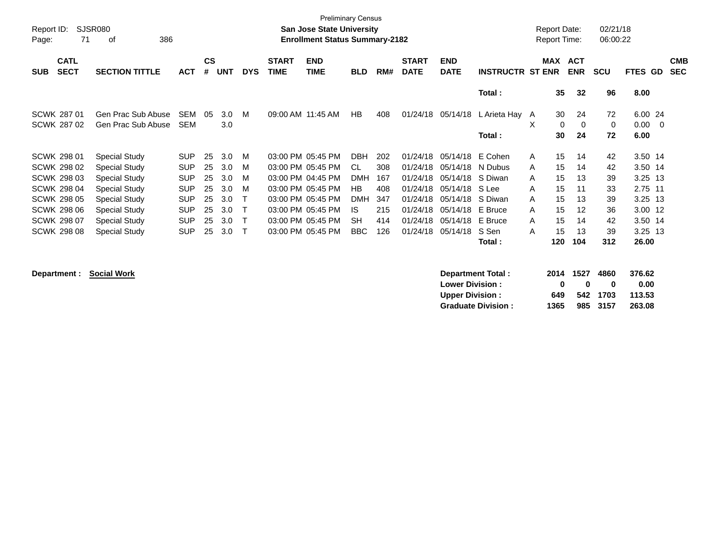| Report ID:<br>Page: | SJSR080<br>71              | 386<br>οf             |            |                    |            |            |                             | <b>Preliminary Census</b><br>San Jose State University<br><b>Enrollment Status Summary-2182</b> |            |     |                             |                           |                         |   | <b>Report Date:</b><br><b>Report Time:</b> |                          | 02/21/18<br>06:00:22 |                |                          |
|---------------------|----------------------------|-----------------------|------------|--------------------|------------|------------|-----------------------------|-------------------------------------------------------------------------------------------------|------------|-----|-----------------------------|---------------------------|-------------------------|---|--------------------------------------------|--------------------------|----------------------|----------------|--------------------------|
| <b>SUB</b>          | <b>CATL</b><br><b>SECT</b> | <b>SECTION TITTLE</b> | <b>ACT</b> | $\mathsf{cs}$<br># | <b>UNT</b> | <b>DYS</b> | <b>START</b><br><b>TIME</b> | <b>END</b><br><b>TIME</b>                                                                       | <b>BLD</b> | RM# | <b>START</b><br><b>DATE</b> | <b>END</b><br><b>DATE</b> | <b>INSTRUCTR ST ENR</b> |   | <b>MAX</b>                                 | <b>ACT</b><br><b>ENR</b> | <b>SCU</b>           | <b>FTES GD</b> | <b>CMB</b><br><b>SEC</b> |
|                     |                            |                       |            |                    |            |            |                             |                                                                                                 |            |     |                             |                           | Total:                  |   | 35                                         | 32                       | 96                   | 8.00           |                          |
|                     | SCWK 287 01                | Gen Prac Sub Abuse    | <b>SEM</b> | 05                 | 3.0        | M          |                             | 09:00 AM 11:45 AM                                                                               | <b>HB</b>  | 408 | 01/24/18                    | 05/14/18                  | L Arieta Hay A          |   | 30                                         | 24                       | 72                   | 6.00 24        |                          |
|                     | SCWK 287 02                | Gen Prac Sub Abuse    | <b>SEM</b> |                    | 3.0        |            |                             |                                                                                                 |            |     |                             |                           |                         | X | 0                                          | $\Omega$                 | 0                    | 0.00           | $\overline{\phantom{0}}$ |
|                     |                            |                       |            |                    |            |            |                             |                                                                                                 |            |     |                             |                           | Total :                 |   | 30                                         | 24                       | 72                   | 6.00           |                          |
|                     | <b>SCWK 298 01</b>         | <b>Special Study</b>  | <b>SUP</b> | 25                 | 3.0        | м          |                             | 03:00 PM 05:45 PM                                                                               | <b>DBH</b> | 202 | 01/24/18                    | 05/14/18                  | E Cohen                 | A | 15                                         | 14                       | 42                   | 3.50 14        |                          |
|                     | <b>SCWK 298 02</b>         | <b>Special Study</b>  | <b>SUP</b> | 25                 | 3.0        | M          |                             | 03:00 PM 05:45 PM                                                                               | CL.        | 308 | 01/24/18                    | 05/14/18                  | N Dubus                 | A | 15                                         | 14                       | 42                   | 3.50 14        |                          |
|                     | SCWK 298 03                | <b>Special Study</b>  | <b>SUP</b> | 25                 | 3.0        | м          |                             | 03:00 PM 04:45 PM                                                                               | <b>DMH</b> | 167 | 01/24/18                    | 05/14/18                  | S Diwan                 | A | 15                                         | 13                       | 39                   | 3.25 13        |                          |
|                     | SCWK 298 04                | <b>Special Study</b>  | <b>SUP</b> | 25                 | 3.0        | м          |                             | 03:00 PM 05:45 PM                                                                               | HB         | 408 | 01/24/18                    | 05/14/18                  | S Lee                   | A | 15                                         | 11                       | 33                   | 2.75 11        |                          |
|                     | <b>SCWK 298 05</b>         | <b>Special Study</b>  | <b>SUP</b> | 25                 | 3.0        |            |                             | 03:00 PM 05:45 PM                                                                               | <b>DMH</b> | 347 | 01/24/18                    | 05/14/18                  | S Diwan                 | A | 15                                         | 13                       | 39                   | 3.25 13        |                          |
|                     | <b>SCWK 298 06</b>         | <b>Special Study</b>  | <b>SUP</b> | 25                 | 3.0        |            |                             | 03:00 PM 05:45 PM                                                                               | IS         | 215 | 01/24/18                    | 05/14/18                  | E Bruce                 | A | 15                                         | 12                       | 36                   | 3.00 12        |                          |
|                     | <b>SCWK 298 07</b>         | <b>Special Study</b>  | <b>SUP</b> | 25                 | 3.0        | Т          |                             | 03:00 PM 05:45 PM                                                                               | <b>SH</b>  | 414 | 01/24/18                    | 05/14/18                  | E Bruce                 | A | 15                                         | 14                       | 42                   | 3.50 14        |                          |
|                     | <b>SCWK 298 08</b>         | <b>Special Study</b>  | <b>SUP</b> | 25                 | 3.0        | т          |                             | 03:00 PM 05:45 PM                                                                               | <b>BBC</b> | 126 | 01/24/18                    | 05/14/18                  | S Sen                   | A | 15                                         | 13                       | 39                   | $3.25$ 13      |                          |
|                     |                            |                       |            |                    |            |            |                             |                                                                                                 |            |     |                             |                           | Total :                 |   | 120                                        | 104                      | 312                  | 26.00          |                          |
|                     |                            |                       |            |                    |            |            |                             |                                                                                                 |            |     |                             |                           |                         |   |                                            |                          |                      |                |                          |

**Department : Social Work** 

| <b>Department Total:</b>  |      | 2014 1527 4860 |          | 376.62 |
|---------------------------|------|----------------|----------|--------|
| <b>Lower Division:</b>    | n    | n              | n        | 0.00   |
| <b>Upper Division:</b>    | 649  |                | 542 1703 | 113.53 |
| <b>Graduate Division:</b> | 1365 |                | 985 3157 | 263.08 |